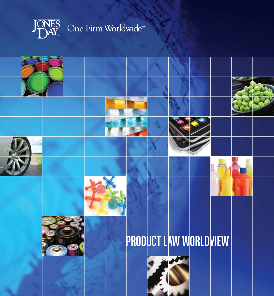

# One Firm Worldwide™

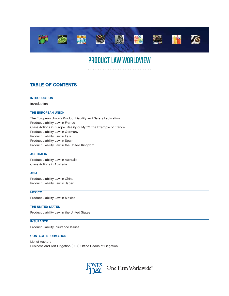

# PRODUCT LAW WORLDVIEW

# **TABLE OF CONTENTS**

#### **INTRODUCTION**

#### Introduction

#### THE EUROPEAN UNION

The European Union's Product Liability and Safety Legislation Product Liability Law in France Class Actions in Europe: Reality or Myth? The Example of France Product Liability Law in Germany Product Liability Law in Italy Product Liability Law in Spain Product Liability Law in the United Kingdom

#### **AUSTRALIA**

Product Liability Law in Australia Class Actions in Australia

## ASIA

Product Liability Law in China Product Liability Law in Japan

#### **MEXICO**

Product Liability Law in Mexico

#### THE UNITED STATES

Product Liability Law in the United States

#### **INSURANCE**

Product Liability Insurance Issues

#### CONTACT INFORMATION

List of Authors Business and Tort Litigation (USA) Office Heads of Litigation

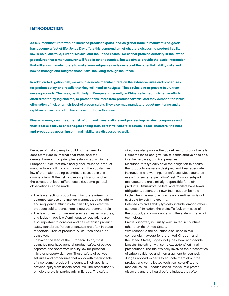## **INTRODUCTION**

As U.S. manufacturers work to increase product exports, and as global trade in manufactured goods has become a fact of life, Jones Day offers this compendium of chapters discussing product liability law in Asia, Australia, Europe, Mexico, and the United States. We cannot promise certainty in the law or procedures that a manufacturer will face in other countries, but we aim to provide the basic information that will allow manufacturers to make knowledgeable decisions about the potential liability risks and how to manage and mitigate those risks, including through insurance.

In addition to litigation risk, we aim to educate manufacturers on the extensive rules and procedures for product safety and recalls that they will need to navigate. These rules aim to prevent injury from unsafe products. The rules, particularly in Europe and recently in China, reflect administrative efforts, often directed by legislatures, to protect consumers from product hazards, and they demand the virtual elimination of risk or a high level of proven safety. They also may mandate product monitoring and a rapid response to product hazards occurring in field use.

Finally, in many countries, the risk of criminal investigations and proceedings against companies and their local executives or managers arising from defective, unsafe products is real. Therefore, the rules and procedures governing criminal liability are discussed as well.

Because of historic empire building, the need for consistent rules in international trade, and the general harmonizing principles established within the European Union that have had global influence, product manufacturers will find commonality in the substantive law of the major trading countries discussed in this compendium. At the risk of oversimplification and with the caveat that local differences exist, some general observations can be made:

- The law affecting product manufacturers arises from contract, express and implied warranties, strict liability, and negligence. Strict, no-fault liability for defective products sold to consumers is now the common rule.
- The law comes from several sources: treaties, statutes, and judge-made law. Administrative regulations are also important to consider and can establish product safety standards. Particular statutes are often in place for certain kinds of products. All sources should be consulted.
- Following the lead of the European Union, most countries now have general product safety directives separate and apart from liability law for personal injury or property damage. Those safety directives set rules and procedures that apply with the first sale of a consumer product in a country. Their goal is to prevent injury from unsafe products. The precautionary principle prevails, particularly in Europe. The safety

directives also provide the guidelines for product recalls. Noncompliance can give rise to administrative fines and, in extreme cases, criminal penalties.

- Manufacturers typically have the obligation to ensure that products are safely designed and bear adequate instructions and warnings for safe use. Most countries use a "consumer expectation" test. Component-part manufacturers are similarly responsible for their products. Distributors, sellers, and retailers have fewer obligations, absent their own fault, but can be held liable when the manufacturer is not identified or is not available for suit in a country.
- Defenses to civil liability typically include, among others, statutes of limitation, the plaintiff's fault or misuse of the product, and compliance with the state of the art of technology.
- Pretrial discovery is usually very limited in countries other than the United States.
- With respect to the countries discussed in this compendium, except for the United Kingdom and the United States, judges, not juries, hear and decide lawsuits, including (with some exceptions) criminal prosecutions. The trial typically involves the presentation of written evidence and then argument by counsel. Judges appoint experts to educate them about the product and complicated technical, scientific, and medical issues. Because cases involve little pretrial discovery and are heard before judges, they often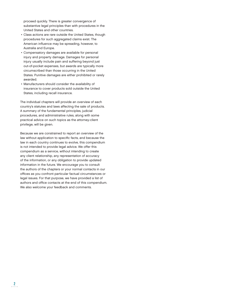proceed quickly. There is greater convergence of substantive legal principles than with procedures in the United States and other countries.

- Class actions are rare outside the United States, though procedures for such aggregated claims exist. The American influence may be spreading, however, to Australia and Europe.
- Compensatory damages are available for personal injury and property damage. Damages for personal injury usually include pain and suffering beyond just out-of-pocket expenses, but awards are typically more circumscribed than those occurring in the United States. Punitive damages are either prohibited or rarely awarded.
- Manufacturers should consider the availability of insurance to cover products sold outside the United States, including recall insurance.

The individual chapters will provide an overview of each country's statutes and laws affecting the sale of products. A summary of the fundamental principles, judicial procedures, and administrative rules, along with some practical advice on such topics as the attorney-client privilege, will be given.

Because we are constrained to report an overview of the law without application to specific facts, and because the law in each country continues to evolve, this compendium is not intended to provide legal advice. We offer this compendium as a service, without intending to create any client relationship, any representation of accuracy of the information, or any obligation to provide updated information in the future. We encourage you to consult the authors of the chapters or your normal contacts in our offices as you confront particular factual circumstances or legal issues. For that purpose, we have provided a list of authors and office contacts at the end of this compendium. We also welcome your feedback and comments.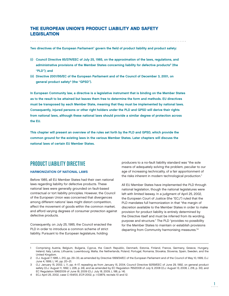## THE EUROPEAN UNION'S PRODUCT LIABILITY AND SAFETY **LEGISLATION**

Two directives of the European Parliament<sup>1</sup> govern the field of product liability and product safety:

- (i) Council Directive 85/374/EEC of July 25, 1985, on the approximation of the laws, regulations, and administrative provisions of the Member States concerning liability for defective products<sup>2</sup> (the "PLD"); and
- (ii) Directive 2001/95/EC of the European Parliament and of the Council of December 3, 2001, on general product safety<sup>3</sup> (the "GPSD").

In European Community law, a directive is a legislative instrument that is binding on the Member States as to the result to be attained but leaves them free to determine the form and methods. EU directives must be transposed by each Member State, meaning that they must be implemented by national laws. Consequently, injured persons or other right holders under the PLD and GPSD will derive their rights from national laws, although these national laws should provide a similar degree of protection across the EU.

This chapter will present an overview of the rules set forth by the PLD and GPSD, which provide the common ground for the existing laws in the various Member States. Later chapters will discuss the national laws of certain EU Member States.

# PRODUCT LIABILITY DIRECTIVE

#### HARMONIZATION OF NATIONAL LAWS

Before 1985, all EU Member States had their own national laws regarding liability for defective products. These national laws were generally grounded on fault-based contractual or tort liability principles. However, the Council of the European Union was concerned that divergences among different nations' laws might distort competition, affect the movement of goods within the common market, and afford varying degrees of consumer protection against defective products.

Consequently, on July 25, 1985, the Council enacted the PLD in order to introduce a common scheme of strict liability. Pursuant to the European legislature, holding

producers to a no-fault liability standard was "the sole means of adequately solving the problem, peculiar to our age of increasing technicality, of a fair apportionment of the risks inherent in modern technological production."

All EU Member States have implemented the PLD through national legislation, though the national legislatures were left with limited leeway. In a judgment of April 25, 2002, the European Court of Justice (the "ECJ") ruled that the PLD mandates full harmonization in that "the margin of discretion available to the Member States in order to make provision for product liability is entirely determined by the Directive itself and must be inferred from its wording, purpose and structure." The PLD "provides no possibility for the Member States to maintain or establish provisions departing from Community harmonising measures."4

<sup>1</sup> Comprising Austria, Belgium, Bulgaria, Cyprus, the Czech Republic, Denmark, Estonia, Finland, France, Germany, Greece, Hungary, Ireland, Italy, Latvia, Lithuania, Luxembourg, Malta, the Netherlands, Poland, Portugal, Romania, Slovakia, Slovenia, Spain, Sweden, and the United Kingdom.

<sup>2</sup> O.J. August 7, 1985, L 210, pp. 29–33, as amended by Directive 1999/34/EC of the European Parliament and of the Council of May 10, 1999, O.J. June 4, 1999, L 141, pp. 20–21.

<sup>3</sup> O.J. January 15, 2002, L 11, pp. 4–17, repealing as from January 15, 2004, Council Directive 92/59/EEC of June 29, 1992, on general product safety (O.J. August 11, 1992, L 228, p. 24), and as amended by EC Regulation 765/2008 of July 9, 2008 (O.J. August 13, 2008, L 218, p. 30), and EC Regulation 596/2009 of June 18, 2009 (O.J. July 18, 2009, L 188, p. 14).

<sup>4</sup> ECJ April 25, 2002, case C-154/00, ECR 2002, p. I-03879, recitals 10 and 12.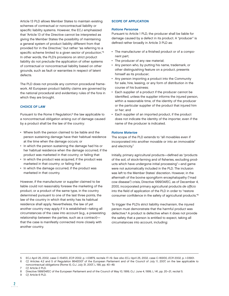Article 13 PLD allows Member States to maintain existing schemes of contractual or noncontractual liability or specific liability systems. However, the ECJ emphasized that "Article 13 of the Directive cannot be interpreted as giving the Member States the possibility of maintaining a general system of product liability different from that provided for in the Directive," but rather "as referring to a specific scheme limited to a given sector of production."<sup>5</sup> In other words, the PLD's provisions on strict product liability do not preclude the application of other systems of contractual or noncontractual liability based on other grounds, such as fault or warranties in respect of latent defects.

The PLD does not provide any common procedural framework. All European product liability claims are governed by the national procedural and evidentiary rules of the fora in which they are brought.

#### CHOICE OF LAW

Pursuant to the Rome II Regulation,<sup>6</sup> the law applicable to a noncontractual obligation arising out of damage caused by a product shall be the law of the country:

- Where both the person claimed to be liable and the person sustaining damage have their habitual residence at the time when the damage occurs; or
- In which the person sustaining the damage had his or her habitual residence when the damage occurred, if the product was marketed in that country; or failing that
- In which the product was acquired, if the product was marketed in that country; or failing that
- In which the damage occurred, if the product was marketed in that country.

However, if the manufacturer or supplier claimed to be liable could not reasonably foresee the marketing of the product, or a product of the same type, in the country determined pursuant to one of the last three points, the law of the country in which that entity has its habitual residence shall apply. Nevertheless, the law of yet another country may apply if it is established—taking all circumstances of the case into account (e.g., a preexisting relationship between the parties, such as a contract) that the case is manifestly connected more closely with another country.

#### SCOPE OF APPLICATION

#### Ratione Personae

Pursuant to Article 1 PLD, the producer shall be liable for damage caused by a defect in its product. A "producer" is defined rather broadly in Article 3 PLD as:

- The manufacturer of a finished product or of a component part;
- The producer of any raw material;
- Any person who, by putting his name, trademark, or other distinguishing feature on a product, presents himself as its producer;
- Any person importing a product into the Community for sale, hire, leasing, or any form of distribution in the course of his business;
- Each supplier of a product if the producer cannot be identified, unless the supplier informs the injured person, within a reasonable time, of the identity of the producer or the particular supplier of the product that injured him or her; and
- Each supplier of an imported product, if the product does not indicate the identity of the importer, even if the name of the producer is indicated.

#### Ratione Materiae

The scope of the PLD extends to "all movables even if incorporated into another movable or into an immovable" and electricity.7

Initially, primary agricultural products—defined as "products" of the soil, of stock-farming and of fisheries, excluding products which have undergone initial processing"—and game were not automatically included in the PLD. The inclusion was left to the Member States' discretion. However, in the aftermath of the bovine spongiform encephalopathy ("mad cow disease") crisis, Directive 1999/34/EC, as of December 4, 2000, incorporated primary agricultural products de officio into the field of application of the PLD in order to "restore consumer confidence in the safety of agricultural products."<sup>8</sup>

To trigger the PLD's strict liability mechanism, the injured person must demonstrate that the harmful product was defective.9 A product is defective when it does not provide the safety that a person is entitled to expect, taking all circumstances into account, including:

Cf. Article 6 PLD.

<sup>5</sup> ECJ April 25, 2002, case C-154/00, ECR 2002, p. I-03879, recitals 17–19. See also ECJ April 25, 2002, case C-183/00, ECR 2002, p. I-03901.

<sup>6</sup> Cf. Articles 4.2 and 5 of Regulation 864/2007 of the European Parliament and of the Council of July 11, 2007, on the law applicable to noncontractual obligations (Rome II), O.J. July 31, 2007, L 199, pp. 40–49.

<sup>7</sup> Cf. Article 2 PLD.

<sup>8</sup> Directive 1999/34/EC of the European Parliament and of the Council of May 10, 1999, O.J. June 4, 1999, L 141, pp. 20–21, recital 5.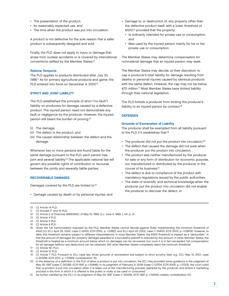- The presentation of the product;
- Its reasonably expected use; and
- The time when the product was put into circulation.

A product is not defective for the sole reason that a safer product is subsequently designed and sold.

Finally, the PLD does not apply to injury or damage that arose from nuclear accidents or is covered by international conventions ratified by the Member States.<sup>10</sup>

#### Ratione Temporis

The PLD applies to products distributed after July 30, 1988.11 As for primary agricultural products and game, the PLD entered into force on December 4, 2000.<sup>12</sup>

#### STRICT AND JOINT LIABILITY

The PLD established the principle of strict ("no-fault") liability on producers for damage caused by a defective product. The injured person need not demonstrate any fault or negligence by the producer. However, the injured person still bears the burden of proving:<sup>13</sup>

- (i) The damage;
- (ii) The defect in the product; and
- (iii) The causal relationship between the defect and the damage.

Whenever two or more persons are found liable for the same damage pursuant to the PLD, each person has joint and several liability.<sup>14</sup> The applicable national law will govern any possible rights of contribution or recourse between the jointly and severally liable parties.

#### RECOVERABLE DAMAGES

Damages covered by the PLD are limited to:15

• Damage caused by death or by personal injuries; and

- Damage to, or destruction of, any property other than the defective product itself, with a lower threshold of €500,16 provided that the property:
	- Is ordinarily intended for private use or consumption, and
	- Was used by the injured person mainly for his or her private use or consumption.

The Member States may determine compensation for nonmaterial damage that an injured person may seek.

The Member States may decide, at their discretion, to cap a producer's total liability for damage resulting from deaths or personal injuries caused by identical products with the same defect. However, the cap may not be below €70 million.17 Most Member States have limited liability through their national legislation.

The PLD forbids a producer from limiting the producer's liability to an injured person by contract.<sup>18</sup>

#### DEFENSES

#### Grounds of Exoneration of Liability

The producer shall be exempted from all liability pursuant to the PLD if it establishes that:<sup>19</sup>

- The producer did not put the product into circulation;<sup>20</sup>
- The defect that caused the damage did not exist when the producer put the product into circulation;
- The product was neither manufactured by the producer for sale or any form of distribution for economic purpose, nor manufactured or distributed by the producer in the course of its business;<sup>21</sup>
- The defect is due to compliance of the product with mandatory regulations issued by the public authorities;
- The state of scientific and technical knowledge when the producer put the product into circulation did not enable the producer to discover the defect; or

- 11 Cf. Articles 17 and 19 PLD.
- 12 Cf. Article 2 of Directive 1999/34/EC of May 10, 1999, O.J. June 4, 1999, L 141, p. 21.
- 13 Cf. Article 4 PLD.
- 14 Cf. Article 5 PLD.
- 15 Cf. Article 9 PLD.
- 16 Given the full harmonization imposed by the PLD, Member States cannot decide against (fully) implementing the minimum threshold of €500 (cf. ECJ April 25, 2002, case C-52/00, ECR 2002, p. I-03827, and ECJ April 25, 2002, case C-154/00, ECR 2002, p. I-03879). However, to date, this threshold remains subject to different interpretations. In most Member States, the €500 threshold is treated as a "deductible," in that the amount of damages (for property damage) awarded to a successful plaintiff is reduced by this amount. In other Member States, the threshold is treated as a minimum amount below which no damages can be recovered, but once it is in fact exceeded, full compensation for all damage (without any deduction) can be obtained. Still other Member States completely reject the minimum threshold.
- 17 Cf. Article 16.1 PLD.
- 18 Cf. Article 12 PLD.
- 19 Cf. Article 7 PLD. Pursuant to ECJ case law, those grounds of exoneration are subject to strict scrutiny (see, e.g., ECJ May 10, 2001, case C-203/99, ECR 2001, p. I-03569, consideration 15).
- 20 In the absence of a definition in the PLD of when a product is put into circulation, the ECJ has provided some guidance in the judgment of May 29, 1997 (case C-300/95, ECR 1997, p. I-02649). In its judgment of February 9, 2006 (case C-127/04, ECR 2006, p. I-01313), the court ruled that "a product is put into circulation when it is taken out of the manufacturing process operated by the producer and enters a marketing process in the form in which it is offered to the public in order to be used or consumed."
- 21 As further clarified by the ECJ in its judgment of May 29, 1997 (case C-300/95, ECR 1997, p. I-02649, notably consideration 21).

<sup>10</sup> Cf. Article 14 PLD.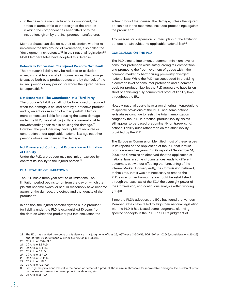• In the case of a manufacturer of a component, the defect is attributable to the design of the product in which the component has been fitted or to the instructions given by the final product manufacturer.

Member States can decide at their discretion whether to implement the fifth ground of exoneration, also called the "development risk defense,"22 in their national legislation.23 Most Member States have adopted this defense.

#### Potentially Exonerated: The Injured Person's Own Fault

The producer's liability may be reduced or excluded when, in consideration of all circumstances, the damage is caused both by a product defect and by the fault of the injured person or any person for whom the injured person is responsible.<sup>24</sup>

#### Not Exonerated: The Contribution of a Third Party

The producer's liability shall not be foreclosed or reduced when the damage is caused both by a defective product and by an act or omission of a third party.25 If two or more persons are liable for causing the same damage under the PLD, they shall be jointly and severally liable, notwithstanding their role in causing the damage.26 However, the producer may have rights of recourse or contribution under applicable national law against other persons whose fault caused the damage.

#### Not Exonerated: Contractual Exoneration or Limitation of Liability

Under the PLD, a producer may not limit or exclude by contract its liability to the injured person.27

#### DUAL STATUTE OF LIMITATIONS

The PLD has a three-year statute of limitations. The limitation period begins to run from the day on which the plaintiff became aware, or should reasonably have become aware, of the damage, the defect, and the identity of the producer.28

In addition, the injured person's right to sue a producer for liability under the PLD is extinguished 10 years from the date on which the producer put into circulation the

actual product that caused the damage, unless the injured person has in the meantime instituted proceedings against the producer.29

Any reasons for suspension or interruption of the limitation periods remain subject to applicable national law.30

#### CONCLUSION ON THE PLD

The PLD aims to implement a common minimum level of consumer protection while safeguarding fair competition and promoting the free movement of goods within the common market by harmonizing previously divergent national laws. While the PLD has succeeded in providing a common level of consumer protection and a common basis for producer liability, the PLD appears to have fallen short of achieving fully harmonized product liability laws throughout the EU.

Notably, national courts have given differing interpretations to specific provisions of the PLD,<sup>31</sup> and some national legislatures continue to resist the total harmonization sought by the PLD. In practice, product liability claims still appear to be based predominantly on (preexisting) national liability rules rather than on the strict liability provided by the PLD.

The European Commission identified most of these issues in its reports on the application of the PLD that it must produce every five years.<sup>32</sup> In its report of September 14, 2006, the Commission observed that the application of national laws in some circumstances leads to different outcomes, but without affecting the functioning of the Internal Market. Consequently, the Commission believed, at that time, that it was not necessary to amend the PLD, since further harmonization could be established through the case law of the ECJ, the oversight power of the Commission, and continuous analysis within working groups.

Since the PLD's adoption, the ECJ has found that various Member States have failed to align their national legislation with the PLD. It has issued some judgments clarifying specific concepts in the PLD. The ECJ's judgment of

23 Cf. Article 15.1(b) PLD.

- 24 Cf. Article 8.2 PLD.
- 25 Cf. Article 8.1 PLD.
- 26 Cf. Article 5 PLD.
- 27 Cf. Article 12 PLD.
- 28 Cf. Article 10.1 PLD.
- 29 Cf. Article 11 PLD.
- 30 Cf. Article 10.2 PLD.

32 Cf. Article 21 PLD.

<sup>22</sup> The ECJ has clarified the scope of this defense in its judgments of May 29, 1997 (case C-300/95, ECR 1997, p. I-02649, considerations 26-29), and of April 25, 2002 (case C-52/00, ECR 2002, p. I-03827).

<sup>31</sup> See, e.g., the provisions related to the notion of defect of a product, the minimum threshold for recoverable damages, the burden of proof on the injured person, the development risk defense, etc.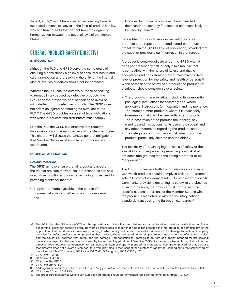June 4, 2009,<sup>33</sup> might have created an opening towards increased national initiatives in the field of product liability, which in turn could further detract from the degree of harmonization between the national laws of the Member States.

# GENERAL PRODUCT SAFETY DIRECTIVE

#### INTRODUCTION

Although the PLD and GPSD serve the same goals of ensuring a consistently high level of consumer health and safety protection and preserving the unity of the Internal Market, the two directives should not be conflated.

Whereas the PLD has the curative purpose of seeking to remedy injury caused by defective products, the GPSD has the preventive goal of seeking to avoid or mitigate harm from defective products. The GPSD does not affect an injured person's rights pursuant to the PLD.<sup>34</sup> The GPSD provides for a set of legal obligations with which producers and distributors must comply.

Like the PLD, the GPSD is a directive that requires implementation in the national laws of the Member States. This chapter will discuss the GPSD's general obligations that Member States must impose on producers and distributors.

#### SCOPE OF APPLICATION

#### Ratione Materiae

The GPSD aims to ensure that all products placed on the market are safe.<sup>35</sup> "Products" are defined as any new, used, or reconditioned products (including those used for providing a service) that are:

• Supplied or made available in the course of a commercial activity, whether or not for consideration; and

• Intended for consumers or, even if not intended for them, under reasonably foreseeable conditions likely to be used by them.<sup>36</sup>

Second-hand products supplied as antiques or as products to be repaired or reconditioned prior to use do not fall within the GPSD's field of application, provided that the supplier provides clear information in that respect.

A product is considered safe under the GPSD when it does not present any risk, or only a minimal risk that is compatible with the nature of its use and that is acceptable and consistent in view of maintaining a high level of protection for the safety and health of persons.<sup>37</sup> When assessing the safety of a product, the producer or distributor should consider several points:

- The product's characteristics, including its composition, packaging, instructions for assembly and, where applicable, instructions for installation and maintenance;
- The effect on other products, where it is reasonably foreseeable that it will be used with other products;
- The presentation of the product, the labeling, any warnings and instructions for its use and disposal, and any other information regarding the product; and
- The categories of consumers at risk when using the product, particularly children and the elderly.

The feasibility of obtaining higher levels of safety or the availability of other products presenting less risk shall not constitute grounds for considering a product to be "dangerous."38

The GPSD further sets forth the provisions or standards with which products should comply in order to be deemed safe.<sup>39</sup> A product is deemed safe if it complies with specific Community provisions governing its safety. In the absence of such provisions, the product must comply with the specific national provisions of the Member State in which the product is marketed or with the voluntary national standards transposing the European standards.<sup>40</sup>

- 35 Cf. Article 1.1 GPSD.
- 36 Cf. Article 2(a) GPSD.
- 37 Cf. Article 2(b) GPSD.

<sup>33</sup> The ECJ ruled that "Directive 85/374 on the approximation of the laws, regulations and administrative provisions of the Member States concerning liability for defective products must be interpreted to mean that it does not preclude the interpretation of domestic law or the application of settled domestic case-law according to which an injured person can seek compensation for damage to an item of property intended for professional use and employed for that purpose, where the injured person simply proves the damage, the defect in the product and the causal link between that defect and the damage. Compensation for damage to an item of property intended for professional use and employed for that use is not covered by the scope of application of Directive 85/374. As the harmonisation brought about by that directive does not cover compensation for damage to an item of property intended for professional use and employed for that purpose, that directive does not prevent a Member State from providing in that respect for a system of liability corresponding to that established by that directive." See ECJ June 4, 2009, case C-285/08, O.J. August 1, 2009, C 180, p. 20.

<sup>34</sup> Cf. Article 17 GPSD.

<sup>38</sup> A "dangerous product" is defined a contrario as "any product which does not meet the definition of safe product" (cf. Article 2(c) GPSD).

<sup>39</sup> Cf. Articles 3.2 and 3.3 GPSD.

<sup>40</sup> The procedure pursuant to which such European standards should be formulated has been determined in Article 4 GPSD.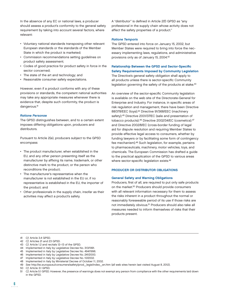In the absence of any EC or national laws, a producer should assess a product's conformity to the general safety requirement by taking into account several factors, where relevant:

- Voluntary national standards transposing other relevant European standards or the standards of the Member State in which the product is marketed;
- Commission recommendations setting guidelines on product safety assessment;
- Codes of good practice for product safety in force in the sector concerned;
- The state of the art and technology; and
- Reasonable consumer safety expectations.

However, even if a product conforms with any of these provisions or standards, the competent national authorities may take any appropriate measures whenever there is evidence that, despite such conformity, the product is dangerous.<sup>41</sup>

#### Ratione Personae

The GPSD distinguishes between, and to a certain extent imposes differing obligations upon, producers and distributors.

Pursuant to Article 2(e), producers subject to the GPSD encompass:

- The product manufacturer, when established in the EU, and any other person presenting itself as the manufacturer by affixing its name, trademark, or other distinctive mark to the product, or the person who reconditions the product;
- The manufacturer's representative when the manufacturer is not established in the EU or, if no representative is established in the EU, the importer of the product; and
- Other professionals in the supply chain, insofar as their activities may affect a product's safety.

A "distributor" is defined in Article 2(f) GPSD as "any professional in the supply chain whose activity does not affect the safety properties of a product."

#### Ratione Temporis

The GPSD entered into force on January 15, 2002, but Member States were required to bring into force the necessary implementing laws, regulations, and administrative provisions only as of January 15, 2004.42

### Relationship Between the GPSD and Sector-Specific Safety Requirements Imposed by Community Legislation The Directive's general safety obligation shall apply to all products unless there is sector-specific Community

legislation governing the safety of the products at stake.<sup>43</sup>

An overview of the sector-specific Community legislation is available on the web site of the Directorate-General for Enterprise and Industry. For instance, in specific areas of risk regulation and management, there have been Directive 88/378/EEC (toys);<sup>44</sup> Directive 91/368/EEC (machinery safety);<sup>45</sup> Directive 2001/37/EC (sale and presentation of tobacco products);<sup>46</sup> Directive 2002/34/EC (cosmetics);<sup>47</sup> and Directive 2002/8/EC (cross-border funding of legal aid for dispute resolution and requiring Member States to provide effective legal access to consumers, whether by funding lawyers or by facilitating some form of contingency fee mechanism).48 Such legislation, for example, pertains to pharmaceuticals, machinery, motor vehicles, toys, and chemicals. The European Commission has drafted a guide to the practical application of the GPSD to various areas where sector-specific legislation exists.<sup>49</sup>

#### PRODUCER OR DISTRIBUTOR OBLIGATIONS

#### General Safety and Warning Obligations

Producers, first of all, are required to put only safe products on the market.50 Producers should provide consumers with all relevant information necessary for them to assess the risks inherent in a product throughout the normal or reasonably foreseeable period of its use if those risks are not immediately obvious.51 Producers should also take all measures needed to inform themselves of risks that their products present.

48 Implemented in Italy by Ministerial Decree of October 11, 2002.

<sup>41</sup> Cf. Article 3.4 GPSD.

<sup>42</sup> Cf. Articles 21 and 23 GPSD.

<sup>43</sup> Cf. Article 1.2 and recitals 12–13 of the GPSD.

<sup>44</sup> Implemented in Italy by Legislative Decree No. 313/1991.

<sup>45</sup> Implemented in Italy by Legislative Decree No. 494/1996.

<sup>46</sup> Implemented in Italy by Legislative Decree No. 241/2000.

<sup>47</sup> Implemented in Italy by Legislative Decree No. 10/2002.

<sup>49</sup> See http://ec.europa.eu/consumers/safety/prod\_legis/index\_en.htm (all web sites herein last visited August 8, 2012).

<sup>50</sup> Cf. Article 3.1 GPSD.

<sup>51</sup> Cf. Article 5.1 GPSD. However, the presence of warnings does not exempt any person from compliance with the other requirements laid down in the GPSD.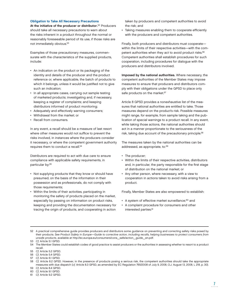#### Obligation to Take All Necessary Precautions

At the initiative of the producer or distributor.<sup>52</sup> Producers should take all necessary precautions to warn about the risks inherent in a product throughout the normal or reasonably foreseeable period of its use, if those risks are not immediately obvious.53

Examples of those precautionary measures, commensurate with the characteristics of the supplied products, include:

- An indication on the product or its packaging of the identity and details of the producer and the product reference or, where applicable, the batch of products to which it belongs, unless it would be justified not to give such an indication;
- In all appropriate cases, carrying out sample testing of marketed products; investigating and, if necessary, keeping a register of complaints; and keeping distributors informed of product monitoring;
- Adequately and effectively warning consumers;
- Withdrawal from the market; or
- Recall from consumers.

In any event, a recall should be a measure of last resort where other measures would not suffice to prevent the risks involved, in instances where the producers consider it necessary, or where the competent government authority requires them to conduct a recall.<sup>54</sup>

Distributors are required to act with due care to ensure compliance with applicable safety requirements, in particular by:<sup>55</sup>

- Not supplying products that they know or should have presumed, on the basis of the information in their possession and as professionals, do not comply with those requirements;
- Within the limits of their activities, participating in monitoring the safety of products placed on the market, especially by passing on information on product risks, keeping and providing the documentation necessary for tracing the origin of products, and cooperating in action

taken by producers and competent authorities to avoid the risk; and

• Taking measures enabling them to cooperate efficiently with the producers and competent authorities.

Finally, both producers and distributors must cooperate within the limits of their respective activities—with the competent authorities when they act to avoid product risks.<sup>56</sup> Competent authorities shall establish procedures for such cooperation, including procedures for dialogue with the producers and distributors involved.

Imposed by the national authorities. Where necessary, the competent authorities of the Member States may impose measures to ensure that producers and distributors comply with their obligations under the GPSD to place only safe products on the market.<sup>57</sup>

Article 8 GPSD provides a nonexhaustive list of the measures that national authorities are entitled to take. Those measures depend on the product's risk. Possible measures might range, for example, from sample taking and the publication of special warnings to a product recall. In any event, while taking those actions, the national authorities should act in a manner proportionate to the seriousness of the risk, taking due account of the precautionary principle.<sup>58</sup>

The measures taken by the national authorities can be addressed, as appropriate, to:<sup>59</sup>

- The producer;
- Within the limits of their respective activities, distributors and, in particular, the party responsible for the first stage of distribution on the national market; or
- Any other person, where necessary, with a view to cooperation in actions taken to avoid risks arising from a product.

Finally, Member States are also empowered to establish:

- A system of effective market surveillance;<sup>60</sup> and
- A complaint procedure for consumers and other interested parties.<sup>61</sup>

- 55 Cf. Article 5.2 GPSD.
- 56 Cf. Article 5.4 GPSD.

- 59 Cf. Article 8.4 GPSD.
- 60 Cf. Article 9.1 GPSD.
- 61 Cf. Article 9.2 GPSD.

<sup>52</sup> A practical comprehensive guide provides producers and distributors some guidance on preventing and correcting safety risks posed by their products. See Product Safety in Europe—Guide to corrective action, including recalls, helping businesses to protect consumers from unsafe products, available at http://ec.europa.eu/consumers/cons\_safe/action\_guide\_en.pdf.

<sup>53</sup> Cf. Article 5.1 GPSD.

<sup>54</sup> The Member States could establish codes of good practice to assist producers or the authorities in assessing whether to resort to a product recall.

<sup>57</sup> Cf. Article 6.1 GPSD.

<sup>58</sup> Cf. Article 8.2 GPSD. However, in the presence of products posing a serious risk, the competent authorities should take the appropriate measures with due dispatch (cf. Article 8.3 GPSD, as amended by EC Regulation 765/2008 of July 9, 2008, O.J. August 13, 2008, L 218, p. 30).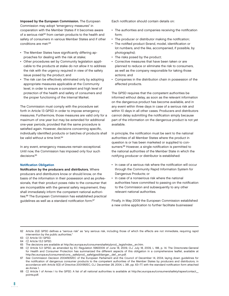Imposed by the European Commission. The European Commission may adopt "emergency measures" in cooperation with the Member States if it becomes aware of a serious risk<sup>62</sup> from certain products to the health and safety of consumers in various Member States and if other conditions are met:<sup>63</sup>

- The Member States have significantly differing approaches for dealing with the risk at stake;
- Other procedures set by Community legislation applicable to the products at stake do not allow it to address the risk with the urgency required in view of the safety issue posed by the product; and
- The risk can be effectively eliminated only by adopting appropriate measures applicable at the Community level, in order to ensure a consistent and high level of protection of the health and safety of consumers and the proper functioning of the Internal Market.

The Commission must comply with the procedure set forth in Article 13 GPSD in order to impose emergency measures. Furthermore, those measures are valid only for a maximum of one year but may be extended for additional one-year periods, provided that the same procedure is satisfied again. However, decisions concerning specific, individually identified products or batches of products shall be valid without a time limit.<sup>64</sup>

In any event, emergency measures remain exceptional. Until now, the Commission has imposed only four such decisions.<sup>65</sup>

#### **Notification Obligation**

Notification by the producers and distributors. Where producers and distributors know or should know, on the basis of the information in their possession and as professionals, that their product poses risks to the consumer that are incompatible with the general safety requirement, they shall immediately inform the competent national authorities.66 The European Commission has established practical guidelines as well as a standard notification form.<sup>67</sup>

Each notification should contain details on:

- The authorities and companies receiving the notification form;
- The producer or distributor making the notification;
- The notified product (brand, model, identification or lot numbers, and the like, accompanied, if possible, by photographs);
- The risks posed by the product;
- Corrective measures that have been taken or are planned to reduce or eliminate the risk to consumers, as well as the company responsible for taking those actions; and
- Companies in the distribution chain in possession of the affected products.

The GPSD requires that the competent authorities be informed without delay, as soon as the relevant information on the dangerous product has become available, and in any event within three days in case of a serious risk and within 10 days in all other cases. Producers and distributors cannot delay submitting the notification simply because part of the information on the dangerous product is not yet available.

In principle, the notification must be sent to the national authorities of all Member States where the product in question is or has been marketed or supplied to consumers.<sup>68</sup> However, a single notification is permitted to the national authorities of the Member State in which the notifying producer or distributor is established:

- In case of a serious risk where the notification will occur through the Community Rapid Information System for Dangerous Products; or
- In case of a nonserious risk where the national authorities have committed to passing on the notification to the Commission and subsequently to any other relevant national authorities.

Finally, in May 2009 the European Commission established a new online application to further facilitate businesses'

62 Article 2(d) GPSD defines a "serious risk" as "any serious risk, including those of which the effects are not immediate, requiring rapid intervention by the public authorities."

63 Cf. Article 13.1 GPSD.

<sup>64</sup> Cf. Article 13.2 GPSD.

<sup>65</sup> The decisions are available at http://ec.europa.eu/consumers/safety/prod\_legis/index\_en.htm.

<sup>66</sup> Cf. Article 5.3 GPSD, as amended by EC Regulation 596/2009 of June 18, 2009, O.J. July 18, 2009, L 188, p. 14. The Directorate-General for Health and Consumer Protection has summarized the different aspects of this obligation in a comprehensive leaflet, available at http://ec.europa.eu/consumers/cons\_safe/prod\_safe/gpsd/danger\_def\_en.pdf.

<sup>67</sup> See Commission Decision 2004/905/EC of the European Parliament and the Council of December 14, 2004, laying down guidelines for the notification of dangerous consumer products to the competent authorities of the Member States by producers and distributors, in accordance with Article 5(3) of Directive 2001/95/EC, O.J. December 28, 2004, L 381, pp. 63-77, with the standard notification form attached as Annex 1.

<sup>68</sup> Cf. Article 1 of Annex I to the GPSD. A list of all national authorities is available at http://ec.europa.eu/consumers/safety/rapex/contact\_ points.pdf.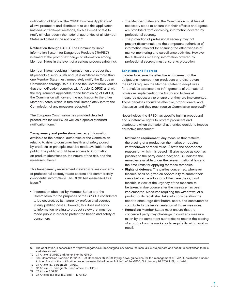notification obligation. The "GPSD Business Application" allows producers and distributors to use this application (instead of traditional methods, such as email or fax) to notify simultaneously the national authorities of all Member States indicated in the notification.<sup>69</sup>

Notification through RAPEX. The Community Rapid Information System for Dangerous Products ("RAPEX") is aimed at the prompt exchange of information among Member States in the event of a serious product safety risk.

Member States receiving information on a product that (i) presents a serious risk and (ii) is available in more than one Member State must immediately notify the European Commission through RAPEX. Once the Commission verifies that the notification complies with Article 12 GPSD and with the requirements applicable to the functioning of RAPEX, the Commission will forward the notification to the other Member States, which in turn shall immediately inform the Commission of any measures adopted.70

The European Commission has provided detailed procedures for RAPEX, as well as a special standard notification form.<sup>71</sup>

Transparency and professional secrecy. Information available to the national authorities or the Commission relating to risks to consumer health and safety posed by products, in principle, must be made available to the public. The public should have access to information on product identification, the nature of the risk, and the measures taken.72

This transparency requirement inevitably raises concerns of professional secrecy (trade secrets and commercially confidential information). The GPSD has addressed this issue:73

• Information obtained by Member States and the Commission for the purposes of the GPSD is considered to be covered, by its nature, by professional secrecy in duly justified cases. However, this does not apply to information relating to product safety that must be made public in order to protect the health and safety of consumers.

- The Member States and the Commission must take all necessary steps to ensure that their officials and agents are prohibited from disclosing information covered by professional secrecy.
- The protection of professional secrecy may not prevent dissemination to the competent authorities of information relevant for ensuring the effectiveness of market monitoring and surveillance activities. However, the authorities receiving information covered by professional secrecy must ensure its protection.

#### Sanctions and Redress

In order to ensure the effective enforcement of the obligations incumbent on producers and distributors, the GPSD requires the Member States to adopt rules for penalties applicable to infringements of the national provisions implementing the GPSD and to take all measures necessary to ensure that they are implemented. Those penalties should be effective, proportionate, and dissuasive, and they must receive Commission approval.<sup>74</sup>

Nevertheless, the GPSD has specific built-in procedural and substantive rights to protect producers and distributors when the national authorities decide to impose corrective measures.75

- Motivation requirement: Any measure that restricts the placing of a product on the market or requires its withdrawal or recall must: (i) state the appropriate reasons on which it is based; (ii) give notice as soon as possible to the party concerned; and (iii) indicate the remedies available under the relevant national law and the time limits for applying for those remedies.
- Rights of defense: The parties concerned, whenever feasible, shall be given an opportunity to submit their views before the adoption of the measure or, if not feasible in view of the urgency of the measure to be taken, in due course after the measure has been implemented. Measures requiring the withdrawal of a product or its recall shall take into consideration the need to encourage distributors, users, and consumers to contribute to the implementation of those measures.
- Remedies: Member States must ensure that the concerned party may challenge in court any measure taken by the competent authorities to restrict the placing of a product on the market or to require its withdrawal or recall.

<sup>70</sup> Cf. Article 12 GPSD and Annex II to the GPSD.

<sup>71</sup> See Commission Decision 2010/15/EU of December 16, 2009, laying down guidelines for the management of RAPEX, established under Article 12, and of the notification procedure established under Article 11 of the GPSD, O.J. January 26, 2010, L 22, pp. 1-64.

<sup>72</sup> Cf. Article 16.1, paragraph 1, GPSD.

<sup>73</sup> Cf. Article 16.1, paragraph 2, and Article 16.2 GPSD.

<sup>74</sup> Cf. Article 7 GPSD.

<sup>75</sup> Cf. Articles 18.1, 18.2, 18.3, and 11–13 GPSD.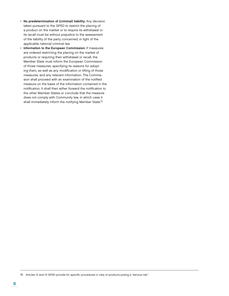- No predetermination of (criminal) liability: Any decision taken pursuant to the GPSD to restrict the placing of a product on the market or to require its withdrawal or its recall must be without prejudice to the assessment of the liability of the party concerned, in light of the applicable national criminal law.
- Information to the European Commission: If measures are ordered restricting the placing on the market of products or requiring their withdrawal or recall, the Member State must inform the European Commission of those measures, specifying its reasons for adopting them, as well as any modification or lifting of those measures, and any relevant information. The Commission shall proceed with an examination of the notified measure on the basis of the information contained in the notification. It shall then either forward the notification to the other Member States or conclude that the measure does not comply with Community law, in which case it shall immediately inform the notifying Member State.<sup>76</sup>

<sup>76</sup> Articles 12 and 13 GPSD provide for specific procedures in view of products posing a "serious risk."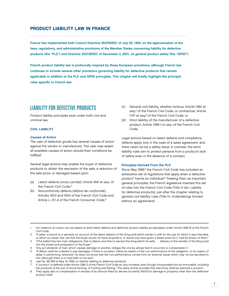## PRODUCT LIABILITY LAW IN FRANCE

France has implemented both Council Directive 85/374/EEC of July 25, 1985, on the approximation of the laws, regulations, and administrative provisions of the Member States concerning liability for defective products (the "PLD") and Directive 2001/95/EC of December 3, 2001, on general product safety (the "GPSD").

French product liability law is profoundly inspired by these European provisions, although French law continues to include several other provisions governing liability for defective products that remain applicable in addition to the PLD and GPSD principles. This chapter will briefly highlight the principal rules specific to French law.

# LIABILITY FOR DEFECTIVE PRODUCTS

Product liability principles exist under both civil and criminal law.

#### CIVIL LIABILITY

#### Causes of Action

The user of defective goods has several causes of action against the vendor or manufacturer. The user may assert all available causes of action should their conditions be fulfilled.<sup>1</sup>

Several legal actions may enable the buyer of defective products to obtain the rescission of the sale, a reduction of the sale price, or damages based upon:

- (a) Latent defects (vices cachés), Article 1641 et seq. of the French Civil Code;<sup>2</sup>
- (b) Nonconformity defects (défaut de conformité), Articles 1603 and 1604 of the French Civil Code and Article L. 211-4 of the French Consumer Code;3
- (c) General civil liability, whether tortious, Article 1382 et seq. 4 of the French Civil Code, or contractual, Article 1147 et seq. 5 of the French Civil Code; or
- (d) Strict liability of the manufacturer of a defective product, Article 1386-1 et seq. of the French Civil Code.

Legal actions based on latent defects and compliance defects apply only in the case of a sales agreement, and there need not be a safety issue. In contrast, the strict liability rules aim to protect persons from a product's lack of safety even in the absence of a contract.

#### Principles Derived From the PLD

Since May 1998,<sup>6</sup> the French Civil Code has included an exhaustive set of regulations that apply when a defective product<sup>7</sup> harms an individual.<sup>8</sup> Treating them as important general principles, the French legislature inserted this set of rules into the French Civil Code (Title IV bis: Liability for defective products), just after the chapter relating to general civil liability rules (Title IV: Undertakings formed without an agreement).

<sup>1</sup> For instance, an action can be based on both latent defects and defective product liability as stipulated under Article 1386-18 of the French Civil Code.

<sup>&</sup>lt;sup>2</sup> "A seller is bound to a warranty on account of the latent defects of the thing sold which render it unfit for the use for which it was intended, or which so impair that use that the buyer would not have acquired it, or would only have given a lesser price for it, had he known of them."

<sup>3 &</sup>quot;[The seller] has two main obligations, that to deliver and that to warrant the thing which he sells. . . . Delivery is the transfer of the thing sold into the power and possession of the buyer."

<sup>&</sup>quot;Any act whatever of man, which causes damage to another, obliges the one by whose fault it occurred, to compensate it."

<sup>5 &</sup>quot;A debtor shall be ordered to pay damages, if there is occasion, either by reason of the non-performance of the obligation, or by reason of delay in performing, whenever he does not prove that the non-performance comes from an external cause which may not be ascribed to him, although there is no bad faith on his part."

<sup>6</sup> Law No. 98-389 of May 19, 1998, on liability relating to defective products.

A "product" is defined under Article 1386-3 of the French Civil Code as "any movable, even though incorporated into an immovable, including the products of the soil, of stock-farming, of hunting and fishing." The same article provides that electricity shall be deemed a product.

<sup>8</sup> They apply also to compensation in excess of an amount fixed by decree (currently €500) for damage to property other than the defective product itself.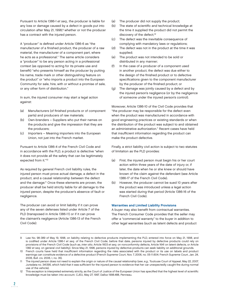Pursuant to Article 1386-1 et seq., the producer is liable for any loss or damage caused by a defect in goods put into circulation after May 21, 1998,<sup>9</sup> whether or not the producer has a contract with the injured person.

A "producer" is defined under Article 1386-6 as "the manufacturer of a finished product, the producer of a raw material, the manufacturer of a component part, where he acts as a professional." The same article considers a "producer" to be any person acting in a professional context (as opposed to acting for its private use and benefit) "who presents himself as the producer by putting his name, trade mark or other distinguishing feature on the product" or "who imports a product into the European Community for sale, hire, with or without a promise of sale, or any other form of distribution."

In sum, the injured consumer may start a legal action against:

- (a) Manufacturers (of finished products or of component parts) and producers of raw materials;
- (b) Own-branders Suppliers who put their names on the products and give the impression that they are the producers;
- (c) Importers Meaning importers into the European Union, not just into the French market.

Pursuant to Article 1386-4 of the French Civil Code and in accordance with the PLD, a product is defective "when it does not provide all the safety that can be legitimately expected from it."10

As required by general French civil liability rules, the injured person must prove actual damage, a defect in the product, and a causal relationship between the defect and the damage.11 Once these elements are proven, the producer shall be held strictly liable for all damage to the injured person, despite the producer's absence of fault or negligence.

The producer can avoid or limit liability if it can prove any of the seven defenses listed under Article 7 of the PLD (transposed in Article 1386-11) or if it can prove the claimant's negligence (Article 1386-13 of the French Civil Code):

- (a) The producer did not supply the product;
- (b) The state of scientific and technical knowledge at the time it supplied the product did not permit the discovery of the defect;<sup>12</sup>
- (c) The defect was the inevitable consequence of complying with mandatory laws or regulations;
- (d) The defect was not in the product at the time it was supplied;
- (e) The product was not intended to be sold or distributed in any manner;
- (f) In the case of a producer of a component used in another product, the defect was due either to the design of the finished product or to defective specifications given to the component manufacturer by the producer of the finished product; or
- (g) The damage was jointly caused by a defect and by the injured person's negligence (or by the negligence of someone under the injured person's control).

Moreover, Article 1386-10 of the Civil Code provides that "the producer may be responsible for the defect even when the product was manufactured in accordance with good engineering practices or existing standards or when the distribution of the product was subject to and obtained an administrative authorization." Recent cases have held that insufficient information regarding the product can make the product defective.

Finally, a strict liability civil action is subject to two statutes of limitation as the PLD provides:

- (a) First, the injured person must begin his or her court action within three years of the date of injury or, if later, the date when he or she knew or should have known of the claim against the defendant (see Article 1386-17 of the French Civil Code).
- (b) However, the producer cannot be sued 10 years after the product was introduced unless a legal action was started during that period (Article 1386-16 of the French Civil Code).

#### Warranties and Limited Liability Provisions

A buyer may also benefit from contractual warranties. The French Consumer Code provides that the seller may offer a "commercial warranty" to the buyer in addition to other legal warranties (such as latent defects and product

<sup>9</sup> Law No. 98-389 of May 19, 1998, on liability relating to defective products implementing the PLD, entered into force on May 21, 1998, and is codified under Article 1386-1 et seq. of the French Civil Code; before that date, persons injured by defective products could rely on provisions of the French Civil Code (such as, inter alia, Article 1603 et seq. on nonconformity defects, Article 1641 on latent defects, or Article 1382 et seq. on general civil liability). Since May 21, 1998, persons injured by defective products can seek liability on additional grounds.

<sup>10</sup> French courts have held that insufficient information regarding the risks associated with the product or its use on labels and product warnings can constitute evidence of a defective product (French Supreme Court, Nov. 7, 2006, no. 05-11.604; French Supreme Court, Jan. 24, 2006, Bull. civ. 2006, I, no. 35).

<sup>11</sup> The injured person does not need to explain the origin or nature of the causal relationship (see, e.g., Toulouse Court of Appeal, May 22, 2007, Jurisdata no. 341395, which held that it was sufficient for the injured person to evidence that her car unexpectedly caught fire during normal use of the vehicle).

<sup>12</sup> This exception is interpreted extremely strictly, as the Court of Justice of the European Union has specified that the highest level of scientific knowledge must be taken into account. CJEU, May 27, 1997, Dalloz 1998.488, Penneau.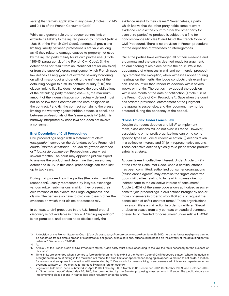safety) that remain applicable in any case (Articles L. 211-15 and 211-16 of the French Consumer Code).

While as a general rule the producer cannot limit or exclude its liability to the injured person by contract (Article 1386-15 of the French Civil Code), contractual provisions limiting liability between professionals are valid as long as: (i) they relate to damage caused to property not used by the injured party mainly for its own private use (Article 1386-15, paragraph 2, of the French Civil Code); (ii) the defect does not result from an intentional act (or omission) or from the supplier's gross negligence (which French case law defines as negligence of extreme severity bordering on willful misconduct and denoting the unfitness of the defaulting obligor to fulfill its contractual duty<sup>13</sup>); (iii) the clause limiting liability does not make the core obligations of the defaulting party meaningless—i.e., the maximum amount of the indemnification contractually defined must not be so low that it contradicts the core obligation of the contract;14 and (iv) the contract containing the clause limiting the warranty against hidden defects is concluded between professionals of the "same specialty" (which is narrowly interpreted by case law) and does not involve a consumer.

#### Brief Description of Civil Proceedings

Civil proceedings begin with a statement of claim (assignation) served on the defendant before French civil courts (Tribunal d'instance, Tribunal de grande instance, or Tribunal de commerce). Proceedings usually last several months. The court may appoint a judicial expert to analyze the product and determine the cause of any defect and injury. In this case, proceedings can then last up to two years.

During civil proceedings, the parties (the plaintiff and the respondent), usually represented by lawyers, exchange various written submissions in which they present their own versions of the events, their legal arguments, and claims. The parties also have to disclose to each other the evidence on which their claims or defenses rely.

In contrast to civil procedure in the U.S., broad pretrial discovery is not available in France. A "fishing expedition" is not permitted, and parties need disclose only the

evidence useful to their claims.15 Nevertheless, a party which knows that the other party holds some relevant evidence can ask the court to order the other party (or even third parties) to produce it, subject to a fine for noncompliance (Articles 11 and 145 of the French Code of Civil Procedure). There is no provision in French procedure for the deposition of witnesses or interrogatories.

Once the parties have exchanged all of their evidence and arguments and the case is deemed ready for argument, an oral hearing takes place before the court. While the appearance of witnesses in civil and commercial proceedings remains the exception, when witnesses appear during hearings on the merits, the judge conducts their examination. The court will then render its decision within several weeks or months. The parties may appeal the decision within one month of the date of notification (Article 538 of the French Code of Civil Procedure<sup>16</sup>). Save when the court has ordered provisional enforcement of the judgment, the appeal is suspensive, and the judgment may not be enforced during the pendency of the appeal.

#### "Class Actions" Under French Law

Despite the recent debates and bills<sup>17</sup> to implement them, class actions still do not exist in France. However, associations or nonprofit organizations can bring some specific types of judicial collective action: (i) actions taken in a collective interest; and (ii) joint representative actions. These collective actions typically take place where product safety is at stake.

Actions taken in collective interest. Under Article L. 421-1 of the French Consumer Code, when a criminal offense has been committed, authorized consumer organizations (associations agrees) may exercise the "rights conferred upon civil parties relating to facts which cause direct or indirect harm to the collective interest of consumers." Article L. 421-7 of the same code allows authorized associations to "join proceedings in civil actions brought by one or more consumers in order to stop illicit acts or request the cancellation of unfair contract terms." These organizations may also initiate a civil action in order to nullify an "illegal or abusive clause from any contract or standard contracts offered to or intended for consumers" under Article L. 421-6.

<sup>13</sup> A decision of the French Supreme Court (Cour de cassation, chambre commerciale) on June 29, 2010, held that "gross negligence cannot be construed from a simple breach of a contractual obligation, even a core one, but should be based on the severity of the defaulting party's behavior." Decision no. 09-11841.

<sup>14</sup> Id.

<sup>15</sup> Article 9 of the French Code of Civil Procedure states, "Each party must prove, according to the law, the facts necessary for the success of his claim."

Time limits are extended when it comes to foreign defendants. Article 643 of the French Code of Civil Procedure states, "Where the action is brought before a court sitting in the mainland of France, the time-limits for appearances, lodging an appeal, a motion to set aside, a motion for revision and an appeal in cassation will be extended by: 1° One month for persons living in an overseas administrative department or an overseas territory; 2° Two months for persons living in a foreign country."

<sup>17</sup> Legislative bills have been submitted in April 2006, February 2007, March 2007, December 2007, September 2009, and October 2009. An "information report" dated May 26, 2010, has been edited by the Senate, proposing class actions in France. The public debate on implementing class actions in France has been recurrent since the 1980s.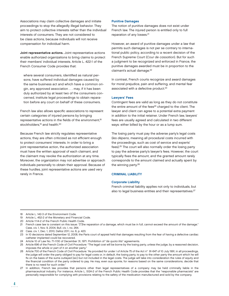Associations may claim collective damages and initiate proceedings to stop the allegedly illegal behavior. They aim to protect collective interests rather than the individual interests of consumers. They are not considered to be class actions, because individuals will not receive compensation for individual harm.

Joint representative actions. Joint representative actions enable authorized organizations to bring claims to protect their members' individual interests. Article L. 422-1 of the French Consumer Code provides that:

where several consumers, identified as natural persons, have suffered individual damages caused by the same business act and which have a common origin, any approved association . . . may, if it has been duly authorized by at least two of the consumers concerned, institute legal proceedings to obtain reparation before any court on behalf of these consumers.

French law also allows specific associations to represent certain categories of injured persons by bringing representative actions in the fields of the environment,<sup>18</sup> stockholders,<sup>19</sup> and health.<sup>20</sup>

Because French law strictly regulates representative actions, they are often criticized as not efficient enough to protect consumers' interests. In order to bring a joint representative action, the authorized association must have the written approval of each claimant, and the claimant may revoke the authorization at any time. Moreover, the organization may not advertise or approach individuals personally to obtain their approval. Because of these hurdles, joint representative actions are used very rarely in France.

#### Punitive Damages

The notion of punitive damages does not exist under French law. The injured person is entitled only to full reparation of any losses.<sup>21</sup>

However, an award of punitive damages under a law that permits such damages is not per se contrary to international public policy, according to a recent decision of the French Supreme Court (Cour de cassation). But for such a judgment to be recognized and enforced in France, the punitive damages awarded must be in proportion to the claimant's actual damage.<sup>22</sup>

In contrast, French courts recognize and award damages for moral prejudice, pain and suffering, and mental fear associated with a defective product.<sup>23</sup>

#### Lawyers' Fees

Contingent fees are valid as long as they do not constitute the entire amount of the fees<sup>24</sup> charged to the client. The lawyer and client can agree to a potential extra payment in addition to the initial retainer. Under French law, lawyers' fees are usually agreed and calculated in two different ways: either billed by the hour or as a lump sum.

The losing party must pay the adverse party's legal costs (les dépens, meaning all procedural costs incurred with the proceedings, such as cost of service and experts' fees).25 The court will also normally order the losing party to pay the adverse party's lawyer's fees. However, the court typically fixes the amount, and the granted amount rarely corresponds to the amount claimed and actually spent by the winning party.26

#### CRIMINAL LIABILITY

#### Corporate Liability

French criminal liability applies not only to individuals, but also to legal business entities and their representatives.<sup>27</sup>

4

<sup>18</sup> Article L. 142-3 of the Environment Code.

<sup>19</sup> Article L. 452-2 of the Monetary and Financial Code.

<sup>20</sup> Article 1114-2 of the French Public Health Code.

<sup>21</sup> French case law is constant on this issue: "[T]he reparation of a damage, which must be in full, cannot exceed the amount of the damage." Cass. civ. 1, Nov. 9, 2004, Bull. civ. I, no. 264.

<sup>22</sup> Cass. civ. 1, Dec. 1, 2010, Dalloz 2011, no. 6, p. 423.

<sup>23</sup> In 10 decisions dated September 12, 2008, the Paris court of appeal held that damages resulting from the fear of having a defective cardiac catheter implanted could be recovered.

<sup>24</sup> Article 10 of Law No. 71-1130 of December 31, 1971: Prohibition of "de quota litis" agreements.

<sup>25</sup> Article 696 of the French Code of Civil Procedure: "The legal cost will be borne by the losing party, unless the judge, by a reasoned decision, imposes the whole or part of it on another party."

<sup>26</sup> Article 700 of the French Code of Civil Procedure: "As provided for under I of Article 75 of the Act n° 91-647 of 10 July 1991, in all proceedings, the judge will order the party obliged to pay for legal costs or, in default, the losing party, to pay to the other party the amount which he will fix on the basis of the sums outlayed [sic] but not included in the legal costs. The judge will take into consideration the rules of equity and the financial condition of the party ordered to pay. He may, even sua sponte, for reasons based on the same considerations, decide that there is no need for such order."

<sup>27</sup> In addition, French law provides that persons other than legal representatives of a company may be held criminally liable in the pharmaceutical industry. For instance, Article L. 5124-2 of the French Public Health Code provides that the "responsible pharmacists" are personally responsible for complying with provisions relating to the safety of the medication manufactured and sold by the company.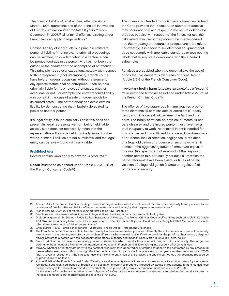The criminal liability of legal entities, effective since March 1, 1994, represents one of the principal innovations of French criminal law over the last 20 years.<sup>28</sup> Since December 31, 2005,<sup>29</sup> all criminal offenses existing under French law can apply to legal entities.<sup>30</sup>

Criminal liability of individuals is in principle limited to personal liability: "In principle, no criminal proceedings can be initiated, no condemnation to a sentence can be pronounced against a person who has not been the author, or the coauthor or the accomplice of an offense."31 This principle has several exceptions, notably with respect to the entrepreneur (chef d'entreprise). French courts have held on several occasions, without reference to any specific statute, that an entrepreneur can be held criminally liable for its employees' offenses, whether intentional or not. For example, the entrepreneur's liability was upheld in the case of a sale of forged goods by its subordinates.<sup>32</sup> The entrepreneur can avoid criminal liability by demonstrating that it lawfully delegated its power to another person.33

If a legal entity is found criminally liable, this does not prevent its legal representative from being held liable as well, but it does not necessarily mean that the representative will also be held criminally liable. In other words, criminal liabilities are not cumulative, and the legal entity can be solely found criminally liable.

#### Prohibited Acts

Several criminal laws apply to hazardous products: 34

Deceit (tromperie as defined under Article L. 213-1, 3°, of the French Consumer Code35):

This offense is intended to punish safety breaches. Indeed, the Code provides that deceit or an attempt to deceive may occur not only with respect to the nature or kind of a product, but also with respect to "the fitness for use, the risks inherent in use of the product, the checks carried out, the operating procedures or precautions to be taken." For example, it is deceit to sell electrical equipment that does not comply with applicable standards or toys bearing labels that falsely state compliance with the standard safety rules.

Penalties are doubled when the deceit allows the use of goods that are dangerous for human or animal health (Article 213-2 of the French Consumer Code).

Involuntary bodily harm (atteintes involontaires à l'intégrité de la personne humaine as defined under Article 222-19 of the French Criminal Code36):

The offense of involuntary bodily harm requires proof of three elements: (i) careless acts or omission; (ii) bodily harm; and (iii) a causal link between the fault and the harm. The bodily harm can be physical or mental (it can be a disease), and the injured person must have had a total incapacity to work. No criminal intent is needed for this offense, and it is sufficient to prove awkwardness, lack of prudence, lack of attention, negligence, or violation of a legal obligation of prudence or security or, when it comes to the aggravating factor of immediate exposure to a risk: (i) a specific act of misconduct that exposed another person to a particularly serious risk of which the perpetrator must have been aware; or (ii) a deliberate violation of a legal obligation (statute or regulation) of prudence or security.

28 Article 121-2 of the French Criminal Code provides that "legal entities, with the exclusion of the State, are criminally liable, pursuant to the provisions of Articles 121-4 to 121-7, for offenses committed on their behalf, by their organs or representatives."

<sup>29</sup> French Law No. 2004-204 of March 9, 2004 (referred to as "law Perben II").

<sup>30</sup> Sanctions are more severe when it comes to legal entities: the fines, in particular, are multiplied by five.

<sup>31</sup> Droit pénal général - M. Bouloc - Précis Dalloz - Paragraphs 345 et seq. The French Criminal Code itself confirms such principle in its Article 121-1: "No one is criminally liable except for his own conduct," and the French Supreme Court has repeatedly held that "no one is punishable other than by reason of its/his/her personal acts."

<sup>32</sup> Crim. March 11, 1959 - Droit pénal général - M. Bouloc - Précis Dalloz - Paragraphs 345 et seq.

<sup>33</sup> The French Supreme Court accepts in fact that, "except in the case where law provides differently, the entrepreneur who has not personally participated in the offense, may discharge him/herself from his/her criminal liability if he/she provides the proof that he/she has delegated his/her powers to a person with the necessary competency, authority and means." Crim. March 11, 1993, Bull. crim. no. 112.

<sup>34</sup> French criminal courts have discretionary powers to determine which penalty (imprisonment, fine, or both) shall apply. The judge can determine the amount of a fine up to the maximum amount set in French criminal laws, taking into account all circumstances.

<sup>35 &</sup>quot;Anyone, whether or not they are party to the contract, who may have deceived or attempted to deceive the contractor, by any procedural means whatsoever, even if this is through the intermediary of a third party, shall be punished by two years imprisonment and a € 37,500 fine: . . . even in respect of . . . the fitness for use, the risks inherent in use of the product, the checks carried out, the operating procedures or precautions to be taken."

<sup>36</sup> Article 222-19 of the French Criminal Code: "Causing a total incapacity to work in excess of three months to another person by clumsiness, rashness, inattention, negligence or breach of an obligation of safety or prudence imposed by statute or regulations, in the circumstances and according to the distinctions laid down by article 121-3, is punished by two years' imprisonment and a fine of €30,000. "In the event of a deliberate violation of an obligation of safety or prudence imposed by statute or regulation, the penalty incurred is increased to three years' imprisonment and to a fine of €45,000."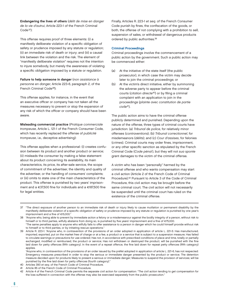Endangering the lives of others (délit de mise en danger de la vie d'autrui, Article 223-1 of the French Criminal  $Code<sup>37</sup>$ :

This offense requires proof of three elements: (i) a manifestly deliberate violation of a specific obligation of safety or prudence imposed by any statute or regulation; (ii) an immediate risk of death or injury; and (iii) a causal link between the violation and the risk. The element of "manifestly deliberate violation" requires not the intention to injure somebody, but merely the awareness of violating a specific obligation imposed by a statute or regulation.

Failure to help someone in danger (non assistance à personne en danger, Article 223-6, paragraph 2, of the French Criminal Code38):

This offense applies, for instance, in the event that an executive officer or company has not taken all the measures necessary to prevent or stop the expansion of any risk of which the officer or company should have been aware.

Misleading commercial practice (Pratique commerciale trompeuse, Article L. 121-1 of the French Consumer Code, which has recently replaced the offense of publicité trompeuse, i.e., deceptive advertising):

This offense applies when a professional: (i) creates confusion between its product and another product or service; (ii) misleads the consumer by making a false statement about its product concerning its availability, its main characteristics, its price, its after-sale service, the scope of commitment of the advertiser, the identity and quality of the advertiser, or the handling of consumers' complaints; or (iii) omits to state one of the main characteristics of the product. This offense is punished by two years' imprisonment and a  $\in$ 37,500 fine for individuals and a  $\in$ 187,500 fine for legal entities.

Finally, Articles R. 223-1 et seq. of the French Consumer Code punish by fines, the confiscation of the goods, or both, the offense of not complying with a prohibition to sell, suspension of sales, or withdrawal of dangerous products ordered by public authorities.39

#### Criminal Proceedings

Criminal proceedings involve the commencement of a public action by the government. Such a public action may be commenced either:

- (a) At the initiative of the state itself (the public prosecutor), in which case the victim may decide later to join the criminal proceedings; or
- (b) At the victim's direct initiative, either by summoning the adverse party to appear before the criminal courts (citation directe<sup>40</sup>) or by filing a criminal complaint with an application to join in the proceedings (plainte avec constitution de partie civile41).

The public action aims to have the criminal offense publicly determined and punished. Depending upon the nature of the offense, three types of criminal courts have jurisdiction: (a) Tribunal de police, for relatively minor offenses (contraventions); (b) Tribunal correctionnel, for misdemeanors (délits); and (c) Cour d'assises, for felonies (crimes). Criminal courts may order fines, imprisonment, or any other specific sanction as stipulated by the French Criminal Code (Code pénal), but they will not sua sponte grant damages to the victim of the criminal offense.

A victim who has been "personally" harmed by the criminal offense and who wants compensation may start a civil action (Article 2 of the French Code of Criminal Procedure).42 Pursuant to Article 3 of the Code of Criminal Procedure, this civil action may be brought before the same criminal court. The civil action will not necessarily be suspended until the criminal court has ruled on the existence of the criminal offense.

37 "The direct exposure of another person to an immediate risk of death or injury likely to cause mutilation or permanent disability by the manifestly deliberate violation of a specific obligation of safety or prudence imposed by any statute or regulation is punished by one year's imprisonment and a fine of  $€15.000$ ."

 "Anyone who, in contravention of the provisions of an order issued by the préfet adopted in application of article L. 221-6, has not respected: Emergency measures prescribed in order to stop the serious or immediate danger presented by the product or service; The detention measure decided upon for products likely to present a serious or immediate danger; Measures to suspend the provision of services; will be punished by the fine laid down for petty offences (fourth category)."

- 40 Articles 390 et seq. of the French Code of Criminal Procedure.
- 41 Article 85 of the French Code of Criminal Procedure.

<sup>38 &</sup>quot;Anyone who, being able to prevent by immediate action a felony or a misdemeanour against the bodily integrity of a person, without risk to himself or to third parties, wilfully abstains from doing so, is punished by five years' imprisonment and a fine of €75,000. "The same penalties apply to anyone who wilfully fails to offer assistance to a person in danger which he could himself provide without risk to himself or to third parties, or by initiating rescue operations."

<sup>39</sup> Article R. 223-1: "Anyone who, in contravention of the provisions of an order adopted in application of article L. 221-5: Has manufactured, imported, exported, put on the market free of charge or at a fee, a product or a service that is subject to a suspension measure; Has failed to circulate warnings or precautions for use ordered; Has not, in accordance with prescribed conditions of place and time, totally or partially exchanged, modified or reimbursed, the product or service; Has not withdrawn or destroyed the product, will be punished with the fine laid down for petty offences (fifth category). In the event of a repeat offence, the fine laid down for repeat petty offences (fifth category) applies

<sup>42</sup> Article 4 of the French Criminal Code permits the separate civil action for compensation: "The civil action tending to get compensation for the loss suffered in connection with the offense may also be exercised separately from the public prosecution."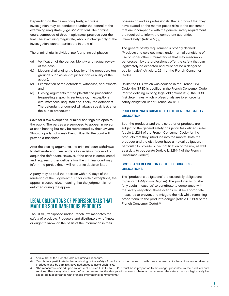Depending on the case's complexity, a criminal investigation may be conducted under the control of the examining magistrate (juge d'instruction). The criminal court, composed of three magistrates, presides over the trial. The examining magistrate, who is in charge only of the investigation, cannot participate in the trial.

The criminal trial is divided into four principal phases:

- (a) Verification of the parties' identity and factual review of the case;
- (b) Motions challenging the legality of the procedure (on grounds such as lack of jurisdiction or nullity of the action);
- (c) Examination of the defendant, witnesses, and experts; and
- (d) Closing arguments for the plaintiff, the prosecution (requesting a specific sentence or, in exceptional circumstances, acquittal) and, finally, the defendant. The defendant or counsel will always speak last, after the public prosecutor.

Save for a few exceptions, criminal hearings are open to the public. The parties are supposed to appear in person at each hearing but may be represented by their lawyers. Should a party not speak French fluently, the court will provide a translator.

After the closing arguments, the criminal court withdraws to deliberate and then renders its decision to convict or acquit the defendant. However, if the case is complicated and requires further deliberation, the criminal court may inform the parties that it will render its decision later.

A party may appeal the decision within 10 days of the rendering of the judgment.<sup>43</sup> But for certain exceptions, the appeal is suspensive, meaning that the judgment is not enforced during the appeal.

# LEGAL OBLIGATIONS OF PROFESSIONALS THAT MADE OR SOLD DANGEROUS PRODUCTS

The GPSD, transposed under French law, mandates the safety of products. Producers and distributors who "know or ought to know, on the basis of the information in their

possession and as professionals, that a product that they have placed on the market poses risks to the consumer that are incompatible with the general safety requirement are required to inform the competent authorities immediately." (Article 5 (3)).

The general safety requirement is broadly defined: "Products and services must, under normal conditions of use or under other circumstances that may reasonably be foreseen by the professional, offer the safety that can legitimately be expected and must not be a danger to public health." (Article L. 221-1 of the French Consumer Code).

Unlike the PLD, which was codified in the French Civil Code, the GPSD is codified in the French Consumer Code. Prior to defining existing legal obligations (2.2), the GPSD first determines which professionals are to enforce its safety obligation under French law (2.1).

## PROFESSIONALS SUBJECT TO THE GENERAL SAFETY **OBLIGATION**

Both the producer and the distributor of products are subject to the general safety obligation (as defined under Article L. 221-1 of the French Consumer Code) for the products that they introduce into the market. Both the producer and the distributor have a mutual obligation, in particular, to provide public notification of the risk, as well as a duty to cooperate (Article L. 221-1-4 of the French Consumer Code44).

## SCOPE AND DEFINITION OF THE PRODUCER'S **OBLIGATIONS**

The "producer's obligations" are essentially obligations to perform (obligation de faire). The producer is to take "any useful measures" to contribute to compliance with the safety obligation: those actions must be appropriate measures to prevent and mitigate the risk while remaining proportional to the product's danger (Article L. 221-9 of the French Consumer Code).45

<sup>43</sup> Article 498 of the French Code of Criminal Procedure.

<sup>44 &</sup>quot;Distributors participate in the monitoring of the safety of products on the market . . . with their cooperation to the actions undertaken by producers and by administrative authorities to avoid such risks."

<sup>45 &</sup>quot;The measures decided upon by virtue of articles L. 221-2 to L. 221-8 must be in proportion to the danger presented by the products and services. These may aim to warn of, or put an end to, the danger with a view to thereby guaranteeing the safety that can legitimately be expected in accordance with France's international commitments."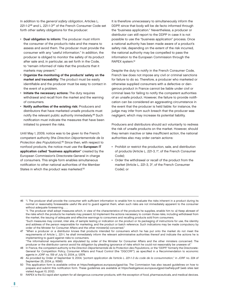In addition to the general safety obligation, Articles L. 221-1-246 and L. 221-1-347 of the French Consumer Code set forth other safety obligations for the producer:

- Dual obligation to inform: The producer must inform the consumer of the product's risks and the means to assess and avoid them. The producer must provide the consumer with any "useful information." In addition, the producer is obliged to monitor the safety of its product after sale and, in particular, as set forth in the Code, to "remain informed of risks that the products that it markets may present."
- Organize the monitoring of the products' safety on the market and traceability: The product must be easily identifiable and the producer must be easy to contact in the event of a problem.
- Initiate the necessary actions: The duty requires withdrawal and recall from the market and the warning of consumers.
- Notify authorities of the existing risk: Producers and distributors that have marketed unsafe products must notify the relevant public authority immediately.48 Such notification must indicate the measures that have been initiated to prevent the risks.

Until May 1, 2009, notice was to be given to the French competent authority (the Direction Départementale de la Protection des Populations).49 Since then, with respect to nonfood products, the notice must use the European IT application called "business application" created by the European Commission's Directorate-General in charge of consumers. This single form enables simultaneous notification to other national authorities of the Member States in which the product was marketed.<sup>50</sup>

It is therefore unnecessary to simultaneously inform the DDPP, since that body will be de facto informed through the "business application." Nevertheless, a producer or distributor can still report to the DDPP in case it is not possible to use the "business application" process. Once a national authority has been made aware of a product's safety risk, depending on the extent of the risk incurred, the national authority may be compelled to pass the information to the European Commission through the RAPEX system.<sup>51</sup>

Despite the duty to notify in the French Consumer Code, French law does not impose any civil or criminal sanctions for failure to do so. Therefore, a producer who marketed or otherwise supplied consumers with a defective or dangerous product in France cannot be liable under civil or criminal laws for failing to notify the competent authorities of an unsafe product. However, the failure to provide notification can be considered an aggravating circumstance in the event that the producer is held liable: for instance, the judge may infer from such breach that the producer was negligent, which may increase its potential liability.

Producers and distributors should act voluntarily to redress the risk of unsafe products on the market. However, should they remain inactive or take insufficient action, the national authorities also may order certain actions:

- Prohibit or restrict the production, sale, and distribution of products (Article L. 221-3, 1°, of the French Consumer Code);
- Order the withdrawal or recall of the product from the market (Article L. 221-3, 3°, of the French Consumer Code); or
- 46 "I. The producer shall provide the consumer with sufficient information to enable him to evaluate the risks inherent in a product during its normal or reasonably foreseeable useful life and to guard against them, when such risks are not immediately apparent to the consumer without adequate forewarning. . . .

 "The informational requirements are stipulated by order of the Minister for Consumer Affairs and the other ministers concerned. The producer or the distributor cannot avoid his obligation by pleading ignorance of risks which he could not reasonably be unaware of."

 <sup>&</sup>quot;II. The producer shall adopt measures which, in view of the characteristics of the products he supplies, enable him to: a) Keep abreast of the risks which the products he markets may present; b) Implement the actions necessary to contain those risks, including withdrawal from the market, the issuing of adequate and effective warnings to consumers and recalling products sold from consumers.

 <sup>&</sup>quot;Such measures may consist, inter alia, of sample testing or indication on the product or its packaging of instructions for use, the identity and address of the person responsible for marketing, and the product or batch reference. Such indications may be made compulsory by order of the Minister for Consumer Affairs and the other minister(s) concerned."

<sup>47 &</sup>quot;When a producer or a distributor knows that products intended for consumers which he has put onto the market do not meet the requirements of Article L. 221-1, he shall immediately inform the relevant administrative authorities thereof and indicate the actions he is implementing to guard against risks to consumers.

<sup>48</sup> In France, the competent authority is the Direction Départementale de la Protection des Populations, or the "DDPP," formerly the Directorate-General for Competition Policy, Consumer Affairs and Fraud Control (the "DGCCRF"), as specified in a Recommendation to economic agents in JORF no. 159 of July 10, 2004, p. 12574.

<sup>49</sup> As provided by Order of September 9, 2004, "portant application de l'article L. 221-1-3 du code de la consummation," in JORF no. 224 of September 25, 2004, p. 16560.

<sup>50</sup> This application form is available online at https://webgate.ec.europa.eu/gpsd-ba. The Commission has also issued guidelines on how to prepare and submit this notification form. These guidelines are available at https://webgate.ec.europa.eu/gpsd-ba/help.pdf (web sites last visited August 10, 2012).

<sup>51</sup> RAPEX is the EU rapid alert system for all dangerous consumer products, with the exception of food, pharmaceuticals, and medical devices.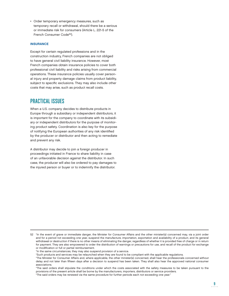• Order temporary emergency measures, such as temporary recall or withdrawal, should there be a serious or immediate risk for consumers (Article L. 221-5 of the French Consumer Code<sup>52</sup>).

#### **INSURANCE**

Except for certain regulated professions and in the construction industry, French companies are not obliged to have general civil liability insurance. However, most French companies obtain insurance policies to cover both professional civil liability and risks arising from commercial operations. These insurance policies usually cover personal injury and property damage claims from product liability, subject to specific exclusions. They may also include other costs that may arise, such as product recall costs.

# PRACTICAL ISSUES

When a U.S. company decides to distribute products in Europe through a subsidiary or independent distributors, it is important for the company to coordinate with its subsidiary or independent distributors for the purpose of monitoring product safety. Coordination is also key for the purpose of notifying the European authorities of any risk identified by the producer or distributor and then acting to remediate and prevent any risk.

A distributor may decide to join a foreign producer in proceedings initiated in France to share liability in case of an unfavorable decision against the distributor. In such case, the producer will also be ordered to pay damages to the injured person or buyer or to indemnify the distributor.

 "The said orders shall stipulate the conditions under which the costs associated with the safety measures to be taken pursuant to the provisions of the present article shall be borne by the manufacturers, importers, distributors or service providers. "The said orders may be renewed via the same procedure for further periods each not exceeding one year."

<sup>52 &</sup>quot;In the event of grave or immediate danger, the Minister for Consumer Affairs and the other minister(s) concerned may, via a joint order and for a period not exceeding one year, suspend the manufacture, importation, exportation and availability of a product, and its general withdrawal or destruction if there is no other means of eliminating the danger, regardless of whether it is provided free of charge or in return for payment. They are also empowered to order the distribution of warnings or precautions for use, and recall of the product for exchange or modification or full or partial reimbursement.

 <sup>&</sup>quot;In the same circumstances, they may also suspend provision of a service.

 <sup>&</sup>quot;Such products and services may be relaunched when they are found to be compliant with the applicable regulations.

 <sup>&</sup>quot;The Minister for Consumer Affairs and, where applicable, the other minister(s) concerned, shall hear the professionals concerned without delay and not later than fifteen days after a decision to suspend has been taken. They shall also hear the approved national consumer associations.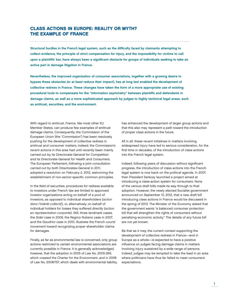## CLASS ACTIONS IN EUROPE: REALITY OR MYTH? THE EXAMPLE OF FRANCE

Structural hurdles in the French legal system, such as the difficulty faced by claimants attempting to collect evidence, the principle of strict compensation for injury, and the impossibility for victims to call upon a plaintiffs' bar, have always been a significant obstacle for groups of individuals seeking to take an active part in damage litigation in France.

Nevertheless, the improved organization of consumer associations, together with a growing desire to bypass these obstacles (or at least reduce their impact), has at long last enabled the development of collective redress in France. These changes have taken the form of a more appropriate use of existing procedural tools to compensate for the "information asymmetry" between plaintiffs and defendants in damage claims, as well as a more sophisticated approach by judges to highly technical legal areas, such as antitrust, securities, and the environment.

With regard to antitrust, France, like most other EU Member States, can produce few examples of antitrust damage claims. Consequently, the Commission of the European Union (the "Commission") has been resolutely pushing for the development of collective redress in antitrust and consumer matters. Indeed, the Commission's recent actions in this area had until recently been mainly carried out by its Directorate-General for Competition and its Directorate-General for Health and Consumers. The European Parliament, following a joint consultation carried out by both Directorates-General in 2011, adopted a resolution on February 2, 2012, welcoming the establishment of non-sector-specific common principles.

In the field of securities, procedures for redress available to investors under French law are limited to approved investor organizations acting on behalf of a pool of investors, as opposed to individual shareholders (action dans l'intérêt collectif), or, alternatively, on behalf of individual holders for losses they suffered directly (action en représentation conjointe). Still, three landmark cases, the Sidel case in 2006, the Regina Rubens case in 2007, and the Gaudriot case in 2010, illustrate the French courts' movement toward recognizing proper shareholder claims for damages.

Finally, as far as environmental law is concerned, only group actions restricted to certain environmental associations are currently possible in France. It is generally acknowledged, however, that the adoption in 2005 of Law No. 2005-265, which created the Charter for the Environment, and in 2008 of Law No. 2008/757, which deals with environmental liability,

has enhanced the development of larger group actions and that this also may represent a path toward the introduction of proper class actions in the future.

All in all, these recent initiatives in matters involving widespread injury have led to serious consideration, for the first time in decades, of the introduction of class actions into the French legal system.

Indeed, following years of discussion without significant progress, the introduction of class actions into the French legal system is now back on the political agenda. In 2007, then President Sarkozy launched a project aimed at introducing a class-action system for consumers. None of the various draft bills made its way through to final adoption. However, the newly elected Socialist government announced on September 10, 2012, that a new draft bill introducing class actions in France would be discussed in the spring of 2013. The Minister of the Economy stated that the government wants "a balanced consumer protection bill that will strengthen the rights of consumers without penalizing economic activity." The details of any future bill are not yet known.

Be that as it may, the current context supporting the development of collective redress in France—and in Europe as a whole—is expected to have a positive influence on judges facing damage claims in matters involving injury sustained by a wide range of persons. Indeed, judges may be tempted to take the lead in an area where politicians have thus far failed to meet consumers' expectations.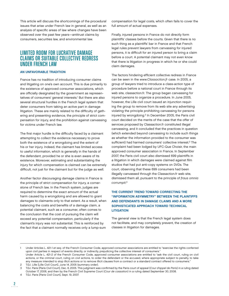This article will discuss the shortcomings of the procedural issues that arise under French law in general, as well as an analysis of specific areas of law where changes have been observed over the past few years—antitrust claims by consumers, securities law, and environmental law.

# LIMITED ROOM FOR LUCRATIVE DAMAGE CLAIMS OR SUITABLE COLLECTIVE REDRESS UNDER FRENCH LAW

#### AN UNFAVORABLE TRADITION

France has no tradition of introducing consumer claims and litigating on one's own account. This is due primarily to the existence of approved consumer associations, which are officially designated by the government as representatives of consumers' general interests.<sup>1</sup> But there are also several structural hurdles in the French legal system that deter consumers from taking an active part in damage litigation. These are mainly related to the difficulty of gathering and presenting evidence, the principle of strict compensation for injury, and the prohibition against canvassing for victims under French law.

The first major hurdle is the difficulty faced by a claimant attempting to collect the evidence necessary to prove both the existence of a wrongdoing and the extent of his or her injury. Indeed, the claimant has limited access to useful information, which is generally in the hands of the defendant, provided he or she is even aware of its existence. Moreover, estimating and substantiating the injury for which compensation is claimed can be extremely difficult, not just for the claimant but for the judge as well.

Another factor discouraging damage claims in France is the principle of strict compensation for injury, a cornerstone of French law. In the French system, judges are required to determine the exact amount of the actual harm caused by a wrongdoing and are allowed to grant damages to claimants only to that extent. As a result, when balancing the costs and benefits of a damage claim, a potential claimant, such as a consumer, often comes to the conclusion that the cost of pursuing the claim will exceed any potential compensation, particularly if the claimant's injury was not substantial. This is reinforced by the fact that a claimant normally receives only a lump-sum

compensation for legal costs, which often fails to cover the full amount of actual expenses.

Finally, injured persons in France do not directly form plaintiffs' classes before the courts. Given that there is no such thing as a plaintiffs' bar in France and that French legal rules prevent lawyers from canvassing for injured persons, it is difficult for an injured person to bring a claim before a court. A potential claimant may not even know that there is litigation in progress in which he or she could claim damages.

The factors hindering efficient collective redress in France can be seen in the www.Classaction.fr case. In 2005, a group of lawyers tried to introduce a class-action type of procedure before a national court in France through its web site, classaction.fr. The group began canvassing for injured persons to organize a procedure. In June 2005, however, the Lille civil court issued an injunction requiring the group to remove from its web site any advertising violating the principle prohibiting canvassing for persons injured by wrongdoing.2 In December 2005, the Paris civil court decided on the merits of the case that the offer of services proposed by Classaction.fr constituted illegal canvassing, and it concluded that the practices in question (which extended beyond canvassing to include such things as whether the information provided to the consumer was sufficient) had harmed consumers' collective interest.<sup>3</sup> The complaint had been lodged by UFC-Que Choisir, the main approved consumer association in France. In September 2007, the Paris civil court also dismissed 699 plaintiffs in a litigation in which damages were claimed against film studios that had put anti-copy systems on DVDs. The court, observing that these 699 consumers had been illegally canvassed through the Classaction.fr web site, dismissed them all, pursuant to the principle of fraus omnia corrumpit. 4

## THE CURRENT TREND TOWARD CORRECTING THE "INFORMATION ASYMMETRY" BETWEEN THE PLAINTIFFS AND DEFENDANTS IN DAMAGE CLAIMS AND A MORE SOPHISTICATED APPROACH TOWARD TECHNICAL **LITIGATION**

The general view is that the French legal system does not facilitate, and may completely prevent, the creation of classes in litigation for damages.

4 T.G.I. Paris [Paris Civil Court], Sept. 19, 2007.

<sup>1</sup> Under Articles L. 421-1 et seq. of the French Consumer Code, approved consumer associations are entitled to "exercise the rights conferred upon civil parties in respect of events directly, or indirectly, prejudicing the collective interest of consumers." Under Article L. 421-2 of the French Consumer Code, approved consumer associations are entitled to "ask the civil court, ruling on civil

actions, or the criminal court, ruling on civil actions, to order the defendant or the accused, where appropriate subject to penalty, to take any measure intended to stop illicit actions or to remove illicit clauses from a contract or a standard contract offered to consumers." 2 T.G.I. Lille [Lille Civil Court], June 14, 2005 (summary order).

<sup>3</sup> T.G.I. Paris [Paris Civil Court], Dec. 6, 2005. This judgment was confirmed by the Paris court of appeal (Cour d'appel de Paris) in a ruling dated October 17, 2006, and then by the French Civil Supreme Court (Cour de cassation) in a ruling dated September 30, 2008.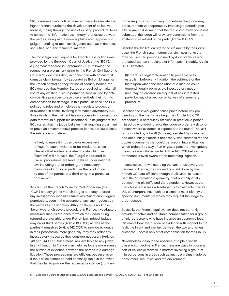Still, observers have noticed a recent trend to alleviate the higher French hurdles to the development of collective redress, mainly through the use of existing procedural tools to correct the "information asymmetry" that exists between the parties, along with a more sophisticated approach in judges' handling of technical litigation, such as in antitrust, securities, and environmental matters.

The most significant impetus for French class actions was provided by the European Court of Justice (the "ECJ"). In a judgment rendered in September 2006, following the request for a preliminary ruling by the French Civil Supreme Court (Cour de cassation) in connection with an antitrust damage claim brought by Laboratoires Boiron SA against the French central agency for social security bodies, the ECJ decided that Member States are required to make full use of any existing rules to permit persons injured by anticompetitive practices to exercise effectively their right to compensation for damage. In this particular case, the ECJ pointed to rules and principles that regulate production of evidence in cases involving information asymmetry (i.e., those in which the claimant has no access to information or data that would support his assertions). In its judgment, the ECJ stated that if a judge believes that requiring a claimant to prove an anticompetitive practice (in this particular case, the existence of State aid)

is likely to make it impossible or excessively difficult for such evidence to be produced, since inter alia that evidence relates to data which such [claimant] will not have, the [judge] is required to use all procedures available to [him] under national law, including that of ordering the necessary measures of inquiry, in particular the production by one of the parties or a third party of a particular document.<sup>5</sup>

Article 10 of the French Code for Civil Procedure (the "CCP") already grants French judges authority to order any investigatory measures (mesures d'instruction) legally permissible, even in the absence of any such request by the parties to the litigation. Although there is no Anglo-Saxon type of discovery procedure in France, investigatory measures such as the ones to which the Boiron ruling referred are available under French law. Indeed, judges may order third parties (Article 138 CCP) as well as the parties themselves (Article 142 CCP) to provide evidence in their possession; more generally, they may order any investigatory measures they consider necessary (Articles 143 and 144 CCP). Such measures, available to any judge in any litigation in France, may help reallocate more evenly the burden of evidence between the parties in a damage litigation. These proceedings are efficient because, even if the parties cannot be held criminally liable in the event that they fail to provide the requested evidence (contrary

to the Anglo-Saxon discovery procedure), the judge may pressure them to cooperate by imposing a periodic penalty payment. Assuming that the requested evidence is not submitted, the judge will draw any conclusions from the abstention or refusal of the party (Article 11 CCP).

Besides the facilitation offered to claimants by the Boiron case, the French system offers certain instruments that may be useful to persons injured by illicit practices who are faced with an imbalance of information. Notably, Article 145 CCP states:

[I]f there is a legitimate reason to preserve or to establish, before any litigation, the evidence of the facts upon which the resolution of a dispute could depend, legally permissible investigatory measures may be ordered on request of any interested party, by way of a petition or by way of a summary procedure.

Because the investigation takes place before any proceeding on the merits has begun, an Article 145 CCP proceeding is particularly efficient. In practice, a person injured by wrongdoing asks the judge to order a visit to locations where evidence is expected to be found. The visit is conducted by a bailiff (huissier), assisted by computer and accounting experts if necessary, who searches for and copies documents that could be used in future litigation. When ordered by way of an ex parte petition, investigatory measures are initiated under Article 145 CCP before the defendant is even aware of the upcoming litigation.

In conclusion, notwithstanding the lack of discovery procedures in France, the proceedings laid down by the French CCP are efficient enough to alleviate, at least in part, the "information asymmetry" that normally exists between the plaintiffs and the defendants. However, the French system is less advantageous to claimants than its U.S. counterpart, inasmuch as claimants must identify the specific documents for which they request the judge to order access.

Basically, the French legal system does not currently provide effective and equitable compensation for a group of injured persons who have incurred an economic loss. Claimants bear the burden of evidence with respect to the fault, the injury, and the link between the two and, when successful, obtain only strict compensation for their injury.

Nevertheless, despite the absence of a plain-vanilla class-action regime in France, there are ways to obtain a sort of collective redress in matters involving a group of injured persons in areas such as antitrust claims made by consumers, securities, and the environment.

5 European Court of Justice, Sept. 7, 2006, Laboratoires Boiron v. ACOSS, C-526/04, ECR I-7529, para. 55.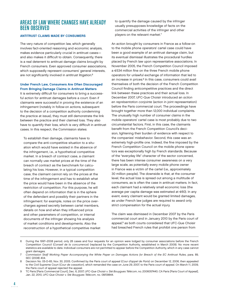# AREAS OF LAW WHERE CHANGES HAVE ALREADY BEEN OBSERVED

#### ANTITRUST CLAIMS MADE BY CONSUMERS

The very nature of competition law, which generally involves fact-oriented reasoning and economic analysis, makes evidence particularly crucial in antitrust cases and also makes it difficult to obtain. Consequently, there is a real deterrent to antitrust damage claims brought by French consumers. Even approved consumer associations, which supposedly represent consumers' general interests, are not significantly involved in antitrust litigation.<sup>6</sup>

#### Under French Law, Consumers Are Often Discouraged From Bringing Damage Claims in Antitrust Matters

It is extremely difficult for consumers to bring a successful action for antitrust damages before a court. Even if claimants were successful in proving the existence of an infringement (notably in follow-on actions, subsequent to the decision of a competition authority condemning the practice at issue), they must still demonstrate the link between the practice and their claimed loss. They also have to quantify their loss, which is very difficult in antitrust cases. In this respect, the Commission states:

To establish their damage, claimants have to compare the anti-competitive situation to a situation which would have existed in the absence of the infringement, i.e., a hypothetical competitive market. In a breach of contract case, a claimant can normally use market prices at the time of the breach of contract as the benchmark for calculating his loss. However, in a typical competition case, the claimant cannot rely on the prices at the time of the infringement and has to establish what the price would have been in the absence of the restriction of competition. For this purpose, he will often depend on information that is in the sphere of the defendant and possibly their partners in the infringement: for example, notes on the price overcharges agreed secretly between cartel members, details on how and when they influenced price and other parameters of competition, or internal documents of the infringer showing his analysis of market conditions and developments. Also the reconstruction of a hypothetical competitive market to quantify the damage caused by the infringer usually presupposes knowledge of facts on the commercial activities of the infringer and other players on the relevant market.7

An action brought by consumers in France as a follow-on to the mobile phone operators' cartel case could have been a good example of an antitrust damage claim, but its eventual dismissal illustrates the procedural hurdles placed by French law upon representative associations. In November 2005, the French Competition Council imposed  $a \in 534$  million fine on the three French mobile phone operators for unlawful exchange of information that led to an increase in prices.<sup>8</sup> In this case, consumers could avail themselves of both the decision of the French Competition Council finding anticompetitive practices and the direct link between these practices and their actual loss. In December 2007, UFC-Que Choisir introduced an action en représentation conjointe (action in joint representation) before the Paris commercial court. The proceedings have brought together more than 12,000 individual complaints. The unusually high number of consumer claims in the mobile operators' cartel case is most probably due to two circumstantial factors. First, in this case, the claimants benefit from the French Competition Council's decision, lightening their burden of evidence with respect to the companies' misbehavior. Second, this case was an extremely high-profile one. Indeed, the fine imposed by the French Competition Council on the mobile phone operators was exceptionally high by French standards. Because of the "everyday life" character of the sector concerned, there has been intense consumer awareness on a very large scale, as potentially every mobile phone owner in France was a victim of the cartel (i.e., approximately 30 million people). The downside is that, at the consumer level, the actual loss is spread out among a multitude of consumers, as is often the case in antitrust matters. In fact, each claimant had a relatively small economic loss (the average per capita damage was estimated at €60). In any event, every claimant would be granted limited damages, as under French law judges are required to award only strict compensation for the actual injury.

The claim was dismissed in December 2007 by the Paris commercial court and in January 2010 by the Paris court of appeal,<sup>9</sup> as both courts considered that UFC-Que Choisir had breached French rules that prohibit one person from

<sup>6</sup> During the 1997–2008 period, only 28 cases and four requests for an opinion were lodged by consumer associations before the French Competition Council (Conseil de la concurrence) (replaced by the Competition Authority, established in March 2009). No more recent statistics are available to date. Individual consumers are not permitted to appear before the Competition Authority, which in any case cannot grant damages.

<sup>7</sup> Commission Staff Working Paper Accompanying the White Paper on Damages Actions for Breach of the EC Antitrust Rules, para. 89, SEC (2008) 404.

Decision No. 05-D-65, Nov. 30, 2005. Confirmed by the Paris court of appeal (Cour d'appel de Paris) on December 12, 2006, then appealed to the Civil Supreme Court (Cour de cassation), which remanded the case on June 29, 2007, to the Paris court of appeal. On March 11, 2009, the Paris court of appeal rejected the appeal.

<sup>9</sup> TC Paris [Paris Commercial Court], Dec. 6, 2007, UFC-Que Choisir v. Sté Bouygues Télécom, no. 2006057440; CA Paris [Paris Court of Appeal], Jan. 22, 2010, UFC-Que Choisir v. Sté Bouygues Télécom, no. 08/09844.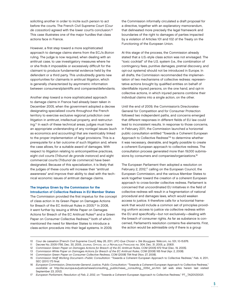soliciting another in order to incite such person to act before the courts. The French Civil Supreme Court (Cour de cassation) agreed with the lower court's conclusion.10 This case illustrates one of the major hurdles that class actions face in France.

However, a first step toward a more sophisticated approach to damage claims stems from the ECJ's Boiron ruling. The judge is now required, when dealing with an antitrust case, to use investigatory measures where he or she finds it impossible or excessively difficult for the claimant to produce fundamental evidence held by the defendant or a third party. This undoubtedly grants new opportunities for claimants in antitrust litigation, which is generally characterized by asymmetric information between consumers/plaintiffs and companies/defendants.

Another step toward a more sophisticated approach to damage claims in France had already been taken in December 2005, when the government adopted a decree designating specialized courts throughout the French territory to exercise exclusive regional jurisdiction over litigation in antitrust, intellectual property, and restructuring.11 In each of these technical areas, judges must have an appropriate understanding of any nonlegal issues (such as economics and accounting) that are inextricably linked to the proper implementation of legal provisions. This is a prerequisite for a fair outcome of such litigation and, where the case allows, for a suitable award of damages. With respect to litigation relating to anticompetitive practices, eight civil courts (Tribunal de grande instance) and eight commercial courts (Tribunal de commerce) have been designated. Because of this specialization, it is likely that the judges of these courts will increase their "antitrust awareness" and improve their ability to deal with the technical economic issues of antitrust damage claims.

#### The Impetus Given by the Commission for the Introduction of Collective Redress in EU Member States

The Commission provided the first impetus for the concept of class action in its Green Paper on Damages Actions for Breach of the EC Antitrust Rules in 2005.12 In 2008, it went further by issuing a White Paper on Damages Actions for Breach of the EC Antitrust Rules<sup>13</sup> and a Green Paper on Consumer Collective Redress,<sup>14</sup> both of which mentioned the need for Member States to introduce a class-action procedure into their legal systems. In 2009,

the Commission informally circulated a draft proposal for a directive, together with an explanatory memorandum, that delineated more precisely the legal framework and boundaries of the right to damages of parties impacted by a violation of Articles 101 and 102 of the Treaty on the Functioning of the European Union.

At this stage of the process, the Commission already stated that a U.S.-style class action was not envisaged. The "toxic cocktail" of the U.S. system (i.e., the combination of contingency fees, punitive damages, pretrial discovery, and opt-out systems) should not be introduced in Europe. In all drafts, the Commission recommended the implementation of two mechanisms of collective redress: representative actions brought by qualified entities on behalf of identifiable injured persons, on the one hand, and opt-in collective actions, in which injured persons combine their individual claims into a single action, on the other.

Until the end of 2009, the Commission's Directorates-General for Competition and for Consumer Protection followed two independent paths, and concerns emerged that different responses in different fields of EU law could lead to inconsistent results. In response to those concerns, in February 2011, the Commission launched a horizontal public consultation entitled "Towards a Coherent European Approach to Collective Redress"<sup>15</sup> to determine whether it was necessary, desirable, and legally possible to create a coherent European approach to collective redress. The consultation process generated more than 19,000 submissions by consumers and companies/organizations.<sup>16</sup>

The European Parliament then adopted a resolution on February 2, 2012,<sup>17</sup> calling on the European Council, the European Commission, and the various Member States to work together toward the creation of a coherent European approach to cross-border collective redress. Parliament is concerned that uncoordinated EU initiatives in the field of collective redress will result in a fragmentation of national procedural and damages laws, which would weaken access to justice. It therefore calls for a horizontal framework that would include a common set of principles providing uniform access to justice via collective redress within the EU and specifically-but not exclusively-dealing with the breach of consumer rights. As far as substance is concerned, Parliament's resolution contains five elements. First, the action would be admissible only if there is a group

<sup>10</sup> Cour de cassation [French Civil Supreme Court], May 26, 2011, UFC-Que Choisir v. Sté Bouygues Télécom, no. 531, 10-15.676.

<sup>11</sup> Decree No. 2005-1756, Dec. 30, 2005, JOURNAL OFFICIEL DE LA RÉPUBLIQUE FRANÇAISE no. 304, Dec. 31, 2005, p. 20831.

<sup>12</sup> Commission Green Paper on Damages Actions for Breach of the EC Antitrust Rules, COM (2005) 672 final (Dec. 19, 2005).

<sup>13</sup> Commission White Paper on Damages Actions for Breach of the EC Antitrust Rules, COM (2008) 165 final (Apr. 2, 2008).

<sup>14</sup> Commission Green Paper on Consumer Collective Redress, COM (2008) 794 final (Nov. 27, 2008).

<sup>15</sup> Commission Staff Working Document—Public Consultation: "Towards a Coherent European Approach to Collective Redress," Feb. 4, 2011, SEC (2011) 173 final.

<sup>16</sup> European Commission, Directorate-General Justice, Public Consultation: "Towards a Coherent European Approach to Collective Redress," available at http://ec.europa.eu/justice/news/consulting\_public/news\_consulting\_0054\_en.htm (all web sites herein last visited September 23, 2012).

<sup>17</sup> European Parliament, Resolution of Feb. 2, 2012, on "Towards a Coherent European Approach to Collective Redress," P7\_TA(2012)0021.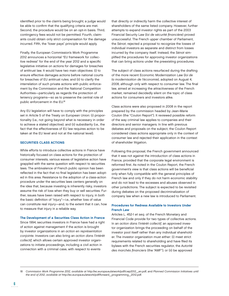identified prior to the claim's being brought; a judge would be able to confirm that the qualifying criteria are met. Second, the procedure would be on an opt-in basis. Third, contingency fees would not be permitted. Fourth, claimants could obtain only strict compensation for the damage incurred. Fifth, the "loser pays" principle would apply.

Finally, the European Commission's Work Programme 2012 announces a horizontal "EU framework for collective redress" for the end of the year 2012 and a specific legislative initiative on actions for damages for breaches of antitrust law. It would have two main objectives: (i) to ensure effective damages actions before national courts for breaches of EU antitrust rules; and (ii) to clarify the interrelation of such private actions with public enforcement by the Commission and the National Competition Authorities—particularly as regards the protection of leniency programs—so as to preserve the central role of public enforcement in the EU.18

Any EU legislation will have to comply with the principles set in Article 5 of the Treaty on European Union: (i) proportionality (i.e., not going beyond what is necessary in order to achieve a stated objective); and (ii) subsidiarity (i.e., the fact that the effectiveness of EU law requires action to be taken at the EU level and not at the national level).

#### SECURITIES CLASS ACTIONS

While efforts to introduce collective actions in France have historically focused on class actions for the protection of consumer interests, various waves of legislative action have grappled with the same question with respect to securities laws. The ambivalence of French public opinion has been reflected in the fact that no final legislation has been adopted in this area. Resistance to the adoption of a class-action procedure under the securities laws centers generally on the idea that, because investing is inherently risky, investors assume the risk of loss when they buy or sell securities. Further, issues have been raised with respect to injury, in both the basic definition of "injury"-i.e., whether loss of value can constitute real injury—and, to the extent that it can, how to measure that injury in a reliable way.

#### The Development of a Securities Class Action in France

Since 1994, securities investors in France have had a right of action against management if the action is brought by investor organizations in an action en représentation conjointe. Investors can also bring an action dans l'intérêt collectif, which allows certain approved investor organizations to initiate proceedings, including a civil action in connection with a criminal case, with respect to events

that directly or indirectly harm the collective interest of shareholders of the same listed company. However, further attempts to expand investor rights as part of the 2003 Financial Security Law (loi de sécurité financière) proved unsuccessful. The French upper chamber of Parliament, the Sénat, rejected a proposal to recognize the losses of individual investors as separate and distinct from losses incurred by the company itself. Instead, the Sénat simplified the procedures for approving investor organizations that can bring actions under the preexisting procedures.

The subject of class actions resurfaced during the drafting of the more recent Economic Modernization Law (loi de la modernisation de l'économie), adopted on August 4, 2008, although only with respect to consumer law. The final law, aimed at increasing the attractiveness of the French market, remained decidedly silent on the topic of class actions for consumers and investors alike.

Class actions were also proposed in 2008 in the report prepared by the commission headed by Jean-Marie Coulon (the "Coulon Report"). It reviewed possible reform of the way criminal law applies to companies and their directors and senior managers. In line with previous debates and proposals on the subject, the Coulon Report considered class actions appropriate only in the context of consumer law and rejected their application in the context of shareholder litigation.

Following this proposal, the French government announced that it was not against the introduction of class actions in France, provided that the corporate legal environment is reformed first. As noted in the Coulon Report, the French government's view is that class actions will be beneficial only when fully compatible with the general principles of French law and only if they do not harm economic stability and do not lead to the excesses and abuses observed in other jurisdictions. The subject is expected to be revisited during debates on the proposed decriminalization of company law when a new law is introduced to Parliament.

#### Procedures for Redress Available to Investors Under French Law

Articles L. 452-1 et seq. of the French Monetary and Financial Code provide for two types of collective actions. In an action dans l'intérêt collectif, an approved investor organization brings the proceeding on behalf of the investor pool itself rather than any individual shareholder. The investor organization must either: (i) meet strict requirements related to shareholding and have filed its bylaws with the French securities regulator, the Autorité des marchés financiers (the "AMF"); or (ii) be approved

18 Commission Work Programme 2012, available at http://ec.europa.eu/atwork/pdf/cwp2012\_en.pdf, and Planned Commission Initiatives until the end of 2012, available at http://ec.europa.eu/atwork/pdf/forward\_programming\_2012.pdf.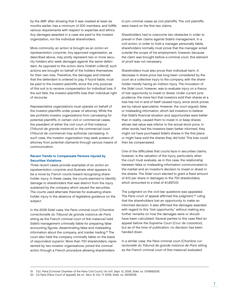by the AMF after showing that it was created at least six months earlier, has a minimum of 200 members, and fulfills various requirements with respect to expertise and ethics. Any damages awarded in a case are paid to the investor organization, not the individual shareholders.

More commonly, an action is brought as an action en représentation conjointe. Any approved organization, as described above, may jointly represent two or more security holders who seek damages against the same defendant. As opposed to the action dans l'intérêt collectif, such actions are brought on behalf of the holders themselves for their own loss. Therefore, the damages and interest that the defendant is ordered to pay, if found liable, must be paid to the investor-plaintiffs, since the only purpose of this suit is to receive compensation for individual loss. If the suit fails, the investor-plaintiffs lose their individual right of recourse.

Representative organizations must operate on behalf of the investor-plaintiffs under power of attorney. While the law prohibits investor organizations from canvassing for potential plaintiffs, in certain civil or commercial cases, the president of either the civil court of first instance (Tribunal de grande instance) or the commercial court (Tribunal de commerce) may authorize canvassing. In such case, the investor organization may seek powers of attorney from potential claimants through various means of communication.

#### Recent Trends to Compensate Persons Injured by Securities Violations

Three recent cases provide examples of an action en représentation conjointe and illustrate what appears to be a move by French courts toward recognizing shareholder injury. In these cases, the courts seemed to identify damage to shareholders that was distinct from the injury sustained by the company which issued the securities. The courts used alternate theories for evaluating shareholder injury in the absence of legislative guidance on the subject.

In the 2006 Sidel case, the Paris criminal court (Chambre correctionelle du Tribunal de grande instance de Paris sitting as the French criminal court of first instance) held Sidel's management criminally liable for preparing false accounting figures, disseminating false and misleading information about the company, and insider trading.19 The court also held the company criminally liable on the basis of respondeat superior. More than 700 shareholders, represented by two investor organizations, joined the criminal action through a French procedure allowing shareholders

to join criminal cases as civil plaintiffs. The civil plaintiffs were heard on the first two claims.

Shareholders had to overcome two obstacles in order to prevail in their claims against Sidel's management. In a civil action, in order to hold a manager personally liable, shareholders normally must prove that the manager acted outside the scope of his employment; however, because the claim was brought before a criminal court, this element of proof was not necessary.

Shareholders must also prove their individual harm. A decrease in share price has long been considered by the court as a collective injury to the company, with the shareholder merely having an indirect injury. The innovation of the Sidel court, however, was to evaluate injury on a theory of lost opportunity to invest or divest. Under current jurisprudence, the mere fact that investors sold their shares at a loss has not in and of itself caused injury, since stock prices are by nature speculative. However, the court argued, false or misleading information, which led investors to believe that Sidel's financial situation and opportunities were better than in reality, caused them to invest in or keep shares whose real value was inferior to the actual stock price. In other words, had the investors been better informed, they might not have purchased Sidel's shares in the first place or might have sold the shares they did hold. This loss could then be compensated.

One of the difficulties that courts face in securities claims. however, is the valuation of the injury, particularly when the court must evaluate, as in this case, the relationship between false or misleading information communicated to the market and an investor's decision to invest or divest in the shares. The Sidel court elected to grant a fixed amount of €10 per share in damages to the 700 shareholders, which amounted to a total of €1,897,031.

The judgment on the civil-law questions was appealed. The Paris court of appeal affirmed the judgment,<sup>20</sup> ruling that the shareholders lost an opportunity to make an informed decision. It also affirmed the damages awarded with regard to this "lost opportunity," without making any further remarks on how the damages were or should have been calculated. Several parties to the case filed an appeal before the Supreme Court (Cour de cassation), but as of the time of publication, no decision has been handed down.

In a similar case, the Paris criminal court (Chambre correctionelle du Tribunal de grande instance de Paris sitting as the French criminal court of first instance) evaluated

19 T.G.I. Paris [Criminal Chamber of the Paris Civil Court], 11e ch/1, Sept. 12, 2006, Sidel, no. 0018992026.

<sup>20</sup> CA Paris [Paris Court of Appeal], 9e ch., Sect. B, Oct. 17, 2008, Sidel, no. 06/09036.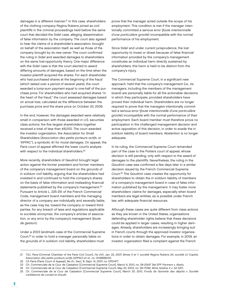damages in a different manner.<sup>21</sup> In this case, shareholders of the clothing company Regina Rubens joined as civil plaintiffs in the criminal proceedings held before the same court that decided the Sidel case, alleging dissemination of false information by the company. The court also agreed to hear the claims of a shareholder's association, brought on behalf of the association itself, as well as those of the company brought by its new owner. The court confirmed the ruling in Sidel and awarded damages to shareholders on the same lost-opportunity theory. One major difference with the Sidel case is that the court elected to award differing amounts of damages, based on the time when the investor-plaintiff acquired the shares. For each shareholder who had purchased shares at the beginning of the fraud (which lasted over a period of several years), the court awarded a lump-sum payment equal to one-half of the purchase price. For shareholders who had acquired shares "in the heart of the fraud," the court assessed damages based on actual loss, calculated as the difference between the purchase price and the share price on October 20, 2006.

In the end, however, the damages awarded were relatively small in comparison with those awarded in U.S. securities class actions: the five largest shareholders together received a total of less than €8,000. The court awarded the investor organization, the Association for Small Shareholders (Association des petits porteurs actifs, or "APPAC"), a symbolic €1 for moral damages. On appeal, the Paris court of appeal affirmed the lower court's analysis with respect to the individual shareholders.<sup>22</sup>

More recently, shareholders of Gaudriot brought legal action against the former president and former members of the company's management board on the grounds of in solidum civil liability, arguing that the shareholders had invested in and continued to hold the company's shares on the basis of false information and misleading financial statements published by the company's management.<sup>23</sup> Pursuant to Article L. 225-251 of the French Commercial Code, management board members and the managing director of a company are individually and severally liable, as the case may be, toward the company or toward third parties, for any breach of laws and regulations applicable to sociétés anonymes, the company's articles of association, or any error by the company's management (faute de gestion).

Under a 2003 landmark case of the Commercial Supreme Court,<sup>24</sup> in order to hold a manager personally liable on the grounds of in solidum civil liability, shareholders must

prove that the manager acted outside the scope of his employment. This condition is met if the manager intentionally committed a serious error (faute intentionnelle d'une particulière gravité) incompatible with the normal performance of his employment.

Since Sidel and under current jurisprudence, the lost opportunity to invest or divest because of false financial information provided by the company's management constitutes an individual harm directly sustained by shareholders; this harm is held to be distinct from the company's injury.

The Commercial Supreme Court, in a significant new approach, held that the company's management (i.e., its managers, including the members of the management board) are personally liable for all the actionable decisions in which they participate, provided shareholders have proved their individual harm. Shareholders are no longer required to prove that the managers intentionally committed a serious error (faute intentionnelle d'une particulière gravité) incompatible with the normal performance of their employment. Each board member must therefore prove no participation in the challenged management decision and active opposition of this decision, in order to evade the in solidum liability of board members. Abstention is no longer adequate.

In its ruling, the Commercial Supreme Court remanded part of the case to the Poitiers court of appeal, whose decision is still pending, only with respect to the award of damages to the plaintiffs. Nevertheless, the ruling in the Gaudriot case was confirmed a few days later in a similar decision issued by the French Commercial Supreme Court.25 The Gaudriot case creates the opportunity for shareholders to obtain the in solidum liability of members of a company's management board in case of false information published by the management. It may foster more shareholders' claims for damages, especially when board members are legal entities, as is possible under French law, with adequate financial resources.

Although these cases are quite different from class actions as they are known in the United States, organizations defending shareholder rights believe that these decisions could be applied in larger cases, resulting in higher damages. Already, shareholders are increasingly bringing suit in French courts through the approved investor organizations in order to obtain damages. For example, in 2009, an investor organization filed a complaint against the French

<sup>21</sup> T.G.I. Paris [Criminal Chamber of the Paris Civil Court], 11e ch/1, Jan. 22, 2007, Mmes X et Y, société Regina Rubens SA, société LV Capital, Association des petits porteurs actifs (APPAC) et al., no. 0106896030.

<sup>22</sup> CA Paris [Paris Court of Appeal], 9e ch., Sect. B, Sept. 14, 2007, no. 07/01477.

<sup>23</sup> Ch. Commerciale de la Cour de Cassation [Commercial Supreme Court], March 9, 2010, no. 08-21547 Sté EPF Partners v. Abela.

<sup>24</sup> Ch. Commerciale de la Cour de Cassation [Commercial Supreme Court], May 20, 2003, no. 99-17092, Mme Nadine X v. SA SATI.

<sup>25</sup> Ch. Commerciale de la Cour de Cassation [Commercial Supreme Court], March 30, 2010, Fonds de Garantie des dépôts v. Société caribéenne de conseil et d'audit.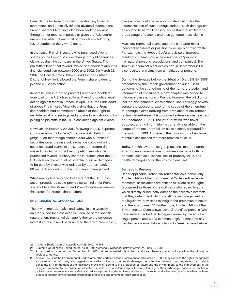bank Natixis for false information, misleading financial statements, and artificially inflated dividend distributions. French shareholders have also been seeking redress through other means, in particular given that U.S. courts are not available to hear most of their claims, following U.S. precedent in the Vivendi case.

In that case, French investors who purchased Vivendi shares on the French stock exchange brought securities claims against the company in the United States. The plaintiffs alleged that Vivendi misled shareholders about its financial condition between 2000 and 2002. On March 22, 2007, the United States District Court for the Southern District of New York allowed the French shareholders to join the U.S. class action.

In parallel and in order to prevent French shareholders from joining the U.S. class actions, Vivendi brought a legal action against them in France. In April 2010, the Paris court of appeal<sup>26</sup> dismissed Vivendi's claims that the French shareholders had committed an abuse of their right to institute legal proceedings and abusive forum shopping by joining as plaintiffs in the U.S. class action against Vivendi.

However, on February 22, 2011, following the U.S. Supreme Court decision in Morrison, 27 the New York district court judge ruled that foreign shareholders who purchased securities on a foreign stock exchange could not bring securities fraud claims in a U.S. court. It therefore dismissed the claims of the French petitioners who had purchased Vivendi ordinary shares in France. After the 2011 U.S. decision, the amount of potential punitive damages to be paid by Vivendi was reduced by approximately 80 percent, according to the company's management.

While many observers had believed that the U.S. classaction procedures could provide certain relief for French shareholders, the Morrison and Vivendi decisions remove this option for French shareholders.

#### ENVIRONMENTAL GROUP ACTIONS

The environmental, health, and safety field is typically an area suited for class actions. Because of the specific nature of environmental damage (either to the collective interests of the injured persons or to the environment itself),

class actions could be an appropriate solution for the indemnification of such damage. Indeed, such damage can easily lead to harmful consequences that are similar for a broad range of persons and thus generate mass claims.

Mass environmental claims could be filed after major industrial accidents or pollution by oil spills or toxic waste. For example, the Amoco Cadiz and Erika shipwrecks resulted in claims from a large number of "persons" (i.e., natural persons, associations, and companies). The Toulouse chemical plant explosion<sup>28</sup> in September 2001 also resulted in claims from a multitude of persons.

During the debates before the Sénat on Draft Bill No. 3508, presented by the French government on June 1, 2011, concerning the strengthening of the rights, protection, and information of consumers, a new chapter was added to introduce class actions in France. However, the bill did not include environmental class actions. Unsurprisingly, several senators proposed to extend the scope of the amendment to damage claims deriving from a violation of environmental law. Nevertheless, this proposed extension was rejected on December 22, 2011. The latter draft bill was never adopted, and no information is currently available on the scope of the next draft bill on class actions, expected for the spring of 2013. At present, the introduction of environmental class actions therefore remains at issue.

Today, French law permits group actions limited to certain environmental associations to address damage both to persons (such as nuisance, loss of property value, and health damage) and to the environment itself.

#### Damage to Persons

Under applicable French environmental laws, particularly Article L. 142-2 of the Environmental Code, certified environmental associations are entitled to "exercise the rights recognized as those of the civil party with regard to acts which directly or indirectly damage the collective interests that they defend and which constitute an infringement of the legislative provisions relating to the protection of nature and the environment."29 Furthermore, Article L. 142-3 of the Environmental Code allows "several identified persons [who] have suffered individual damages caused by the act of a single person and with a common origin" to mandate any certified environmental association to "seek redress before

<sup>26</sup> CA Paris [Paris Court of Appeal], April 28, 2010, no. 168.

<sup>27</sup> Supreme Court of the United States, no. 08-1191, Morrison v. National Australia Bank Ltd, June 24, 2010.

<sup>28</sup> An explosion occurred on September 21, 2001, at an industrial plant that produces chemicals and is located in the vicinity of Toulouse, France.

<sup>29</sup> Article L. 142-2 of the Environmental Code states: "The certified associations mentioned in Article L. 141-2 may exercise the rights recognized as those of the civil party with regard to acts which directly or indirectly damage the collective interests that they defend and which constitute an infringement of the legislative provisions relating to the protection of nature and the environment, to the improvement of the living environment, to the protection of water, air, soils, sites and landscapes, to town planning, or those whose purpose is the control of pollution and nuisance, nuclear safety and radiation protection, deceptive or misleading marketing and advertising practices when the latter practices contain environmental information, and of the enactments for their application."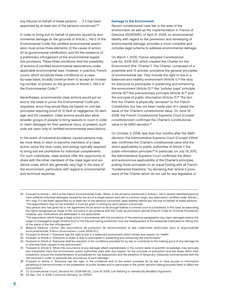any tribunal on behalf of these persons . . . if it has been appointed by at least two of the persons concerned."30

In order to bring suit on behalf of persons injured by environmental damage on the grounds of Article L. 142-2 of the Environmental Code, the certified environmental association must prove three elements: (i) the cause of action; (ii) its governmental certification; and (iii) the existence of a preliminary infringement of the environmental legislative provisions. These three conditions limit the possibility of actions of certified environmental associations under applicable environmental laws. However, in practice, French courts, which scrutinize these conditions on a caseby-case basis, broadly construe them to accept an increasing number of actions on the grounds of Article L. 142-2 of the Environmental Code.<sup>31</sup>

Nevertheless, environmental class actions would put an end to the need to prove the Environmental Code prerequisites, since they would likely be based on civil-law principles requiring proof of: (i) fault or negligence; (ii) damage; and (iii) causation. Class actions would also allow broader groups of people to bring lawsuits to court in order to claim damages for their personal injury; at present, such suits are open only to certified environmental associations.

In the event of industrial accidents, injured persons may be more likely to elect to become members of a class action, since the time, costs, and energy typically required to bring suit are prohibitive for individual complainants. For such individuals, class actions offer the opportunity to share with the other members of the class legal and evidence costs, which are generally very high in the area of the environment, particularly with regard to environmental and technical expertise.

#### Damage to the Environment

Recent constitutional case law in the area of the environment, as well as the implementation in France of Directive 2004/35/EC of April 21, 2004, on environmental liability with regard to the prevention and remedying of environmental damage, provides a more complete and complex legal scheme to address environmental damage.

On March 1, 2005, France adopted Constitutional Law No. 2005-205, which created the Charter for the Environment (the "Charter"). The Charter, composed of a preamble and 10 articles, proclaims the general principles of environmental law. They include the right to live in a balanced and healthy environment (Article 1),<sup>32</sup> the duty for everyone to participate in preserving and enhancing the environment (Article 2),<sup>33</sup> the "polluter pays" principle (Article 4), $34$  the precautionary principle (Article 5), $35$  and the principle of public information (Article 7).36 The fact that the Charter is physically "annexed" to the French Constitution but has not been made part of it raised the issue of the Charter's constitutional value. On June 19, 2008, the French Constitutional Supreme Court (Conseil constitutionnel) confirmed the Charter's constitutional value in its GMO decision.<sup>37</sup>

On October 3, 2008, less than four months after the GMO decision, the Administrative Supreme Court (Conseil d'Etat) also confirmed the Charter's constitutional value and the direct applicability to public authorities of Article 7, the public-information principle.38 In particular, on July 19, 2010, the Administrative Supreme Court confirmed the direct and autonomous applicability of the Charter's principles, putting those principles on an equal footing with all French "fundamental freedoms," by declaring that "article 5 provisions of the Charter which do not call for any legislative or

<sup>30</sup> Pursuant to Article L. 142-3 of the French Environmental Code: "When, in the domains mentioned in Article L. 142-2, several identified persons have suffered individual damages caused by the act of a single person and with a common origin, any association certified under Article L. 141-1 may, if it has been appointed by at least two of the persons concerned, seek redress before any tribunal on behalf of these persons. "The appointment may not be solicited. It must be given in writing by each person concerned.

 <sup>&</sup>quot;Any person who has given his or her agreement for an action to be brought before a criminal court is considered, in this case, as exercising the rights recognized as those of the civil party, in accordance with the Code de procédure pénale [French Code for Criminal Procedure]. However, any notifications are addressed to the association.

 <sup>&</sup>quot;The association which brings a legal action in accordance with the provisions of the previous paragraphs may claim damages before the judge of investigation [juge d'instruction] or the tribunal having jurisdiction over the headquarters of the enterprise implicated or, failing this, of the place of the first infringement."

<sup>31</sup> Béatrice Parance, L'action des associations de protection de l'environnement et des collectivités territoriales dans la responsabilité environnementale, 6 REVUE ENVIRONNEMENT (June 2009) (Fr.).

<sup>32</sup> Pursuant to Article 1: "Everyone has the right to live in a balanced environment which shows due respect for health."

<sup>33</sup> Pursuant to Article 2: "Everyone is under a duty to participate in preserving and enhancing the environment."

<sup>34</sup> Pursuant to Article 4: "Everyone shall be required, in the conditions provided for by law, to contribute to the making good of any damage he or she may have caused to the environment."

<sup>35</sup> Pursuant to Article 5: "When the occurrence of any damage, albeit unpredictable in the current state of scientific knowledge, may seriously and irreversibly harm the environment, public authorities shall, with due respect for the principle of precaution and the areas within their jurisdiction, ensure the implementation of procedures for risk assessment and the adoption of temporary measures commensurate with the risk involved in order to preclude the occurrence of such damage."

<sup>36</sup> Pursuant to Article 7: "Everyone has the right, in the conditions and to the extent provided for by law, to have access to information pertaining to the environment in the possession of public bodies and to participate in the public decision-taking process likely to affect the environment."

<sup>37</sup> CC [Constitutional Court], Decision No. 2008-564 DC, June 19, 2008, Law Relating to Genetically Modified Organisms.

<sup>38</sup> CE Ass., Oct. 3, 2008, Commune d'Annecy, no. 297931.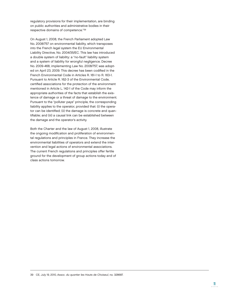regulatory provisions for their implementation, are binding on public authorities and administrative bodies in their respective domains of competence."39

On August 1, 2008, the French Parliament adopted Law No. 2008/757 on environmental liability, which transposes into the French legal system the EU Environmental Liability Directive, No. 2004/35/EC. This law has introduced a double system of liability: a "no-fault" liability system and a system of liability for wrongful negligence. Decree No. 2009-468, implementing Law No. 2008/757, was adopted on April 23, 2009. This decree has been codified in the French Environmental Code in Articles R. 161-1 to R. 163-1. Pursuant to Article R. 162-3 of the Environmental Code, certified associations for the protection of the environment mentioned in Article L. 142-1 of the Code may inform the appropriate authorities of the facts that establish the existence of damage or a threat of damage to the environment. Pursuant to the "polluter pays" principle, the corresponding liability applies to the operator, provided that: (i) the operator can be identified; (ii) the damage is concrete and quantifiable; and (iii) a causal link can be established between the damage and the operator's activity.

Both the Charter and the law of August 1, 2008, illustrate the ongoing modification and proliferation of environmental regulations and principles in France. They increase the environmental liabilities of operators and extend the intervention and legal actions of environmental associations. The current French regulations and principles offer fertile ground for the development of group actions today and of class actions tomorrow.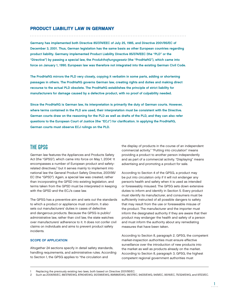## PRODUCT LIABILITY LAW IN GERMANY

Germany has implemented both Directive 85/374/EEC of July 25, 1985, and Directive 2001/95/EC of December 3, 2001. Thus, German legislation has the same basis as other European countries regarding product liability. Germany implemented Product Liability Directive 85/374/EEC (the "PLD" or the "Directive") by passing a special law, the Produkthaftungsgesetz (the "ProdHaftG"), which came into force on January 1, 1990. European law was therefore not integrated into the existing German Civil Code.

The ProdHaftG mirrors the PLD very closely, copying it verbatim in some parts, adding or shortening passages in others. The ProdHaftG governs German law, creating rights and duties and making direct recourse to the actual PLD obsolete. The ProdHaftG establishes the principle of strict liability for manufacturers for damage caused by a defective product, with no proof of culpability needed.

Since the ProdHaftG is German law, its interpretation is primarily the duty of German courts. However, where terms contained in the PLD are used, their interpretation must be consistent with the Directive. German courts draw on the reasoning for the PLD as well as drafts of the PLD, and they can also refer questions to the European Court of Justice (the "ECJ") for clarification. In applying the ProdHaftG, German courts must observe ECJ rulings on the PLD.

# THE GPSG

German law features the Appliances and Products Safety Act (the "GPSG"), which came into force on May 1, 2004.<sup>1</sup> It encompasses a number of European product and safetyrelated directives,<sup>2</sup> but it serves mainly to implement into national law the General Product Safety Directive, 2001/95/ EC (the "GPSD"). Again, a special law was created, rather than incorporating the GPSD into existing legislation, and terms taken from the GPSD must be interpreted in keeping with the GPSD and the ECJ's case law.

The GPSG has a preventive aim and sets out the standards to which a product or appliance must conform. It also sets out manufacturers' duties in cases of defective and dangerous products. Because the GPSG is public/ administrative law, rather than civil law, the state watches over manufacturers' adherence to it. It does not confer civil claims on individuals and aims to prevent product safety incidents.

#### SCOPE OF APPLICATION

Altogether 24 sections specify in detail safety standards, handling requirements, and administrative rules. According to Section 1, the GPSG applies to "the circulation and

the display of products in the course of an independent commercial activity." "Putting into circulation" means providing a product to another person independently and as part of a commercial activity. "Displaying" means advertising and promoting a product for sale.

According to Section 4 of the GPSG, a product may be put into circulation only if it will not endanger any person's health and safety when it is used as intended or foreseeably misused. The GPSG sets down extensive duties to inform and identify in Section 5. Every product must identify its manufacturer, and consumers must be sufficiently instructed of all possible dangers to safety that may result from the use or foreseeable misuse of the product. The manufacturer and the importer must inform the designated authority if they are aware that their product may endanger the health and safety of a person and must inform the authority about any remediating measures that have been taken.

According to Section 8, paragraph 2, GPSG, the competent market-inspection authorities must ensure effective surveillance over the introduction of new products into the market as well as products already on the market. According to Section 8, paragraph 3, GPSG, the highest competent regional government authorities must

Replacing the previously existing two laws, both based on Directive 2001/95/EC.

<sup>2</sup> Such as 2006/95/EC, 88/378/EWG, 87/404/EWG, 90/396/EWG, 89/686/EWG, 98/37/EC, 94/25/EWG, 94/9/EC, 95/16/EC, 75/324/EWG, and 97/23/EC.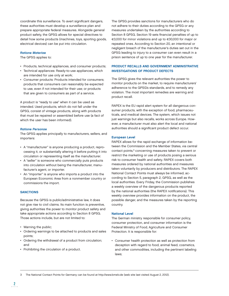coordinate this surveillance. To avert significant dangers, these authorities must develop a surveillance plan and prepare appropriate federal measures. Alongside general product safety, the GPSG allows for special directives to detail how some products (machines, toys, sporting goods, electrical devices) can be put into circulation.

#### Ratione Materiae

The GPSG applies to:

- Products, technical appliances, and consumer products;
- Technical appliances: Ready-to-use appliances, which are intended for use only at work;
- Consumer products: Products intended for consumers; products that consumers can reasonably be expected to use, even if not intended for their use; or products that are given to consumers as part of a service.

A product is "ready to use" when it can be used as intended. Used products, which do not fall under the GPSG, consist of vintage products, along with products that must be repaired or assembled before use (a fact of which the user has been informed).

#### Ratione Personae

The GPSG applies principally to manufacturers, sellers, and importers:

- A "manufacturer" is anyone producing a product, reprocessing it, or substantially altering it before putting it into circulation or representing itself as the manufacturer.
- A "seller" is someone who commercially puts products into circulation without being the manufacturer, manufacturer's agent, or importer.
- An "importer" is anyone who imports a product into the European Economic Area from a nonmember country or commissions the import.

#### **SANCTIONS**

Because the GPSG is public/administrative law, it does not give rise to civil claims. Its main function is preventive, giving authorities the power to monitor product safety and take appropriate actions according to Section 8 GPSG. Those actions include, but are not limited to:

- Warning the public;
- Ordering warnings to be attached to products and sales points;
- Ordering the withdrawal of a product from circulation; and
- Prohibiting the circulation of a product.

The GPSG provides sanctions for manufacturers who do not adhere to their duties according to the GPSG or any measures undertaken by the authorities according to Section 8 GPSG. Section 19 sets financial penalties of up to €3,000 for minor violations and up to €30,000 for major or repeated ones. According to Section 20, an intentional or negligent breach of the manufacturer's duties set out in the GPSG leading to injury to a consumer can even result in a prison sentence of up to one year for the manufacturer.

#### PRODUCT RECALLS AND GOVERNMENT ADMINISTRATIVE INVESTIGATIONS OF PRODUCT DEFECTS

The GPSG gives the relevant authorities the power to monitor products on the market, to require manufacturers' adherence to the GPSG's standards, and to remedy any violation. The most important remedies are warning and product recall.

RAPEX is the EU rapid alert system for all dangerous consumer products, with the exception of food, pharmaceuticals, and medical devices. The system, which issues not just warnings but also recalls, works across Europe. However, a manufacturer must also alert the local and national authorities should a significant product defect occur.

#### European Level

RAPEX allows for the rapid exchange of information between the Commission and the Member States, via central contact points,3 concerning measures taken to prevent or restrict the marketing or use of products posing a serious risk to consumer health and safety. RAPEX covers both measures ordered by national authorities and measures taken voluntarily by producers and distributors. The RAPEX National Contact Points must always be informed, according to Section 5, paragraph 2, GPSG, as well as the local authorities. Every Friday, the Commission publishes a weekly overview of the dangerous products reported by the national authorities (the RAPEX notifications). This weekly overview provides information on the product, the possible danger, and the measures taken by the reporting country.

#### National Level

The German ministry responsible for consumer policy, consumer protection, and consumer information is the Federal Ministry of Food, Agriculture and Consumer Protection. It is responsible for:

• Consumer health protection as well as protection from deception with regard to food, animal feed, cosmetics, and other commodities, including the pertinent labeling laws;

3 The National Contact Points for Germany can be found at http://www.bmelv.de (web site last visited August 2, 2012).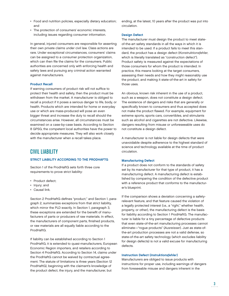- Food and nutrition policies, especially dietary education; and
- The protection of consumers' economic interests, including issues regarding consumer information.

In general, injured consumers are responsible for asserting their own private claims under civil law. Class actions are rare. Under exceptional circumstances, consumers' claims can be assigned to a consumer protection organization, which can then file the claims for the consumers. Public authorities are concerned only with enforcing health and safety laws and pursuing any criminal action warranted against manufacturers.

### Product Recall

If warning consumers of product risk will not suffice to protect their health and safety, then the product must be withdrawn from the market. A manufacturer is obliged to recall a product if it poses a serious danger to life, body, or health. Products which are intended for home or everyday use or which are mass-produced will pose an even bigger threat and increase the duty to recall should the circumstances arise. However, all circumstances must be examined on a case-by-case basis. According to Section 8 GPSG, the competent local authorities have the power to decide appropriate measures. They will also work closely with the manufacturer when a recall takes place.

# CIVIL LIABILITY

### STRICT LIABILITY ACCORDING TO THE PRODHAFTG

Section 1 of the ProdHaftG sets forth three core requirements to prove strict liability:

- Product defect:
- Injury; and
- Causal link.

Section 2 ProdHaftG defines "product," and Section 1, paragraph 2, summarizes exceptions from that strict liability, which mirror the PLD exactly. In Section 1, paragraph 3, these exceptions are extended for the benefit of manufacturers of parts or producers of raw materials. In effect, the manufacturers of component parts, finished products, or raw materials are all equally liable according to the ProdHaftG.

If liability can be established according to Section 1 ProdHaftG, it is extended to quasi-manufacturers, European Economic Region importers, and retailers according to Section 4 ProdHaftG. According to Section 14, claims under the ProdHaftG cannot be waived by contractual agreement. The statute of limitations is three years (Section 12 ProdHaftG), beginning with the claimant's knowledge of the product defect, the injury, and the manufacturer, but

ending, at the latest, 10 years after the product was put into circulation.

### Design Defect

The manufacturer must design the product to meet stateof-the-art safety standards in all the ways in which it is intended to be used. If a product fails to meet this standard, the product has a design defect (Konstruktionsfehler, which is literally translated as "construction defect"). Product safety is measured against the expectations of those consumers for whom the product is intended. In practice, this means looking at the target consumers, assessing their needs and how they might reasonably use the product, and making it state-of-the-art in safety for those uses.

An obvious, known risk inherent in the use of a product, such as a weapon, does not constitute a design defect. The existence of dangers and risks that are generally or specifically known to consumers and thus accepted does not make the product flawed. For example, equipment for extreme sports, sports cars, convertibles, and stimulants such as alcohol and cigarettes are not defective. Likewise, dangers resulting from misuse or unforeseeable uses do not constitute a design defect.

A manufacturer is not liable for design defects that were unavoidable despite adherence to the highest standard of science and technology available at the time of product circulation.

### Manufacturing Defect

If a product does not conform to the standards of safety set by its manufacturer for that type of product, it has a manufacturing defect. A manufacturing defect is established by comparing the condition of the defective product with a reference product that conforms to the manufacturer's blueprint.

If the comparison shows a deviation concerning a safetyrelevant feature, and that feature caused the violation of a legally protected interest (i.e., a "right," whether health, property, or other), the manufacturing defect is the basis for liability according to Section 1 ProdHaftG. The manufacturer is liable for a tiny percentage of defective products that even state-of-the-art manufacturing processes cannot eliminate—"rogue products" (Ausreisser). Just as state-ofthe-art production processes are not a valid defense, so state-of-the-art safety technology (which excludes liability for design defects) is not a valid excuse for manufacturing defects.

### Instruction Defect (Instruktionsfehler)

Manufacturers are obliged to issue products with instructions for proper use, including warnings of dangers from foreseeable misuse and dangers inherent in the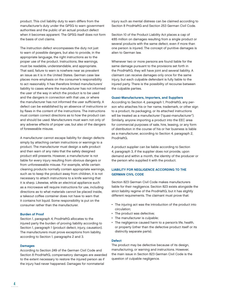product. This civil liability duty to warn differs from the manufacturer's duty under the GPSG to warn government authorities and the public of an actual product defect when it becomes apparent. The GPSG itself does not form the basis of civil claims.

The instruction defect encompasses the duty not just to warn of possible dangers, but also to provide, in the appropriate language, the right instructions as to the proper use of the product. Instructions, like warnings, must be readable, understandable, and appropriate. That said, failure to warn is nowhere near as prevalent an issue as it is in the United States. German case law places more emphasis on the consumer's responsibility to act reasonably. It has therefore limited manufacturers' liability to cases where the manufacturer has not informed the user of the way in which the product is to be used and the dangers in connection with that use, or where the manufacturer has not informed the user sufficiently. A defect can be established by an absence of instructions or by flaws in the content of the instructions. The instructions must contain correct directions as to how the product can and should be used. Manufacturers must warn not only of any adverse effects of proper use, but also of the dangers of foreseeable misuse.

A manufacturer cannot escape liability for design defects simply by attaching certain instructions or warnings to a product. The manufacturer must design a safe product and then warn of any risks that the safely designed product still presents. However, a manufacturer is not liable for every injury resulting from obvious dangers or from unforeseeable misuse. For example, while certain cleaning products normally contain appropriate warnings, such as to keep the product away from children, it is not necessary to attach instructions to a knife warning that it is sharp. Likewise, while an electrical appliance such as a microwave will require instructions for use, including directions as to what materials cannot be placed inside, a takeout coffee container does not have to warn that it contains hot liquid. Some responsibility is put on the consumer rather than the manufacturer.

#### Burden of Proof

Section 1, paragraph 4, ProdHaftG allocates to the injured party the burden of proving liability according to Section 1, paragraph 1 (product defect, injury, causation). The manufacturers must prove exceptions from liability, according to Section 1, paragraphs 2 and 3.

#### Damages

According to Section 249 of the German Civil Code and Section 8 ProdHaftG, compensatory damages are awarded to the extent necessary to restore the injured person as if the injury had never happened. Damages for nonmaterial

injury such as mental distress can be claimed according to Section 8 ProdHaftG and Section 253 German Civil Code.

Section 10 of the Product Liability Act places a cap of €85 million on damages resulting from a single product or several products with the same defect, even if more than one person is injured. The concept of punitive damages is alien to German law.

Whenever two or more persons are found liable for the same damage pursuant to the provisions set forth in the ProdHaftG, they will have joint and several liability. A claimant can receive damages only once for the same injury, but each culpable defendant is fully liable to the injured party. There is the possibility of recourse between the culpable parties.

### Quasi-Manufacturers, Importers, and Suppliers

According to Section 4, paragraph 1, ProdHaftG, any person who attaches his or her name, trademark, or other sign to a product, its packaging, or its attached instructions will be treated as a manufacturer ("quasi-manufacturer"). Similarly, anyone importing a product into the EEC area for commercial purposes of sale, hire, leasing, or any form of distribution in the course of his or her business is liable as a manufacturer, according to Section 4, paragraph 2, ProdHaftG.

A product supplier can be liable according to Section 4, paragraph 3, if the supplier does not provide, upon demand and within a month, the identity of the producer or the person who supplied it with the product.

# LIABILITY FOR NEGLIGENCE ACCORDING TO THE GERMAN CIVIL CODE

Section 823 German Civil Code makes manufacturers liable for their negligence. Section 823 exists alongside the strict liability regime of the ProdHaftG, but it has slightly different requirements. The claimant must prove that:

- The injuring act was the introduction of the product into circulation;
- The product was defective;
- The manufacturer is culpable;
- The negligence caused harm to a person's life, health, or property (other than the defective product itself or its distinctly separate parts).

#### **Defect**

The product may be defective because of its design, manufacturing, or warning and instructions. However, the main issue in Section 823 German Civil Code is the question of culpable negligence.

4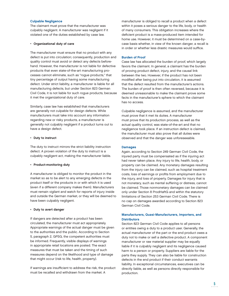### Culpable Negligence

The claimant must prove that the manufacturer was culpably negligent. A manufacturer was negligent if it violated one of the duties established by case law.

### • Organizational duty of care

The manufacturer must ensure that no product with any defect is put into circulation; consequently, production and quality control must avoid or detect any defects beforehand. However, the manufacturer is not liable for defective products that even state-of-the-art manufacturing processes cannot eliminate, such as "rogue products," that tiny percentage of output having some manufacturing defect. Under strict liability, a manufacturer is liable for all manufacturing defects, but under Section 823 German Civil Code, it is not liable for such rogue products, because it met the organizational duty of care.

Similarly, case law has established that manufacturers are generally not culpable for design defects. While manufacturers must take into account any information regarding new or risky products, a manufacturer is generally not culpably negligent if a product turns out to have a design defect.

#### • Duty to instruct

The duty to instruct mirrors the strict liability instruction defect. A proven violation of the duty to instruct is a culpably negligent act, making the manufacturer liable.

## • Product-monitoring duty

A manufacturer is obliged to monitor the product in the market so as to be alert to any emerging defects in the product itself or the products in or with which it is used (even if a different company makes them). Manufacturers must remain vigilant and watch for reports of injury inside and outside the German market, or they will be deemed to have been culpably negligent.

### • Duty to avert danger

If dangers are detected after a product has been circulated, the manufacturer must act appropriately. Appropriate warnings of the actual danger must be given to the authorities and the public. According to Section 5, paragraph 2, GPSG, the competent authorities must be informed. Frequently, visible displays of warnings in appropriate retail locations are posted. The exact measures that must be taken and the timing of such measures depend on the likelihood and type of damage that might occur (risk to life, health, property).

If warnings are insufficient to address the risk, the product must be recalled and withdrawn from the market. A

manufacturer is obliged to recall a product when a defect within it poses a serious danger to the life, body, or health of many consumers. This obligation increases where the deficient product is a mass-produced item intended for home use. However, it must be determined on a case-bycase basis whether, in view of the known danger, a recall is in order or whether less drastic measures would suffice.

#### Burden of Proof

Case law has allocated the burden of proof, which largely favors the claimant. In general, a claimant has the burden of proving product defect, injury, and the causal link between the two. However, if the product has not been modified after being put into circulation, it is assumed that the defect resulted from the manufacturer's actions. The burden of proof is then often reversed, because it is deemed unreasonable to make the claimant prove some facts in the manufacturer's sphere to which the claimant has no access.

Culpable negligence is assumed, and the manufacturer must prove that it met its duties. A manufacturer must prove that its production process, as well as the actual quality control, was state-of-the-art and that no negligence took place. If an instruction defect is claimed, the manufacturer must also prove that all duties were observed and that the danger was unforeseeable.

### **Damages**

Again, according to Section 249 German Civil Code, the injured party must be compensated as if the injuring act had never taken place. Any injury to life, health, body, or property can be claimed. Any monetary damages resulting from the injury can be claimed, such as hospital treatment costs, loss of earnings or profits from employment due to the injury, and loss of property. Damages for injury that is not monetary, such as mental suffering or distress, cannot be claimed. Those nonmonetary damages can be claimed only under Section 8 ProdHaftG and within the statutory limitations of Section 253 German Civil Code. There is no cap on damages awarded according to Section 823 German Civil Code.

# Manufacturers, Quasi-Manufacturers, Importers, and **Distributors**

Section 823 German Civil Code applies to all persons or entities owing a duty to a product user. Generally, the actual manufacturer of the part or the end product owes a duty not to make or sell a defective product. A component manufacturer or raw material supplier may be equally liable if it is culpably negligent and its negligence caused harm to a person or property. Suppliers are liable for the parts they supply. They can also be liable for construction defects in the end product if their conduct warrants liability. In exceptional circumstances, executives can be directly liable, as well as persons directly responsible for production.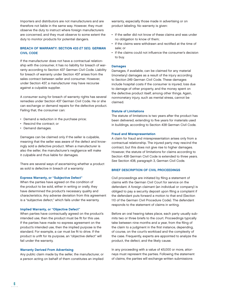Importers and distributors are not manufacturers and are therefore not liable in the same way. However, they must observe the duty to instruct where foreign manufacturers are concerned, and they must observe to some extent the duty to monitor products for potential dangers.

# BREACH OF WARRANTY: SECTION 433 ET SEQ. GERMAN CIVIL CODE

If the manufacturer does not have a contractual relationship with the consumer, it has no liability for breach of warranty according to Section 437 German Civil Code. Liability for breach of warranty under Section 437 arises from the sales contract between seller and consumer. However, under Section 437, a manufacturer may have recourse against a culpable supplier.

A consumer suing for breach of warranty rights has several remedies under Section 437 German Civil Code. He or she can exchange or demand repairs for the defective product. Failing that, the consumer can:

- Demand a reduction in the purchase price;
- Rescind the contract; or
- Demand damages.

Damages can be claimed only if the seller is culpable, meaning that the seller was aware of the defect and knowingly sold a defective product. When a manufacturer is also the seller, the manufacturer's negligence will make it culpable and thus liable for damages.

There are several ways of ascertaining whether a product as sold is defective in breach of a warranty:

### Express Warranty, or "Subjective Defect"

When the parties have agreed on the condition of the product to be sold, either in writing or orally, they have determined the product's necessary quality and characteristics. Any adverse deviation from this agreement is a "subjective defect," which fails under the warranty.

#### Implied Warranty, or "Objective Defect"

When parties have contractually agreed on the product's intended use, then the product must be fit for this use. If the parties have made no express agreement on the product's intended use, then the implied purpose is the standard. For example, a car must be fit to drive. If the product is unfit for its purpose, an "objective defect" will fail under the warranty.

### Warranty Derived From Advertising

Any public claim made by the seller, the manufacturer, or a person acting on behalf of them constitutes an implied

warranty, especially those made in advertising or on product labeling. No warranty is given:

- If the seller did not know of these claims and was under no obligation to know of them;
- If the claims were withdrawn and rectified at the time of sale; or
- If the claims could not influence the consumer's decision to buy.

#### Damages

Damages, if available, can be claimed for any material (monetary) damages as a result of the injury according to Section 249 German Civil Code. These damages include hospital costs if the consumer is injured, loss due to damage of other property, and the money spent on the defective product itself, among other things. Again, nonmonetary injury, such as mental stress, cannot be claimed.

#### Statute of Limitations

The statute of limitations is two years after the product has been delivered, extending to five years for materials used in buildings, according to Section 438 German Civil Code.

#### Fraud and Misrepresentation

A claim for fraud and misrepresentation arises only from a contractual relationship. The injured party may rescind the contract, but this does not give rise to higher damages. However, the statute of limitations for claims according to Section 438 German Civil Code is extended to three years. See Section 438, paragraph 3, German Civil Code.

### BRIEF DESCRIPTION OF CIVIL PROCEEDINGS

Civil proceedings are initiated by filing a statement of claims with the German Civil Court for service on the defendant. A foreign claimant (an individual or company) is obliged to pay a security deposit upon filing a complaint if the defendant puts forward a motion to that end (Section 110 of the German Civil Procedure Code). The defendant responds to the statement of claims in writing.

Before an oral hearing takes place, each party usually submits two or three briefs to the court. Proceedings typically take between nine months and a year, from the filing of the claim to a judgment in the first instance, depending, of course, on the court's workload and the complexity of the case. Frequently, experts are appointed to analyze the product, the defect, and the likely cause.

In any proceeding with a value of €5,000 or more, attorneys must represent the parties. Following the statement of claims, the parties will exchange written submissions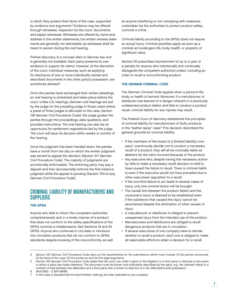in which they present their facts of the case, supported by evidence and arguments.<sup>4</sup> Evidence may be offered through witnesses, inspection by the court, documents, and expert witnesses. Witnesses are offered by name and address in the written statements, but written witness statements are generally not admissible, as witnesses shall be heard in person during the oral hearing.

Pretrial discovery is a concept alien to German law and is generally not available. Each party presents its own evidence to support its claims. However, at the discretion of the court, individual measures, such as applying for disclosure of one or more individually named and described documents in the other party's possession, are sometimes allowed.<sup>5</sup>

Once the parties have exchanged their written pleadings, an oral hearing is scheduled and takes place before the court. Unlike U.S. hearings, German oral hearings are led by the judge (or the presiding judge in those cases where a panel of three judges is allocated to the case, Section 136 German Civil Procedure Code); the judge guides the parties through the proceedings, asks questions, and provides instructions. The oral hearing can also be an opportunity for settlement negotiations led by the judge. The court will issue its decision within weeks or months of the hearing.

Once the judgment has been handed down, the parties have a month from the day on which the written judgment was served to appeal the decision (Section 517 German Civil Procedure Code). The majority of judgments are provisionally enforceable. The enforcing party may pay a deposit and then (provisionally) enforce the first-instance judgment while the appeal is pending (Section 704 et seq. German Civil Procedure Code).

# CRIMINAL LIABILITY OF MANUFACTURERS AND **SUPPLIERS**

# THE GPSG

Anyone who fails to inform the competent authorities comprehensively and in a timely manner of a product that does not conform to the safety specifications of the GPSG commits a misdemeanor. See Sections 19 and 20 GPSG. Anyone who continues to circulate or introduce into circulation products that do not conform to GPSG standards despite knowing of the nonconformity, as well as anyone interfering or not complying with measures undertaken by the authorities to protect product safety, commits a crime.

Criminal liability according to the GPSG does not require an actual injury. Criminal penalties apply as soon as a criminal act endangers life, body, health, or property of significant value.

Section 20 prescribes imprisonment of up to a year or a penalty for anyone who intentionally and continually disregards the competent authority's orders, including an order to recall a nonconforming product.

# THE GERMAN CRIMINAL CODE

The German Criminal Code applies when a person's life, body, or health is harmed. Moreover, if a manufacturer or distributor has learned of a danger inherent in a previously undetected product defect and fails to conduct a product recall, criminal liability for any injuries may result.

The Federal Court of Germany established the principles of criminal liability for manufacturers of faulty products in the "leather spray" case.6 This decision described the general grounds for criminal liability:

- If the members of the board of a (limited liability) company<sup>7</sup> unanimously decide not to conduct a necessary recall of a product, they will all be criminally liable as abettors for the harm incurred because of the product.
- Any executive who, despite having the necessary authority, fails to make a necessary recall decision is held to have caused the failure to recall. There is criminal liability even if the executive would not have prevailed due to other executives' opposition to a recall.
- If the one-time failure to act leads to several cases of injury, only one criminal action will be brought.
- The causal link between the product defect and the consumer's injury is deemed to be established even if the substance that caused the injury cannot be ascertained despite the elimination of other causes of injury.
- A manufacturer or distributor is obliged to prevent unexpected injury from the intended use of the product.
- Manufacturers and distributors are obliged to recall dangerous products that are in circulation.
- If several executives of one company have to decide whether to recall a product, each one is obliged to make all reasonable efforts to attain a decision for a recall.

<sup>4</sup> Section 130 German Civil Procedure Code sets out the requirements for the submissions, which must include: (i) the parties concerned; (ii) the facts of the case; (iii) the evidence; and (iv) the legal arguments.

<sup>5</sup> Section 142 German Civil Procedure Code states that the court can order a party to the litigation or a third party to disclose a document to which a party has made reference. The document must be known and sufficiently described by the party; e.g., the claimant refers to a contract of sale between the defendant and a third party that is known to exist but is in the defendant's sole possession.

<sup>6 06.07.1990 – 2</sup> StR 549/89.

In this case, a Gesellschaft mit beschränkter Haftung, but later extended to any company.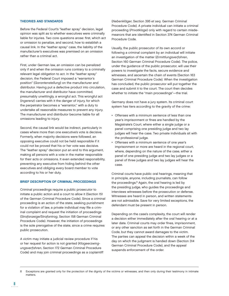### THEORIES AND STANDARDS

Before the Federal Court's "leather spray" decision, legal opinion was split as to whether executives were criminally liable for injuries. Two core questions arose: first, which act or omission to penalize, and second, how to establish a causal link. In the "leather spray" case, the liability of the manufacturer's executives was premised on an omission rather than a criminal act.

First, under German law, an omission can be penalized only if and when the omission runs contrary to a criminally relevant legal obligation to act. In the "leather spray" decision, the Federal Court imposed a "warrantor's position" (Garantenstellung) on the manufacturer and distributor. Having put a defective product into circulation, the manufacturer and distributor have committed, presumably unwittingly, a wrongful act. This wrongful act (Ingerenz) carries with it the danger of injury, for which the perpetrator becomes a "warrantor," with a duty to undertake all reasonable measures to prevent any injury. The manufacturer and distributor become liable for all omissions leading to injury.

Second, the causal link would be indirect, particularly in cases where more than one executive's vote is decisive. Formerly, when majority decisions were followed, an opposing executive could not be held responsible if it could not be proved that his or her vote was decisive. The "leather spray" decision put an end to this argument, making all persons with a vote in the matter responsible for their acts or omissions. It even extended responsibility, preventing any executive from hiding behind the other executives and obliging every board member to vote according to his or her duty.

### BRIEF DESCRIPTION OF CRIMINAL PROCEEDINGS

Criminal proceedings require a public prosecutor to initiate a public action and a court to allow it (Section 151 of the German Criminal Procedure Code). Since a criminal proceeding is an action of the state, seeking punishment for a violation of law, a private individual may file a criminal complaint and request the initiation of proceedings (Strafanzeige/Strafantrag, Section 158 German Criminal Procedure Code). However, the initiation of proceedings is the sole prerogative of the state, since a crime requires public prosecution.

A victim may initiate a judicial review procedure if his or her request for action is not granted (Klageerzwingungs verfahren, Section 172 German Criminal Procedure Code) and may join criminal proceedings as a coplaintiff (Nebenkläger, Section 395 et seq. German Criminal Procedure Code). A private individual can initiate a criminal proceeding (Privatklage) only with regard to certain misdemeanors that are identified in Section 374 German Criminal Procedure Code.

Usually, the public prosecutor of its own accord or following a criminal complaint by an individual will initiate an investigation of the matter (Ermittlungsverfahren, Section 160 German Criminal Procedure Code). The police, under the guidance of the public prosecutor, will use their powers to investigate the facts, secure evidence and witnesses, and ascertain the chain of events (Section 163 German Criminal Procedure Code). When the investigation has concluded, the public prosecutor will put together the case and submit it to the court. The court then decides whether to initiate the "main proceedings"—the trial.

Germany does not have a jury system. Its criminal court system has tiers according to the gravity of the crime:

- Offenses with a minimum sentence of less than one year's imprisonment or fines are handled by the Magistrate's Court, where either a single judge or a panel comprising one presiding judge and two lay judges will hear the case. Two private individuals sit with the professional judge.
- Offenses with a minimum sentence of one year's imprisonment or more are heard in the regional court, where, depending on the nature of the case, either a panel of one presiding judge and two lay judges or a panel of three judges and two lay judges will hear the case.

Criminal courts have public oral hearings, meaning that in principle, anyone, including journalists, can follow the proceedings.<sup>8</sup> Again, the oral hearing is led by the presiding judge, who guides the proceedings and interviews witnesses before the prosecution or defense. Witnesses are heard in person, and written statements are not admissible. Save for very limited exceptions, the defendant must be present in person.

Depending on the case's complexity, the court will render a decision either immediately after the oral hearing or at a later date. Criminal courts may order fines, imprisonment, or any other sanction as set forth in the German Criminal Code, but they cannot award damages to the victim. The parties can appeal the decision within a week of the day on which the judgment is handed down (Section 314 German Criminal Procedure Code), and the appeal suspends enforcement of the order.

Exceptions are granted only for the protection of the dignity of the victims or witnesses, and then only during their testimony in intimate matters.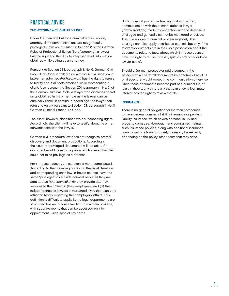# PRACTICAL ADVICE

# THE ATTORNEY-CLIENT PRIVILEGE

Under German law, but for a criminal law exception, attorney-client communications are not generally privileged. However, pursuant to Section 2 of the German Rules of Professional Ethics (Berufsordnung), a lawyer has the right and the duty to keep secret all information obtained while acting as an attorney.

Pursuant to Section 383, paragraph 1, No. 6, German Civil Procedure Code, if called as a witness in civil litigation, a lawyer (an admitted Rechtsanwalt) has the right to refuse to testify about all facts obtained while representing a client. Also, pursuant to Section 201, paragraph 1, No. 3, of the German Criminal Code, a lawyer who discloses secret facts obtained in his or her role as the lawyer can be criminally liable. In criminal proceedings, the lawyer can refuse to testify pursuant to Section 53, paragraph 1, No. 3, German Criminal Procedure Code.

The client, however, does not have corresponding rights. Accordingly, the client will have to testify about his or her conversations with the lawyer.

German civil procedure law does not recognize pretrial discovery and document productions. Accordingly, the issue of "privileged documents" will not arise. If a document would have to be produced, however, the client could not raise privilege as a defense.

For in-house counsel, the situation is more complicated. According to the prevailing opinion in the legal literature and corresponding case law, in-house counsel have the same "privileges" as outside counsel only if: (i) they are admitted as Rechtsanwälte; (ii) they provide attorney services to their "clients" (their employers); and (iii) their independence as lawyers is warranted. Only then can they refuse to testify regarding their employers' affairs. This definition is difficult to apply. Some legal departments are structured like an in-house law firm to maintain privilege, with separate rooms that can be accessed only by appointment, using special key cards.

Under criminal procedure law, any oral and written communication with the criminal defense lawyer (Strafverteidiger) made in connection with the defense is privileged and generally cannot be monitored or seized. This rule applies to criminal proceedings only. This privilege can also apply to in-house counsel, but only if the relevant documents are in their sole possession and if the documents relate to facts about which in-house counsel have the right to refuse to testify (just as any other outside lawyer could).

Should a German prosecutor raid a company, the prosecutor will seize all documents irrespective of any U.S. privileges that would protect the communication otherwise. Once these documents become part of a criminal file, at least in theory, any third party that can show a legitimate interest has the right to review the file.

# **INSURANCE**

There is no general obligation for German companies to have general company liability insurance or product liability insurance, which covers personal injury and property damages. However, many companies maintain such insurance policies, along with additional insurance plans covering claims for purely monetary losses and, depending on the policy, other costs that may arise.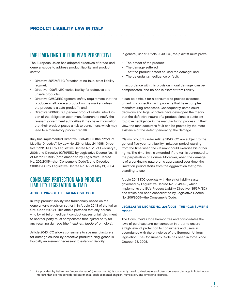# PRODUCT LIABILITY LAW IN ITALY

# IMPLEMENTING THE EUROPEAN PERSPECTIVE

The European Union has adopted directives of broad and general scope to address product liability and product safety:

- Directive 85/374/EEC (creation of no-fault, strict liability regime);
- Directive 1999/34/EC (strict liability for defective and unsafe products);
- Directive 92/59/EEC (general safety requirement that "no producer shall place a product on the market unless the product is a safe product"); and
- Directive 2001/95/EC (general product safety; introduction of the obligation upon manufacturers to notify the relevant government authorities if they have information that their product poses a risk to consumers, which may lead to a mandatory product recall).

Italy has implemented Directive 85/374/EEC (the "Product Liability Directive") by Law No. 224 of May 24, 1988; Directive 1999/34/EC by Legislative Decree No. 25 of February 2, 2001; and Directive 92/59/EEC by Legislative Decree No. 111 of March 17, 1995 (both amended by Legislative Decree No. 206/2005—the "Consumer's Code"); and Directive 2001/95/EC by Legislative Decree No. 172 of May 21, 2004.

# CONSUMER PROTECTION AND PRODUCT LIABILITY LEGISLATION IN ITALY

# ARTICLE 2043 OF THE ITALIAN CIVIL CODE

In Italy, product liability was traditionally based on the general torts provision set forth in Article 2043 of the Italian Civil Code ("ICC"). This article provides that any person who by willful or negligent conduct causes unfair detriment to another party must compensate that injured party for any resulting damage (the "neminem laedere" principle).

Article 2043 ICC allows consumers to sue manufacturers for damage caused by defective products. Negligence is typically an element necessary to establish liability.

In general, under Article 2043 ICC, the plaintiff must prove:

- The defect of the product;
- The damage suffered;

- That the product defect caused the damage; and
- The defendant's negligence or fault.

In accordance with this provision, moral damage<sup>1</sup> can be compensated, and no one is exempt from liability.

It can be difficult for a consumer to provide evidence of fault in connection with products that have complex manufacturing processes. Consequently, some court decisions and legal scholars have developed the theory that the defective nature of a product alone is sufficient to prove negligence in the manufacturing process. In their view, the manufacturer's fault can be proved by the mere existence of the defect generating the damage.

Claims brought under Article 2043 ICC are subject to the general five-year tort liability limitation period, starting from the time when the claimant could exercise his or her rights. The time limit is extended if the tort is connected to the perpetration of a crime. Moreover, when the damage is of a continuing nature or is aggravated over time, the limitation period starts from the aggravation that gave standing to sue.

Article 2043 ICC coexists with the strict liability system governed by Legislative Decree No. 224/1998, which implements the EU's Product Liability Directive (85/374/EC) and which has been consolidated by Legislative Decree No. 206/2005—the Consumer's Code.

# LEGISLATIVE DECREE NO. 206/2005—THE "CONSUMER'S CODE"

The Consumer's Code harmonizes and consolidates the laws of purchase and consumption in order to ensure a high level of protection to consumers and users in accordance with the principles of the European Union's legislation. The Consumer's Code has been in force since October 23, 2005.

As provided by Italian law, "moral damage" (danno morale) is commonly used to designate and describe every damage inflicted upon interests that are not considered patrimonial, such as mental anguish, humiliation, and emotional distress.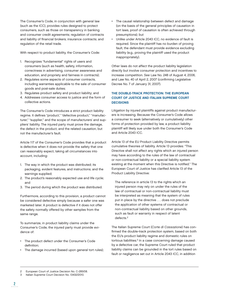The Consumer's Code, in conjunction with general law (such as the ICC), provides rules designed to protect consumers, such as those on transparency in banking and consumer credit agreements; regulation of contracts and liability of financial brokers; insurance contracts; and regulation of the retail trade.

With respect to product liability, the Consumer's Code:

- 1. Recognizes "fundamental" rights of users and consumers (such as health, safety, information, correctness in advertising, consumer awareness and education, and propriety and fairness in contracts);
- 2. Regulates some aspects of consumer contracts, including warranties applicable to the sale of consumer goods and post-sale duties;
- 3. Regulates product safety and product liability; and
- 4. Addresses consumer access to justice and the form of collective actions.

The Consumer's Code introduces a strict product liability regime. It defines "product," "defective product," "manufacturer," "supplier," and the scope of manufacturers' and suppliers' liability. The injured party must prove the damage, the defect in the product, and the related causation, but not the manufacturer's fault.

Article 117 of the Consumer's Code provides that a product is defective when it does not provide the safety that one can reasonably expect, taking all circumstances into account, including:

- 1. The way in which the product was distributed; its packaging, evident features, and instructions; and the warnings supplied;
- 2. The product's reasonably expected use and life cycle; and
- 3. The period during which the product was distributed.

Furthermore, according to this provision, a product cannot be considered defective simply because a safer one was marketed later. A product is defective if it does not offer the safety normally offered by other samples from the same range.

To summarize, in product liability claims under the Consumer's Code, the injured party must provide evidence of:

- The product defect under the Consumer's Code definition:
- The damage incurred (based upon general tort rules);
- The causal relationship between defect and damage (on the basis of the general principles of causation in tort laws, proof of causation is often achieved through presumptions); but
- Unlike under Article 2043 ICC, no evidence of fault is required. Since the plaintiff has no burden of proving fault, the defendant must provide evidence excluding liability (e.g., proving the plaintiff used the product inappropriately).

Other laws do not affect the product liability legislation directly but involve consumer protection and incentives to increase competition. See Law No. 248 of August 4, 2006, and Law No. 40 of April 2, 2007 (confirming Legislative Decree No. 7 of January 31, 2007).

# THE DOUBLE-TRACK PROTECTION: THE EUROPEAN COURT OF JUSTICE AND ITALIAN SUPREME COURT **DECISIONS**

Litigation by injured plaintiffs against product manufacturers is increasing. Because the Consumer's Code allows a consumer to seek (alternatively or cumulatively) other forms of protection provided by law, a product liability plaintiff will likely sue under both the Consumer's Code and Article 2043 ICC.

Article 13 of the EU Product Liability Directive permits cumulative theories of liability. Article 13 provides: "This Directive shall not affect any rights which an injured person may have according to the rules of the law of contractual or non-contractual liability or a special liability system existing at the moment when this Directive is notified." The European Court of Justice has clarified Article 13 of the Product Liability Directive:

The reference in article 13 to the rights which an injured person may rely on under the rules of the law of contractual or non-contractual liability must be interpreted as meaning that the system of rules put in place by the directive . . . does not preclude the application of other systems of contractual or non-contractual liability based on other grounds, such as fault or warranty in respect of latent defects.<sup>2</sup>

The Italian Supreme Court (Corte di Cassazione) has confirmed the double-track protection system, based on both the EU's product liability regime and domestic rules on tortious liabilities.<sup>3</sup> In a case concerning damage caused by a defective car, the Supreme Court ruled that product liability claims can be grounded in the tort rules based on fault or negligence set out in Article 2043 ICC, in addition

<sup>2</sup> European Court of Justice Decision No. C-285/08.

<sup>3</sup> Italian Supreme Court Decision No. 13432/2010.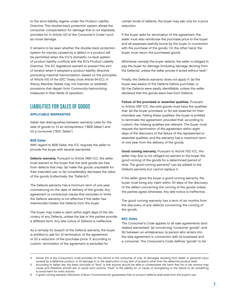to the strict-liability regime under the Product Liability Directive. This double-track protection system allows the consumer compensation for damage that is not expressly provided for in Article 123 of the Consumer's Code,<sup>4</sup> such as moral damage.

It remains to be seen whether the double-track protection system for injuries caused by a defect in a product will be permitted when the ICC's domestic no-fault system of product liability conflicts with the EU's Product Liability Directive. The EC legislature wanted to prevent this sort of tension when it adopted a product liability directive promoting maximal harmonization, based on the principles of Article 100 of the EEC Treaty (now Article 94 EC). In theory, Member States may not maintain or establish provisions that depart from Community-harmonizing measures in their fields of operation.

# LIABILITIES FOR SALES OF GOODS

### APPLICABLE WARRANTIES

Italian law distinguishes between warranty rules for the sale of goods to: (i) an entrepreneur ("B2B Sales") and (ii) a consumer ("B2C Sales").

### B2B Sales

With regard to B2B Sales, the ICC requires the seller to provide the buyer with several warranties.

Defects warranty. Pursuant to Article 1490 ICC, the seller must warrant to the buyer that the sold goods are free from defects that may: (a) make the goods unsuitable for their intended use; or (b) considerably decrease the value of the goods (collectively, the "Defects").

The Defects warranty has a minimum term of one year, commencing on the date of delivery of the goods. Any agreement or contractual clause that excludes or limits the Defects warranty is not effective if the seller has intentionally hidden the Defects from the buyer.

The buyer may make a claim within eight days of the discovery of any Defects, unless the law or the parties provide a different term. Any late notice of Defects is ineffective.

As a remedy for breach of the Defects warranty, the buyer is entitled to ask for: (i) termination of the agreement; or (ii) a reduction of the purchase price. If, according to custom, termination of the agreement is excluded for

certain kinds of defects, the buyer may ask only for a price reduction.

If the buyer asks for termination of the agreement, the seller must also reimburse the purchase price to the buyer and all expenses lawfully borne by the buyer in connection with the purchase of the goods. On the other hand, the buyer must return the purchased goods.

Whichever remedy the buyer selects, the seller is obliged to pay the buyer for damage (including damage deriving from the Defects), unless the seller proves it acted without fault.<sup>5</sup>

Finally, the Defects warranty does not apply if: (a) the buyer was aware of the Defects before purchase; or (b) the Defects were easily identifiable, unless the seller declared that the goods were free from Defects.

Failure of the promised or essential qualities. Pursuant to Article 1497 ICC, the sold goods must have the qualities that: (a) the buyer promised; or (b) are essential for their intended use. Failing these qualities, the buyer is entitled to terminate the agreement, provided that, according to custom, the missing qualities are relevant. The buyer must request the termination of the agreement within eight days of the discovery of the failure of the represented or essential qualities, and the warranty has a maximum term of one year from the delivery of the goods.

Good running warranty. Pursuant to Article 1512 ICC, the seller may (but is not obliged to) warrant to the buyer the good running of the goods for a determined period of time. The good running warranty $6$  can be added to the Defects warranty but cannot replace it.

If the seller gives the buyer a good running warranty, the buyer must bring any claim within 30 days of the discovery of the defect concerning the running of the goods unless the parties agree otherwise. Any late notice is ineffective.

The good running warranty has a term of six months from the discovery of any defects concerning the running of the goods.

### B2C Sales

The Consumer's Code applies to all sale agreements (and related warranties): (a) concerning "consumer goods"; and (b) between an entrepreneur (a person who enters into the sale agreement in connection with its business) and a consumer. The Consumer's Code defines "goods" to be

<sup>4</sup> Article 123 of the Consumer's Code provides for the refund to the consumer of only: (i) damages resulting from death or personal injury caused by a defective product; or (ii) damage to or the destruction of any item of property other than the defective product itself.

<sup>5</sup> According to Italian law, the basic principle of "fault" is that anyone should be able to contemplate the harm that his or her actions may cause and therefore should aim to avoid such actions. "Fault" is the liability for or cause of wrongdoing or the failure to do something to avoid harm for one's actions.

<sup>6</sup> A good running warranty (Garanzia di Buon Funzionamento) guarantees that no product defects shall arise from the buyer's use.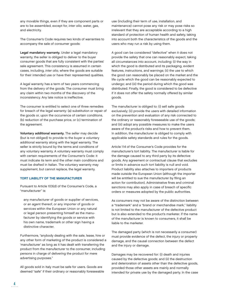any movable things, even if they are component parts or are to be assembled, except for, inter alia, water, gas, and electricity.

The Consumer's Code requires two kinds of warranties to accompany the sale of consumer goods:

Legal mandatory warranty. Under a legal mandatory warranty, the seller is obliged to deliver to the buyer consumer goods that are fully consistent with the parties' sale agreement. This consistency is assumed in certain cases, including, inter alia, where the goods are suitable for their intended use or have their represented qualities.

A legal warranty has a term of two years commencing from the delivery of the goods. The consumer must bring any claim within two months of the discovery of the inconsistency. Any late notice is ineffective.

The consumer is entitled to select one of three remedies for breach of the legal warranty: (a) substitution or repair of the goods or, upon the occurrence of certain conditions, (b) reduction of the purchase price, or (c) termination of the agreement.

Voluntary additional warranty. The seller may decide (but is not obliged) to provide to the buyer a voluntary additional warranty along with the legal warranty. The seller is strictly bound by the terms and conditions of any voluntary warranty. A voluntary warranty must comply with certain requirements of the Consumer's Code: it must indicate its term and the other main conditions and must be drafted in Italian. The voluntary warranty may supplement, but cannot replace, the legal warranty.

### TORT LIABILITY OF THE MANUFACTURER

Pursuant to Article 103(d) of the Consumer's Code, a "manufacturer" is:

any manufacturer of goods or supplier of services, or an agent thereof, or any importer of goods or services within the European Union or any natural or legal person presenting himself as the manufacturer by identifying the goods or service with his own name, trademark or other sign having a distinctive character.

Furthermore, "anybody dealing with the sale, lease, hire or any other form of marketing of the product is considered a 'manufacturer' as long as it has dealt with transferring the product from the manufacturer to the consumer, including persons in charge of delivering the product for mere advertising purposes."

All goods sold in Italy must be safe for users. Goods are deemed "safe" if their ordinary or reasonably foreseeable use (including their term of use, installation, and maintenance) cannot pose any risk or may pose risks so irrelevant that they are acceptable according to a high standard of protection of human health and safety, taking into account both the characteristics of the goods and the users who may run a risk by using them.

A good can be considered "defective" when it does not provide the safety that one can reasonably expect, taking all circumstances into account, including: (i) the way in which the good is distributed and its packaging, evident features, instructions, and warnings; (ii) the use to which the good can reasonably be placed on the market and the life cycle which the good can be reasonably expected to undergo; and (iii) the period during which the good was distributed. Finally, the good is considered to be defective if it does not offer the safety normally offered by similar goods.

The manufacturer is obliged to: (i) sell safe goods exclusively; (ii) provide the users with detailed information on the prevention and evaluation of any risk connected to the ordinary or reasonably foreseeable use of the goods; and (iii) adopt any possible measures to make the users aware of the product's risks and how to prevent them. In addition, the manufacturer is obliged to comply with applicable safety standards and rules for the goods.

Article 114 of the Consumer's Code provides for the manufacturer's tort liability. The manufacturer is liable for the damage caused to any third party by its defective goods. Any agreement or contractual clause that excludes or limits in advance such tort liability is null and void. Product liability also attaches to importers of products made outside the European Union (although the importer will be entitled to sue the manufacturer by filing an action for contribution). Administrative fines and criminal sanctions may also apply in case of breach of specific orders or measures adopted by the public authorities.

As consumers may not be aware of the distinction between a "trademark" and a "brand or merchandise mark," liability is not limited to the manufacturer of the defective product but is also extended to the product's marketer. If the name of the manufacturer is known to consumers, it shall be liable to the marketer.

The damaged party (which is not necessarily a consumer) must provide evidence of the defect, the injury or property damage, and the causal connection between the defect and the injury or damage.

Damages may be recovered for: (i) death and injuries caused by the defective goods; and (ii) the destruction and deterioration of assets other than the defective goods, provided those other assets are mainly and normally intended for private use by the damaged party. In the case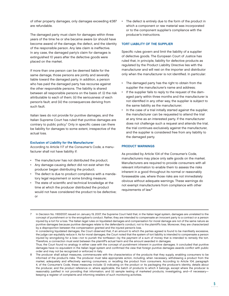of other property damages, only damages exceeding €387 are refundable.

The damaged party must claim for damages within three years of the time he or she became aware (or should have become aware) of the damage, the defect, and the identity of the responsible person. Any late claim is ineffective. In any case, the damaged party's claim for damages is extinguished 10 years after the defective goods were placed on the market.

If more than one person can be deemed liable for the same damage, those persons are jointly and severally liable toward the damaged party. In addition, a person who has paid the damaged party has recourse against the other responsible persons. The liability is shared between all responsible persons on the basis of: (i) the risk attributable to each of them; (ii) the seriousness of each person's fault; and (iii) the consequences deriving from such fault.

Italian laws do not provide for punitive damages, and the Italian Supreme Court has ruled that punitive damages are contrary to public policy.<sup>7</sup> Only in specific cases can there be liability for damages to some extent, irrespective of the actual loss.

### Exclusion of Liability for the Manufacturer

According to Article 117 of the Consumer's Code, a manufacturer shall not have liability if:

- The manufacturer has not distributed the product;
- Any damage-causing defect did not exist when the producer began distributing the product;
- The defect is due to product compliance with a mandatory legal requirement or some binding measure;
- The state of scientific and technical knowledge at the time at which the producer distributed the product would not have considered the product to be defective; or

The defect is entirely due to the form of the product in which a component or raw material was incorporated or to the component supplier's compliance with the producer's instructions.

# TORT LIABILITY OF THE SUPPLIER

Specific rules govern and limit the liability of a supplier of defective goods. The European Court of Justice has ruled that, in principle, liability for defective products as regulated by the Product Liability Directive lies with the manufacturer and will rest on the importer and distributor only when the manufacturer is not identified. In particular:

- The damaged party has the right to obtain from the supplier the manufacturer's name and address;
- If the supplier fails to reply to the request of the damaged party within three months and the manufacturer is not identified in any other way, the supplier is subject to the same liability as the manufacturer;
- In the case of a trial initially started against the supplier, the manufacturer can be requested to attend the trial at any time as an interested party. If the manufacturer does not challenge such a request and attends the trial, the trial continues exclusively against the manufacturer, and the supplier is considered free from any liability to the damaged party.

# PRODUCT WARNINGS

As provided by Article 104 of the Consumer's Code, manufacturers may place only safe goods on the market. Manufacturers are required to provide consumers with all relevant information to enable them to assess the risks inherent in a good throughout its normal or reasonably foreseeable use, where those risks are not immediately obvious without adequate warnings. These warnings do not exempt manufacturers from compliance with other requirements of law.8

<sup>7</sup> In Decision No. 1183/2007, issued on January 19, 2007, the Supreme Court held that, in the Italian legal system, damages are unrelated to the concept of punishment or to the wrongdoer's conduct. Rather, they are intended to compensate an innocent party to a contract or a person injured by a tort for a loss. The Italian legal rules on liquidated damages and compensation for moral damage are not of the same nature as punitive damages because punitive damages relate to the defendant's conduct, not to the plaintiff's loss. Moreover, they are characterized by a disproportion between the compensation granted and the injured person's loss.

In considering liquidated damages, the Court observed that, if an amount to which the parties agreed is found to be manifestly excessive, the judge can equitably reduce it. As for moral damages, the Court noted that the system of tort liability is intended to compensate a person injured by wrongdoing for a loss—not to punish the tortfeasor—by the payment of a sum of money that is intended to remedy the tort. Therefore, a connection must exist between the plaintiff's actual harm and the amount awarded in damages.

Thus, the Court found no analogy in either case with the concept of punishment inherent in punitive damages. It concluded that punitive damages have no equivalent in the Italian legal system and confirmed the view that foreign punitive damages awards conflict with public order and may not be recognized or enforced in Italy.

The producer shall adopt measures, commensurate with the characteristics of the products that they supply, enabling consumers to be informed of the product's risks. The producer must take appropriate action, including, when necessary, withdrawing a product from the market, adequately and effectively warning consumers, or recalling the product from consumers. According to Article 104, paragraph 4, of the Consumer's Code, these measures include: (i) indicating on the product or its packaging the producer's identity, details about the producer, and the product reference or, where applicable, the batch of products to which it belongs, except where the producer is reasonably justified in not providing that information; and (ii) sample testing of marketed products, investigating, and—if necessary keeping a register of complaints and informing retailers of such monitoring activities.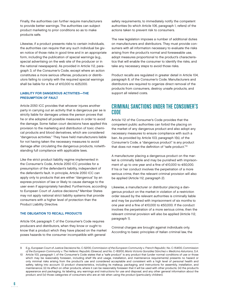Finally, the authorities can further require manufacturers to provide better warnings. The authorities can subject product marketing to prior conditions so as to make products safe.

Likewise, if a product presents risks to certain individuals, the authorities can require that any such individual be given notice of those risks in good time and in an appropriate form, including the publication of special warnings (e.g., special advertising on the web site of the producer or in the national newspapers). As provided in Article 112, paragraph 3, of the Consumer's Code, except where an action constitutes a more serious offense, producers or distributors failing to comply with the required special warnings shall be liable for a fine of  $€10,000$  to  $€25,000$ .

# LIABILITY FOR DANGEROUS ACTIVITIES—THE PRESUMPTION OF FAULT

Article 2050 ICC provides that whoever injures another party in carrying out an activity that is dangerous per se is strictly liable for damages unless the person proves that he or she adopted all possible measures in order to avoid the damage. Some Italian court decisions have applied this provision to the marketing and distribution of toxic chemical products and blood derivatives, which are considered "dangerous activities." They have held manufacturers liable for not having taken the necessary measures to avoid damage after circulating the dangerous products, notwithstanding full compliance with applicable laws.

Like the strict product liability regime implemented in the Consumer's Code, Article 2050 ICC provides for a presumption of the defendant's liability, independent of the defendant's fault. In principle, Article 2050 ICC can apply only to products that are either "dangerous" by an express provision of law or likely to cause damage to the user even if appropriately handled. Furthermore, according to European Court of Justice decisions,<sup>9</sup> Member States may not apply national strict liability systems that provide consumers with a higher level of protection than the Product Liability Directive.

# THE OBLIGATION TO RECALL PRODUCTS

Article 104, paragraph 7, of the Consumer's Code requires producers and distributors, when they know or ought to know that a product which they have placed on the market poses hazards to the consumer incompatible with general

safety requirements, to immediately notify the competent authorities (to which Article 106, paragraph 1, refers) of the actions taken to prevent risk to consumers.

The new legislation imposes a number of additional duties on manufacturers and distributors. They must provide consumers with all information necessary to evaluate the risks arising from the product's normal and foreseeable use, adopt measures proportional to the product's characteristics that will enable the consumer to identify the risks, and take any necessary steps to avoid those risks.

Product recalls are regulated in greater detail in Article 104, paragraph 8, of the Consumer's Code. Manufacturers and distributors are required to organize direct removal of the products from consumers, destroy unsafe products, and support all related costs.

# CRIMINAL SANCTIONS UNDER THE CONSUMER'S CODE

Article 112 of the Consumer's Code provides that the competent public authorities can forbid the placing on the market of any dangerous product and also adopt any necessary measures to ensure compliance with such a ban. As provided by Article 103, paragraph 1(b), of the Consumer's Code, a "dangerous product" is any product that does not meet the definition of "safe product."<sup>10</sup>

A manufacturer placing a dangerous product on the market is criminally liable and may be punished with imprisonment of up to one year and a fine of  $€10,000$  to  $€50,000$ . If his or her conduct involves the perpetration of a more serious crime, then the relevant criminal provision will also be applied (Article 112, paragraph 2).

Likewise, a manufacturer or distributor placing a dangerous product on the market in violation of a restriction order issued by the relevant authorities is criminally liable and may be punished with imprisonment of six months to one year and a fine of  $€10,000$  to  $€50,000$ . If the conduct involves the perpetration of a more serious crime, then the relevant criminal provision will also be applied (Article 112, paragraph 1).

Criminal charges are brought against individuals only. According to basic principles of Italian criminal law, the

<sup>9</sup> E.g., European Court of Justice Decisions No. C-52/00, Commission of the European Community v. French Republic; No. C-154/00, Commission of the European Community v. The Hellenic Republic (Greece); and No. C-183/00, María Victoria González Sánchez v. Medicina Asturiana, S.A.

Article 103, paragraph 1, of the Consumer's Code states that a "safe product" is any product that (under normal conditions of use or those which may be reasonably foreseen, including shelf life and usage, installation, and maintenance requirements) presents no hazard or only minimal risks arising from the product's use and considered acceptable and consistent with a high level of personal health and safety, taking into account: (i) product characteristics, including its makeup, packaging, and instructions for assembly, installation, and maintenance; (ii) its effect on other products, where it can be reasonably foreseen that it will be used with other products; (iii) the product's appearance and packaging, its labeling, any warnings and instructions for use and disposal, and any other general information about the product; and (iv) those categories of consumers who are at risk when using the product (particularly children).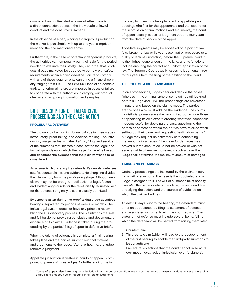competent authorities shall analyze whether there is a direct connection between the individual's unlawful conduct and the consumer's damage.

In the absence of a ban, placing a dangerous product on the market is punishable with up to one year's imprisonment and the fine mentioned above.

Furthermore, in the case of potentially dangerous products, the authorities can temporarily ban their sale for the period needed to evaluate their safety. They can order that products already marketed be adapted to comply with safety requirements within a given deadline. Failure to comply with any of these requirements can bring a financial penalty ranging from €10,000 to €25,000. Fines of an administrative, noncriminal nature are imposed in cases of failure to cooperate with the authorities in carrying out product checks and acquiring information and samples.

# BRIEF DESCRIPTION OF ITALIAN CIVIL PROCEEDINGS AND THE CLASS ACTION

### PROCEDURAL OVERVIEW

The ordinary civil action in tribunal unfolds in three stages: introductory, proof-taking, and decision-making. The introductory stage begins with the drafting, filing, and service of the summons that initiates a case; states the legal and factual grounds upon which the prayer for relief is based; and describes the evidence that the plaintiff wishes to be considered.

An answer is filed, stating the defendant's denials, defenses, setoffs, counterclaims, and evidence. No sharp line divides the introductory from the proof-taking stage. Although new claims may not be brought, modification of legal, factual, and evidentiary grounds for the relief initially requested and for the defenses originally raised is usually permitted.

Evidence is taken during the proof-taking stage at various hearings, separated by periods of weeks or months. The Italian legal system does not have any principle resembling the U.S. discovery process. The plaintiff has the sole and full burden of providing conclusive and documentary evidence of its claims. Evidence is taken during the proceeding by the parties' filing of specific defensive briefs.

When the taking of evidence is complete, a final hearing takes place and the parties submit their final motions and arguments to the judge. After that hearing, the judge renders a judgment.

Appellate jurisdiction is vested in courts of appeal<sup>11</sup> composed of panels of three judges. Notwithstanding the fact that only two hearings take place in the appellate proceedings (the first for the appearance and the second for the submission of final motions and arguments), the court of appeal usually issues its judgment three to four years from the date of service of the appeal.

Appellate judgments may be appealed on a point of law (e.g., breach of law or flawed reasoning) or procedure (e.g., nullity or lack of jurisdiction) before the Supreme Court. It is the highest general court in the land, and its functions include ensuring the correct and uniform application of the law. The Supreme Court usually issues its judgments three to four years from the filing of the petition to the Court.

# THE ROLE OF JUDGES AND JURIES

In civil proceedings, judges hear and decide the cases (whereas in the criminal sphere, some crimes will be tried before a judge and jury). The proceedings are adversarial in nature and based on the claims made. The parties are the ones who must adduce the evidence. The court's inquisitorial powers are extremely limited but include those of appointing its own expert, ordering whatever inspections it deems useful for deciding the case, questioning the parties or persons to whom the parties have referred when setting out their case, and requesting "estimatory oaths." A judge may request an estimatory oath concerning the amount of damages if the claim for damages was proved but the amount could not be proved or was not ascertainable otherwise. However, in such a case, the judge shall determine the maximum amount of damages.

# TIMING AND PLEADINGS

Ordinary proceedings are instituted by the claimant serving a writ of summons. The case is then docketed and a judge is assigned to it. The writ of summons must specify, inter alia, the parties' details, the claim, the facts and law underlying the action, and the sources of evidence on which the claimant will rely.

At least 20 days prior to the hearing, the defendant must enter an appearance by filing its statement of defense and associated documents with the court registrar. The statement of defense must include several items, failing which the defendant will be barred from raising them later:

- 1. Counterclaim;
- 2. Third-party claim (which will lead to the postponement of the first hearing to enable the third-party summons to be served); and
- 3. Procedural objections that the court cannot raise at its own motion (e.g., lack of jurisdiction over foreigners).

<sup>11</sup> Courts of appeal also have original jurisdiction in a number of specific matters, such as antitrust lawsuits, actions to set aside arbitral awards, and proceedings for recognition of foreign judgments.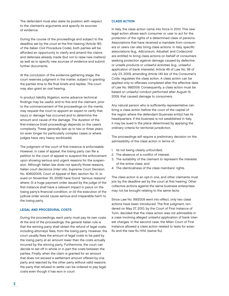The defendant must also state its position with respect to the claimant's arguments and specify its sources of evidence.

During the course of the proceedings and subject to the deadline set by the court at the first hearing (Article 183 of the Italian Civil Procedure Code), both parties will be afforded an opportunity to clarify and amend the claims and defenses already made (but not to raise new matters) as well as to specify new sources of evidence and submit further documents.

At the conclusion of the evidence-gathering stage, the court reserves judgment in the matter, subject to granting the parties time to file final briefs and replies. The court may also grant an oral hearing.

In product liability litigation, some advance technical findings may be useful, and to this end the claimant, prior to the commencement of the proceedings on the merits, may request the court to appoint an expert to verify that injury or damage has occurred and to determine the amount and cause of the damage. The duration of the first-instance (trial) proceedings depends on the case's complexity. These generally last up to two or three years (or even longer for particularly complex cases or where judges have very heavy workloads).

The judgment of the court of first instance is enforceable. However, in case of appeal, the losing party can file a petition to the court of appeal to suspend the enforcement upon showing serious and urgent reasons for the suspension. Although Italian law does not specify those reasons, Italian court decisions (inter alia, Supreme Court Decision No. 4060/2005, Court of Appeal of Bari, section No. III, issued on November 30, 2006) have found "serious reasons" where: (i) a huge payment order issued by the judge of the first instance shall have a relevant impact in peius on the losing party's financial condition; or (ii) the execution of the judicial order would cause serious and irreparable harm to the losing party.

### LEGAL AND PROCEDURAL COSTS

During the proceedings, each party must pay its own costs. At the end of the proceedings, the general Italian rule is that the winning party shall obtain the refund of legal costs, including attorneys' fees, from the losing party. However, the court usually fixes the amount of legal costs to be paid by the losing party at an amount lower than the costs actually incurred by the winning party. Furthermore, the court can decide to set off in whole or in part the costs between the parties. Finally, when the claim is granted for an amount that does not exceed a settlement amount offered by one party and rejected by the other party without valid reasons, the party that refused to settle can be ordered to pay legal costs even though it has won in court.

## CLASS ACTION

In Italy, the class action came into force in 2010. This new legal action allows each consumer or user to act for the protection of the rights of a determined class of persons. Associations that have received a mandate from consumers or users can also bring class actions. In Italy, specific associations (e.g., Adiconsum, Adusbef, and Codacons) are entitled to bring class actions on behalf of consumers seeking protection against damage caused by defective or unsafe products or unlawful activities (e.g., unlawful application of bank interests). Article 49 of Law No. 99 of July 23, 2009, amending Article 140 bis of the Consumer's Code, regulates the class action. A class action can be applied only to offenses completed after the effective date of Law No. 99/2009. Consequently, a class action must be based on unlawful conduct performed after August 15, 2009, that caused damage to consumers.

Any natural person who is sufficiently representative can bring a class action before the court of the capital of the region where the defendant (business entity) has its headquarters. If the business is not established in Italy, it may be sued in the place determined by applying the ordinary criteria for territorial jurisdiction.

The proceedings will require a preliminary decision on the admissibility of the class action in terms of:

- 1. Its not being clearly unfounded;
- 2. The absence of a conflict of interest;
- 3. The suitability of the claimant to represent the interests of the entire class; and
- 4. The identicalness of the class members' rights.

The class action is an opt-in one, and other claimants must join by the deadline set by the court at first hearing. Other collective actions against the same business enterprises may not be brought relating to the same facts.

Since Law No. 99/2009 went into effect, only two class actions have been introduced. The first judgment, rendered on May 27, 2010, by the Court of First Instance of Turin, decided that the class action was not admissible in a case involving alleged unlawful application of bank interest charges. In the second case, the Milan Court of First Instance allowed a class action related to tests for avian flu and the new flu H1N1 (swine flu).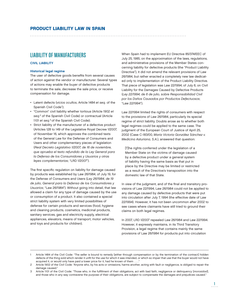# LIABILITY OF MANUFACTURERS

### CIVIL LIABILITY

### Historical legal regime

The user of defective goods benefits from several causes of action against the vendor or manufacturer. Several types of actions may enable the buyer of defective products to terminate the sale, decrease the sale price, or receive compensation for damage.

- Latent defects ( vicios ocultos, Article 1484 et seq. of the Spanish Civil Code<sup>1</sup>);
- "Common" civil liability whether tortious (Article 1902 et seq.<sup>2</sup> of the Spanish Civil Code) or contractual (Article 1101 et seq.<sup>3</sup> of the Spanish Civil Code);
- Strict liability of the manufacturer of a defective product (Articles 128 to 149 of the Legislative Royal Decree 1/2007, of November 16, which approves the combined texts of the General Law for the Defense of Consumers and Users and other complementary pieces of legislation (Real Decreto Legislativo 1/2007, de 16 de noviembre, que aprueba el texto refundido de la Ley General para la Defensa de los Consumidores y Usuarios y otras leyes complementarias; "LRD 1/2007").

The first specific regulation on liability for damage caused by products was established by Law 26/1984, of July 19, for the Defense of Consumers and Users (Ley 26/1984, de 19 de julio, General para la Defensa de los Consumidores y Usuarios; "Law 26/1984"). Without going into detail, that law allowed a claim for any type of damage caused by the use or consumption of a product. It also contained a special strict liability system with very limited possibilities of defense for certain products and services (food, hygiene and cleaning products, cosmetics, medicinal products, sanitary services, gas and electricity supply, electrical appliances, elevators, means of transport, motor vehicles, and toys and products for children).

When Spain had to implement EU Directive 85/374/EEC of July 25, 1985, on the approximation of the laws, regulations, and administrative provisions of the Member States concerning liability for defective products (the "Product Liability Directive"), it did not amend the relevant provisions of Law 26/1984, but rather enacted a completely new law dedicated only to implementation of the Product Liability Directive. That piece of legislation was Law 22/1994, of July 6, on Civil Liability for the Damages Caused by Defective Products (Ley 22/1994, de 6 de julio, sobre Responsabilidad Civil por los Daños Causados por Productos Defectuosos; "Law 22/1994").

Law 22/1994 limited the rights of consumers with respect to the provisions of Law 26/1984, particularly its special regime of strict liability. Doubts arose as to whether both legal regimes could be applied to the same case. The judgment of the European Court of Justice of April 25, 2002 (Case C-183/00, María Victoria González Sánchez v. Medicina Asturiana, S.A.), answered that question:

[T]he rights conferred under the legislation of a Member State on the victims of damage caused by a defective product under a general system of liability having the same basis as that put in place by the Directive may be limited or restricted as a result of the Directive's transposition into the domestic law of that State.

In view of the judgment, and of the final and transitory provisions of Law 22/1994, Law 26/1984 could not be applied to any damage caused by defective products that were put into circulation after July 7, 1994 (the effective date of Law 22/1994). However, it has not been uncommon after 2002 to see cases where claimants have still tried to ground their claims on both legal regimes.

In 2007, LRD 1/2007 repealed Law 26/1984 and Law 22/1994. However, it expressly maintains, in its Third Transitory Provision, a legal regime that contains mainly the same provisions of Law 26/1984 for products put into circulation

Article 1484 of the Civil Code: "The seller is bound to remedy [either through compensation or by the termination of the contract] hidden defects of the thing sold which render it unfit for the use for which it was intended, or which so impair that use that the buyer would not have acquired it, or would only have paid a lower price for it, had he known of them . . . ."

<sup>2</sup> Article 1902 of the Civil Code: "Anyone who, by his acts or omissions, harms another, acting with fault or negligence, is obliged to repair the damage caused."

Article 1101 of the Civil Code: "Those who, in the fulfillment of their obligations, act with bad faith, negligence or delinquency [morosidad], and those who in any way contravene the purpose of their obligations, are subject to compensate the damages and prejudices caused."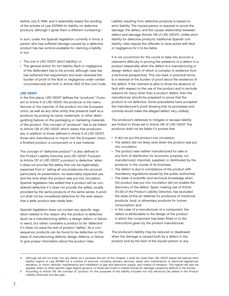before July 8, 1994, and it essentially keeps the wording of the articles of Law 22/1994 for liability on defective products, although it gives them a different numbering.4

In sum, under the Spanish legislation currently in force, a person who has suffered damage caused by a defective product has two actions available for claiming a liability in tort:

- The one in LRD 1/2007 (strict liability); or
- The general action for tort liability (fault or negligence of the defendant has to be proved, although case law has softened that requirement and even reversed the burden of proof of the fault or negligence under certain circumstances) set forth in Article 1902 of the Civil Code.

# LRD 1/2007

In the first place, LRD 1/2007 defines the "producer." Pursuant to Article 5 of LRD 1/2007, the producer is the manufacturer or the importer of the product into the European Union, as well as any other entity that presents itself as a producer by putting its name, trademark, or other distinguishing feature on the packaging or marketing materials of the product. This concept of "producer" has to be linked to Article 138 of LRD 1/2007, which states that producers are, in addition to those defined in Article 5 of LRD 1/2007, those who manufacture or import into the European Union a finished product, a component, or a raw material.

The concept of "defective product"<sup>5</sup> is also defined in the Product Liability Directive and LRD 1/2007. Pursuant to Article 137 of LRD 1/2007, a product is defective "when it does not provide the safety that can be legitimately expected from it," taking all circumstances into account, particularly its presentation, its reasonably expected use, and the time when the product was put into circulation. Spanish legislation has added that a product will be considered defective if it does not provide the safety usually provided by the same products of the same series. A product shall not be considered defective for the sole reason that a safer product was made later.

Spanish legislation does not contain any specific regulation related to the reason why the product is defective (such as a manufacturing defect, a design defect, or failure to warn), but rather considers a product to be "defective" if it does not pass the test of product "safety." As a consequence, products can be found to be defective on the basis of manufacturing defects, design defects, or failure to give proper information about the product risks.

Liability resulting from defective products is based on strict liability. The injured person is required to prove the damage, the defect, and the causal relationship between defect and damage (Article 139 of LRD 1/2007). Unlike strict liability for defective products, traditional Spanish civil liability rules require the offender to have acted with fault or negligence for it to be liable.

It is not uncommon for the courts to take into account a claimant's difficulty in proving the existence of a defect in a product (especially when the defect is a manufacturing or design defect, each of which is complex to evidence from a technical perspective). This can lead, in practical terms, to a reversal of the burden of proof about the existence of the defect. If the claimant is able to show the absence of fault with respect to the use of the product and to exclude reasons for injury other than a product defect, then the manufacturer should be prepared to prove that the product is not defective. Some precedents have accepted the manufacturer's proof showing that its processes and controls would make the alleged defect very unlikely.

The producer's defenses to mitigate or escape liability are limited to those set in Article 140 of LRD 1/2007. The producer shall not be liable if it proves that:

- It did not put the product into circulation;
- The defect did not likely exist when the product was put into circulation;
- The product was neither manufactured for sale or any form of distribution for economic purpose, nor manufactured, imported, supplied, or distributed by the producer in the course of its business;
- The defect is due to compliance of the product with mandatory regulations issued by the public authorities;
- The state of scientific and technical knowledge when the product was put into circulation did not enable the discovery of the defect. Spain, making use of Article 15.1.(b) of the Product Liability Directive, has excluded the state-of-the-art defense for producers of medicinal products, food, or alimentary products for human consumption; and
- In the case of a manufacturer of a component, the defect is attributable to the design of the product in which the component has been fitted or to the instructions given by the product manufacturer.

The producer's liability may be reduced or disallowed when the damage is caused both by a defect in the product and by the fault of the injured person or any

<sup>4</sup> Although we will not enter into any detail, as it exceeds the aim of this chapter, it shall be noted that LRD 1/2007 keeps the special strict liability regime of Law 26/1984 for a number of services, including sanitary services; repair and maintenance of electrical appliances, elevators, or motor vehicles; maintenance and installation of gas and electricity supply; and means of transport. This regime will also be applied, when no other specific legal regime governs, to those who build or market homes for damage caused by defects in the homes.

<sup>5</sup> According to Article 136, the concept of "product" for the purposes of this liability includes not only electricity (as stated in the Product Liability Directive), but also gas.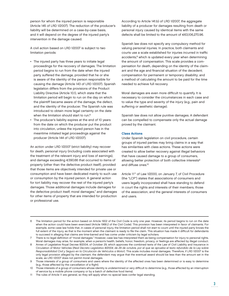person for whom the injured person is responsible (Article 145 of LRD 1/2007). The reduction of the producer's liability will be determined on a case-by-case basis, and it will depend on the degree of the injured party's intervention in the damage caused.

A civil action based on LRD 1/2007 is subject to two limitation periods:

- The injured party has three years to initiate legal proceedings for the recovery of damages. The limitation period begins to run from the date when the injured party suffered the damage, provided that he or she is aware of the identity of the person responsible for causing the damage (Article 143 of LRD 1/2007). Spanish legislation differs from the provisions of the Product Liability Directive (Article 10.1), which state that the limitation period will begin to run on the day on which the plaintiff became aware of the damage, the defect, and the identity of the producer. The Spanish rule was introduced to obtain more legal certainty on the date when the limitation should start to run.<sup>6</sup>
- The producer's liability expires at the end of 10 years from the date on which the producer put the product into circulation, unless the injured person has in the meantime initiated legal proceedings against the producer (Article 144 of LRD 1/2007).

An action under LRD 1/2007 (strict liability) may recover for death, personal injury (including costs associated with the treatment of the relevant injury and loss of earnings), and damage exceeding €390.66 that occurred to items of property (other than the defective product itself), provided that those items are objectively intended for private use or consumption and have been dedicated mainly to such use or consumption by the injured person. A general action for tort liability may recover the rest of the injured party's damages. Those additional damages include damages for the defective product itself, moral damages,<sup>7</sup> and damages for other items of property that are intended for production or professional use.

According to Article 141.b) of LRD 1/2007, the aggregate liability of a producer for damages resulting from death or personal injury caused by identical items with the same defects shall be limited to the amount of €63,106,270.96.

Spanish law does not specify any compulsory method for valuing personal injuries. In practice, both claimants and courts use a scale established for injuries incurred in traffic accidents,<sup>8</sup> which is updated every year when determining the amount of compensation. This scale provides a compensation for death, depending on the identity of the claimant and the age and financial situation of the decedent; compensation for permanent or temporary disability; and a method of calculating the amount to be paid for the time needed to achieve full recovery.

Moral damages are even more difficult to quantify. It is necessary to consider the circumstances in each case and to value the type and severity of the injury (e.g., pain and suffering or aesthetic damage).

Spanish law does not allow punitive damages. A defendant can be compelled to compensate only the actual damage proved by the claimant.

### Class Actions

Under Spanish legislation on civil procedure, certain groups of injured parties may bring claims in a way that has similarities with class actions. These actions were created to allow better recovery against illegal behaviors that have caused damage to a group of consumers, allowing better protection of both collective interests<sup>9</sup> and diffuse ones.10

Article 11<sup>11</sup> of Law 1/2000, on January 7, of Civil Procedure (the "LCP") states that associations of consumers and users legally incorporated shall have standing to defend in court the rights and interests of their members, those of the association, and the general interests of consumers and users.

<sup>6</sup> The limitation period for the action based on Article 1902 of the Civil Code is only one year. However, its period begins to run on the date when the action could have been exercised (Article 1968.2 of the Civil Code). This provision has been interpreted in favor of claimants. For example, some case law holds that, in cases of personal injury, the limitation period shall not start to count until the injured party knows the full extent of the injury, as that is the moment when the claimant is ready to file the claim. This situation has made it difficult for defendants to succeed in alleging that claims are time-barred and has come under criticism by legal scholars.

There is no legal definition of "moral damages." However, case law has interpreted them as being compensation for injury to personal rights. Moral damages may arise, for example, when a person's health, beliefs, honor, freedom, privacy, or feelings are affected by illegal conduct.

<sup>8</sup> Annex of Legislative Royal Decree 8/2004, of October 29, which approves the combined texts of the Law of Civil Liability and Insurance in Circulation of Motor Vehicles (Real Decreto Legislativo 8/2004, de 29 de octubre, por el que se aprueba el texto refundido de la Ley sobre Responsabilidad Civil y Seguro en la Circulación de Vehículos a Motor). This scale includes moral damages. Therefore, if LRD 1/2007 is the only legal provision alleged by the claimant, the defendant may argue that the eventual award should be less than the amount set in the scale, as LRD 1/2007 does not permit moral damages.

<sup>9</sup> Those interests of a group of consumers and users where the identity of the affected ones has been determined or is easy to determine (e.g., those affected by the cancellation of a flight).

<sup>10</sup> Those interests of a group of consumers whose identity is undetermined or very difficult to determine (e.g., those affected by an interruption of service by a mobile phone company or by a batch of defective food items).

<sup>11</sup> The rules of Article 11 are general, so they will apply when no special laws confer legal standing.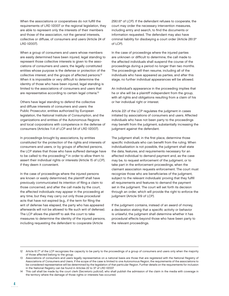When the associations or cooperatives do not fulfill the requirements of LRD 1/2007 or the regional legislation, they are able to represent only the interests of their members and those of the association, not the general interests, collective or diffuse, of consumers and users (Article 24 of LRD 1/2007).

When a group of consumers and users whose members are easily determined have been injured, legal standing to represent those collective interests is given to the associations of consumers and users; the legally constituted entities whose purpose is the defense or protection of the collective interest; and the groups of affected persons.12 When it is impossible or very difficult to determine the identity of those who have been injured, legal standing is limited to the associations of consumers and users that are representative according to certain legal criteria.13

Others have legal standing to defend the collective and diffuse interests of consumers and users: the Public Prosecutor, entities authorized by European legislation, the National Institute of Consumption, and the organizations and entities of the Autonomous Regions and local corporations with competence in the defense of consumers (Articles 11.4 of LCP and 54 of LRD 1/2007).

In proceedings brought by associations, by entities constituted for the protection of the rights and interests of consumers and users, or by groups of affected persons, the LCP states that those who have suffered damage have to be called to the proceeding,<sup>14</sup> in order to allow them to assert their individual rights or interests (Article 15 of LCP), if they deem it convenient.

In the case of proceedings where the injured persons are known or easily determined, the plaintiff shall have previously communicated its intention of filing a claim to those concerned, and after the call made by the court, the affected individuals may appear in the proceeding at any time, but they may carry out only those procedural acts that have not expired (e.g., if the term for filing the writ of defense has elapsed, the party who has appeared afterwards will not be allowed to file such writ of defense). The LCP allows the plaintiff to ask the court to take measures to determine the identity of the injured persons, including requesting the defendant to cooperate (Article

256.1.6º of LCP). If the defendant refuses to cooperate, the court may order the necessary intervention measures, including entry and search, to find the documents or information requested. The defendant may also have criminal liability for disobeying a court order (Article 261.5ª of LCP).

In the case of proceedings where the injured parties are unknown or difficult to determine, the call made to the affected individuals shall suspend the course of the proceedings during a period no longer than two months. The proceedings will then resume, including all of the individuals who have appeared as parties, and after this stage, no further individual appearances will be allowed.

An individual's appearance in the proceeding implies that he or she will be a plaintiff independent from the group, with all rights and obligations resulting from a claim of his or her individual right or interest.

Article 221 of the LCP regulates the judgment in cases initiated by associations of consumers and users. Affected individuals who have not been party to the proceedings may benefit from the judgment, substantially increasing the judgment against the defendant.

The judgment shall, in the first place, determine those specific individuals who can benefit from the ruling. When individualization is not possible, the judgment shall state the data, features, and requirements necessary for an affected individual to demand payment and, as the case may be, to request enforcement of the judgment, or to take part in the enforcement proceedings, when the claimant association requests enforcement. The court must recognize those who are beneficiaries of the judgment, subject to the relevant individuals' proving that they fulfill all requirements and features to demand the payment set in the judgment. The court will set forth its decision through an order, which will provide the right to enforce the judgment (Article 519 of LCP).

If the judgment contains, instead of an award of money, a declaration stating that a specific activity or behavior is unlawful, the judgment shall determine whether it has procedural effects beyond those who have been party to the relevant proceedings.

<sup>12</sup> Article 6.1.7º of the LCP recognizes the capacity to be party to the proceedings of a group of consumers and users only when the majority of those affected belong to the group.

<sup>13</sup> Associations of consumers and users legally representative on a national basis are those that are registered with the National Registry of Associations of Consumers and Users. If the scope of the case is limited to one Autonomous Region, the requirements of the associations to be considered representative will be determined by the legislation of that particular Region. Further details on the requirements for inclusion in the National Registry can be found in Articles 22 to 37 of LRD 1/2007.

<sup>14</sup> This call shall be made by the court clerk (Secretario judicial), who shall publish the admission of the claim in the media with coverage in the territory where the damage of those rights or interests has occurred.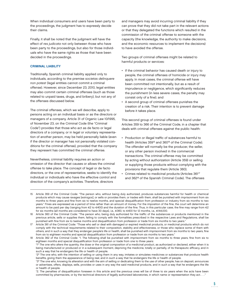When individual consumers and users have been party to the proceedings, the judgment has to expressly decide their claims.

Finally, it shall be noted that the judgment will have the effect of res judicata not only between those who have been party to the proceedings, but also for those individuals who have the same rights as those that have been decided in the proceedings.

# CRIMINAL LIABILITY

Traditionally, Spanish criminal liability applied only to individuals, according to the premise societas delinquere non potest (legal entities cannot commit a criminal offense). However, since December 23, 2010, legal entities may also commit certain criminal offenses (such as those related to unpaid taxes, drugs, and bribery), but not any of the offenses discussed below.

The criminal offenses, which we will describe, apply to persons acting on an individual basis or as the directors or managers of a company. Article 31 of Organic Law 10/1995, of November 23, on the Criminal Code (the "Criminal Code") provides that those who act as de facto or legal directors of a company, or in legal or voluntary representation of another person, may be held personally liable (even if the director or manager has not personally violated conditions for the criminal offense), provided that the company they represent has committed the criminal offense.

Nevertheless, criminal liability requires an action or omission of the director that causes or allows the criminal offense to take place. The concept of legal or de facto directors, or the one of representative, seeks to identify the individual or individuals who have the effective control and direction of the company's activities. Therefore, directors

and managers may avoid incurring criminal liability if they can prove that they did not take part in the relevant actions or that they delegated the functions which resulted in the commission of the criminal offense to someone with the capacity (the knowledge, the authority to make decisions, and the economic resources to implement the decisions) to have avoided the offense.

Two groups of criminal offenses might be related to harmful products or services:

- If the criminal behavior has caused death or injury to people, the criminal offenses of homicide or injury may apply. In most cases, the criminal offense will have been committed not intentionally, but as a result of imprudence or negligence, which significantly reduces the punishment (in less severe cases, the penalty may consist only of a fine); and
- A second group of criminal offenses punishes the creation of a risk. Their intention is to prevent damage before it takes place.

This second group of criminal offenses is found under Articles 359 to 366 of the Criminal Code, in a chapter that deals with criminal offenses against the public health:

- Production or illegal traffic of substances harmful to health (Articles 359<sup>15</sup> and 360<sup>16</sup> of the Criminal Code). The offender will normally be the producer, the seller, or any other person involved in the commercial transactions. The criminal offense may be committed by acting without authorization (Article 359) or selling or supplying those products without complying with the provisions that regulate them (Article 360);
- Crimes related to medicinal products (Articles 361<sup>17</sup> and 362<sup>18</sup> of the Spanish Criminal Code). The offenses
- 15 Article 359 of the Criminal Code: "The person who, without being duly authorized, produces substances harmful for health or chemical products which may cause ravages [estragos], or sells or provides them, or trades with them, shall be punished with imprisonment from six months to three years and fine from six to twelve months, and special disqualification from profession or industry from six months to two years." Fines are expressed as a period of time rather than an amount of money. For the imposition of the fine, the court will determine an amount to be paid per day (ranging from €2 to €400) and the duration of the fine. Thus, in this particular case, the fine may range from €2 for six months (all months are considered to have 30 days), i.e., €360, to €400 for 12 months, i.e., €144,000.

18 Article 362 of the Criminal Code: "1. The following shall be punished with imprisonment from six months to three years, fine from six to eighteen months and special disqualification from profession or trade from one to three years: "1º The one who alters the quantity, the dose or the original composition of a medicinal product, as authorized or declared, either when it is being manufactured or produced or in a subsequent moment, depriving the medicine, totally or partially, of its therapeutic efficacy, and in

<sup>16</sup> Article 360 of the Criminal Code: "The person who, being duly authorized for the traffic of the substances or products mentioned in the previous article, sells or supplies them, failing to comply with the formalities prescribed in the respective Laws and Regulations, shall be punished with fine from six to twelve months and disqualification from profession or trade from six months to two years."

<sup>17</sup> Article 361 of the Criminal Code: "Those who sell or deal with damaged or expired medicinal products, or medicinal products which do not comply with the technical requirements related to their composition, stability and effectiveness, or those who replace some of them with others, and in such a way that they endanger people's life or health, shall be punished with imprisonment from six months to two years, fine from six to eighteen months and special disqualification from profession or trade from six months to two years."

such a way that he endangers the life or health of people. "2° The one who, with the intention of selling or using them in any way, imitates or simulates medicines or substances that produce health benefits, giving them the appearance of being real, and in such a way that he endangers the life or health of people.

 <sup>&</sup>quot;3º The one who, knowing its alteration and with the aim of selling or dedicating them to the use of other people, has on deposit, announces or advertises, offers, displays, sells, provides or uses in any way the said medicinal products, and in such a way that he endangers the life or health of people.

<sup>&</sup>quot;2. The penalties of disqualification foreseen in this article and the previous ones will be of three to six years when the acts have been committed by pharmacists, or by the technical directors of legally authorized laboratories, in which name or representation they act. . . ."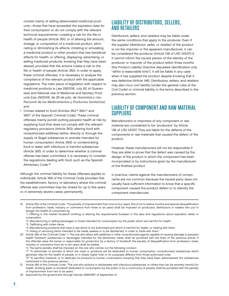their consumption or do not comply with the relevant technical requirements—creating a risk for the life or health of people (Article 361); or of altering the amount, dosage, or composition of a medicinal product, eliminating or diminishing its effects; imitating or simulating a medicinal product or other product that has beneficial effects for health; or offering, displaying, advertising, or selling medicinal products, knowing that they have been altered, provided that the actions create a risk to the life or health of people (Article 362). In order to apply these criminal offenses, it is necessary to analyze the compliance of the relevant product with the applicable regulations. The main piece of legislation with respect to medicinal products is Law 29/2006, July 26, of Guarantees and Rational Use of Medicinal and Sanitary Products (Ley 29/2006, de 26 de julio, de Garantías y Uso Racional de los Medicamentos y Productos Sanitarios); and Crimes related to food (Articles 363,<sup>19</sup> 364,<sup>20</sup> and 36521 of the Spanish Criminal Code). These criminal

consist mainly of selling deteriorated medicinal products—those that have exceeded the expiration date for

offenses mainly punish putting people's health at risk by supplying food that does not comply with the relevant regulatory provisions (Article 363); altering food with nonauthorized additives (either directly or through the supply of illegal substances to animals intended for human consumption; Article 364); or contaminating food or water with infectious or harmful substances (Article 365). In order to determine whether a criminal offense has been committed, it is necessary to consider the regulations dealing with food, such as the Spanish Alimentary Code.<sup>22</sup>

Although the criminal liability for these offenses applies to individuals, Article 366 of the Criminal Code provides that the establishment, factory, or laboratory where the criminal offense was committed may be closed for up to five years or, in extremely severe cases, permanently.

# LIABILITY OF DISTRIBUTORS, SELLERS, AND RETAILERS

Distributors, sellers, and retailers may be liable under the same conditions that apply to the producer. Even if the supplier (distributor, seller, or retailer) of the product is not the importer or the apparent manufacturer, it can be considered the producer (Article 138 of LRD 1/2007) if it cannot inform the injured person of the identity of the producer or importer of the product within three months (the Product Liability Directive stipulates identification only "within a reasonable time"). It will be liable in any case when it has supplied the product despite knowing that it was defective (Article 146). Distributors, sellers, and retailers may also incur civil liability (under the general rules of the Civil Code) or criminal liability in the terms described in the previous section.

# LIABILITY OF COMPONENT AND RAW MATERIAL SUPPLIERS

Manufacturers or importers of any component or raw material are considered to be "producers" by Article 138 of LRD 1/2007. They are liable for the defects of the components or raw materials that caused the defect of the product.

However, these manufacturers will not be responsible if they are able to prove that the defect was caused by the design of the product in which the component has been incorporated or by instructions given by the manufacturer of the finished product.

In practice, claims against the manufacturers of components are not common because the injured party does not usually have sufficient information to know that a specific component caused the product defect or to identify the component manufacturer.

19 Article 363 of the Criminal Code: "The penalty of imprisonment from one to four years, fine of six to twelve months and special disqualification from profession, trade, industry or commerce from three to six years shall be imposed on producers, distributors or traders who put in danger the health of consumers by:

- "2. Manufacturing or selling beverages or foods intended for consumption by the public which are harmful for health.
- "3. Trafficking with rotten items.
- "4. Manufacturing products that have a use which is not authorized and which is harmful for health, or trading with them.
- "5. Hiding or removing items intended to be made useless or to be disinfected, in order to trade with them."
- 20 Article 364 of the Criminal Code: "1. The one who alters with additives or other nonauthorized agents capable of causing damage to people's health foodstuff, substances or beverages intended for the alimentary trade, shall be punished with the fines of the previous article. If the offender were the owner or responsible for production by a factory of foodstuff, the penalty of disqualification from profession, trade, industry or commerce from six to ten years shall be added.
	- "2. The same penalty shall be imposed on the one who carries out the following conduct:

 "1º. To administer to animals of which the meat or products will be dedicated to human consumption nonauthorized substances which generate risks for the health of people, or in doses higher than or for purposes different from those authorized ones.

- 21 Article 365 of the Criminal Code: "The one who poisons or adulterates with infectious substances, or others that can be severely harmful for health, drinking water or foodstuff dedicated to consumption by the public or by a community of people, shall be punished with the penalty of imprisonment from two to six years."
- 22 Approved by the government through Decree 2484/1967, of September 21.

 <sup>&</sup>quot;1. Offering in the market foodstuff omitting or altering the requirements foreseen in the laws and regulations about expiration dates or composition.

<sup>&</sup>quot;2° To sacrifice livestock or to dedicate its products to human consumption knowing that they have been administered the substances mentioned in the previous section. . . ."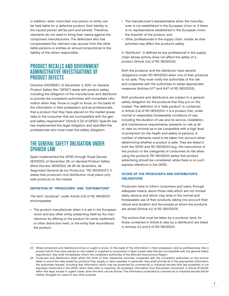In addition, when more than one person or entity can be held liable for a defective product, their liability to the injured person will be joint and several. Therefore, claimants do not need to bring their claims against the component manufacturers. The defendant who has compensated the claimant may recover from the other liable persons or entities an amount proportional to the liability of the others responsible.

# PRODUCT RECALLS AND GOVERNMENT ADMINISTRATIVE INVESTIGATIONS OF PRODUCT DEFECTS

Directive 2001/95/EC of December 3, 2001, on General Product Safety (the "GPSD") deals with product safety, including the obligation of the manufacturer and distributor to provide the competent authorities with immediate information when they "know or ought to know, on the basis of the information in their possession and as professionals, that a product that they have placed on the market poses risks to the consumer that are incompatible with the general safety requirement" (Article 5 (3) of GPSD). Spanish law has implemented this legal obligation and specified the professionals who must meet this safety obligation.

# THE GENERAL SAFETY OBLIGATION UNDER SPANISH LAW

Spain implemented the GPSD through Royal Decree 1801/2003, of December 26, on General Product Safety (Real Decreto 1801/2003, de 26 de diciembre, de Seguridad General de los Productos; "RD 1801/2003"). It states that producers and distributors must place only safe products on the market.

# DEFINITION OF "PRODUCERS" AND "DISTRIBUTORS"

The term "producer" under Article 2.d) of RD 1801/2003 encompasses:

• The product manufacturer when it is set in the European Union and any other entity presenting itself as the manufacturer by affixing to the product its name, trademark, or other distinctive mark, or the entity that reconditions the product;

- The manufacturer's representative when the manufacturer is not established in the European Union or, if there is no representative established in the European Union, the importer of the product; and
- Other professionals in the supply chain, insofar as their activities may affect the product's safety.

A "distributor" is defined as any professional in the supply chain whose activity does not affect the safety of a product (Article 2.e) of RD 1801/2003).

Both the producer and the distributor have several obligations under RD 1801/2003 when one of their products is not safe. They must notify the authorities of the risk and cooperate with the authorities to adopt appropriate measures (Articles  $6.1^{23}$  and  $6.4^{24}$  of RD 1801/2003).

Both producers and distributors are subject to a general safety obligation for the products that they put on the market. The definition of a "safe product" is contained in Article 2.a) of RD 1801/2003: it is a product that, under normal or reasonably foreseeable conditions of use, including the duration of use and its service, installation, and maintenance requirements, presents no risk at all or risks so minimal as to be compatible with a high level of protection for the health and safety of persons. A number of elements need to be taken into account when determining whether a product is safe. They are listed in both the GPSD and RD 1801/2003 (e.g., the instructions of the product or the categories of consumers at risk when using the product). RD 1801/2003 states that product advertising should be considered, while there is no such express reference in the GPSD.

# SCOPE OF THE PRODUCER'S AND DISTRIBUTOR'S **OBLIGATIONS**

Producers have to inform consumers and users, through adequate means, about those risks which are not immediately obvious and which may arise in the normal and foreseeable use of their products, taking into account their nature and duration and the people at whom the products are aimed (Article 4.2 of RD 1801/2003).

The actions that must be taken by a producer (and, for those contained in Article 6, also by a distributor) are listed in Articles 4.3 and 6 of RD 1801/2003:

<sup>23</sup> Where producers and distributors know or ought to know, on the basis of the information in their possession and as professionals, that a product which they have placed on the market or supplied to consumers in Spain poses risks that are incompatible with the general safety requirement, they shall immediately inform the competent authorities of the affected Autonomous Region.

<sup>24</sup> Producers and distributors shall, within the limits of their respective activities, cooperate with the competent authorities on the actions taken to avoid the risks posed by products they supply or have supplied. In particular, they shall provide all of the appropriate information the authorities request, including that information which may be protected by commercial or industrial secrets (this last possibility is not expressly mentioned in the GPSD, which does refer to requiring "all necessary information from the parties concerned" in Article 8.1.(a).(ii)), within five days, except in urgent cases, when the term can be shorter. The information protected by commercial or industrial secrets will be neither divulged nor used for any other purpose.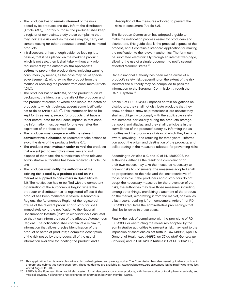- The producer has to remain informed of the risks posed by its products and duly inform the distributors (Article 4.3.a)). For this purpose, the producer shall keep a register of complaints, study those complaints that may indicate a risk and, as the case may be, carry out sample testing (or other adequate controls) of marketed products;
- If it discovers, or has enough evidence leading it to believe, that it has placed on the market a product which is not safe, then it shall take, without any prior requirement by the authorities, the appropriate actions to prevent the product risks, including warning consumers (by means, as the case may be, of special advertisements), withdrawing the product from the market, or recalling the product from consumers (Article 4.3.b));
- The producer has to indicate, on the product or on its packaging, the identity and details of the producer and the product reference or, where applicable, the batch of products to which it belongs, absent some justification not to do so (Article 4.3 c)). This information has to be kept for three years, except for products that have a "best before" date for their consumption; in that case, the information must be kept for one year after the expiration of the "best before" date;
- The producer must cooperate with the relevant administrative authorities, as required to take actions to avoid the risks of the products (Article 6.4);
- The producer must maintain under control the products that are subject to restrictive measures and not dispose of them until the authorization of the relevant administrative authorities has been received (Article 6.5); and
- The producer must notify the authorities of the existing risk posed by a product placed on the market or supplied to consumers in Spain (Article 6.1). The notification has to be filed with the competent organization of the Autonomous Region where the producer or distributor has its registered offices. If the product has been marketed in several Autonomous Regions, the Autonomous Region of the registered offices of the relevant producer or distributor shall immediately send the notification to the National Consumption Institute (Instituto Nacional del Consumo) so that it can inform the rest of the affected Autonomous Regions. The notification shall contain, at a minimum, information that allows precise identification of the product or batch of products; a complete description of the risk posed by the product; all of the useful information available for locating the product; and a

description of the measures adopted to prevent the risks to consumers (Article 6.2).

The European Commission has adopted a guide to make the notification process easier for producers and distributors. This guide details the practical aspects of the process, and it contains a standard application for making the notification to the relevant authorities. The form can be submitted electronically through an internet web page, allowing the use of a single document to notify several affected Member States.25

Once a national authority has been made aware of a product's safety risk, depending on the extent of the risk incurred, the authority may be compelled to pass the information to the European Commission through the RAPEX system.26

Article 5 of RD 1801/2003 imposes certain obligations on distributors: they shall not distribute products that they know, or should know as professionals, are unsafe; they shall act diligently to comply with the applicable safety requirements, particularly during the products' storage, transport, and display; and they shall participate in the surveillance of the products' safety by informing the authorities and the producers of risks of which they become aware, providing—and retaining for three years—information about the origin and destination of the products, and collaborating in the measures adopted for preventing risks.

According to Articles 8, 9, and 10 of RD 1801/2003, the authorities, either as the result of a complaint or on their own motion, may take the measures necessary to prevent risks to consumers. The measures adopted shall be proportional to the risks and the least restrictive of those possible. If the producers and distributors do not adopt the necessary measures for the prevention of the risks, the authorities may take those measures, including, among other things, prohibiting placement of the product on the market, withdrawing it from the market, or even, as a last resort, recalling it from consumers. Article 11 of RD 1801/2003 regulates the administrative proceedings that shall be followed in these cases.

Finally, the lack of compliance with the provisions of RD 1801/2003, or obstructing the measures adopted by the administrative authorities to prevent a risk, may lead to the imposition of sanctions as set forth in Law 14/1986, April 25, General of Health (Ley 14/1986, de 25 de abril, General de Sanidad) and in LRD 1/2007 (Article 8.4 of RD 1801/2003).

<sup>25</sup> This application form is available online at https://webgate.ec.europa.eu/gpsd-ba. The Commission has also issued guidelines on how to prepare and submit this notification form. These guidelines are available at https://webgate.ec.europa.eu/gpsd-ba/help.pdf (web sites last visited August 15, 2012).

<sup>26</sup> RAPEX is the European Union rapid alert system for all dangerous consumer products, with the exception of food, pharmaceuticals, and medical devices. It allows for a fast exchange of information between Member States.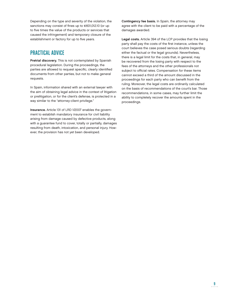Depending on the type and severity of the violation, the sanctions may consist of fines up to  $\epsilon$ 601,012.10 (or up to five times the value of the products or services that caused the infringement) and temporary closure of the establishment or factory for up to five years.

# PRACTICAL ADVICE

Pretrial discovery. This is not contemplated by Spanish procedural legislation. During the proceedings, the parties are allowed to request specific, clearly identified documents from other parties, but not to make general requests.

In Spain, information shared with an external lawyer with the aim of obtaining legal advice in the context of litigation or prelitigation, or for the client's defense, is protected in a way similar to the "attorney-client privilege."

Insurance. Article 131 of LRD 1/2007 enables the government to establish mandatory insurance for civil liability arising from damage caused by defective products, along with a guarantee fund to cover, totally or partially, damages resulting from death, intoxication, and personal injury. However, the provision has not yet been developed.

Contingency fee basis. In Spain, the attorney may agree with the client to be paid with a percentage of the damages awarded.

Legal costs. Article 394 of the LCP provides that the losing party shall pay the costs of the first instance, unless the court believes the case posed serious doubts (regarding either the factual or the legal grounds). Nevertheless, there is a legal limit for the costs that, in general, may be recovered from the losing party with respect to the fees of the attorneys and the other professionals not subject to official rates. Compensation for these items cannot exceed a third of the amount discussed in the proceedings for each party who can benefit from the ruling. Moreover, the legal costs are ordinarily calculated on the basis of recommendations of the court's bar. Those recommendations, in some cases, may further limit the ability to completely recover the amounts spent in the proceedings.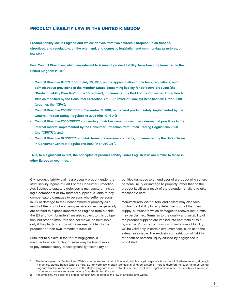# PRODUCT LIABILITY LAW IN THE UNITED KINGDOM

Product liability law in England and Wales' derives from two sources: European Union treaties, directives, and regulations, on the one hand, and domestic legislation and common-law principles, on the other.

Four Council Directives, which are relevant to issues of product liability, have been implemented in the United Kingdom ("U.K."):

- Council Directive 85/374/EEC of July 25, 1985, on the approximation of the laws, regulations, and administrative provisions of the Member States concerning liability for defective products (the "Product Liability Directive" or the "Directive"), implemented by Part I of the Consumer Protection Act 1987 as modified by the Consumer Protection Act 1987 (Product Liability) (Modification) Order 2000 (together, the "CPA");
- Council Directive 2001/95/EEC of December 3, 2001, on general product safety, implemented by the General Product Safety Regulations 2005 (the "GPSD");
- Council Directive 2005/29/EEC concerning unfair business-to-consumer commercial practices in the internal market, implemented by the Consumer Protection from Unfair Trading Regulations 2008 (the "CPUTR"); and
- Council Directive 92/13/EEC on unfair terms in consumer contracts, implemented by the Unfair Terms in Consumer Contract Regulations 1999 (the "UTCCR").

Thus, to a significant extent, the principles of product liability under English law<sup>2</sup> are similar to those in other European countries.

Civil product liability claims are usually brought under the strict liability regime of Part I of the Consumer Protection Act. Subject to statutory defenses, a manufacturer (including a component or raw material supplier) is liable to pay compensatory damages to persons who suffer personal injury or damage to their noncommercial property as a result of the product not being as safe as people generally are entitled to expect. Importers to England from outside the EU and "own branders" are also subject to this obligation, but other distributors and sellers will be held liable only if they fail to comply with a request to identify the producer or their own immediate supplier.

Pursuant to a claim in the tort of negligence, a manufacturer, distributor, or seller may be found liable to pay compensatory or (exceptionally) exemplary or

punitive damages to an end user of a product who suffers personal injury or damage to property (other than to the product itself) as a result of the defendant's failure to take reasonable care.

Manufacturers, distributors, and sellers may also face contractual liability for any defective product that they supply, pursuant to which damages to recover lost profits may be claimed. Terms as to the quality and suitability of the product supplied are implied into contracts of sale by statute. Purported exclusions or limitations of liability will be valid only in certain circumstances, such as to the extent reasonable. The exclusion or restriction of liability for death or personal injury caused by negligence is prohibited.

The legal system of England and Wales is separate from that of Scotland, which is again separate from that of Northern Ireland, although in practice, statute-based (and, as here, EU-derived) law is often identical in all three systems. There is therefore no such thing as United Kingdom law, but references here to the United Kingdom refer to statutes in force in all three legal jurisdictions. The Republic of Ireland is, of course, an entirely separate country from the United Kingdom.

<sup>2</sup> For simplicity, we adopt the phrase "English law" to refer to the law of England and Wales.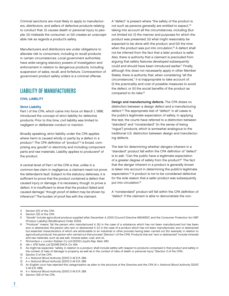Criminal sanctions are most likely to apply to manufacturers, distributors, and sellers of defective products relating to conduct that: (i) causes death or personal injury to people; (ii) misleads the consumer; or (iii) creates an unacceptable risk as regards a product's safety.

Manufacturers and distributors are under obligations to alleviate risk to consumers, including to recall products in certain circumstances. Local government authorities have wide-ranging statutory powers of investigation and enforcement in relation to dangerous products, including suspension of sales, recall, and forfeiture. Contravention of government product safety orders is a criminal offense.

# LIABILITY OF MANUFACTURERS

# CIVIL LIABILITY

### Strict Liability

Part I of the CPA, which came into force on March 1, 1988, introduced the concept of strict liability for defective products. Prior to this time, civil liability was limited to negligent or deliberate conduct or inaction.

Broadly speaking, strict liability under the CPA applies where harm is caused wholly or partly by a defect in a product.<sup>3</sup> The CPA definition of "product"<sup>4</sup> is broad, comprising any goods<sup>5</sup> or electricity and including component parts and raw materials. Liability applies to producers<sup>6</sup> of the product.

A central tenet of Part I of the CPA is that, unlike in a common-law claim in negligence, a claimant need not prove the defendant's fault. Subject to the statutory defenses, it is sufficient to prove that the product contained a defect that caused injury or damage. It is necessary, though, to prove a defect. It is insufficient to show that the product failed and caused damage,<sup>7</sup> though proof of defect may be shown by inference.8 The burden of proof lies with the claimant.

A "defect" is present where "the safety of the product is not such as persons generally are entitled to expect,"9 taking into account all the circumstances, including (but not limited to): (i) the manner and purposes for which the product was presented; (ii) what might reasonably be expected to be done with the product; and (iii) the time when the product was put into circulation.<sup>10</sup> A defect shall not be inferred from the fact that a later product is safer. Also, there is authority that a claimant is precluded from arguing that safety features developed subsequently could and should have been introduced earlier.<sup>11</sup> Finally, although this does not necessarily apply in other Member States, there is authority that, when considering "all the circumstances," it is inappropriate to take account of: (i) the practicality and cost of possible measures to avoid the defect; or (ii) the social benefits of the product as compared to its risks.<sup>12</sup>

Design and manufacturing defects. The CPA draws no distinction between a design defect and a manufacturing defect.13 The appropriate test of "defect" in all cases is the public's legitimate expectation of safety. In applying this test, the courts have referred to a distinction between "standard" and "nonstandard" (in the sense of being "rogue") products, which is somewhat analogous to the traditional U.S. distinction between design and manufacturing defects.

The test for determining whether dangers inherent in a "standard" product fall within the CPA definition of "defect" is to ask: "Can the public have a legitimate expectation of a greater degree of safety from the product?" The fact that the danger inherent in a product is generally known is taken into account in determining the public's legitimate expectation.14 A product is not to be considered defective for the sole reason that a safer product was subsequently put into circulation.15

A "nonstandard" product will fall within the CPA definition of "defect" if the claimant is able to demonstrate the non-

- 3 Section 2(1) of the CPA.
- Section 1(2) of the CPA.

7 Richardson v. London Rubber Co Ltd [2000] Lloyd's Rep. Med. 280.

- 11 A v. National Blood Authority [2001] 3 All E.R. 289.
- 12 A v. National Blood Authority [2001] 3 All E.R. 289.
- 13 An English court has rejected this categorization as alien to the structure of the Directive and the CPA (A v. National Blood Authority [2001] 3 All E.R. 289).
- 14 A v. National Blood Authority [2001] 3 All E.R. 289.
- 15 Section 3(3) of the CPA.

<sup>5 &</sup>quot;Goods" include agricultural produce supplied after December 4, 2000 (Council Directive 99/34/EEC and the Consumer Protection Act 1987 (Product Liability) (Modification) Order 2000).

<sup>6 &</sup>quot;Producer" means "(a) the person who manufactured it; (b) in the case of a substance which has not been manufactured but has been won or abstracted, the person who won or abstracted it; (c) in the case of a product which has not been manufactured, won or abstracted but essential characteristics of which are attributable to an industrial or other process having been carried out (for example, in relation to agricultural produce), the person who carried out that process" (Section 1 of the CPA). Products that are "won or abstracted" include minerals and raw materials, such as sea salt, mineral water, coal, and oil.

Ide v. ATB Sales Ltd [2008] EWCA Civ 424.

<sup>9</sup> As might be expected, "safety, in relation to a product, shall include safety with respect to products comprised in that product and safety in the context of risks of damage to property, as well as in the context of risks of death or personal injury" (Section 3 of the CPA).

<sup>10</sup> Section 3 of the CPA.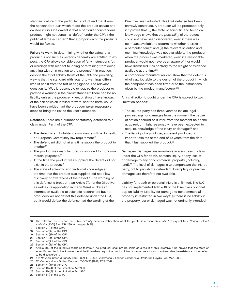standard nature of the particular product and that it was the nonstandard part which made the product unsafe and caused injury. One caveat is that a particular nonstandard product might not contain a "defect" under the CPA if the public at large accepted<sup>16</sup> that a proportion of the products would be flawed.

Failure to warn. In determining whether the safety of a product is not such as persons generally are entitled to expect, the CPA allows consideration of "any instructions for, or warnings with respect to, doing or refraining from doing anything with or in relation to the product."17 In practice, despite the strict liability thrust of the CPA, the prevailing view is that the standard with regard to warnings differs little (if at all) from the tort of negligence. The relevant question is: "Was it reasonable to require the producer to provide a warning in the circumstances?" There can be no liability unless the producer knew, or should have known, of the risk of which it failed to warn, and the harm would have been avoided had the producer taken reasonable steps to bring the risk to the user's attention.

Defenses. There are a number of statutory defenses to a claim under Part I of the CPA:

- The defect is attributable to compliance with a domestic or European Community law requirement.<sup>18</sup>
- The defendant did not at any time supply the product to another.19
- The product was manufactured or supplied for noncommercial purposes.<sup>20</sup>
- At the time the product was supplied, the defect did not exist in the product.<sup>21</sup>
- The state of scientific and technical knowledge at the time that the product was supplied did not allow discovery or awareness of the defect.<sup>22</sup> The wording of this defense is broader than Article 7(e) of the Directive, as well as its application in many Member States:<sup>23</sup> information available to scientific researchers but not producers will not defeat this defense under the CPA, but it would defeat the defense had the wording of the

Directive been adopted. This CPA defense has been narrowly construed. A producer will be protected only if it proves that: (i) the state of scientific and technical knowledge shows that the possibility of the defect could not have been discovered, even if there was no means available to determine whether it exists in a particular item;<sup>24</sup> and (ii) the relevant scientific and technical knowledge was not available to the producer when the product was marketed, even if a reasonable producer would not have been aware of it or would have dismissed it as contrary to the weight of evidence available at the time.<sup>25</sup>

• A component manufacturer can show that the defect is wholly attributable to the design of the product in which the component has been fitted or to the instructions given by the product manufacturer.<sup>26</sup>

Any civil action brought under the CPA is subject to two limitation periods:

- The injured party has three years to initiate legal proceedings for damages from the moment the cause of action accrued or, if later, from the moment he or she acquired, or might reasonably have been expected to acquire, knowledge of the injury or damage;<sup>27</sup> and
- The liability of a producer, apparent producer, or importer expires at the end of 10 years from the date that it last supplied the product.<sup>28</sup>

Damages. Damages are awardable in a successful claim under the CPA for death, personal injury, or any loss of or damage to any noncommercial property (including land).29 The level of damages is to compensate the injured party, not to punish the defendant. Exemplary or punitive damages are therefore not available.

Liability for death or personal injury is unlimited. The U.K. has not implemented Article 16 of the Directive's optional cap on liability. Liability for damage to noncommercial property is restricted in two ways: (i) there is no liability if the property lost or damaged was not ordinarily intended

20 Section 4(1)(c) of the CPA.

<sup>16</sup> The relevant test is what the public actually accepts rather than what the public is reasonably entitled to expect (A v. National Blood Authority [2001] 3 All E.R. 289 at paragraph 31).

<sup>17</sup> Section 3(1) of the CPA.

<sup>18</sup> Section 4(1)(a) of the CPA.

<sup>19</sup> Section 4(1)(b) of the CPA.

<sup>21</sup> Section 4(1)(d) of the CPA.

<sup>22</sup> Section 4(1)(e) of the CPA.

<sup>23</sup> Article 7(e) of the Directive reads as follows: "The producer shall not be liable as a result of this Directive if he proves that the state of scientific and technical knowledge at the time when he put the product into circulation was not such as to enable the existence of the defect to be discovered . . . ."

<sup>24</sup> A v. National Blood Authority [2001] 3 All E.R. 289; Richardson v. London Rubber Co Ltd [2000] Lloyd's Rep. Med. 280.

<sup>25</sup> EC Commission v. United Kingdom C-300/95 [1997] ECR 2649.

<sup>26</sup> Section 4(1)(f) of the CPA.

<sup>27</sup> Section 11A(4) of the Limitation Act 1980.

<sup>28</sup> Section 11A(3) of the Limitation Act 1980.

<sup>29</sup> Section 5(1) of the CPA.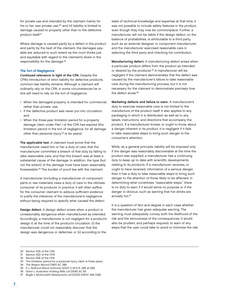for private use and intended by the claimant mainly for his or her own private use;<sup>30</sup> and (ii) liability is limited to damage caused to property other than to the defective product itself.31

Where damage is caused partly by a defect in the product and partly by the fault of the claimant, the damages payable are reduced to such extent as the court thinks just and equitable with regard to the claimant's share in the responsibility for the damage.32

### The Tort of Negligence

Continued relevance in light of the CPA. Despite the CPA's introduction of strict liability for defective products, common-law liability remains. Although a claimant will ordinarily rely on the CPA, in some circumstances he or she will need to rely on the tort of negligence:

- When the damaged property is intended for commercial, rather than private, use;
- If the defective product was never put into circulation; and
- When the three-year limitation period for a property damage claim under Part I of the CPA has expired (the limitation period in the tort of negligence, for all damage other than personal injury,<sup>33</sup> is six years).

The applicable test. A claimant must prove that the manufacturer owed him or her a duty of care, that the manufacturer committed a breach of that duty by failing to take reasonable care, and that this breach was at least a substantial cause of the damage. In addition, the type (but not the extent) of the damage must have been reasonably foreseeable.34 The burden of proof lies with the claimant.

A manufacturer (including a manufacturer of component parts or raw materials) owes a duty of care to the ultimate consumer of its products. In practice, it will often suffice for the consumer claimant to adduce sufficient evidence to justify the inference of the manufacturer's negligence without being required to specify what caused the defect.

Design defect. A design defect arises when a product is unreasonably dangerous when manufactured as intended. Accordingly, a manufacturer is not negligent for a product's design if, at the time of the product's circulation: (i) the manufacturer could not reasonably discover that the design was dangerous or defective; or (ii) according to the

state of technical knowledge and expertise at that time, it was not possible to include safety features in the product, even though they may now be commonplace. Further, a manufacturer will not be liable if the design defect, on the balance of probabilities, is attributable to a third party, such as an external designer or component manufacturer, and the manufacturer exercised reasonable care in selecting the third party and checking his contribution.

Manufacturing defect. A manufacturing defect arises when a particular product differs from the product as intended or desired by the producer.<sup>35</sup> A manufacturer will be negligent if the claimant demonstrates that the defect was caused by the manufacturer's failure to take reasonable care during the manufacturing process, but it is not necessary for the claimant to demonstrate precisely how the defect arose.36

Marketing defects and failure to warn. A manufacturer's duty to exercise reasonable care is not limited to the manufacture of the product itself. It also applies to any packaging in which it is distributed, as well as to any labels, instructions, and directions that accompany the product. If a manufacturer knows, or ought to know, about a danger inherent in its product, it is negligent if it fails to take reasonable steps to bring such danger to the consumer's attention.

While, as a general principle, liability will be imposed only if the danger was reasonably discoverable at the time the product was supplied, a manufacturer has a continuing duty to keep up to date with scientific developments relating to its products. If a manufacturer receives, or ought to have received, information of a serious danger, then it has a duty to take reasonable steps to bring such danger to the attention of those likely to be affected. In determining what constitutes "reasonable steps," there is no duty to warn if it would serve no purpose or if the danger is obvious, such as warning that hot drinks are actually hot.37

It is a question of fact and degree in each case whether the manufacturer has given adequate warning. The warning must adequately convey both the likelihood of the risk and the seriousness of the consequences. It would also be prudent, and perhaps required, to warn of any steps that the user could take to avoid or minimize the risk.

32 Section 6(4) of the CPA.

- 34 The Wagon Mound [1961] AC 388.
- 35 A v. National Blood Authority [2001] 3 All E.R. 289 at [36].
- 36 Grant v. Australian Knitting Mills Ltd [1936] AC 85.
- 37 Bogle v. McDonald's Restaurants Ltd [2002] EWHC 490 (QB).

<sup>30</sup> Section 5(3) of the CPA.<br>31 Section 5(2) of the CPA

Section 5(2) of the CPA.

<sup>33</sup> The limitation period for a personal-injury claim is three years.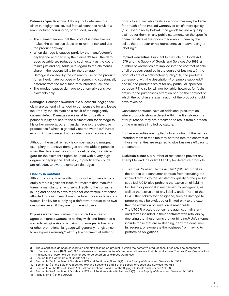Defenses/qualifications. Although not defenses to a claim in negligence, several factual scenarios result in a manufacturer incurring no, or reduced, liability:

- The claimant knows that the product is defective but makes the conscious decision to run the risk and use the product anyway;
- When damage is caused partly by the manufacturer's negligence and partly by the claimant's fault, the damages payable are reduced to such extent as the court thinks just and equitable with regard to the claimant's share in the responsibility for the damage;
- Damage is caused by the claimant's use of the product for an illegitimate purpose or for something substantially different from the manufacturer's intended use; and
- The product causes damage to abnormally sensitive claimants only.

Damages. Damages awarded in a successful negligence claim are generally intended to compensate for any losses incurred by the claimant as a result of the negligently caused defect. Damages are available for death or personal injury caused to the claimant and for damage to his or her property, other than damage to the defective product itself, which is generally not recoverable.<sup>38</sup> Purely economic loss caused by the defect is not recoverable.

Although the usual remedy is compensatory damages, exemplary or punitive damages are available in principle when the defendant has shown a deliberate, total disregard for the claimant's rights, coupled with a very high degree of negligence. That said, in practice the courts are reluctant to award exemplary damages.

### Liability in Contract

Although contractual liability to product end users is generally a more significant issue for retailers than manufacturers, a manufacturer who sells directly to the consumer in England needs to have regard for contractual protection afforded to consumers. A manufacturer may also face contractual liability for supplying a defective product to its own customers, even if they are not the end users.

Express warranties. Parties to a contract are free to agree to express warranties as they wish, and breach of a warranty will give rise to a claim for damages. Advertising or other promotional language will generally not give rise to an express warranty,<sup>39</sup> although a commercial seller of

goods to a buyer who deals as a consumer may be liable for breach of the implied warranty of satisfactory quality (discussed directly below) if the goods lacked a quality claimed for them in "any public statements on the specific characteristics of the goods made about them by the seller, the producer or his representative in advertising or labelling."<sup>40</sup>

Implied warranties. Pursuant to the Sale of Goods Act 1979 and the Supply of Goods and Services Act 1983, a number of warranties are implied into the contract of sale of all products supplied in the course of business: (i) the products are of a satisfactory quality;<sup>41</sup> (ii) the products correspond with the description<sup>42</sup> or sample supplied;<sup>43</sup> and (iii) the products are fit for any particular, specified purpose.44 The seller will not be liable, however, for faults drawn to the purchaser's attention prior to the contract or which the purchaser's examination of the product should have revealed.

Consumer contracts have an additional presumption: where products show a defect within the first six months after purchase, they are presumed to result from a breach of the warranties implied by statute.

Further warranties are implied into a contract if the parties intended them at the time they entered into the contract or if those warranties are required to give business efficacy to the contract.

Exclusion clauses. A number of restrictions prevent any attempt to exclude or limit liability for defective products:

- The Unfair Contract Terms Act 1977 ("UCTA") prohibits the parties to a consumer contract from excluding the implied term as to the satisfactory quality of the product supplied. UCTA also prohibits the exclusion of liability for death or personal injury caused by negligence, as well as the exclusion of any liability under Part I of the CPA. Other liability for negligence, such as damage to property, may be excluded or limited only to the extent that the exclusion or limitation is reasonable.
- The UTCCR protects consumers against unfair standard terms included in their contracts with retailers by declaring that those terms are not binding.<sup>45</sup> Unfair terms include those that are misleading, deny the consumer full redress, or exonerate the business from having to perform its obligations.

<sup>38</sup> The exception is damage caused to a complex assembled product in which the defective product constitutes only one component.

<sup>39</sup> In Lambert v. Lewis [1982] A.C. 225, statements in the manufacturer's promotional literature that his product was "foolproof" and "required no maintenance" were held as not intended to be acted on as express warranties.

<sup>40</sup> Section 14(2D) of the Sale of Goods Act 1979.

<sup>41</sup> Section 14(2) of the Sale of Goods Act 1979 and Sections 4(2) and 9(2) of the Supply of Goods and Services Act 1983.

<sup>42</sup> Section 13(1) of the Sale of Goods Act 1979 and Sections 3 and 8 of the Supply of Goods and Services Act 1983.

<sup>43</sup> Section 15 of the Sale of Goods Act 1979 and Sections 5 and 10 of the Supply of Goods and Services Act 1983.

<sup>44</sup> Section 14(3) of the Sale of Goods Act 1979 and Sections 4(4), 4(5), 9(4), and 9(5) of the Supply of Goods and Services Act 1983.

<sup>45</sup> Regulation 8(1) of the UTCCR.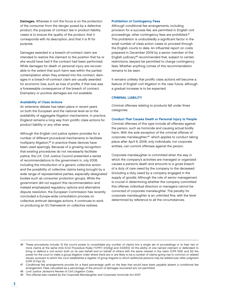Damages. Whereas in tort the focus is on the protection of the consumer from the danger posed by a defective product, the purpose of contract law in product liability cases is to ensure the quality of the product, that it corresponds with its description, and that it is fit for purpose.

Damages awarded in a breach-of-contract claim are intended to restore the claimant to the position that he or she would have had if the contract had been performed. While damages for death or personal injury are recoverable to the extent that such harm was within the parties' contemplation when they entered into the contract, damages in a breach-of-contract claim are usually awarded for economic loss, such as loss of profits, if that loss was a foreseeable consequence of the breach of contract. Exemplary or punitive damages are not available.

#### Availability of Class Actions

An extensive debate has taken place in recent years on both the European and the national level as to the availability of aggregate litigation mechanisms. In practice, England remains a long way from prolific class actions for product liability or any other area.

Although the English civil justice system provides for a number of different procedural mechanisms to facilitate multiparty litigation,46 in practice these devices have been used sparingly. Because of a growing recognition that existing procedures do not necessarily facilitate justice, the U.K. Civil Justice Council presented a series of recommendations to the government in July 2008, including the introduction of a generic collective action and the possibility of collective claims being brought by a wide range of representative parties, especially designated bodies such as consumer protection groups. While the government did not support this recommendation and instead emphasized regulatory options and alternative dispute resolution, the European Commission has recently concluded a Europe-wide consultation process on collective antitrust damages actions. It continues to work on producing an EU framework on collective redress.

#### Prohibition of Contingency Fees

Although conditional fee arrangements, including provision for a success fee, are permitted in English civil proceedings, other contingency fees are prohibited.47 This prohibition is undoubtedly a significant factor in the small number of class action cases to proceed through the English courts to date. An influential report on costs prepared in December 2009 by a senior member of the English judiciary48 recommended that, subject to certain restrictions, lawyers be permitted to charge contingency fees. Whether anything comes of this recommendation remains to be seen.

It remains unlikely that prolific class actions will become a feature of English civil litigation in the near future, although a gradual increase is to be expected.

#### CRIMINAL LIABILITY

Criminal offenses relating to products fall under three categories:

#### Conduct That Causes Death or Personal Injury to People

Criminal offenses of this type include all offenses against the person, such as homicide and causing actual bodily harm. With the sole exception of the criminal offense of corporate manslaughter,49 which applies to conduct taking place after April 6, 2008, only individuals, not corporate entities, can commit offenses against the person.

Corporate manslaughter is committed when the way in which the company's activities are managed or organized causes a person's death and amounts to a gross breach of a duty of care owed by the company to the deceased (including a duty owed by a company engaged in the supply of goods). Although the role of senior management is crucial in determining whether the company committed this offense, individual directors or managers cannot be convicted of corporate manslaughter. The penalty for corporate manslaughter is an unlimited fine, with the level determined by reference to all the circumstances.

<sup>46</sup> These procedures include: (i) the court's power to consolidate any number of claims into a single set of proceedings or to hear two or more claims at the same time (Civil Procedure Rules ("CPR") 3.1(2)(g) and 3.1(2)(h)); (ii) the ability of one named claimant or defendant to bring or defend a civil action both on its own behalf and on behalf of others with the same interest in the claim (CPR 19.6); and (iii) the power for the court to make a group litigation order where there are or are likely to be a number of claims giving rise to common or related issues, pursuant to which the court establishes a register of group litigants to which additional persons may be added even after judgment (CPR 10 Part III).

<sup>47</sup> Conditional fee arrangements provide for a fixed percentage uplift on the fees that would have been payable absent a conditional fee arrangement. Fees calculated as a percentage of the amount of damages recovered are not permitted.

<sup>48</sup> Lord Justice Jackson's Review of Civil Litigation Costs.

<sup>49</sup> This offense was created by the Corporate Manslaughter and Corporate Homicide Act 2007.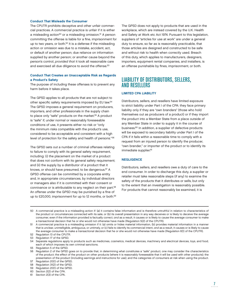#### Conduct That Misleads the Consumer

The CPUTR prohibits deceptive and other unfair commercial practices. A commercial practice is unfair if it is either a misleading action<sup>50</sup> or a misleading omission.<sup>51</sup> A person committing the offense is liable for a fine, imprisonment for up to two years, or both.<sup>52</sup> It is a defense if the misleading action or omission was due to a mistake, accident, act, or default of another person; due reliance on information supplied by another person; or another cause beyond the person's control, provided that it took all reasonable care and exercised all due diligence to avoid the offense.<sup>53</sup>

# Conduct That Creates an Unacceptable Risk as Regards a Product's Safety

The purpose of including these offenses is to prevent any harm before it takes place.

The GPSD applies to all products that are not subject to other specific safety requirements imposed by EU law.<sup>54</sup> The GPSD imposes a general requirement on producers, importers, and other professionals in the supply chain to place only "safe" products on the market.<sup>55</sup> A product is "safe" if, under normal or reasonably foreseeable conditions of use, it presents either no risk or "only the minimum risks compatible with the product's use, considered to be acceptable and consistent with a high level of protection for the safety and health of persons."56

The GPSD sets out a number of criminal offenses relating to failure to comply with its general safety requirement, including: (i) the placement on the market of a product that does not conform with its general safety requirement; and (ii) the supply by a distributor of a product that it knows, or should have presumed, to be dangerous.57 A GPSD offense can be committed by a corporate entity and, in appropriate circumstances, by individual directors or managers also if it is committed with their consent or connivance or is attributable to any neglect on their part.58 An offense under the GPSD may be punished by a fine of up to £20,000, imprisonment for up to 12 months, or both.59 The GPSD does not apply to products that are used in the workplace, which are instead covered by the U.K. Health and Safety at Work etc Act 1974. Pursuant to this legislation, suppliers of "articles for use at work" are under a general duty to ensure, so far as is reasonably practicable, that those articles are designed and constructed to be safe and without risk to health when correctly used. Breach of this duty, which applies to manufacturers, designers, importers, equipment rental companies, and installers, is an offense punishable by fines, imprisonment, or both.

# LIABILITY OF DISTRIBUTORS, SELLERS, AND RESELLERS

# LIMITED CPA LIABILITY

Distributors, sellers, and resellers have limited exposure to strict liability under Part I of the CPA: they face primary liability only if they are "own branders" (those who hold themselves out as producers of a product) or if they import the product into a Member State from a place outside of any Member State in order to supply it in the course of business.60 In addition, a supplier of defective products will be exposed to secondary liability under Part I of the CPA if it fails within a reasonable time to comply with a request from an injured person to identify the producer, "own brander," or importer of the product or to identify its immediate supplier.<sup>61</sup>

### **NEGLIGENCE**

Distributors, sellers, and resellers owe a duty of care to the end consumer. In order to discharge this duty, a supplier or retailer must take reasonable steps (if any) to examine the safety of the products that it distributes or sells, but only to the extent that an investigation is reasonably possible. For products that cannot reasonably be examined, it is

<sup>50</sup> A commercial practice is a misleading action if: (a) it contains false information and is therefore untruthful in relation to characteristics of the product or circumstances connected with its sale, or (b) its overall presentation in any way deceives or is likely to deceive the average consumer, even if the information provided is factually correct, and as a result, it causes or is likely to cause the average consumer to make a transactional decision that he or she would not otherwise have made (Regulation 5(2) of the CPUTR).

<sup>51</sup> A commercial practice is a misleading omission if it: (a) omits or hides material information, (b) provides material information in a manner that is unclear, unintelligible, ambiguous, or untimely, or (c) fails to identify its commercial intent, and as a result, it causes or is likely to cause the average consumer to make a transactional decision that he or she would not otherwise have made (Regulation 6(1) of the CPUTR).

<sup>52</sup> Regulation 13 of the CPUTR.

<sup>53</sup> Regulation 17 of the GPSD.

<sup>54</sup> Separate regulations apply to products such as medicines, cosmetics, medical devices, machinery and electrical devices, toys, and food, each of which imposes its own criminal sanctions.

<sup>55</sup> Regulation 5 of the GPSD.

<sup>56</sup> Regulation 2 of the GPSD goes on to provide that, in determining what constitutes a "safe" product, one may consider the characteristics of the product; the effect of the product on other products (where it is reasonably foreseeable that it will be used with other products); the presentation of the product (including warnings and instructions for use); and the categories of consumers at risk when using the product.

<sup>57</sup> Regulation 20(1) of the GPSD.

<sup>58</sup> Regulation 31(2) of the GPSD.

<sup>59</sup> Regulation 20(1) of the GPSD.

<sup>60</sup> Section 2(2) of the CPA.

<sup>61</sup> Section 2(3) of the CPA.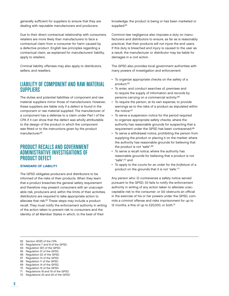generally sufficient for suppliers to ensure that they are dealing with reputable manufacturers and producers.

Due to their direct contractual relationship with consumers, retailers are more likely than manufacturers to face a contractual claim from a consumer for harm caused by a defective product. English law principles regarding a contractual claim, as explained for manufacturers' liability, apply to retailers.

Criminal liability offenses may also apply to distributors, sellers, and resellers.

# LIABILITY OF COMPONENT AND RAW MATERIAL **SUPPLIERS**

The duties and potential liabilities of component and raw material suppliers mirror those of manufacturers. However, these suppliers are liable only if a defect is found in the component or raw material supplied. The manufacturer of a component has a defense to a claim under Part I of the CPA if it can show that the defect was wholly attributable to the design of the product in which the component was fitted or to the instructions given by the product manufacturer.<sup>62</sup>

# PRODUCT RECALLS AND GOVERNMENT ADMINISTRATIVE INVESTIGATIONS OF PRODUCT DEFECT

# STANDARD OF LIABILITY

The GPSD obligates producers and distributors to be informed of the risks of their products. When they learn that a product breaches the general safety requirement and therefore may present consumers with an unacceptable risk, producers and, within the limits of their activities, distributors are required to take appropriate action to alleviate that risk.63 These steps may include a product recall. They must notify the enforcement authority in writing of the action taken to prevent risk to consumers and the identity of all Member States in which, to the best of their

knowledge, the product is being or has been marketed or supplied.<sup>64</sup>

Common-law negligence also imposes a duty on manufacturers and distributors to ensure, as far as is reasonably practical, that their products will not injure the end users. If this duty is breached and injury is caused to the user as a result, the manufacturer or distributor may be liable for damages in a civil action.

The GPSD also provides local government authorities with many powers of investigation and enforcement:

- To organize appropriate checks on the safety of a product:<sup>65</sup>
- To enter, and conduct searches of, premises and to require the supply of information and records by persons carrying on a commercial activity;<sup>66</sup>
- To require the person, at its own expense, to provide warnings as to the risks of a product as stipulated within the notice:<sup>67</sup>
- To serve a suspension notice for the period required to organize appropriate safety checks, where the authority has reasonable grounds for suspecting that a requirement under the GPSD has been contravened;<sup>68</sup>
- To serve a withdrawal notice, prohibiting the person from supplying the product or placing it on the market, where the authority has reasonable grounds for believing that the product is not "safe";<sup>69</sup>
- To serve a recall notice, where the authority has reasonable grounds for believing that a product is not "safe";70 and
- To apply to the courts for an order for the forfeiture of a product on the grounds that it is not "safe."71

Any person who: (i) contravenes a safety notice served pursuant to the GPSD; (ii) fails to notify the enforcement authority in writing of any action taken to alleviate unacceptable risk to the consumer; or (iii) obstructs an official in the exercise of his or her powers under the GPSD, commits a criminal offense and risks imprisonment for up to 12 months, a fine of up to £20,000, or both.<sup>72</sup>

- 63 Regulations 7 and 8 of the GPSD.
- 64 Regulation 9(1) of the GPSD.
- 65 Regulation 21 of the GPSD.
- 66 Regulation 22 of the GPSD.
- 67 Regulation 13 of the GPSD.
- 68 Regulation 11 of the GPSD.
- 69 Regulation 14 of the GPSD.
- 70 Regulation 15 of the GPSD.
- 71 Regulations 18 and 19 of the GPSD.
- 72 Regulations 20 and 24 of the GPSD.

<sup>62</sup> Section 4(1)(f) of the CPA.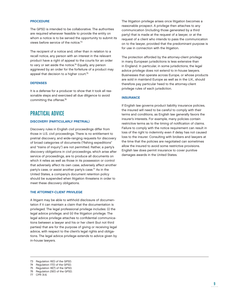# PROCEDURE

The GPSD is intended to be collaborative. The authorities are required whenever feasible to provide the entity on whom a notice is to be served the opportunity to submit its views before service of the notice.<sup>73</sup>

The recipient of a notice and, other than in relation to a recall notice, any person with an interest in the relevant product have a right of appeal to the courts for an order to vary or set aside the notice.<sup>74</sup> Equally, any person aggrieved by an order for the forfeiture of a product may appeal that decision to a higher court.<sup>75</sup>

### **DEFENSES**

It is a defense for a producer to show that it took all reasonable steps and exercised all due diligence to avoid committing the offense.76

# PRACTICAL ADVICE

#### DISCOVERY (PARTICULARLY PRETRIAL)

Discovery rules in English civil proceedings differ from those in U.S. civil proceedings. There is no entitlement to pretrial discovery, and wide-ranging requests for discovery of broad categories of documents ("fishing expeditions" and "trains of inquiry") are not permitted. Rather, a party's discovery obligations in civil proceedings, which arise after service of proceedings, are to produce all documents on which it relies as well as those in its possession or control that adversely affect its own case, adversely affect another party's case, or assist another party's case.77 As in the United States, a company's document retention policy should be suspended when litigation threatens in order to meet these discovery obligations.

#### THE ATTORNEY-CLIENT PRIVILEGE

A litigant may be able to withhold disclosure of documentation if it can maintain a claim that the documentation is privileged. The legal professional privilege includes: (i) the legal advice privilege; and (ii) the litigation privilege. The legal advice privilege attaches to confidential communications between a lawyer and his or her client (but not third parties) that are for the purpose of giving or receiving legal advice, with respect to the client's legal rights and obligations. The legal advice privilege extends to advice given by in-house lawyers.

The litigation privilege arises once litigation becomes a reasonable prospect. A privilege then attaches to any communication (including those generated by a third party) that is made at the request of a lawyer, or at the request of a client who intends to pass the communication on to the lawyer, provided that the predominant purpose is for use in connection with the litigation.

The protection afforded by the attorney-client privilege in many European jurisdictions is less extensive than in England. In particular, in some jurisdictions, the legal advice privilege does not extend to in-house lawyers. Businesses that operate across Europe, or whose products are sold in mainland Europe as well as in the U.K., should therefore pay particular heed to the attorney-client privilege rules of each jurisdiction.

# **INSURANCE**

If English law governs product liability insurance policies, the insured will need to be careful to comply with their terms and conditions, as English law generally favors the insurer's interests. For example, many policies contain restrictive terms as to the timing of notification of claims. Failure to comply with the notice requirement can result in loss of the right to indemnity even if delay has not caused loss to the insurer. Consulting with brokers and lawyers at the time that the policies are negotiated can sometimes allow the insured to avoid some restrictive provisions. English law does permit insurance to cover punitive damages awards in the United States.

<sup>73</sup> Regulation 16(1) of the GPSD.

<sup>74</sup> Regulation 17(1) of the GPSD.

<sup>75</sup> Regulation 18(7) of the GPSD.

<sup>76</sup> Regulation 29(1) of the GPSD.

<sup>77</sup> CPR 31.6.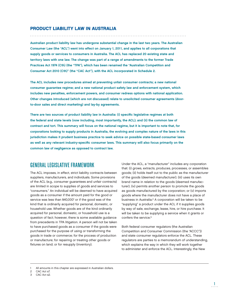# PRODUCT LIABILITY LAW IN AUSTRALIA

Australian product liability law has undergone substantial change in the last two years. The Australian Consumer Law (the "ACL") went into effect on January 1, 2011, and applies to all corporations that supply goods or services to consumers in Australia. The ACL has replaced 20 existing state and territory laws with one law. The change was part of a range of amendments to the former Trade Practices Act 1974 (Cth) (the "TPA"), which has been renamed the "Australian Competition and Consumer Act 2010 (Cth)" (the "CAC Act"), with the ACL incorporated in Schedule 2.

The ACL includes new procedures aimed at preventing unfair consumer contracts; a new national consumer guarantee regime; and a new national product safety law and enforcement system, which includes new penalties, enforcement powers, and consumer redress options with national application. Other changes introduced (which are not discussed) relate to unsolicited consumer agreements (doorto-door sales and direct marketing) and lay-by agreements.

There are two sources of product liability law in Australia: (i) specific legislative regimes at both the federal and state levels (now including, most importantly, the ACL); and (ii) the common law of contract and tort. This summary will focus on the national regime, but it is important to note that, for corporations looking to supply products in Australia, the evolving and complex nature of the laws in this jurisdiction makes it prudent business practice to seek advice on possible state-based consumer laws as well as any relevant industry-specific consumer laws. This summary will also focus primarily on the common law of negligence as opposed to contract law.

# GENERAL LEGISLATIVE FRAMEWORK

The ACL imposes, in effect, strict liability contracts between suppliers, manufacturers, and individuals. Some provisions of the ACL (e.g., consumer guarantees and unfair contracts) are limited in scope to supplies of goods and services to "consumers." An individual will be deemed to have acquired goods as a consumer if the amount paid for the good or service was less than \$40,000<sup>1</sup> or if the good was of the kind that is ordinarily acquired for personal, domestic, or household use. Whether goods are of the kind ordinarily acquired for personal, domestic, or household use is a question of fact; however, there is some available guidance from precedents in TPA litigation. A person will not be taken to have purchased goods as a consumer if the goods were purchased for the purpose of using or transforming the goods in trade or commerce; for the process of production or manufacture; for repairing or treating other goods or fixtures on land; or for resupply (inventory).

Under the ACL, a "manufacturer" includes any corporation that: (i) grows, extracts, produces, processes, or assembles goods; (ii) holds itself out to the public as the manufacturer of the goods (deemed manufacturer); (iii) uses its own brand name in relation to the goods (deemed manufacturer); (iv) permits another person to promote the goods as goods manufactured by the corporation; or (v) imports goods where the manufacturer does not have a place of business in Australia.2 A corporation will be taken to be "supplying" a product under the ACL if it supplies goods by way of sale, exchange, lease, hire, or hire purchase. It will be taken to be supplying a service when it grants or confers the service.3

Both federal consumer regulators (the Australian Competition and Consumer Commission (the "ACCC")) and state consumer regulators enforce the ACL. These regulators are parties to a memorandum of understanding, which explains the way in which they will work together to administer and enforce the ACL. Interestingly, the New

All amounts in this chapter are expressed in Australian dollars.

<sup>2</sup> CAC Act s7.

<sup>3</sup> CAC Act s2.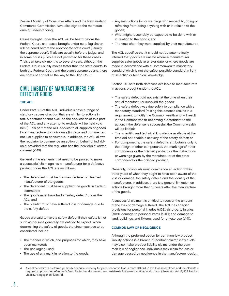Zealand Ministry of Consumer Affairs and the New Zealand Commerce Commission have also signed the memorandum of understanding.

Cases brought under the ACL will be heard before the Federal Court, and cases brought under state legislation will be heard before the appropriate state court (usually the supreme court). Trials are usually before a judge, and in some courts juries are not permitted for these cases. Trials can take six months to several years, although the Federal Court usually moves faster than the state courts. In both the Federal Court and the state supreme courts, there are rights of appeal all the way to the High Court.

# CIVIL LIABILITY OF MANUFACTURERS FOR DEFECTIVE GOODS

# THE ACL

Under Part 3-5 of the ACL, individuals have a range of statutory causes of action that are similar to actions in tort. A contract cannot exclude the application of this part of the ACL, and any attempt to exclude will be held void (s150). This part of the ACL applies to all supplies of goods by a manufacturer to individuals (in trade and commerce), not just supplies to consumers. In addition, the ACL allows the regulator to commence an action on behalf of individuals, provided that the regulator has the individuals' written consent (s149).

Generally, the elements that need to be proved to make a successful claim against a manufacturer for a defective product under the ACL are as follows:

- The defendant must be the manufacturer or deemed manufacturer of the goods;
- The defendant must have supplied the goods in trade or commerce;
- The goods must have had a "safety defect" under the ACL; and
- The plaintiff must have suffered loss or damage due to the safety defect.

Goods are said to have a safety defect if their safety is not such as persons generally are entitled to expect. When determining the safety of goods, the circumstances to be considered include:

- The manner in which, and purposes for which, they have been marketed;
- The packaging used;

 $\frac{2}{2}$ .

• The use of any mark in relation to the goods;

- Any instructions for, or warnings with respect to, doing or refraining from doing anything with or in relation to the goods;
- What might reasonably be expected to be done with or in relation to the goods; and
- The time when they were supplied by their manufacturer.

The ACL specifies that it should not be automatically inferred that goods are unsafe where a manufacturer supplies safer goods at a later date, or where goods are made in accordance with a Commonwealth mandatory standard which is not the safest possible standard in light of scientific or technical knowledge.

Section 142 sets forth defenses available to manufacturers in actions brought under the ACL:

- The safety defect did not exist at the time when their actual manufacturer supplied the goods;
- The safety defect was due solely to compliance with a mandatory standard (raising this defense results in a requirement to notify the Commonwealth and will result in the Commonwealth becoming a defendant to the action; if the defense is successful, the Commonwealth will be liable);
- The scientific and technical knowledge available at the time did not enable discovery of the safety defect; or
- For components, the safety defect is attributable only to the design of other components, the markings of other components or the finished product, or the instructions or warnings given by the manufacturer of the other components or the finished product.

Generally, individuals must commence an action within three years of when they ought to have been aware of the loss or damage, the safety defect, and the identity of the manufacturer. In addition, there is a general limitation on actions brought more than 10 years after the manufacture of the goods.

A successful claimant is entitled to recover the amount of the loss or damage suffered. The ACL has specific provisions for personal injuries (s138); third-party injuries (s139); damage to personal items (s140); and damage to land, buildings, and fixtures used for private use (s141).

### COMMON LAW OF NEGLIGENCE

Although the preferred option for common-law product liability actions is a breach-of-contract claim,<sup>4</sup> individuals may also make product liability claims under the common law of negligence. Individuals may claim for loss or damage caused by negligence in the manufacture, design,

A contract claim is preferred primarily because recovery for pure economic loss is more difficult in tort than in contract, and the plaintiff is required to prove the defendant's fault. For further discussion, see LexisNexis Butterworths, Halsbury's Laws of Australia, Vol. 13, 338 Product Liability, "Negligence" [338-15].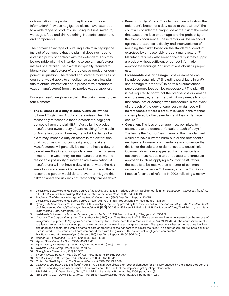or formulation of a product<sup>5</sup> or negligence in product information.6 Previous negligence claims have extended to a wide range of products, including, but not limited to, water, gas, food and drink, clothing, industrial equipment, and components.7

The primary advantage of pursuing a claim in negligence instead of contract is that the plaintiff does not need to establish privity of contract with the defendant. This may be desirable when the intention is to sue a manufacturer instead of a retailer. The plaintiff is typically required to identify the manufacturer of the defective product or component in question. The federal and state/territory rules of court that would apply to a negligence action allow plaintiffs to obtain information about prospective defendants (e.g., a manufacturer) from third parties (e.g., a supplier).

For a successful negligence claim, the plaintiff must prove four elements:

• The existence of a duty of care. Australian law has followed English law. A duty of care arises when it is reasonably foreseeable that a defendant's negligent act could harm the plaintiff.<sup>8</sup> In Australia, the product manufacturer owes a duty of care resulting from a sale of Australian goods. However, the individual facts of a claim may impose a duty on others in the distribution chain, such as distributors, designers, or retailers. Manufacturers will generally be found to have a duty of care where they intend for goods to reach the consumer in the form in which they left the manufacturer, with no reasonable possibility of intermediate examination.<sup>9</sup> A manufacturer will not have a duty of care where the risk was obvious and unavoidable and it has done all that a reasonable person would do to prevent or mitigate this risk<sup>10</sup> or where the risk was not reasonably foreseeable.<sup>11</sup>

- Breach of duty of care. The claimant needs to show the defendant's breach of a duty owed to the plaintiff.<sup>12</sup> The court will consider the magnitude of the risk of the event that caused the loss or damage and the probability of the event's occurrence. These factors will be balanced against the expense, difficulty, and inconvenience of reducing the risks<sup>13</sup> based on the standard of conduct exercised by a "reasonably prudent manufacturer."<sup>14</sup> Manufacturers may also breach their duty if they supply a product without sufficient or correct information, appropriate warnings,<sup>15</sup> or instructions about its proper use.
- Foreseeable loss or damage. Loss or damage can include personal injury<sup>16</sup> (including psychiatric injury<sup>17</sup>) and damage to property.<sup>18</sup> In certain circumstances, pure economic loss can be recoverable.<sup>19</sup> The plaintiff is not required to show that the precise loss or damage was foreseeable; rather, the plaintiff only needs to show that some loss or damage was foreseeable in the event of a breach of the duty of care. Loss or damage will be foreseeable where a product is used in the manner contemplated by the defendant and loss or damage occurs.20
- Causation. The loss or damage must be linked, by causation, to the defendant's fault (breach of duty).<sup>21</sup> The test is the "but for" test, meaning that the claimant would not have suffered harm but for the defendant's negligence. However, commentators acknowledge that this is not the sole test to demonstrate a causal link. Commentators have suggested that causation is a question of fact not able to be reduced to a formulaic approach (such as applying a "but for" test); rather, the issue is to be resolved as a matter of common sense and experience.<sup>22</sup> However, after the Tort Reform Process (a series of reforms in 2002, following a review

<sup>5</sup> LexisNexis Butterworths, Halsbury's Laws of Australia, Vol. 13, 338 Product Liability, "Negligence" [338-15]; Donoghue v. Stevenson [1932] AC 562; Grant v. Australian Knitting Mills Ltd (Woollen Underwear Case) (1935) 54 CLR 49.

<sup>6</sup> Bryden v. Chief General Manager of the Health Department (1987) Aust Torts Reports 80-075.

<sup>7</sup> LexisNexis Butterworths, Halsbury's Laws of Australia, Vol. 13, 338 Product Liability, "Negligence" [338-75].

<sup>8</sup> Sydney City Council v. Dell'Oro (1974) 132 CLR 97, applying the rule approved by the Privy Council in Overseas Tankship (UK) Ltd v. Morts Dock and Engineering Co Ltd (The Wagon Mound (No. 1)) [1961] AC 388 at 425; see R.P. Balkin & J.L.R. Davis, Law of Torts, Third Edition, LexisNexis Butterworths, 2004, paragraph [7.15].

<sup>9</sup> LexisNexis Butterworths, Halsbury's Laws of Australia, Vol. 13, 338 Product Liability, "Negligence" [338-25].

<sup>10</sup> Chicco v. The Corporation of the City of Woodville (1990) Aust Torts Reports 81-028. This case involved an injury caused by the misuse of playground equipment (a "flying fox," or small-scale zip-line). Please note that in Todman v. Victa Ltd [1982] VR 849, the court said in relation to a lawn mower that it "serves no purpose to classify such a machine as dangerous in itself. The question is whether the machine has been designed and constructed with a degree of care appropriate to the dangers to minimize the risks." The court continued, "[W]here a duty of care is owed . . . the standard of care demanded rises with the gravity of the risks which negligence can create."

<sup>11</sup> H v. Royal Alexandra Hospital for Children (1990) Aust Torts Reports 81-100 SC(NSW).

<sup>12</sup> Donoghue v. Stevenson [1932] AC 562; [1932] SC (HL) 31.

<sup>13</sup> Wyong Shire Council v. Shirt (1980) 146 CLR 40.

<sup>14</sup> Blyth v. Co of Properties of the Birmingham Waterworks (1856) 11 Exch 781.

<sup>15</sup> O'Dwyer v. Leo Buring Pty Ltd [1966] WAR 67.

<sup>16</sup> Donoghue v. Stevenson [1932] AC 562.<br>17 Vince v. Cripps Bakery Pty Ltd (1984) A

Vince v. Cripps Bakery Pty Ltd (1984) Aust Torts Reports 80-668, SC(TAS).

<sup>18</sup> Grant v. Cooper, McDougall and Robertson Ltd [1940] NZLR 947.

<sup>19</sup> Caltex Oil (Aust) Pty Ltd v. The Dredge Willemstad (1976) 136 CLR 529.

<sup>20</sup> O'Dwyer v. Leo Buring Pty Ltd [1966] WAR 67. A plaintiff was allowed to recover damages for an injury caused by the plastic stopper of a bottle of sparkling wine whose label did not warn about the risk that the stopper might eject spontaneously.

<sup>21</sup> R.P. Balkin & J.L.R. Davis, Law of Torts, Third Edition, LexisNexis Butterworths, 2004, paragraph [9.1].

<sup>22</sup> R.P. Balkin & J.L.R. Davis, Law of Torts, Third Edition, LexisNexis Butterworths, 2004, paragraph [9.6].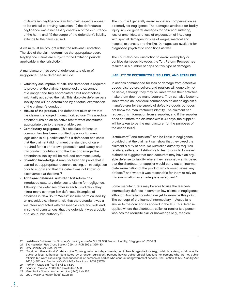of Australian negligence law), two main aspects appear to be critical to proving causation: (i) the defendant's negligence was a necessary condition of the occurrence of the harm; and (ii) the scope of the defendant's liability extends to the harm caused.

A claim must be brought within the relevant jurisdiction. The size of the claim determines the appropriate court. Negligence claims are subject to the limitation periods applicable in the jurisdiction.

A manufacturer has several defenses to a claim of negligence. These defenses include:

- Voluntary assumption of risk. The defendant is required to prove that the claimant perceived the existence of a danger and fully appreciated it but nonetheless voluntarily accepted the risk. This absolute defense bars liability and will be determined by a factual examination of the claimant's conduct.
- Misuse of the product. The defendant must show that the claimant engaged in unauthorized use. This absolute defense turns on an objective test of what constitutes appropriate use to the reasonable user.
- Contributory negligence. This absolute defense at common law has been modified by apportionment legislation in all jurisdictions.23 If a defendant can show that the claimant did not meet the standard of care required for his or her own protection and safety, and this conduct contributed to the loss or damage, the defendant's liability will be reduced commensurately.
- Scientific knowledge. A manufacturer can prove that it carried out appropriate research, testing, or investigation prior to supply and that the defect was not known or discoverable at the time.<sup>24</sup>
- Additional defenses. Australian tort reform has introduced statutory defenses to claims for negligence. Although the defenses differ in each jurisdiction, they mirror many common-law defenses. Examples of defenses in New South Wales<sup>25</sup> include harm caused by an unavoidable, inherent risk; that the defendant was a volunteer and acted with reasonable care and skill; and, in some circumstances, that the defendant was a public or quasi-public authority.26

The court will generally award monetary compensation as a remedy for negligence. The damages available for bodily injury include general damages for pain and suffering, loss of amenities, and loss of expectation of life, along with special damages for loss of wages, medical and hospital expenses, and the like. Damages are available for diagnosed psychiatric conditions as well.

The court also has jurisdiction to award exemplary or punitive damages. However, the Tort Reform Process has resulted in a number of caps on this type of damages.

#### LIABILITY OF DISTRIBUTORS, SELLERS, AND RETAILERS

In actions commenced for loss or damage from defective goods, distributors, sellers, and retailers will generally not be liable, although they may be liable where their activities make them deemed manufacturers. They can also become liable where an individual commences an action against a manufacturer for the supply of defective goods but does not know the manufacturer's identity. The claimant can request this information from a supplier, and if the supplier does not inform the claimant within 30 days, the supplier will be taken to be the manufacturer for the purposes of the action (s147).

Distributors<sup>27</sup> and retailers<sup>28</sup> can be liable in negligence, provided that the claimant can show that they owed the claimant a duty of care. No Australian authority requires retailers, sellers, or distributors to test products. However, authorities suggest that manufacturers may have an arguable defense to liability where they reasonably anticipated that the distributor or supplier would carry out an intermediate examination of the product which would reveal any defects<sup>29</sup> and where it was reasonable for them to rely on this examination as an adequate safeguard.30

Some manufacturers may be able to use the learnedintermediary defense in common-law claims of negligence, although Australian courts have yet to examine this point. The concept of the learned intermediary in Australia is similar to the concept as applied in the U.S. This defense applies where the distributor, seller, or retailer is a person who has the requisite skill or knowledge (e.g., medical

27 Parker v. Oloxo Ltd [1937] 3 All E.R. 524.

<sup>23</sup> LexisNexis Butterworths, Halsbury's Laws of Australia, Vol. 13, 338 Product Liability, "Negligence" [338-95].

<sup>24</sup> E v. Australian Red Cross Society (1991) 31 FCR 299 at 325–30.

<sup>25</sup> Civil Liability Act 2002 (NSW).

<sup>26 &</sup>quot;Public or other authority" refers to the Crown, government departments, public health organizations (e.g., public hospitals), local councils, public or local authorities (constituted by or under legislation), persons having public official functions (or persons who are not public officials but were exercising those functions), or persons or bodies who conduct nongovernment schools. See Section 41 Civil Liability Act 2002 (NSW) and Section 4 Civil Liability Regulation 2009 (NSW).

<sup>28</sup> Fisher v. Harrods Ltd [1966] 1 Lloyd's Rep 500.

<sup>29</sup> Herschtal v. Stewart and Ardern Ltd [1940] 1 KN 155.

<sup>30</sup> Jull v. Wilson & Horton [1968] NZLR 88.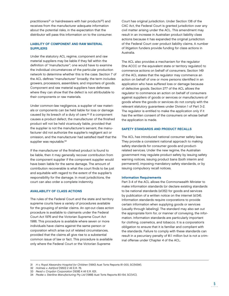practitioners<sup>31</sup> or hairdressers with hair products<sup>32</sup>) and receives from the manufacturer adequate information about the potential risks, in the expectation that the distributor will pass this information on to the consumer.

## LIABILITY OF COMPONENT AND RAW MATERIAL **SUPPLIERS**

Under the statutory ACL regime, component and raw material suppliers may be liable if they fall within the definition of "manufacturer"; one would have to examine the individual circumstances of the particular production network to determine whether this is the case. Section 7 of the ACL defines "manufacturer" broadly; the term includes growers, processors, assemblers, and importers of goods. Component and raw material suppliers have defenses where they can show that the defect is not attributable to their components or raw materials.

Under common-law negligence, a supplier of raw materials or components can be held liable for loss or damage caused by its breach of a duty of care.33 If a component causes a product defect, the manufacturer of the finished product will not be held vicariously liable, provided that the supplier is not the manufacturer's servant, the manufacturer did not authorize the supplier's negligent act or omission, and the manufacturer had satisfied itself that the supplier was reputable.<sup>34</sup>

If the manufacturer of the finished product is found to be liable, then it may generally recover contribution from the component supplier if the component supplier would have been liable for the same damage. The amount of contribution recoverable is what the court finds to be just and equitable with regard to the extent of the supplier's responsibility for the damage. In most jurisdictions, the court can also order a complete indemnity.

#### AVAILABILITY OF CLASS ACTIONS

The rules of the Federal Court and the state and territory supreme courts have a variety of procedures available for the grouping of similar claims. An opt-out class action procedure is available to claimants under the Federal Court Act 1976 and the Victorian Supreme Court Act 1986. This procedure is available where seven or more individuals have claims against the same person or corporation which arise out of related circumstances, provided that the claims all give rise to a substantial common issue of law or fact. This procedure is available only where the Federal Court or the Victorian Supreme

Court has original jurisdiction. Under Section 138 of the CAC Act, the Federal Court is granted jurisdiction over any civil matter arising under the ACL. This amendment may result in an increase in Australian product liability class actions because it has expanded the original jurisdiction of the Federal Court over product liability claims. A number of litigation funders provide funding for class actions in Australia.

The ACL also provides a mechanism for the regulator (the ACCC or the equivalent state or territory regulator) to commence actions on behalf of consumers. Section 149 of the ACL states that the regulator may commence an action on behalf of one or more persons identified in an application who have suffered loss or damage because of defective goods. Section 277 of the ACL allows the regulator to commence an action on behalf of consumers against suppliers of goods or services or manufacturers of goods where the goods or services do not comply with the relevant statutory guarantees under Division 1 of Part 3-2. The regulator is entitled to make the application only if it has the written consent of the consumers on whose behalf the application is made.

#### SAFETY STANDARDS AND PRODUCT RECALLS

The ACL has introduced national consumer safety laws. They provide a consistent national approach to making safety standards for consumer goods and productrelated services. Under the new regime, the Australian government may regulate product safety by issuing safety warning notices, issuing product bans (both interim and permanent), imposing mandatory safety standards, or by issuing compulsory recall notices.

#### Information Requirements

Part 3-4 of the ACL allows the Commonwealth Minister to make information standards (or declare existing standards to be national standards (s135)) for goods and services by publication of a written notice on the internet (s134). Information standards require corporations to provide certain information when supplying goods or services (usually through labeling). The standard may also set out the appropriate form for, or manner of conveying, the information. Information standards are particularly important for clothing, cosmetics, and tobacco. It is a corporation's obligation to ensure that it is familiar and compliant with the standards. Failure to comply with these standards can result in a pecuniary penalty of \$1.1 million but is not a criminal offense under Chapter 4 of the ACL.

<sup>31</sup> H v. Royal Alexandra Hospital for Children (1990) Aust Torts Reports 81-000, SC(NSW).

<sup>32</sup> Holmes v. Ashford [1950] 2 All E.R. 76.

<sup>33</sup> Read v. Croydon Corporation [1938] 4 All E.R. 631.

<sup>34</sup> Peake v. Steriline Manufacturing Pty Ltd (1988) Aust Torts Reports 80-154, SC(VIC).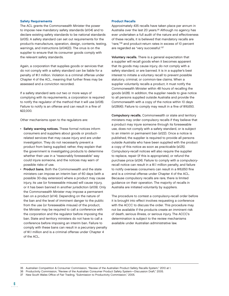#### Safety Requirements

The ACL grants the Commonwealth Minister the power to impose new mandatory safety standards (s104) and to declare existing safety standards to be national standards (s105). A safety standard can set out requirements for the product's manufacture, operation, design, contents, testing, warnings, and instructions (s104(2)). The onus is on the supplier to ensure that its consumer goods comply with the relevant safety standards.

Again, a corporation that supplies goods or services that do not comply with a safety standard can be liable for a penalty of \$1.1 million. Violation is a criminal offense under Chapter 4 of the ACL, meaning that further fines may be assessed and a conviction recorded.

If a safety standard sets out two or more ways of complying with its requirements, a corporation is required to notify the regulator of the method that it will use (s108). Failure to notify is an offense and can result in a fine of \$22,000.

Other mechanisms open to the regulators are:

- Safety warning notices. These formal notices inform consumers and suppliers about goods or productrelated services that may cause injury and are under investigation. They do not necessarily prevent a product from being supplied; rather, they explain that the government is investigating products to determine whether their use in a "reasonably foreseeable" way could injure someone, and the notices may warn of possible risks of use.
- Product bans. Both the Commonwealth and the state ministers can impose an interim ban of 60 days (with a possible 30-day extension) where a product may cause injury, its use (or foreseeable misuse) will cause injury, or it has been banned in another jurisdiction (s109). Only the Commonwealth Minister may impose a permanent ban on a product (s114). Depending on the nature of the ban and the level of imminent danger to the public from the use (or foreseeable misuse) of the product, the Minister may be required to call a conference with the corporation and the regulator before imposing the ban. State and territory ministers do not have to call a conference before imposing an interim ban. Failure to comply with these bans can result in a pecuniary penalty of \$1.1 million and is a criminal offense under Chapter 4 of the ACL.

#### Product Recalls

Approximately 435 recalls have taken place per annum in Australia over the last 20 years.<sup>35</sup> Although no agency has ever undertaken a full audit of the nature and effectiveness of these recalls, it is believed that mandatory recalls are "rare,"36 and product-return rates in excess of 10 percent are regarded as "very successful."37

Voluntary recalls. There is a general expectation that a supplier will recall goods when it becomes apparent that its goods may cause injury, do not comply with a safety standard, or are banned. It is in a supplier's best interest to initiate a voluntary recall to prevent possible statutory, criminal, or common-law claims. When a supplier voluntarily recalls a product, it must notify the Commonwealth Minister within 48 hours of recalling the goods (s128). In addition, the supplier needs to give notice to all persons supplied outside Australia and provide the Commonwealth with a copy of the notice within 10 days  $(s128(4))$ . Failure to comply may result in a fine of \$16,650.

Compulsory recalls. Commonwealth or state and territory ministers may order compulsory recalls if they believe that a product may injure someone through its foreseeable use, does not comply with a safety standard, or is subject to an interim or permanent ban (s122). Once a notice is published, the supplier is required to provide all persons outside Australia who have been supplied with the product a copy of this notice as soon as practicable (s125). Compulsory-recall notices will also require the supplier to replace, repair (if this is appropriate), or refund the purchase price (s124). Failure to comply with a compulsoryrecall notice can result in a \$1.1 million penalty, and failure to notify overseas consumers can result in a \$16,650 fine and is a criminal offense under Chapter 4 of the ACL. Because compulsory recalls are rare, there is limited guidance on their operation. The majority of recalls in Australia are initiated voluntarily by suppliers.

The procedure to contest a compulsory-recall order before it is brought into effect involves requesting a conference with the ACCC to discuss the order. This procedure may not be available if the products create an imminent risk of death, serious illness, or serious injury. The ACCC's determination is subject to the review mechanisms available under Australian administrative law.

<sup>35</sup> Australian Competition & Consumer Commission, "Review of the Australian Product Safety Recalls System," 2010 at 1.

<sup>36</sup> Productivity Commission, "Review of the Australian Consumer Product Safety System—Discussion Draft," 2005.

<sup>37</sup> New South Wales Office of Fair Trading, "Submission to Productivity Commission," 2005.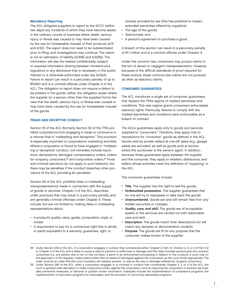#### Mandatory Reporting

The ACL obligates suppliers to report to the ACCC (within two days) any incidents of which they have become aware in the ordinary course of business where death, serious injury, or illness was caused or may have been caused by the use (or foreseeable misuse) of their products (s131 and s132). The report does not need to be substantiated prior to filing, and investigations may continue. The report is not an admission of liability (s131(6) and s132(6)). The information will also be treated confidentially, subject to required information sharing between ministers and regulators or any disclosure that is necessary in the public interest or is otherwise authorized under law (s132A). Failure to report can result in a pecuniary penalty of up to \$16,650 and is a criminal offense under Chapter 4 of the ACL. The obligation to report does not require a defect to be present in the goods; rather, the obligation arises where the supplier (or a person other than the supplier) forms the view that the death, serious injury, or illness was caused or may have been caused by the use (or foreseeable misuse) of the goods.

#### FRAUD AND DECEPTIVE CONDUCT

Section 18 of the ACL (formerly Section 52 of the TPA) prohibits corporations from engaging in trade or commerce in a manner that is "misleading and deceptive." This provision is especially important to corporations' marketing activities. Where a corporation is found to have engaged in "misleading or deceptive" conduct, civil remedies include injunctions, declarations, damages, compensatory orders, orders for nonparty consumers,<sup>38</sup> and nonpunitive orders.<sup>39</sup> Fines and criminal sanctions do not apply to such behavior, but there may be penalties if the conduct breaches other provisions of the ACL providing for penalties.

Section 29 of the ACL prohibits false or misleading misrepresentations made in connection with the supply of goods or services. Chapter 3 of the ACL describes unfair practices that may result in a pecuniary penalty and are generally criminal offenses under Chapter 4. These include, but are not limited to, making false or misleading representations about:

- A product's quality, value, grade, composition, style, or model;
- A requirement to pay for a contractual right that is wholly or partly equivalent to a warranty, guarantee, right, or

remedy provided by law (this has potential to impact extended warranties offered by suppliers);

- The age of the goods;
- Testimonials; and
- A person's agreement to purchase a good.

A breach of this section can result in a pecuniary penalty of \$1.1 million and is a criminal offense under Chapter 4.

Under the common law, consumers may pursue claims in the tort of deceit or negligent misrepresentation. However, because of the difficult standards of proof required for these actions, these common-law claims are not pursued as often as statutory claims.

#### **CONSUMER GUARANTEES**

The ACL introduces a single set of consumer guarantees that replace the TPA's regime of implied warranties and conditions. This new regime grants consumers enforceable statutory rights. Previously, failures to comply with the implied warranties and conditions were enforceable as a breach of contract.

The ACL's guarantees apply only to goods and services supplied to "consumers." Therefore, they apply only to transactions for "consumer" goods as defined in the ACL. Goods sold by private sellers at one-off sales (e.g., garage sales) are excluded, as well as goods sold at auction where the auctioneer is the owner's agent. In addition, because these guarantees apply between the supplier and the consumer, they apply to retailers, distributors, and sellers whose activities meet the definition of "supplying" in the ACL.

The consumer guarantees include:

- Title. The supplier has the right to sell the goods;
- Undisturbed possession. The supplier guarantees that no one will try to repossess or take back the goods;
- Unencumbered. Goods are and will remain free from any hidden securities or charges;
- Quality, care, and skill. The goods are of acceptable quality or the services are carried out with reasonable care and skill;
- Description. The goods match their descriptions (or will match any samples or demonstration models);
- Purpose. The goods are fit for any purpose that the consumer makes known to the supplier;

<sup>38</sup> Under Section 239 of the ACL, if a corporation engages in conduct that contravenes either Chapter 2, Part 3-1, Division 2, 3, or 4 of Part 3-2 or Chapter 4 of the ACL and is likely to cause a class of persons to suffer loss or damage and this class includes persons who are nonparty consumers (i.e., any person who is not, or has not been, a party to an enforcement proceeding in relation to the conduct), a court may on the application of the regulator make orders (other than an award of damages) against the corporation as the court thinks appropriate. The order must be an order that the court considers will redress, prevent, or reduce the loss or damage suffered by nonparty consumers.

<sup>39</sup> Under Section 246 of the ACL, when a corporation engages or is involved in conduct that contravenes Chapter 2, 3, or 4 of the ACL, the court is granted wide discretion to make nonpunitive orders against the corporation, such as requiring the corporation to perform services, take preventive measures, or disclose or publish certain information. Examples include the implementation of compliance programs, the implementation of education programs for employees, and the provision of community awareness programs.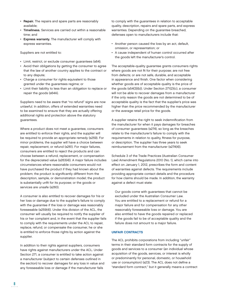- Repair. The repairs and spare parts are reasonably available;
- Timeliness. Services are carried out within a reasonable time; and
- Express warranty. The manufacturer will comply with express warranties.

Suppliers are not entitled to:

- Limit, restrict, or exclude consumer guarantees (s64);
- Avoid their obligations by getting the consumer to agree that the law of another country applies to the contract or to any dispute;
- Charge a consumer for rights equivalent to those granted under the guarantees regime; or
- Limit their liability to less than an obligation to replace or repair the goods (s64A).

Suppliers need to be aware that "no refund" signs are now unlawful. In addition, offers of extended warranties need to be examined to ensure that they are actually offering additional rights and protection above the statutory guarantees.

Where a product does not meet a guarantee, consumers are entitled to enforce their rights, and the supplier will be required to provide an appropriate remedy (s259). For minor problems, the supplier will have a choice between repair, replacement, or refund (s261). For major failures, consumers are entitled to reject the products and can choose between a refund, replacement, or compensation for the depreciated value (s263(4)). A major failure includes circumstances where reasonable consumers would not have purchased the product if they had known about the problem; the product is significantly different from the description, sample, or demonstration model; the product is substantially unfit for its purpose; or the goods or services are unsafe (s260).

A consumer is also entitled to recover damages for his or her loss or damage due to the supplier's failure to comply with the guarantee if the loss or damage was reasonably foreseeable (s259(4)). Under this division of the ACL, the consumer will usually be required to notify the supplier of his or her complaint and, in the event that the supplier fails to comply with the requirements under the ACL to repair, replace, refund, or compensate the consumer, he or she is entitled to enforce those rights by action against the supplier.

In addition to their rights against suppliers, consumers have rights against manufacturers under the ACL. Under Section 271, a consumer is entitled to take action against a manufacturer (subject to certain defenses outlined in the section) to recover damages for any loss in value and any foreseeable loss or damage if the manufacturer fails

to comply with the guarantees in relation to acceptable quality, description, repairs and spare parts, and express warranties. Depending on the guarantee breached, defenses open to manufacturers include that:

- Another person caused the loss by an act, default, omission, or representation; or
- A cause independent of human control occurred after the goods left the manufacturer's control.

The acceptable-quality guarantee grants consumers rights where goods are not fit for their purpose; are not free from defects; or are not safe, durable, and acceptable in appearance and finish. One factor when considering whether goods are of acceptable quality is the price of the goods (s54(3)(b)). Under Section 271(2)(c), a consumer will not be able to recover damages from a manufacturer if the only reason the goods are not determined to be of acceptable quality is the fact that the supplier's price was higher than the price recommended by the manufacturer or the average retail price for the goods.

A supplier retains the right to seek indemnification from the manufacturer for when it pays damages for breaches of consumer guarantees (s274), so long as the breaches relate to the manufacturer's failure to comply with the requirements in relation to quality, fitness for purpose, or description. The supplier has three years to seek reimbursement from the manufacturer (s274(4)).

Schedule 3 of the Trade Practices (Australian Consumer Law) Amendment Regulations 2010 (No. 1), which came into effect on January 1, 2012, prescribes the form and content of warranties against defects. The requirements include providing appropriate contact details and the procedure for how claims should be made. In addition, the warranty against a defect must state:

Our goods come with guarantees that cannot be excluded under the Australian Consumer Law. You are entitled to a replacement or refund for a major failure and for compensation for any other reasonably foreseeable loss or damage. You are also entitled to have the goods repaired or replaced if the goods fail to be of acceptable quality and the failure does not amount to a major failure.

## **UNFAIR CONTRACTS**

The ACL prohibits corporations from including "unfair" terms in their standard form contracts for the supply of goods and services to a consumer (an individual whose acquisition of the goods, services, or interest is wholly or predominantly for personal, domestic, or household use or consumption) (s23). The ACL does not define a "standard form contract," but it generally means a contract

8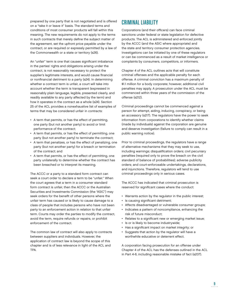prepared by one party that is not negotiated and is offered on a "take it or leave it" basis. The standard terms and conditions of most consumer products will fall within this meaning. The new requirements do not apply to the terms in such contracts that merely define the subject matter of the agreement, set the upfront price payable under the contract, or are required or expressly permitted by a law of the Commonwealth or a state or territory (s26).

An "unfair" term is one that causes significant imbalance in the parties' rights and obligations arising under the contract, is not reasonably necessary to protect the supplier's legitimate interests, and would cause financial or nonfinancial detriment to a party (s24). In determining whether a contract term is unfair, a court will take into account whether the term is transparent (expressed in reasonably plain language, legible, presented clearly, and readily available to any party affected by the term) and how it operates in the contract as a whole (s24). Section 25 of the ACL provides a nonexhaustive list of examples of terms that may be considered unfair in contracts:

- A term that permits, or has the effect of permitting, one party (but not another party) to avoid or limit performance of the contract;
- A term that permits, or has the effect of permitting, one party (but not another party) to terminate the contract;
- A term that penalizes, or has the effect of penalizing, one party (but not another party) for a breach or termination of the contract; and
- A term that permits, or has the effect of permitting, one party unilaterally to determine whether the contract has been breached or to interpret its meaning.

The ACCC or a party to a standard form contract can seek a court order to declare a term to be "unfair." When the court agrees that a term in a consumer standard form contract is unfair, then the ACCC or the Australian Securities and Investments Commission (the "ASIC") may seek orders for the benefit of other persons where the unfair term has caused or is likely to cause damage to a class of people that includes persons who have not been party to an enforcement action in relation to that unfair term. Courts may order the parties to modify the contract, avoid the term, require refunds or repairs, or prohibit enforcement of the contract.

The common law of contract will also apply to contracts between suppliers and individuals. However, the application of contract law is beyond the scope of this chapter and is of less relevance in light of the ACL and TPA.

# CRIMINAL LIABILITY

Corporations (and their officers) can face criminal sanctions under federal or state legislation for defective products. The ACL is administered and enforced jointly by the ACCC (and the ASIC where appropriate) and the state and territory consumer protection agencies. Investigations can be initiated by one of these regulators or can be commenced as a result of market intelligence or complaints by consumers, competitors, or informers.

Chapter 4 of the ACL outlines acts that will constitute criminal offenses and the applicable penalty for each offense. A criminal conviction has a maximum penalty of \$1.1 million for a body corporate; however, additional civil penalties may apply. A prosecution under the ACL must be commenced within three years of the commission of the offense (s212).

Criminal proceedings cannot be commenced against a person for attempt, aiding, inducing, conspiracy, or being an accessory (s217). The regulators have the power to seek information from corporations to identify whether claims (made by individuals) against the corporation are genuine and deserve investigation (failure to comply can result in a public warning notice).

Prior to criminal proceedings, the regulators have a range of alternative mechanisms that they may seek to use, including warnings; disqualification orders; civil pecuniary penalties (required only to prove the breach on the civil standard of balance of probabilities); adverse publicity orders; and court-enforceable undertakings, declarations, and injunctions. Therefore, regulators will tend to use criminal proceedings only in serious cases.

The ACCC has indicated that criminal prosecution is reserved for significant cases where the conduct:

- Warrants action by the regulator in the public interest;
- Is causing significant detriment;
- Affects disadvantaged or vulnerable consumer groups;
- Indicates a pattern of noncompliance, enhancing the risk of future misconduct;
- Relates to a significant new or emerging market issue;
- Is or is likely to become industrywide;
- Has a significant impact on market integrity; or
- Suggests that action by the regulator will have a worthwhile educative or deterrent effect.

A corporation facing prosecution for an offense under Chapter 4 of the ACL has the defenses outlined in the ACL in Part 4-6, including reasonable mistake of fact (s207).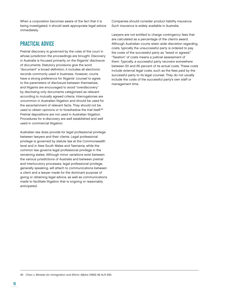When a corporation becomes aware of the fact that it is being investigated, it should seek appropriate legal advice immediately.

## PRACTICAL ADVICE

Pretrial discovery is governed by the rules of the court in whose jurisdiction the proceedings are brought. Discovery in Australia is focused primarily on the litigants' disclosure of documents. Statutory provisions give the word "document" a broad definition; it includes all electronic records commonly used in business. However, courts have a strong preference for litigants' counsel to agree to the parameters of disclosure between themselves, and litigants are encouraged to avoid "overdiscovery" by disclosing only documents categorized as relevant according to mutually agreed criteria. Interrogatories are uncommon in Australian litigation and should be used for the ascertainment of relevant facts. They should not be used to obtain opinions or to foreshadow the trial itself.<sup>40</sup> Pretrial depositions are not used in Australian litigation. Procedures for e-discovery are well established and well used in commercial litigation.

Australian law does provide for legal professional privilege between lawyers and their clients. Legal professional privilege is governed by statute law at the Commonwealth level and in New South Wales and Tasmania, while the common law governs legal professional privilege in the remaining states. Although minor variations exist between the various jurisdictions of Australia and between pretrial and interlocutory processes, legal professional privilege, generally speaking, will attach to communications between a client and a lawyer made for the dominant purpose of giving or obtaining legal advice, as well as communications made to facilitate litigation that is ongoing or reasonably anticipated.

Companies should consider product liability insurance. Such insurance is widely available in Australia.

Lawyers are not entitled to charge contingency fees that are calculated as a percentage of the client's award. Although Australian courts retain wide discretion regarding costs, typically the unsuccessful party is ordered to pay the costs of the successful party as "taxed or agreed." "Taxation" of costs means a judicial assessment of them. Typically, a successful party recovers somewhere between 50 and 65 percent of its actual costs. These costs include external legal costs, such as the fees paid by the successful party to its legal counsel. They do not usually include the costs of the successful party's own staff or management time.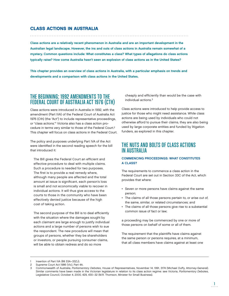## **CLASS ACTIONS IN AUSTRALIA**

Class actions are a relatively recent phenomenon in Australia and are an important development in the Australian legal landscape. However, the ins and outs of class actions in Australia remain somewhat of a mystery. Common questions include: What constitutes a class? What types of allegations do class actions typically raise? How come Australia hasn't seen an explosion of class actions as in the United States?

This chapter provides an overview of class actions in Australia, with a particular emphasis on trends and developments and a comparison with class actions in the United States.

## THE BEGINNING: 1992 AMENDMENTS TO THE FEDERAL COURT OF AUSTRALIA ACT 1976 (CTH)

Class actions were introduced in Australia in 1992, with the amendment (Part IVA) of the Federal Court of Australia Act 1976 (Cth) (the "Act") to include representative proceedings, or "class actions."1 Victoria also has a class action procedure in terms very similar to those of the Federal Court.2 This chapter will focus on class actions in the Federal Court.

The policy and purposes underlying Part IVA of the Act were identified in the second reading speech for the bill that introduced it:

The Bill gives the Federal Court an efficient and effective procedure to deal with multiple claims. Such a procedure is needed for two purposes. The first is to provide a real remedy where, although many people are affected and the total amount at issue is significant, each person's loss is small and not economically viable to recover in individual actions. It will thus give access to the courts to those in the community who have been effectively denied justice because of the high cost of taking action.

The second purpose of the Bill is to deal efficiently with the situation where the damages sought by each claimant are large enough to justify individual actions and a large number of persons wish to sue the respondent. The new procedure will mean that groups of persons, whether they be shareholders or investors, or people pursuing consumer claims, will be able to obtain redress and do so more

cheaply and efficiently than would be the case with individual actions. 3

Class actions were introduced to help provide access to justice for those who might need assistance. While class actions are being used by individuals who could not otherwise afford to pursue their claims, they are also being used by large corporate entities and funded by litigation funders, as explored in this chapter.

## THE NUTS AND BOLTS OF CLASS ACTIONS IN AUSTRALIA

## COMMENCING PROCEEDINGS: WHAT CONSTITUTES A CLASS?

The requirements to commence a class action in the Federal Court are set out in Section 33C of the Act, which provides that where:

- Seven or more persons have claims against the same person;
- The claims of all those persons pertain to, or arise out of, the same, similar, or related circumstances; and
- The claims of all those persons give rise to a substantial common issue of fact or law;

a proceeding may be commenced by one or more of those persons on behalf of some or all of them.

The requirement that the plaintiffs have claims against the same person or persons requires, at a minimum, that all class members have claims against at least one

<sup>1</sup> Insertion of Part IVA (§§ 33A–33ZJ).

<sup>2</sup> Supreme Court Act 1986 (Vic), Part 4A.

<sup>3</sup> Commonwealth of Australia, Parliamentary Debates, House of Representatives, November 14, 1991, 3174 (Michael Duffy, Attorney-General). Similar comments have been made in the Victorian legislature in relation to its class action regime: see Victoria, Parliamentary Debates, Legislative Council, October 4, 2000, 429, 430–32 (M.R. Thomson, Minister for Small Business).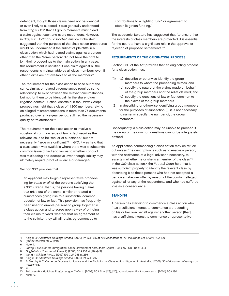defendant, though those claims need not be identical or even likely to succeed. It was generally understood from King v. GIO<sup>4</sup> that all group members must plead a claim against each and every respondent. However, in Bray v. F. Hoffman-La Roche, 5 Justice Finkelstein suggested that the purpose of the class action procedures would be undermined if the subset of plaintiffs in a class action which had related claims against a person other than the "same person" did not have the right to join their proceedings to the main action. In any case, this requirement is satisfied if one claim against all the respondents is maintainable by all class members, even if other claims are not available to all the members.6

The requirement for the class action to arise out of the same, similar, or related circumstances requires some relationship to exist between the relevant circumstances, but not for them to be identical.<sup>7</sup> In the shareholder litigation context, Justice Mansfield in the Harris Scarfe proceedings held that a class of 11,300 members, relying on alleged misrepresentations in more than 77 documents produced over a five-year period, still had the necessary quality of "relatedness."8

The requirement for the class action to involve a substantial common issue of law or fact requires the relevant issue to be "real or of substance," but not necessarily "large or significant."<sup>9</sup> In GIO, it was held that a class action was available where there was a substantial common issue of fact and law as to whether conduct was misleading and deceptive, even though liability may ultimately require proof of reliance or damage.<sup>10</sup>

#### Section 33C provides that:

an applicant may begin a representative proceeding for some or all of the persons satisfying the s 33C criteria: that is, the persons having claims that arise out of the same, similar or related circumstances giving rise to a substantial common question of law or fact. This provision has frequently been used to enable persons to group together in a class action and to agree upon a way of bringing their claims forward, whether that be agreement as to the solicitor they will all retain, agreement as to

contributions to a 'fighting fund', or agreement to obtain litigation funding.<sup>11</sup>

The academic literature has suggested that "to ensure that the interests of class members are protected, it is essential for the court to have a significant role in the approval or rejection of proposed settlements."12

## REQUIREMENTS OF THE ORIGINATING PROCESS

Section 33H of the Act provides that an originating process for a class action must:

- "(1) (a) describe or otherwise identify the group members to whom the proceeding relates; and
	- (b) specify the nature of the claims made on behalf of the group members and the relief claimed; and
	- (c) specify the questions of law or fact common to the claims of the group members.
- (2) In describing or otherwise identifying group members for the purposes of subsection (1), it is not necessary to name, or specify the number of, the group members."

Consequently, a class action may be unable to proceed if the group or the common questions cannot be adequately defined.

An application commencing a class action may be struck out unless "the description is such as to enable a person, with the assistance of a legal adviser if necessary, to ascertain whether he or she is a member of the class."13 In the GIO class action,<sup>14</sup> the Federal Court held that it was sufficient properly to identify the relevant class by describing it as those persons who had not accepted a particular takeover offer by reason of the conduct alleged against all or any of the respondents and who had suffered loss as a consequence.

### **STANDING**

A person has standing to commence a class action who "has a sufficient interest to commence a proceeding on his or her own behalf against another person [that] has a sufficient interest to commence a representative

- Guglielmin v. Trescowthick (No. 2) [2005] FCA 138 at [48]-[49].
- Wong v. Silkfield Pty Ltd (1999) 199 CLR 255 at 266.

 $12$  Id.

13 Petrusevski v. Bulldogs Rugby League Club Ltd [2003] FCA 61 at [23], [25]; Johnstone v. HIH Insurance Ltd [2004] FCA 190.

14 Note 10.

<sup>4</sup> King v. GIO Australia Holdings Limited [2000] 174 ALR 715 at 725; Johnstone v. HIH Insurance Ltd [2004] FCA 190.

<sup>5 (2003) 130</sup> FCR 317 at [248].

<sup>6</sup> Note 4.

<sup>7</sup> Zhang v. Minister for Immigration, Local Government and Ethnic Affairs (1993) 45 FCR 384 at 404.

<sup>10</sup> King v. GIO Australia Holdings Limited [2000] 174 ALR 715.

<sup>11</sup> B. Murphy & C. Cameron, "Access to Justice and the Evolution of Class Action Litigation in Australia," [2006] 30 Melbourne University Law Review 418.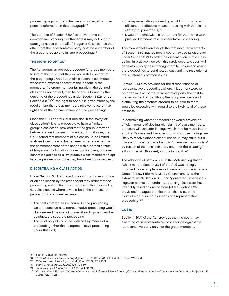proceeding against that other person on behalf of other persons referred to in that paragraph."15

The purpose of Section 33D(1) is to overcome the common-law standing rule that says A may not bring a damages action on behalf of B against C. It also has the effect that the representative party must be a member of the group to be able to initiate proceedings.<sup>16</sup>

## THE RIGHT TO OPT OUT

The Act adopts an opt-out procedure for group members to inform the court that they do not wish to be part of the proceedings. An opt-out class action is commenced without the express consent of the "absent" class members. If a group member falling within the defined class does not opt out, then he or she is bound by the outcome of the proceedings under Section 33ZB. Under Section 33X(1)(a), the right to opt out is given effect by the requirement that group members receive notice of that right and of the commencement of the proceedings.

Since the Full Federal Court decision in the Multiplex class action,<sup>17</sup> it is now possible to have a "limited group" class action, provided that the group is formed before proceedings are commenced. In that case, the Court found that members of a class could be limited to those investors who had entered an arrangement at the commencement of the action with a particular firm of lawyers and a litigation funder. Such a class, however, cannot be defined to allow putative class members to opt into the proceedings once they have been commenced.

### DISCONTINUING A CLASS ACTION

Under Section 33N of the Act, the court of its own motion or on application by the respondent may order that the proceeding not continue as a representative proceeding (i.e., class action) where it would be in the interests of justice not to continue because:

- The costs that would be incurred if the proceeding were to continue as a representative proceeding would likely exceed the costs incurred if each group member conducted a separate proceeding;
- The relief sought could be obtained by means of a proceeding other than a representative proceeding under this Part;
- The representative proceeding would not provide an efficient and effective means of dealing with the claims of the group members; or
- It would be otherwise inappropriate for the claims to be pursued by means of a representative proceeding.

This means that even though the threshold requirements of Section 33C may be met, a court may use its discretion under Section 33N to order the discontinuance of a class action. In practice, however, this rarely occurs. A court will generally employ case management techniques to assist the proceedings to continue, at least until the resolution of the substantial common issues.

Section 33M also provides for the discontinuance of representative proceedings where, if judgment were to be given in favor of the representative party, the cost to the respondent of identifying the group members and distributing the amounts ordered to be paid to them would be excessive with regard to the likely total of those amounts.

In determining whether proceedings would provide an efficient means of dealing with claims of class members, the court will consider findings which may be made in the applicant's case and the extent to which those findings are likely to resolve other claims.<sup>18</sup> The court may strike out a class action on the basis that it is "otherwise inappropriate" by reason of the "unsatisfactory nature of the pleading" although again, this rarely occurs in practice.<sup>19</sup>

The adoption of Section 33N in the Victorian legislation (which mirrors Section 33N of the Act) was strongly criticized. For example, a report prepared for the Attorney-General's Law Reform Advisory Council criticized the extent to which Section 33N had "generated unnecessary litigation as most defendants, opposing class suits, have invariably relied on one or more [of the Section 33N provisions] to argue that the court should stop the claims being pursued by means of a representative proceeding."20

### **COSTS**

Section 43(1A) of the Act provides that the court may award costs in representative proceedings against the representative party only, not the group members.

<sup>15</sup> Section 33D(1) of the Act.<br>16 Syminaton v. Hoechst Sch

Symington v. Hoechst Schering Agrevo Pty Ltd (1997) 78 FCR 164 at 167C per Wilcox J.

<sup>17</sup> P. Dawson Nominees Pty Ltd v. Multiplex [2007] FCA 1061.

<sup>18</sup> Bright v. Femcare Ltd (2002) 195 ALR 574.

<sup>19</sup> Johnstone v. HIH Insurance Ltd [2004] FCA 190.

<sup>20</sup> V. Morabito & J. Epstein, "Attorney-General's Law Reform Advisory Council, Class Actions in Victoria—Time for a New Approach, Project No. 16 (1995) [7.22]–[7.28].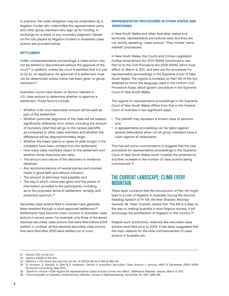In practice, the costs obligation may be undertaken by a litigation funder who indemnifies the representative party, and other group members who sign up for funding, in exchange for a share of any monetary judgment. Details on the role played by litigation funders in Australian class actions are provided below.

#### **SETTLEMENT**

Unlike nonrepresentative proceedings, a class action may not be settled or discontinued without the approval of the court.<sup>21</sup> In addition, unless the court is satisfied that it is just to do so, an application for approval of a settlement must not be determined unless notice has been given to group members.<sup>22</sup>

Australian courts have drawn on factors relevant in U.S. class actions to determine whether to approve a settlement. Those factors include:

- Whether a fair and reasonable amount will be paid as part of the settlement;
- Whether particular segments of the class will be treated significantly differently from others, including the amount of monetary relief that will go to the named plaintiffs as compared to other class members and whether the difference will be disproportionately large;
- Whether the major claims or types of relief sought in the complaint have been omitted from the settlement;
- How many class members object to the settlement and whether those objections are valid;
- The amount and nature of the discovery or evidence obtained;
- Any recommendations of neutral parties and counsel, made in good faith and without collusion;
- The amount of attorneys' fees payable; and
- The way in which notice was given and the extent of information provided to the participants, including as to the proposed terms of settlement, remedy, and predicted quantum.23

Securities class actions filed in Australia have generally been resolved through a court-approved settlement.<sup>24</sup> Settlements have become more common in Australian class actions in recent years. For example, only three of the seven resolved securities class actions that were filed before 2004 settled. In contrast, all five resolved securities class actions that were filed after 2003 were settled out of court.

## REPRESENTATIVE PROCEDURES IN OTHER STATES AND **TERRITORIES**

In New South Wales and other Australian states and territories, representative procedures exist, but they are not, strictly speaking, "class actions." They involve "same interest" procedures.

In New South Wales, the Courts and Crimes Legislation Further Amendment Act 2010 (NSW) introduced a new Part 10 to the Civil Procedure Act 2005 (NSW), which took effect on March 4, 2011, and sets out the procedure for representative proceedings in the Supreme Court of New South Wales. The regime is modeled on Part IVA of the Act, adapted to mirror the language used in the Uniform Civil Procedure Rules, which govern procedure in the Supreme Court of New South Wales.

The regime for representative proceedings in the Supreme Court of New South Wales differs from that in the Federal Court of Australia in two significant ways:

- The plaintiff may represent a limited class of persons; and
- A representative proceeding can be taken against several defendants when not all group members have a claim against all defendants.

This has led some commentators to suggest that the new procedure for representative proceedings in the Supreme Court of New South Wales could "creat[e] the potential for a further increase in the number of class actions being commenced."25

## THE CURRENT LANDSCAPE: CLIMB EVERY MOUNTAIN

There were concerns that the introduction of Part IVA might lead to a rush of litigation in Australia. During the Second Reading Speech of Pt IVA, the then Shadow Attorney-General, Mr. Peter Costello, stated that "this Bill is a step on the way to making Australia a more litigious society. It will encourage the proliferation of litigation in this country."26

Despite such predictions, relatively few securities class actions were filed prior to 2004. It has been suggested that the main reasons for the slow commencement of class actions in Australia are:

23 Williams v. FAI Home Security Pty Ltd (No. 4) (2000) 180 ALR 459 at 465–66.

- 25 "Spoilt for choice—NSW regime for representative (class) actions comes into effect," Mallesons Stephen Jaques, March 9, 2011.
- 26 Commonwealth of Australia, Parliamentary Debates, House of Representatives, November 26, 1991, 3284–85.

<sup>21</sup> Section 33V of the Act.

<sup>22</sup> Section 33X(4) of the Act.

<sup>24</sup> G. Houston, S. Starykh, A. Dahl & S. Anderson, Trends in Australian Securities Class Actions: 1 January 1993–31 December 2009, NERA Economic Consulting, May 2010.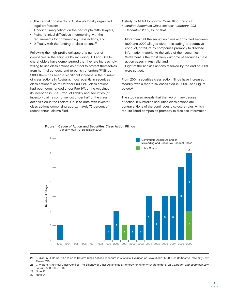- The capital constraints of Australia's locally organized legal profession;
- A "lack of imagination" on the part of plaintiffs' lawyers;
- Plaintiffs' initial difficulties in complying with the requirements for commencing class actions; and
- Difficulty with the funding of class actions.<sup>27</sup>

Following the high-profile collapse of a number of companies in the early 2000s, including HIH and OneTel, shareholders have demonstrated that they are increasingly willing to use class actions as a "tool to protect themselves from harmful conduct, and to punish offenders."28 Since 2000, there has been a significant increase in the number of class actions in Australia, most recently in securities class actions.29 As of October 2009, 242 class actions had been commenced under Part IVA of the Act since its inception in 1992. Product liability and securities (or investor) claims comprise just under half of the class actions filed in the Federal Court to date, with investor class actions comprising approximately 75 percent of recent annual claims filed.

A study by NERA Economic Consulting, Trends in Australian Securities Class Actions: 1 January 1993– 31 December 2009, found that:

- More than half the securities class actions filed between 1999 and 2009 alleged either misleading or deceptive conduct, or failure by companies promptly to disclose information material to the value of their securities;
- Settlement is the most likely outcome of securities class action cases in Australia; and
- Eight of the 12 class actions resolved by the end of 2009 were settled.

From 2004, securities class action filings have increased steadily, with a record six cases filed in 2009-see Figure 1 below.30

The study also reveals that the two primary causes of action in Australian securities class actions are contraventions of the continuous disclosure rules, which require listed companies promptly to disclose information





27 S. Clark & C. Harris, "The Push to Reform Class Action Procedure in Australia: Evolution or Revolution?," [2008] 32 Melbourne University Law Review 775.

28 C. Waters, "The New Class Conflict: The Efficacy of Class Actions as a Remedy for Minority Shareholders," 25 Company and Securities Law Journal 300 [2007], 302.

29 Note 27.

30 Note 24.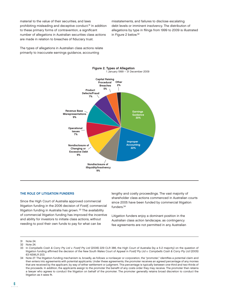material to the value of their securities, and laws prohibiting misleading and deceptive conduct.31 In addition to these primary forms of contravention, a significant number of allegations in Australian securities class actions are made in relation to breaches of fiduciary trust.

misstatements, and failures to disclose escalating debt levels or imminent insolvency. The distribution of allegations by type in filings from 1999 to 2009 is illustrated in Figure 2 below.32

The types of allegations in Australian class actions relate primarily to inaccurate earnings guidance, accounting



#### THE ROLE OF LITIGATION FUNDERS

Since the High Court of Australia approved commercial litigation funding in the 2006 decision of Fostif, commercial litigation funding in Australia has grown.<sup>33</sup> The availability of commercial litigation funding has improved the incentive and ability for investors to initiate class actions, without needing to pool their own funds to pay for what can be

lengthy and costly proceedings. The vast majority of shareholder class actions commenced in Australian courts since 2005 have been funded by commercial litigation funders.34

Litigation funders enjoy a dominant position in the Australian class action landscape, as contingency fee agreements are not permitted in any Australian

<sup>31</sup> Note 24.

<sup>32</sup> Note 24.

<sup>33</sup> In Campbells Cash & Carry Pty Ltd v. Fostif Pty Ltd (2006) 229 CLR 386, the High Court of Australia (by a 5-2 majority) on the question of litigation funding affirmed the decision of the New South Wales Court of Appeal in Fostif Pty Ltd v. Campbells Cash & Carry Pty Ltd (2005) 63 NSWLR 203.

<sup>34</sup> Note 27. The litigation-funding mechanism is, broadly, as follows: a nonlawyer or corporation, the "promoter," identifies a potential claim and then enters into agreements with potential applicants. Under these agreements, the promoter receives an agreed percentage of any monies that are received by the applicant, by way of either settlement or judgment. This percentage is typically between one-third and two-thirds of the proceeds. In addition, the applicants assign to the promoter the benefi t of any costs order they may receive. The promoter then retains a lawyer who agrees to conduct the litigation on behalf of the promoter. The promoter generally retains broad discretion to conduct the litigation as it sees fit.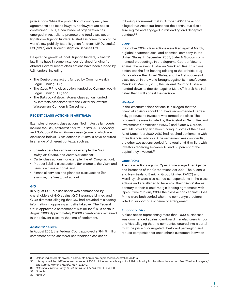jurisdictions. While the prohibition of contingency fee agreements applies to lawyers, nonlawyers are not so constrained. Thus, a new breed of organization has emerged in Australia to promote and fund class action litigation—litigation funders. Australia is home to two of the world's few publicly listed litigation funders: IMF (Australia) Ltd ("IMF") and Hillcrest Litigation Services Ltd.

Despite the growth of local litigation funders, plaintiffs' law firms have in some instances obtained funding from abroad. Several recent class actions have been funded by U.S. funders, including:

- The Centro class action, funded by Commonwealth Legal Funding LLC;
- The Opes Prime class action, funded by Commonwealth Legal Funding LLC; and
- The Babcock & Brown Power class action, funded by interests associated with the California law firm Wasserman, Comden & Casselman.

### RECENT CLASS ACTIONS IN AUSTRALIA

Examples of recent class actions filed in Australian courts include the GIO, Aristocrat Leisure, Telstra, ABC Learning, and Babcock & Brown Power cases (some of which are discussed below). Class actions in Australia have occurred in a range of different contexts, such as:

- Shareholder class actions (for example, the GIO, Multiplex, Centro, and Aristocrat actions);
- Cartel class actions (for example, the Air Cargo action);
- Product liability class actions (for example, the Vioxx and Femcare class actions); and
- Financial services and planners class actions (for example, the Westpoint action).

#### GIO

In August 1999, a class action was commenced by shareholders of GIO against GIO Insurance Limited and GIO's directors, alleging that GIO had provided misleading information in opposing a hostile takeover. The Federal Court approved a settlement of \$97 million<sup>35</sup> plus costs in August 2003. Approximately 23,000 shareholders remained in the relevant class by the time of settlement.

#### Aristocrat Leisure

In August 2008, the Federal Court approved a \$144.5 million settlement of the Aristocrat shareholder class action

following a four-week trial in October 2007. The action alleged that Aristocrat breached the continuous disclosure regime and engaged in misleading and deceptive conduct.36

### **Vioxx**

In October 2004, class actions were filed against Merck, a global pharmaceutical and chemical company, in the United States. In December 2005, Slater & Gordon commenced proceedings in the Supreme Court of Victoria against the relevant Australian Merck entities. This class action was the first hearing relating to the arthritis drug Vioxx outside the United States, and the first successful class action in the world brought against its manufacturer, Merck. On March 5, 2010, the Federal Court of Australia handed down its decision against Merck.<sup>37</sup> Merck has indicated that it will appeal the decision.

#### **Westpoint**

In the Westpoint class actions, it is alleged that the financial advisors should not have recommended certain risky products to investors who formed the class. The proceedings were initiated by the Australian Securities and Investments Commission ("ASIC") and Slater & Gordon, with IMF providing litigation funding in some of the cases. As of December 2009, ASIC had reached settlements with three financial advisors. One settlement was confidential; the other two actions settled for a total of \$8.5 million, with investors receiving between 43 and 63 percent of the capital they invested.38

### Opes Prime

The class actions against Opes Prime alleged negligence and breaches of the Corporations Act 2001. The Australia and New Zealand Banking Group Limited ("ANZ") and Merrill Lynch were also named as respondents in the class actions and are alleged to have sold their clients' shares contrary to their clients' margin lending agreements with Opes Prime.39 In July 2009, the class actions against Opes Prime were both settled when the company's creditors voted in support of a scheme of arrangement.

#### Amcor and Visy

A class action representing more than 1,000 businesses was commenced against cardboard manufacturers Amcor and Visy, alleging that the companies entered into a cartel to fix the price of corrugated fiberboard packaging and reduce competition for each other's customers between

<sup>35</sup> Unless indicated otherwise, all amounts herein are expressed in Australian dollars.

<sup>36</sup> It is reported that IMF received revenue of \$35.4 million and made a profit of \$24 million by funding this class action. See "The bank slayers," The Sydney Morning Herald, May 12, 2010.

<sup>37</sup> Peterson v. Merck Sharp & Dohme (Aust) Pty Ltd [2010] FCA 180.

<sup>38</sup> Note 24.

<sup>39</sup> Note 24.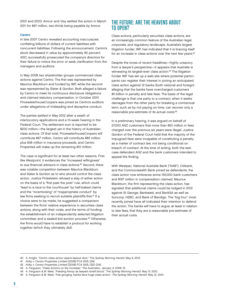2001 and 2003. Amcor and Visy settled the action in March 2011 for \$97 million, two-thirds being payable by Amcor.

#### **Centro**

In late 2007 Centro revealed accounting inaccuracies conflating billions of dollars of current liabilities with noncurrent liabilities. Following the announcement, Centro's stock decreased in value by approximately 90 percent. ASIC successfully prosecuted the company's directors for their failure to notice the error or seek clarification from the managers and auditors.

In May 2008 two shareholder groups commenced class actions against Centro. The first was represented by Maurice Blackburn and funded by IMF, while the second was represented by Slater & Gordon. Both alleged a failure by Centro to meet its continuous disclosure obligations and claimed statutory compensation. In October 2010 PricewaterhouseCoopers was joined as Centro's auditors under allegations of misleading and deceptive conduct.

The parties settled in May 2012 after a swath of interlocutory applications and a 10-week hearing in the Federal Court. The settlement sum is reported to be \$200 million—the largest yet in the history of Australian class actions. Of that total, PricewaterhouseCoopers will contribute \$67 million. Centro will contribute \$85 million plus \$38 million in insurance proceeds, and Centro Properties will make up the remaining \$10 million.

The case is significant for at least two other reasons. First, like Westpoint, it evidences the "increased willingness" to sue financial advisors in class actions.<sup>40</sup> Second, there was notable competition between Maurice Blackburn and Slater & Gordon as to who should control the class action. Justice Finkelstein refused a stay of either action on the basis of a "first past the post" rule, which could "lead to a race to the courthouse" by half-baked claims and the "incentivising" of "inappropriate conduct" by law firms seeking to recruit suitable plaintiffs first.<sup>41</sup> If a choice were to be made, he suggested a comparison between the firms' relative experience in securities class actions, along with their costs, and the terms of funding; the establishment of an independently selected litigation committee; and a sealed-bid auction process.42 Otherwise, the firms would have to establish a protocol for working together (which they ultimately did).

## THE FUTURE: ARE THE HEAVENS ABOUT TO OPEN?

Class actions, particularly securities class actions, are an increasingly common feature of the Australian legal, corporate, and regulatory landscape. Australia's largest litigation funder, IMF, has indicated that it is bracing itself for an increase in class actions over the next few years.43

Despite the tones of recent headlines—highly unsavory from a lawyer's perspective—it appears that Australia is witnessing its largest-ever class action.<sup>44</sup> The litigation funder IMF has set up a web site where potential participants can register their interest in joining an anticipated class action against 12 banks (both national and foreign) alleging that the banks have overcharged customers \$5 billion in penalty and late fees. The basis of the legal challenge is that one party to a contract, when it seeks damages from the other party for breaking a contractual term, such as by not paying on time, can recover only a reasonable pre-estimate of its actual costs.45

In a preliminary hearing, it was argued on behalf of 27,000 ANZ customers that more than \$50 million in fees charged over the previous six years were illegal. Justice Gordon of the Federal Court held that the majority of the impugned fees were incapable of constituting a penalty as a matter of contract law, not being conditional on breach of contract. At the time of writing, both the testcase defendant ANZ and the bank customers intended to appeal the finding.

With Westpac, National Australia Bank ("NAB"), Citibank, and the Commonwealth Bank joined as defendants, the class action now embraces some 150,000 bank customers and \$197 million in compensation claimed. Maurice Blackburn, the firm representing the class action, has signaled that additional claims could be lodged in 2012 against St George, Bankwest, and BankSA as well as Suncorp, HSBC, and Bank of Bendigo. The "big four" most recently joined have all indicated their intention to defend the action. The banks will have to argue, at least in relation to late fees, that they are a reasonable pre-estimate of their actual costs.

<sup>40</sup> E. Knight, "Centro class action opens lawsuit door," The Sydney Morning Herald, May 9, 2012.

<sup>41</sup> Kirby v. Centro Properties Limited [2008] FCA 1505, [29].

<sup>42</sup> Kirby v. Centro Properties Limited [2008] FCA 1505, [32]–[34].

<sup>43</sup> A. Ferguson, "Class Actions on the Increase," The Australian, January 4, 2008, 15.

<sup>44</sup> A. Ferguson & M. West, "Feeding frenzy as lawyers smell blood," The Sydney Morning Herald, May 13, 2010.

<sup>45</sup> A. Ferguson & M. West, "Fee gouging: banks face huge class action," The Sydney Morning Herald, May 12, 2010.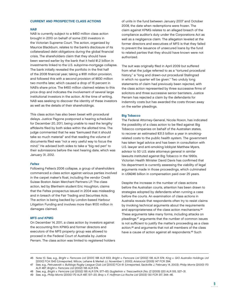## CURRENT AND PROSPECTIVE CLASS ACTIONS

#### NAB

NAB is currently subject to a \$450 million class action brought in 2010 on behalf of some 230 investors in the Victorian Supreme Court. The action, organized by Maurice Blackburn, relates to the bank's disclosure of its collateralized debt obligations during the global financial crisis. The shareholders claim that they should have been warned earlier by the bank that it held \$1.2 billion in investments linked to the U.S. subprime-mortgage collapse. The bank initially revealed the portfolio in the first half of the 2008 financial year, taking a \$181 million provision, and followed this with a second provision of \$830 million two months later, which caused a drop of 16 percent in NAB's share price. The \$450 million claimed relates to this price drop and indicates the involvement of several large institutional investors in the action. At the time of writing, NAB was seeking to discover the identity of these investors as well as the details of their shareholdings.

This class action has also been beset with procedural delays. Justice Pagone postponed a hearing scheduled for December 20, 2011, being unable to read the lengthy affidavits filed by both sides within the allotted time. The judge commented that he was "bemused that it should take so much material" and that reading the volume of documents filed was "not a very useful way to focus the mind." He advised both sides to take a "big red pen" to their submissions before the next hearing date, which was January 31, 2012.

#### **Feltex**

Following Feltex's 2006 collapse, a group of shareholders commenced a class action against various parties involved in the carpet maker's float, including the vendor Credit Suisse Boston Asian Merchant Partners LP. The class action, led by Blenheim student Eric Houghton, claims that the Feltex prospectus issued in 2004 was misleading and in breach of the Fair Trading and Securities Acts. The action is being backed by London-based Harbour Litigation Funding and involves more than \$100 million in damages claimed.

#### MFS and KPMG

On December 14, 2011, a class action by investors against the accounting firm KPMG and former directors and executors of the MFS property group was allowed to proceed in the Federal Court of Australia by Justice Perram. The class action was limited to registered holders of units in the fund between January 2007 and October 2008, the date when redemptions were frozen. The claim against KPMG relates to an alleged breach of the compliance auditor's duty under the Corporations Act as well as a negligence claim. The allegation leveled at the former directors and executives of MFS is that they failed to prevent the issuance of unsecured loans by the fund to related parties that they should have known were not authorized.

The suit was originally filed in April 2009 but suffered from what the judge referred to as a "tortured procedural history," a "long and drawn-out procedural Stalingrad in which no quarter will be given." Two unduly long statements of claim had previously been rejected, with the class action represented by three successive firms of solicitors and three successive senior barristers. Justice Perram has rejected a claim by the defendants for indemnity costs but has awarded the costs thrown away on the earlier pleadings.

#### Big Tobacco

The Federal Attorney-General, Nicola Roxon, has indicated the possibility of a class action to be filed against Big Tobacco companies on behalf of the Australian states, to recover an estimated \$31.5 billion a year in smokingrelated costs to the public health system. The government has taken legal advice and has been in consultation with U.S. lawyer and anti-smoking lobbyist Matthew Myers, advisor to 50 U.S. state attorneys general in similar lawsuits instituted against Big Tobacco in the 1990s. Victorian Health Minister David Davis has confirmed that his department is currently assessing the viability of legal arguments made in those proceedings, which culminated in US\$246 billion in compensation paid over 25 years.

Despite the increase in the number of class actions before the Australian courts, attention has been drawn to strategies adopted by defendants when running a case before the courts. An examination of class actions in Australia reveals that respondents often try to resist claims by invoking technical arguments about the requirements and appropriateness of the class action mechanisms.<sup>46</sup> These arguments take many forms, including attacks on pleadings,<sup>47</sup> arguments that the number of common issues is not sufficient to justify the matter's proceeding as a class action,<sup>48</sup> and arguments that not all members of the class have a cause of action against all respondents.<sup>49</sup> Such

<sup>46</sup> Note 10. See, e.g., Bright v. Femcare Ltd (2001) 188 ALR 633; Bright v. Femcare Ltd (2002) 195 ALR 574; King v. GIO Australia Holdings Ltd [2000] FCA 1543 (Unreported, Wilcox, Lehane & Merkel JJ, November 1, 2000); Aristocrat (2005) 147 FCR 394.

<sup>47</sup> See, e.g., Petrusevski v. Bulldogs Rugby League Club Ltd [2003] FCA 61 (Unreported, Sackville J, February 14, 2003); Philip Morris (2000) 170 ALR 487; Bright v. Femcare Ltd (2002) 195 ALR 574.

<sup>48</sup> See, e.g., Bright v. Femcare Ltd (2002) 195 ALR 574, 577–83; Guglielmin v. Trescowthick [No. 2] (2005) 220 ALR 515, 527–31.

<sup>49</sup> See, e.g., Philip Morris (2000) 170 ALR 487, 517–20; Bray v. F. Hoffman-La Roche Ltd (2003) 130 FCR 317, 344–46.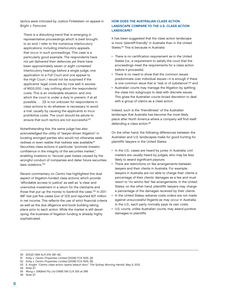tactics were criticized by Justice Finkelstein on appeal in Bright v. Femcare:

There is a disturbing trend that is emerging in representative proceedings which is best brought to an end. I refer to the numerous interlocutory applications, including interlocutory appeals, that occur in such proceedings. This case is a particularly good example. The respondents have not yet delivered their defences yet there have been approximately seven or eight contested interlocutory hearings before a single judge, one application to a Full Court and one appeal to the High Court. I would not be surprised if the applicants' legal costs are by now well in excess of \$500,000. I say nothing about the respondents' costs. This is an intolerable situation, and one which the court is under a duty to prevent, if at all possible. . . . [I]t is not unknown for respondents in class actions to do whatever is necessary to avoid a trial, usually by causing the applicants to incur prohibitive costs. The court should be astute to ensure that such tactics are not successful.50

Notwithstanding this, the same judge has also acknowledged the utility of "lawyer-driven litigation" in locating wronged parties who would not otherwise seek redress or even realize that redress was available.<sup>51</sup> Securities class actions in particular "promote investor confidence in the integrity of the securities market," enabling investors to "recover past losses caused by the wrongful conduct of companies and deter future securities laws violations."52

Recent commentary on Centro has highlighted this dual aspect of litigation-funded class actions, which provide "affordable access to justice" as well as "a clear and unemotive investment in a return for the claimants and those that put up the money to bankroll the case."53 In 2011 IMF lost just five cases (out of 123) and reported \$37 million in net income. This reflects the use of strict financial criteria as well as the due diligence and book building taking place prior to each action. While the market is still developing, the business of litigation funding is already highly sophisticated.

## HOW DOES THE AUSTRALIAN CLASS ACTION LANDSCAPE COMPARE TO THE U.S. CLASS ACTION LANDSCAPE?

It has been suggested that the class action landscape is more "plaintiff-friendly" in Australia than in the United States.54 This is because in Australia:

- There is no certification requirement as in the United States (i.e., a requirement to satisfy the court that the proceedings meet the requirements for a class action before it proceeds);
- There is no need to show that the common issues predominate over individual issues—it is enough if there is one common issue that is "real or of substance";55 and
- Australian courts may manage the litigation by splitting the class into subgroups to deal with discrete issues. This gives the Australian courts broad discretion to deal with a group of claims as a class action.

Indeed, such is the "friendliness" of the Australian landscape that Australia has become the most likely place after North America where a company will find itself defending a class action.<sup>56</sup>

On the other hand, the following differences between the Australian and U.S. landscapes make for good hunting for plaintiffs' lawyers in the United States:

- In the U.S., cases are heard by juries. In Australia, civil matters are usually heard by judges, who may be less likely to award significant payouts.
- There are restrictions on fee arrangements between lawyers and their clients in Australia. For example, lawyers in Australia are not able to charge their clients a percentage of their clients' damages as a fee and must resort to "no win/no fee" fee arrangements. In the United States, on the other hand, plaintiffs' lawyers may charge a percentage of the damages received by their clients.
- In the United States, adverse costs orders are not made against unsuccessful litigants as may occur in Australia. In the U.S., each party normally pays its own costs.
- U.S. courts, unlike Australian courts, may award punitive damages to plaintiffs.

50 (2002) 1995 ALR 574, 581–82.

<sup>51</sup> Kirby v. Centro Properties Limited [2008] FCA 1505, [4].

<sup>52</sup> Kirby v. Centro Properties Limited [2008] FCA 1505, [8].

<sup>53</sup> E. Knight, "Centro class action opens lawsuit door," The Sydney Morning Herald, May 9, 2012.

<sup>54</sup> Note 27.

<sup>55</sup> Wong v. Silkfield Pty Ltd (1999) 199 CLR 255 at 266.

<sup>56</sup> Note 27.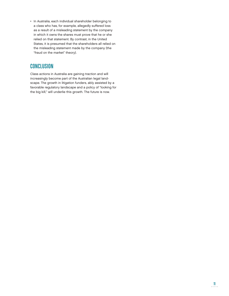• In Australia, each individual shareholder belonging to a class who has, for example, allegedly suffered loss as a result of a misleading statement by the company in which it owns the shares must prove that he or she relied on that statement. By contrast, in the United States, it is presumed that the shareholders all relied on the misleading statement made by the company (the "fraud on the market" theory).

# **CONCLUSION**

Class actions in Australia are gaining traction and will increasingly become part of the Australian legal landscape. The growth in litigation funders, ably assisted by a favorable regulatory landscape and a policy of "looking for the big kill," will underlie this growth. The future is now.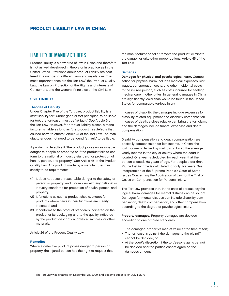## LIABILITY OF MANUFACTURERS

Product liability is a new area of law in China and therefore is not as well developed in theory or in practice as in the United States. Provisions about product liability are scattered in a number of different laws and regulations. The most important ones are the Tort Law,<sup>1</sup> the Product Quality Law, the Law on Protection of the Rights and Interests of Consumers, and the General Principles of the Civil Law.

## CIVIL LIABILITY

## Theories of Liability

Under Chapter Five of the Tort Law, product liability is a strict liability tort. Under general tort principles, to be liable for tort, the tortfeasor must be "at fault." See Article 6 of the Tort Law. However, for product liability claims, a manufacturer is liable as long as "the product has defects that caused harm to others." Article 41 of the Tort Law. The manufacturer does not need to be found "at fault" to be liable.

A product is defective if "the product poses unreasonable danger to people or property; or if the product fails to conform to the national or industry standard for protection of health, person, and property." See Article 46 of the Product Quality Law. Any product made by a manufacturer must satisfy three requirements:

- (1) It does not pose unreasonable danger to the safety of person or property; and it complies with any national or industry standards for protection of health, person, and property;
- (2) It functions as such a product should, except for products where flaws in their functions are clearly indicated; and
- (3) It conforms to the product standards indicated on the product or its packaging and to the quality indicated by the product description, physical samples, or other materials.

Article 26 of the Product Quality Law.

#### **Remedies**

Where a defective product poses danger to person or property, the injured person has the right to request that the manufacturer or seller remove the product, eliminate the danger, or take other proper actions. Article 45 of the Tort Law.

#### **Damages**

Damages for physical and psychological harm. Compensation for physical harm includes medical expenses, lost wages, transportation costs, and other incidental costs to the injured person, such as costs incurred for seeking medical care in other cities. In general, damages in China are significantly lower than would be found in the United States for comparable tortious injury.

In cases of disability, the damages include expenses for disability-related equipment and disability compensation. In cases of death, a close relative can bring the tort claim, and the damages include funeral expenses and death compensation.

Disability compensation and death compensation are basically compensation for lost income. In China, the lost income is derived by multiplying by 20 the average yearly income in the city or county where the court is located. One year is deducted for each year that the person exceeds 60 years of age. For people older than 75, the lost income is calculated for only five years. See Interpretation of the Supreme People's Court of Some Issues Concerning the Application of Law for the Trial of Cases on Compensation for Personal Injury.

The Tort Law provides that, in the case of serious psychological harm, damages for mental distress can be sought. Damages for mental distress can include disability compensation, death compensation, and other compensation according to the degree of psychological injury.

Property damages. Property damages are decided according to one of three standards:

- The damaged property's market value at the time of tort;
- The tortfeasor's gains if the damages to the plaintiff cannot be decided; or
- At the court's discretion if the tortfeasor's gains cannot be decided and the parties cannot agree on the damages amount.

The Tort Law was enacted on December 26, 2009, and became effective on July 1, 2010.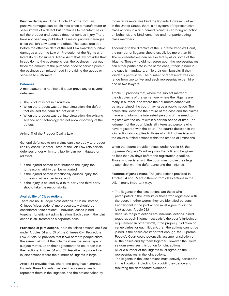Punitive damages. Under Article 47 of the Tort Law, punitive damages can be claimed when a manufacturer or seller knows of a defect but continues to manufacture or sell the product and causes death or serious injury. There have not been any published cases on punitive damages since the Tort Law came into effect. The cases decided before the effective date of the Tort Law awarded punitive damages under the Law on Protection of the Rights and Interests of Consumers. Article 49 of that law provides that, in addition to the customer's loss, the business must pay twice the amount of the purchase price or service price if the business committed fraud in providing the goods or services to customers.

#### Defenses

A manufacturer is not liable if it can prove any of several defenses:

- The product is not in circulation;
- When the product was put into circulation, the defect that caused the harm did not exist; or
- When the product was put into circulation, the existing science and technology did not allow discovery of the defect.

Article 41 of the Product Quality Law.

General defenses to tort claims can also apply to product liability cases. Chapter Three of the Tort Law lists certain defenses under which tort liability can be mitigated or relieved:

- If the injured person contributes to the injury, the tortfeasor's liability can be mitigated;
- If the injured person intentionally causes injury, the tortfeasor will not be liable; and
- If the injury is caused by a third party, the third party should take the responsibility.

#### Availability of Class Actions

There are no U.S.-style class actions in China. Instead, Chinese "class actions" more accurately should be considered "joint actions"—individual cases joined together for efficient administration. Each case in the joint action is still treated as a separate case.

Provisions of joint actions. In China, "class actions" are filed under Articles 54 and 55 of the Chinese Civil Procedure Law. Article 53 provides that if two or more people share the same claim or if their claims share the same type of subject matter, upon their agreement the court can join their actions. Articles 54 and 55 describe the procedure in joint actions where the number of litigants is large.

Article 54 provides that, where one party has numerous litigants, these litigants may elect representatives to represent them in the litigation, and the actions taken by those representatives bind the litigants. However, unlike in the United States, there is no system of representative class actions in which named plaintiffs can bring an action on behalf of, and bind, unnamed and nonparticipating class members.

According to the directive of the Supreme People's Court, the number of litigants should usually be more than 10. The representatives can be elected by all or some of the litigants. Those who did not agree upon the representatives can either participate in the same case, if their joinder in the case is mandatory, or file their own lawsuits, if their joinder is permissive. The number of representatives can range from two to five, and each representative can hire one or two lawyers.

Article 55 provides that, where the subject matter of the disputes is of the same type, where the litigants are many in number, and where their numbers cannot yet be ascertained, the court may issue a public notice. The notice shall describe the nature of the case and the claims made and inform the interested persons of the need to register with the court within a certain period of time. The judgment of the court binds all interested persons who have registered with the court. The court's decision in the joint action also applies to those who did not register with the court but filed actions within the statute of limitations.

When the courts provide notices under Article 55, the Supreme People's Court requires the notice to be given no less than 30 days before the registration deadline. Those who register with the court must prove their legal relationship with the defendants and their injuries.

Features of joint actions. The joint actions provided in Articles 54 and 55 are different from class actions in the U.S. in many important ways:

- The litigants in the joint actions are those who participated in the lawsuits or those who registered with the court. In other words, they are identified persons.
- Each litigant in the joint action must agree to join the joint action. (Article 53.)
- Because the joint actions are individual actions joined together, each litigant must satisfy the court's jurisdiction requirement. In other words, if the proper jurisdiction or venue varies for each litigant, then the actions cannot be joined. If the cases are important enough, the Supreme People's Court could potentially assume jurisdiction of all the cases and try them together. However, the Court seldom exercises this option for joint actions.
- All or a number of the litigants must agree on the representatives in the joint actions.
- The litigants in the joint actions must actively participate in the litigation, including by providing evidence and rebutting the defendants' evidence.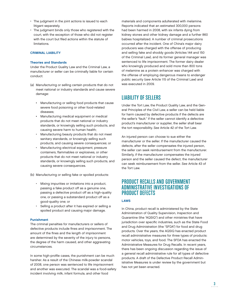- The judgment in the joint actions is issued to each litigant separately.
- The judgment binds only those who registered with the court, with the exception of those who did not register with the court but filed actions within the statute of limitations.

#### CRIMINAL LIABILITY

#### Theories and Standards

Under the Product Quality Law and the Criminal Law, a manufacturer or seller can be criminally liable for certain conduct:

- (a) Manufacturing or selling certain products that do not meet national or industry standards and cause severe damage:
	- Manufacturing or selling food products that cause severe food poisoning or other food-related diseases;
	- Manufacturing medical equipment or medical products that do not meet national or industry standards, or knowingly selling such products, and causing severe harm to human health;
	- Manufacturing beauty products that do not meet sanitary standards, or knowingly selling such products, and causing severe consequences; or
	- Manufacturing electrical equipment, pressure containers, flammables or explosives, or other products that do not meet national or industry standards, or knowingly selling such products, and causing severe consequences.

(b) Manufacturing or selling fake or spoiled products:

- Mixing impurities or imitations into a product, passing a fake product off as a genuine one, passing a defective product off as a high-quality one, or passing a substandard product off as a good-quality one; or
- Selling a product after it has expired or selling a spoiled product and causing major damage.

#### Punishment

The criminal penalties for manufacturers or sellers of defective products include fines and imprisonment. The amount of the fines and the length of imprisonment are determined by the severity of the injury to persons, the degree of the harm caused, and other aggravating circumstances.

In some high-profile cases, the punishment can be much harsher. As a result of the Chinese milk-powder scandal of 2008, one person was sentenced to life imprisonment and another was executed. The scandal was a food-safety incident involving milk, infant formula, and other food

materials and components adulterated with melamine. Reports indicated that an estimated 300,000 persons had been harmed in 2008, with six infants dying from kidney stones and other kidney damage and a further 860 babies hospitalized. A number of criminal prosecutions occurred after the incident. One of China's major dairy producers was charged with the offense of producing and selling fake and shoddy goods (Articles 144 and 150 of the Criminal Law), and its former general manager was sentenced to life imprisonment. The former dairy dealer who knowingly produced and sold more than 800 tons of melamine as a protein enhancer was charged with the offense of employing dangerous means to endanger public security (see Article 115 of the Criminal Law) and was executed in 2009.

# LIABILITY OF SELLERS

Under the Tort Law, the Product Quality Law, and the General Principles of the Civil Law, a seller can be held liable for harm caused by defective products if the defects are the seller's "fault." If the seller cannot identify a defective product's manufacturer or supplier, the seller shall bear the tort responsibility. See Article 42 of the Tort Law.

An injured person can choose to sue either the manufacturer or the seller. If the manufacturer caused the defects, after the seller compensates the injured person, the seller can seek reimbursement from the manufacturer. Similarly, if the manufacturer compensates the injured person and the seller caused the defect, the manufacturer can seek reimbursement from the seller. See Article 43 of the Tort Law.

## PRODUCT RECALLS AND GOVERNMENT ADMINISTRATIVE INVESTIGATIONS OF PRODUCT DEFECTS

## LAWS

In China, product recall is administered by the State Administration of Quality Supervision, Inspection and Quarantine (the "AQSIQ") and other ministries that have jurisdiction over specific industries, such as the State Food and Drug Administration (the "SFDA") for food and drug products. Over the years, the AQSIQ has enacted product recall administrative measures for three types of products: motor vehicles, toys, and food. The SFDA has enacted the Administrative Measures for Drug Recalls. In recent years, there has been ongoing discussion regarding the issue of a general recall administrative rule for all types of defective products. A draft of the Defective Product Recall Administrative Measures is under review by the government but has not yet been enacted.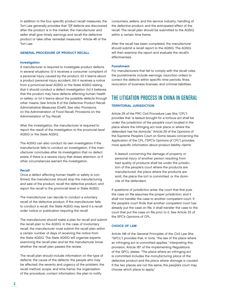In addition to the four specific product recall measures, the Tort Law generally provides that "[i]f defects are discovered after the product is in the market, the manufacturer and seller shall give timely warnings and recall the defective product or take other remedial measures." Article 46 of the Tort Law.

#### GENERAL PROCEDURE OF PRODUCT RECALL

#### **Investigation**

A manufacturer is required to investigate product defects in several situations: (i) it receives a consumer complaint of a personal injury caused by the product; (ii) it learns about a product personal injury accident; (iii) it receives a notice from a provincial-level AQSIQ or the State AQSIQ stating that it should conduct a defect investigation; (iv) it believes that the product may have defects affecting human health or safety; or (v) it learns about the possible defects through other means. See Article 8 of the Defective Product Recall Administrative Measures (Draft). See also Provisions on the Administration of Food Recall; Provisions on the Administration of Toy Recall.

After the investigation, the manufacturer is required to report the result of the investigation to the provincial-level AQSIQ or the State AQSIQ.

The AQSIQ can also conduct its own investigation if the manufacturer fails to conduct an investigation, if the manufacturer concludes after its investigation that no defect exists, if there is a severe injury that draws attention, or if other circumstances warrant the investigation.

#### Recall

Once a defect affecting human health or safety is confirmed, the manufacturer should stop the manufacturing and sale of the product, recall the defective product, and report the recall to the provincial-level or State AQSIQ.

The manufacturer can decide to conduct a voluntary recall of the defective product. If the manufacturer fails to conduct a recall, the State AQSIQ may send it a recall order notice or publication requiring the recall.

The manufacturer should make a plan for recall and submit the recall plan to the AQSIQ. In the case of involuntary recall, the manufacturer must submit the recall plan within a certain number of days of receiving the notice from the State AQSIQ. The State AQSIQ will organize experts examining the recall plan and let the manufacturer know whether the recall plan passes the review.

The recall plan should include information on the type of defects; the cause of the defects; the people who may be affected; the severity and urgency of the problem; the recall method, scope, and time frame; the organization of the procedure; contact information; the plan to notify

consumers, sellers, and the service industry; handling of the defective product; and the anticipated effect of the recall. The recall plan should be submitted to the AQSIQ within a certain time frame.

After the recall has been completed, the manufacturer should submit a recall report to the AQSIQ. The AQSIQ will then examine the report and evaluate the recall's effectiveness.

#### Punishment

For manufacturers that fail to comply with the recall rules, the punishments include warnings, injunction orders to correct the defects within specific time periods, fines, revocation of business licenses, and criminal liabilities.

# THE LITIGATION PROCESS IN CHINA IN GENERAL

#### TERRITORIAL JURISDICTION

Article 29 of the PRC Civil Procedure Law (the "CPL") provides that "a lawsuit brought for a tortious act shall be under the jurisdiction of the people's court located in the place where the infringing act took place or where the defendant has his domicile." Article 29 of the Opinions of the Supreme People's Court on Some Issues concerning the Application of the CPL ("SPC's Opinions of CPL") provides more specific information about product liability claims:

A lawsuit concerning the damage of property or personal injury of another person resulting from bad quality of products shall be under the jurisdiction of the people's court where the products are manufactured, the place where the products are sold, the place the tort is committed, or the domicile of the defendant.

If questions of jurisdiction arise, the court that first puts the case on file assumes the proper jurisdiction, and it shall not transfer the case to another competent court. If the people's court finds that another competent court has already put the case on file, it shall transfer the case to the court that put the case on file prior to it. See Article 33 of the SPC's Opinions of CPL.

#### CHOICE OF LAW

Article 146 of the General Principles of the Civil Law (the "GPCL") provides that, in torts, "the law of the place where an infringing act is committed applies." Interpreting this provision, Article 187 of the Implementing Regulations of the GPCL states: "The place where an infringing act is committed includes the manufacturing place of the defective product and the place where damage is caused. If the two places are not the same, the people's court may choose which place to apply."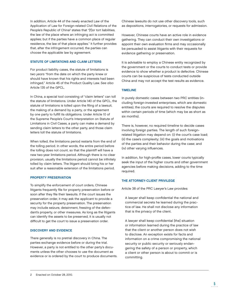In addition, Article 44 of the newly enacted Law of the Application of Law for Foreign-related Civil Relations of the People's Republic of China<sup>2</sup> states that "[f]or tort liabilities, the law of the place where an infringing act is committed applies; but if the parties have a common place of regular residence, the law of that place applies." It further provides that, after the infringement occurred, the parties can choose the applicable law by agreement.

## STATUTE OF LIMITATIONS AND CLAIM LETTERS

For product liability cases, the statute of limitations is two years "from the date on which the party knew or should have known that his rights and interests had been infringed." Article 45 of the Product Quality Law. See also Article 135 of the GPCL.

In China, a special tool consisting of "claim letters" can toll the statute of limitations. Under Article 140 of the GPCL, the statute of limitations is tolled upon the filing of a lawsuit, the making of a demand by a party, or the agreement by one party to fulfill its obligations. Under Article 10 of the Supreme People's Court's Interpretation on Statute of Limitations in Civil Cases, a party can make a demand by sending claim letters to the other party, and those claim letters toll the statute of limitations.

When tolled, the limitations period restarts from the end of the tolling period. In other words, the entire period before the tolling does not count, so that the plaintiff will have a new two-year limitations period. Although there is no clear provision, usually the limitations period cannot be infinitely tolled by claim letters. The litigant should bring his or her suit after a reasonable extension of the limitations period.

## PROPERTY PRESERVATION

To simplify the enforcement of court orders, Chinese litigants frequently file for property preservation before or soon after they file their lawsuits. If the court issues the preservation order, it may ask the applicant to provide a security for the property preservation. The preservation may include seizure, detainment, freezing of the defendant's property, or other measures. As long as the litigants can identify the assets to be preserved, it is usually not difficult to get the court to issue a preservation order.

## DISCOVERY AND EVIDENCE

There generally is no pretrial discovery in China. The parties exchange evidence before or during the trial. However, a party is not entitled to the other party's documents unless the other chooses to use the document as evidence or is ordered by the court to produce documents. Chinese lawsuits do not use other discovery tools, such as depositions, interrogatories, or requests for admission.

However, Chinese courts have an active role in evidence gathering. They can conduct their own investigations or appoint their own evaluation firms and may occasionally be persuaded to assist litigants with their requests for evidence gathering or preservation.

It is advisable to employ a Chinese entity recognized by the government or the courts to conduct tests or provide evidence to show whether a product is defective. Chinese courts can be suspicious of tests conducted outside China and may not accept the test results as evidence.

## TIMELINE

In purely domestic cases between two PRC entities (including foreign-invested enterprises, which are domestic entities), the courts are required to resolve the disputes within certain periods of time (which may be as short as six months).

There is, however, no required timeline to decide cases involving foreign parties. The length of such foreignrelated litigation may depend on: (i) the court's case load; (ii) the case's complexity; (iii) the goals and motivations of the parties and their behavior during the case; and (iv) other varying influences.

In addition, for high-profile cases, lower courts typically seek the input of the higher courts and other government agencies before making decisions, adding to the time required.

## THE ATTORNEY-CLIENT PRIVILEGE

Article 38 of the PRC Lawyer's Law provides:

A lawyer shall keep confidential the national and commercial secrets he learned during the practice of law. He shall not disclose any information that is the privacy of the client.

A lawyer shall keep confidential [the] situation or information learned during the practice of law that the client or another person does not wish to disclose. An exception exists for facts and information on a crime compromising the national security or public security or seriously endangering the safety of a person or property, which a client or other person is about to commit or is committing.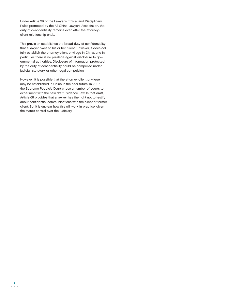Under Article 39 of the Lawyer's Ethical and Disciplinary Rules promoted by the All China Lawyers Association, the duty of confidentiality remains even after the attorneyclient relationship ends.

This provision establishes the broad duty of confidentiality that a lawyer owes to his or her client. However, it does not fully establish the attorney-client privilege in China, and in particular, there is no privilege against disclosure to governmental authorities. Disclosure of information protected by the duty of confidentiality could be compelled under judicial, statutory, or other legal compulsion.

However, it is possible that the attorney-client privilege may be established in China in the near future. In 2007, the Supreme People's Court chose a number of courts to experiment with the new draft Evidence Law. In that draft, Article 68 provides that a lawyer has the right not to testify about confidential communications with the client or former client. But it is unclear how this will work in practice, given the state's control over the judiciary.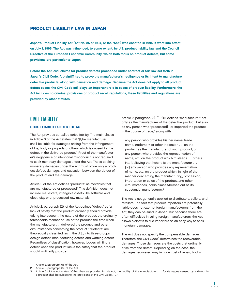## PRODUCT LIABILITY LAW IN JAPAN

Japan's Product Liability Act (Act No. 85 of 1994, or the "Act") was enacted in 1994. It went into effect on July 1, 1995. The Act was influenced, to some extent, by U.S. product liability law and the Council Directive of the European Economic Community, which both focus on product defects, but some provisions are particular to Japan.

Before the Act, civil claims for product defects proceeded under contract or tort law set forth in Japan's Civil Code. A plaintiff had to prove the manufacturer's negligence or its intent to manufacture defective products, along with causation and damage. Because the Act does not apply to all product defect cases, the Civil Code still plays an important role in cases of product liability. Furthermore, the Act includes no criminal provisions or product recall regulations; these liabilities and regulations are provided by other statutes.

## CIVIL LIABILITY

#### STRICT LIABILITY UNDER THE ACT

The Act provides so-called strict liability. The main clause in Article 3 of the Act states that "[t]he manufacturer . . . shall be liable for damages arising from the infringement of life, body or property of others which is caused by the defect in the delivered product." Proof of the manufacturer's negligence or intentional misconduct is not required to seek monetary damages under the Act. Those seeking monetary damages under the Act must prove only a product defect, damage, and causation between the defect of the product and the damage.

Article 2 of the Act defines "products" as movables that are manufactured or processed.<sup>1</sup> This definition does not include real estate, intangible assets like software and electricity, or unprocessed raw materials.

Article 2, paragraph (2), of the Act defines "defect" as "a lack of safety that the product ordinarily should provide, taking into account the nature of the product, the ordinarily foreseeable manner of use of the product, the time when the manufacturer . . . delivered the product, and other circumstances concerning the product." "Defects" are theoretically classified, as in the U.S., into three groups: design defect, manufacturing defect, and warning defect. Regardless of classification, however, judges will find a defect when the product lacks the safety that the product should ordinarily provide.

Article 2, paragraph (3), (i)–(iii), defines "manufacturer" not only as the manufacturer of the defective product, but also as any person who "processed[ ] or imported the product in the course of trade," along with:

any person who provides his/her name, trade name, trademark or other indication . . . on the product as the manufacturer of such product, or any person who provides the representation of name, etc. on the product which misleads . . . others into believing that he/she is the manufacturer . . . [or] any person who provides any representation of name, etc. on the product which, in light of the manner concerning the manufacturing, processing, importation or sales of the product, and other circumstances, holds himself/herself out as its substantial manufacturer.<sup>2</sup>

The Act is not generally applied to distributors, sellers, and retailers. The fact that product importers are potentially liable does not exempt foreign manufacturers from the Act; they can be sued in Japan. But because there are often difficulties in suing foreign manufacturers, the Act allows plaintiffs to sue importers as an easy way to seek monetary damages.

The Act does not specify the compensable damages. Therefore, the Civil Code3 determines the recoverable damages. Those damages are the costs that ordinarily arise from the defect. Depending on the case, the damages recovered may include cost of repair, bodily

<sup>1</sup> Article 2, paragraph (1), of the Act.

<sup>2</sup> Article 2, paragraph (3), of the Act.

<sup>3</sup> Article 6 of the Act states, "Other than as provided in this Act, the liability of the manufacturer . . . for damages caused by a defect in a product shall be subject to the provisions of the Civil Code . . . ."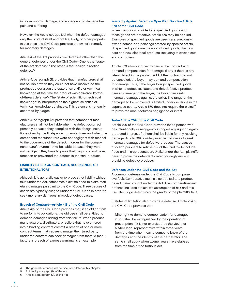injury, economic damage, and noneconomic damage like pain and suffering.

However, the Act is not applied when the defect damaged only the product itself and not life, body, or other property. In this case, the Civil Code provides the owner's remedy for monetary damages.

Article 4 of the Act provides two defenses other than the general defenses under the Civil Code.4 One is the "stateof-the-art defense."5 The other is the "design-direction defense."6

Article 4, paragraph (1), provides that manufacturers shall not be liable when they could not have discovered the product defect given the state of scientific or technical knowledge at the time the product was delivered ("stateof-the-art defense"). The "state of scientific or technical knowledge" is interpreted as the highest scientific or technical knowledge obtainable. This defense is not easily accepted by judges.

Article 4, paragraph (2), provides that component manufacturers shall not be liable when the defect occurred primarily because they complied with the design instructions given by the final-product manufacturer and when the component manufacturers were not negligent with respect to the occurrence of the defect. In order for the component manufacturers not to be liable because they were not negligent, they have to prove that they could not have foreseen or prevented the defects in the final products.

## LIABILITY BASED ON CONTRACT, NEGLIGENCE, OR INTENTIONAL TORT

Although it is generally easier to prove strict liability without fault under the Act, sometimes plaintiffs need to claim monetary damages pursuant to the Civil Code. Three causes of action are typically alleged under the Civil Code in order to seek monetary damages in product defect cases.

#### Breach of Contract—Article 415 of the Civil Code

Article 415 of the Civil Code provides that, if an obligor fails to perform its obligations, the obligee shall be entitled to demand damages arising from this failure. When product manufacturers, distributors, or sellers that have entered into a binding contract commit a breach of one or more contract terms that causes damage, the injured party under the contract can seek damages from them. A manufacturer's breach of express warranty is an example.

## Warranty Against Defect on Specified Goods-Article 570 of the Civil Code

When the goods provided are specified goods and those goods are defective, Article 570 may be applied. Examples of specified goods are used cars, previously owned homes, and paintings created by specific artists. Unspecified goods are mass-produced goods, like new cars and new electrical products, including television sets and computers.

Article 570 allows a buyer to cancel the contract and demand compensation for damage, if any, if there is any latent defect in the product sold. If the contract cannot be canceled, the buyer may demand compensation for damage. Thus, if the buyer bought specified goods in which a defect lies latent and that defective product caused damage to the buyer, the buyer can seek monetary damages against the seller. The range of the damages to be recovered is limited under decisions in the Japanese courts. Article 570 does not require the plaintiff to prove the manufacturer's negligence or intent.

#### Tort—Article 709 of the Civil Code

Article 709 of the Civil Code provides that a person who has intentionally or negligently infringed any right or legally protected interest of others shall be liable for any resulting damage. Article 709 is widely used in civil cases to seek monetary damages for defective products. The causes of action pursuant to Article 709 of the Civil Code include fraud and misrepresentation. Unlike under the Act, plaintiffs have to prove the defendants' intent or negligence in providing defective products.

#### Defenses Under the Civil Code and the Act

A common defense under the Civil Code is comparative fault. Comparative fault is also applied to a product defect claim brought under the Act. The comparative-fault defense includes a plaintiff's assumption of risk and misuse. The judge determines the gravity of the plaintiff's fault.

Statutes of limitation also provide a defense. Article 724 of the Civil Code provides that:

[t]he right to demand compensation for damages in tort shall be extinguished by the operation of prescription if it is not exercised by the victim or his/her legal representative within three years from the time when he/she comes to know of the damages and the identity of the perpetrator. The same shall apply when twenty years have elapsed from the time of the tortious act.

<sup>4</sup> The general defenses will be discussed later in this chapter.

<sup>5</sup> Article 4, paragraph (1), of the Act.<br>6 Article 4 paragraph (2) of the Act

Article 4, paragraph (2), of the Act.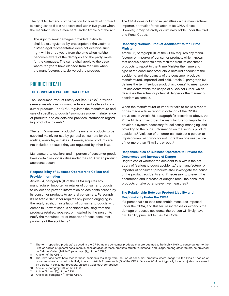The right to demand compensation for breach of contract is extinguished if it is not exercised within five years when the manufacturer is a merchant. Under Article 5 of the Act:

The right to seek damages provided in Article 3 shall be extinguished by prescription if the victim or his/her legal representative does not exercise such right within three years from the time when he/she becomes aware of the damages and the party liable for the damages. The same shall apply to the case where ten years have elapsed from the time when the manufacturer, etc. delivered the product.

# PRODUCT RECALL

## THE CONSUMER PRODUCT SAFETY ACT

The Consumer Product Safety Act (the "CPSA") provides general regulations for manufacturers and sellers of consumer products. The CPSA regulates the manufacture and sale of specified products,7 promotes proper maintenance of products, and collects and provides information regarding product accidents.8

The term "consumer products" means any products to be supplied mainly for use by general consumers for their routine, everyday activities. However, some products are not included because they are regulated by other laws.

Manufacturers, retailers, and importers of consumer goods have certain responsibilities under the CPSA when product accidents occur:

## Responsibility of Business Operators to Collect and Provide Information

Article 34, paragraph (1), of the CPSA requires any manufacturer, importer, or retailer of consumer products to collect and provide information on accidents caused by its consumer products to general consumers. Paragraph (2) of Article 34 further requires any person engaging in the retail, repair, or installation of consumer products who comes to know of serious accidents resulting from the products retailed, repaired, or installed by the person to notify the manufacturer or importer of those consumer products of the accidents.9

The CPSA does not impose penalties on the manufacturer, importer, or retailer for violation of its CPSA duties. However, it may be civilly or criminally liable under the Civil and Penal Codes.

## Reporting "Serious Product Accidents" to the Prime **Minister**

Article 35, paragraph (1), of the CPSA requires any manufacturer or importer of consumer products which knows that serious accidents have resulted from its consumer products to report to the Prime Minister the name and type of the consumer products, a detailed account of the accidents, and the quantity of the consumer products manufactured, imported, and sold. Article 2, paragraph (6), defines the term "serious product accidents" to mean product accidents within the scope of a Cabinet Order, which describes the actual or potential danger or the manner of accident as serious.

When the manufacturer or importer fails to make a report or has made a false report in violation of the CPSA's provisions of Article 35, paragraph (1), described above, the Prime Minister may order the manufacturer or importer to develop a system necessary for collecting, managing, and providing to the public information on the serious product accidents.10 Violation of an order can subject a person to imprisonment with work for not more than one year, a fine of not more than ¥1 million, or both.11

## Responsibilities of Business Operators to Prevent the Occurrence and Increase of Danger

Regardless of whether the accident falls within the category of "serious product accidents," the manufacturer or importer of consumer products shall investigate the cause of the product accidents and, if necessary to prevent the occurrence and increase of danger, recall the consumer products or take other preventive measures.<sup>12</sup>

## The Relationship Between Product Liability and Responsibility Under the CPSA

If a person fails to take reasonable measures imposed under the CPSA, and this failure increases or expands the damage or causes accidents, the person will likely have civil liability pursuant to the Civil Code.

The term "specified products" as used in the CPSA means consumer products that are deemed to be highly likely to cause danger to the lives or bodies of general consumers in consideration of these products' structure, material, and usage, among other factors, as provided by Cabinet Order. (Article 2, paragraph (2), of the CPSA.)

<sup>8</sup> Article 1 of the CPSA.

The term "accident" here means those accidents resulting from the use of consumer products where danger to the lives or bodies of consumers has occurred or is likely to occur. (Article 2, paragraph (5), of the CPSA.) "Accidents" do not typically include injuries not caused by defects in consumer products, unless a Cabinet Order applies.

<sup>10</sup> Article 37, paragraph (1), of the CPSA.

<sup>11</sup> Article 58, item (5), of the CPSA.

<sup>12</sup> Article 38, paragraph (1) of the CPSA.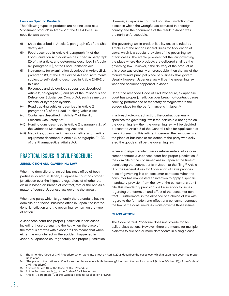#### **Laws on Specific Products**

The following types of products are not included as a "consumer product" in Article 2 of the CPSA because specific laws apply:

- (i) Ships described in Article 2, paragraph (1), of the Ship Safety Act;
- (ii) Food described in Article 4, paragraph (1), of the Food Sanitation Act; additives described in paragraph (2) of that article; and detergents described in Article 62, paragraph (2), of the Food Sanitation Act;
- (iii) Instruments for examination described in Article 21-2, paragraph (2), of the Fire Service Act and instruments subject to self-labeling described in Article 21-16-2 of this act;
- (iv) Poisonous and deleterious substances described in Article 2, paragraphs (1) and (2), of the Poisonous and Deleterious Substances Control Act, such as mercury, arsenic, or hydrogen cyanide;
- (v) Road trucking vehicles described in Article 2, paragraph (1), of the Road Trucking Vehicle Act;
- (vi) Containers described in Article 41 of the High Pressure Gas Safety Act;
- (vii) Hunting guns described in Article 2, paragraph (2), of the Ordnance Manufacturing Act; and
- (viii) Medicines, quasi-medicines, cosmetics, and medical equipment described in Article 2, paragraphs (1)–(4), of the Pharmaceutical Affairs Act.

# PRACTICAL ISSUES IN CIVIL PROCEDURE

### JURISDICTION AND GOVERNING LAW

When the domicile or principal business office of both parties is located in Japan, a Japanese court has proper jurisdiction over the litigation, regardless of whether the claim is based on breach of contract, tort, or the Act. As a matter of course, Japanese law governs the lawsuit.

When one party, which is generally the defendant, has no domicile or principal business office in Japan, the international jurisdiction and the governing law turn on the type of action.<sup>13</sup>

A Japanese court has proper jurisdiction in tort cases, including those pursuant to the Act, when the place of the tortious act was within Japan.<sup>14</sup> This means that when either the wrongful act or the accident happened in Japan, a Japanese court generally has proper jurisdiction. However, a Japanese court will not take jurisdiction over a case in which the wrongful act occurred in a foreign country and the occurrence of the result in Japan was ordinarily unforeseeable.

The governing law in product liability cases is ruled by Article 18 of the Act on General Rules for Application of Laws, which is a special provision of the governing law of tort cases. The article provides that the law governing the place where the products are delivered shall be the governing law. However, if the delivery of the product at this place was ordinarily unforeseeable, then the law of the manufacturer's principal place of business shall govern. Usually, however, Japanese law will be the governing law when the accident happened in Japan.

Under the amended Code of Civil Procedure, a Japanese court has proper jurisdiction over breach-of-contract cases seeking performance or monetary damages where the agreed place for the performance is in Japan.15

In a breach-of-contract action, the contract generally specifies the governing law. If the parties did not agree on the governing law, then the governing law will be decided pursuant to Article 8 of the General Rules for Application of Laws. Pursuant to this article, in general, the law governing the place of business or residence of the party who delivered the goods shall be the governing law.

When a foreign manufacturer or retailer enters into a consumer contract, a Japanese court has proper jurisdiction if the domicile of the consumer was in Japan at the time of concluding the contract or is in Japan at the filing.<sup>16</sup> Article 11 of the General Rules for Application of Laws provides rules of governing law on consumer contracts. When the consumer has manifested an intention to apply a specific mandatory provision from the law of the consumer's domicile, this mandatory provision shall also apply to issues regarding the formation and effect of the consumer contract.17 Furthermore, in the absence of a choice of law with regard to the formation and effect of a consumer contract, the law of the consumer's domicile governs those issues.

#### CLASS ACTION

The Code of Civil Procedure does not provide for socalled class actions. However, there are means for multiple plaintiffs to sue one or more defendants in a single case.

- 15 Article 3-3, item (1), of the Code of Civil Procedure.
- 16 Article 3-4, paragraph (1), of the Code of Civil Procedure.
- 17 Article 11, paragraph (1), of the General Rules for Application of Laws.

<sup>13</sup> The Amended Code of Civil Procedure, which went into effect on April 1, 2012, describes the cases over which a Japanese court has proper jurisdiction.

<sup>14 &</sup>quot;The place of the tortious act" includes the places where both the wrongful act and the result occurred. (Article 3-3, item (8), of the Code of Civil Procedure.)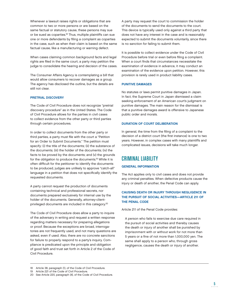Whenever a lawsuit raises rights or obligations that are common to two or more persons or are based on the same factual or statutory cause, these persons may sue or be sued as coparties.<sup>18</sup> Thus, multiple plaintiffs can sue one or more defendants by filing a complaint as coparties in the case, such as when their claim is based on the same factual cause, like a manufacturing or warning defect.

When cases claiming common background facts and legal rights are filed in the same court, a party may petition the judge to consolidate the hearing and decision of the cases.

The Consumer Affairs Agency is contemplating a bill that would allow consumers to recover damages as a group. The agency has disclosed the outline, but the details are still not clear.

#### PRETRIAL DISCOVERY

The Code of Civil Procedure does not recognize "pretrial discovery procedure" as in the United States. The Code of Civil Procedure allows for the parties in civil cases to collect evidence from the other party or third parties through certain procedures.

In order to collect documents from the other party or third parties, a party must file with the court a "Petition" for an Order to Submit Documents." The petition must specify: (i) the title of the documents; (ii) the substance of the documents; (iii) the holder of the documents; (iv) the facts to be proved by the documents; and (v) the grounds for the obligation to produce the documents.19 While it is often difficult for the petitioner to identify the documents to be produced, judges are unlikely to approve "catch-all" language in a petition that does not specifically identify the requested documents.

A party cannot request the production of documents containing technical and professional secrets, nor documents prepared exclusively for internal use by the holder of the documents. Generally, attorney-clientprivileged documents are included in this category.20

The Code of Civil Procedure does allow a party to inquire of the adversary in writing and request a written response regarding matters necessary for preparing allegations or proof. Because the exceptions are broad, interrogatories are not frequently used, and not many questions are asked, even if used. Also, there are no concrete sanctions for failure to properly respond to a party's inquiry. Compliance is predicated upon the principle and obligation of good faith and trust set forth in Article 2 of the Code of Civil Procedure.

A party may request the court to commission the holder of the documents to send the documents to the court. This device is typically used only against a third party that does not have any interest in the case and is reasonably expected to submit the documents voluntarily, since there is no sanction for failing to submit them.

It is possible to collect evidence under the Code of Civil Procedure before trial or even before filing a complaint. When a court finds that circumstances necessitate the examination of evidence in advance, it may conduct an examination of the evidence upon petition. However, this provision is rarely used in product liability cases.

## PUNITIVE DAMAGES

No statutes or laws permit punitive damages in Japan. In fact, the Supreme Court in Japan dismissed a claim seeking enforcement of an American court's judgment on punitive damages. The main reason for the dismissal is that a punitive damages award is offensive to Japanese public order and morals.

## DURATION OF COURT DELIBERATION

In general, the time from the filing of a complaint to the decision of a district court (the first instance) is one to two years. However, in complex cases with many plaintiffs and complicated issues, decisions will take much longer.

## CRIMINAL LIABILITY

## GENERAL INFORMATION

The Act applies only to civil cases and does not provide any criminal penalties. When defective products cause the injury or death of another, the Penal Code can apply.

## CAUSING DEATH OR INJURY THROUGH NEGLIGENCE IN THE PURSUIT OF SOCIAL ACTIVITIES—ARTICLE 211 OF THE PENAL CODE

Article 211 of the Penal Code provides:

A person who fails to exercise due care required in the pursuit of social activities and thereby causes the death or injury of another shall be punished by imprisonment with or without work for not more than 5 years or a fine of not more than 1,000,000 yen. The same shall apply to a person who, through gross negligence, causes the death or injury of another.

<sup>18</sup> Article 38, paragraph (1), of the Code of Civil Procedure.

<sup>19</sup> Article 221 of the Code of Civil Procedure.

<sup>20</sup> See Article 220, paragraph (4), of the Code of Civil Procedure.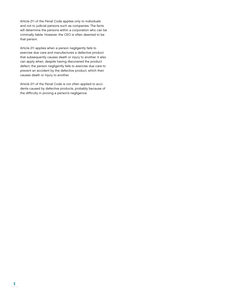Article 211 of the Penal Code applies only to individuals and not to judicial persons such as companies. The facts will determine the persons within a corporation who can be criminally liable. However, the CEO is often deemed to be that person.

Article 211 applies when a person negligently fails to exercise due care and manufactures a defective product that subsequently causes death or injury to another. It also can apply when, despite having discovered the product defect, the person negligently fails to exercise due care to prevent an accident by the defective product, which then causes death or injury to another.

Article 211 of the Penal Code is not often applied to accidents caused by defective products, probably because of the difficulty in proving a person's negligence.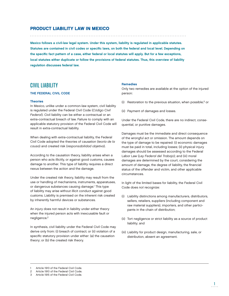## PRODUCT LIABILITY LAW IN MEXICO

Mexico follows a civil-law legal system. Under this system, liability is regulated in applicable statutes. Statutes are contained in civil codes or specific laws, on both the federal and local level. Depending on the specific fact pattern of a case, either federal or local statutes will apply. But for a few exceptions, local statutes either duplicate or follow the provisions of federal statutes. Thus, this overview of liability regulation discusses federal law.

## CIVIL LIABILITY

## THE FEDERAL CIVIL CODE

#### **Theories**

In Mexico, unlike under a common-law system, civil liability is regulated under the Federal Civil Code (Código Civil Federal). Civil liability can be either a contractual or an extra-contractual breach of law. Failure to comply with an applicable statutory provision of the Federal Civil Code will result in extra-contractual liability.

When dealing with extra-contractual liability, the Federal Civil Code adopted the theories of causation (teoría de la causa) and created risk (responsabilidad objetiva).

According to the causation theory, liability arises when a person who acts illicitly, or against good customs, causes damage to another. This type of liability requires a direct nexus between the action and the damage.

Under the created risk theory, liability may result from the use or handling of mechanisms, instruments, apparatuses, or dangerous substances causing damage.1 This type of liability may arise without illicit conduct against good customs. Liability is premised on the inherent risk created by inherently harmful devices or substances.

An injury does not result in liability under either theory when the injured person acts with inexcusable fault or negligence.2

In synthesis, civil liability under the Federal Civil Code may derive only from: (i) breach of contract; or (ii) violation of a specific statutory provision under either: (a) the causation theory; or (b) the created risk theory.

### Remedies

Only two remedies are available at the option of the injured person:

- (i) Restoration to the previous situation, when possible;3 or
- (ii) Payment of damages and losses.

Under the Federal Civil Code, there are no indirect, consequential, or punitive damages.

Damages must be the immediate and direct consequence of the wrongful act or omission. The amount depends on the type of damage to be repaired: (i) economic damages must be paid in total, including losses; (ii) physical injury damages should be assessed according to the Federal Labor Law (Ley Federal del Trabajo); and (iii) moral damages are determined by the court, considering the amount of damage, the degree of liability, the financial status of the offender and victim, and other applicable circumstances.

In light of the limited bases for liability, the Federal Civil Code does not recognize:

- (i) Liability distinctions among manufacturers, distributors, sellers, retailers, suppliers (including component and raw material suppliers), importers, and other participants in the chain of distribution;
- (ii) Tort negligence or strict liability as a source of product liability; and
- (iii) Liability for product design, manufacturing, sale, or distribution, absent an agreement.

Article 1913 of the Federal Civil Code.

<sup>2</sup> Article 1910 of the Federal Civil Code.

<sup>3</sup> Article 1915 of the Federal Civil Code.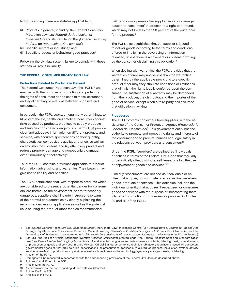Notwithstanding, there are statutes applicable to:

- (i) Products in general, including the Federal Consumer Protection Law (Ley Federal de Protección al Consumidor) and its Regulation (Reglamento de la Ley Federal de Protección al Consumidor);
- (ii) Specific sectors or industries;<sup>4</sup> and
- (iii) Specific products or behavioral good practices.<sup>5</sup>

Following the civil-law system, failure to comply with these statutes will result in liability.

#### THE FEDERAL CONSUMER PROTECTION LAW

#### Protections Related to Products in General

The Federal Consumer Protection Law (the "FCPL") was enacted with the purpose of promoting and protecting the rights of consumers and to seek fairness, assurance, and legal certainty in relations between suppliers and consumers.

In particular, the FCPL seeks, among many other things, to: (i) protect the life, health, and safety of consumers against risks caused by products, practices to supply products, and services considered dangerous or harmful; (ii) provide clear and adequate information on different products and services, with accurate specifications on their quantity, characteristics, composition, quality, and price, as well as on any risks they present; and (iii) effectively prevent and redress property damage and nonpecuniary damage, either individually or collectively.6

Thus, the FCPL contains provisions applicable to product information, advertising, and warranties. Their breach may give rise to liability and penalties.

The FCPL establishes that, with respect to products which are considered to present a potential danger for consumers, are harmful to the environment, or are foreseeably dangerous, suppliers shall include instructions to warn of the harmful characteristics by clearly explaining the recommended use or application as well as the potential risks of using the product other than as recommended.

Failure to comply makes the supplier liable for damage caused to consumers<sup>7</sup> in addition to a right to a refund, which may not be less than 20 percent of the price paid for the product.<sup>8</sup>

The FCPL also establishes that the supplier is bound to deliver goods according to the terms and conditions offered or implicit in the advertising or information released, unless there is a covenant or consent in writing by the consumer disclaiming this obligation.<sup>9</sup>

When dealing with warranties, the FCPL provides that the warranties offered may not be less than the warranties determined by the applicable provisions to a specific product,<sup>10</sup> nor may they stipulate conditions or limitations that diminish the rights legally conferred upon the consumer. The satisfaction of a warranty may be demanded from the producer, the distributor, and the importer of the good or service, except when a third party has assumed that obligation in writing.

#### Procedures

The FCPL protects consumers from suppliers, with the assistance of the Consumer Protection Agency (Procuraduría Federal del Consumidor). This government entity has the authority to promote and protect the rights and interests of the consumer and to procure fairness and legal safety in the relations between providers and consumers.<sup>11</sup>

Under the FCPL, "suppliers" are defined as "individuals or entities in terms of the Federal Civil Code that regularly or periodically offer, distribute, sell, lease, or allow the use or enjoyment of goods and services."12

Similarly, "consumers" are defined as "individuals or entities that acquire, consummate or enjoy, as final receivers, goods, products or services." This definition includes the individual or entity that acquires, keeps, uses, or consumes goods or services with the purpose of incorporating them into other production or processes as provided in Articles 99 and 117 of the FCPL.

See, e.g., the General Health Law (Ley General de Salud), the General Law for Tobacco Control (Ley General para el Control del Tabaco), the Ecologic Equilibrium and Environment Protection General Law (Ley General del Equilibrio Ecológico y la Protección al Ambiente), and the General Law of Professions (Ley reglamentaria del artículo 5o. constitucional, relativo al ejercicio de las profesiones en el Distrito Federal).

5 See, e.g., the Mexican Official Standards (Normas Oficiales Mexicanas) created under the Federal Measurement and Standardization Law (Ley Federal sobre Metrología y Normalización) and enacted to guarantee certain values, contents, labeling, designs, and means of production of goods and services. In brief, Mexican Official Standards comprise technical obligatory regulations issued by competent governmental agencies that provide rules, specifications, or prescriptions applicable to a product, process, installation, system, activity, service, or method of production or operation as well as those in relation to terminology, symbols, packaging, seals, or labeling. 6 Article 1 of the FCPL.

- 9 Article 42 of the FCPL.
- 10 As determined by the corresponding Mexican Official Standard.
- 11 Article 20 of the FCPL.
- 12 Article 2 of the FCPL.

<sup>7</sup> Damages will be measured in accordance with the corresponding provisions of the Federal Civil Code as described above.

<sup>8</sup> Articles 41 and 92 ter of the FCPL.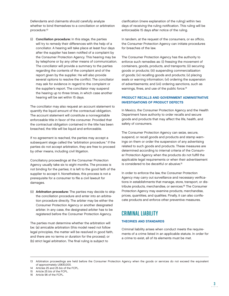Defendants and claimants should carefully analyze whether to bind themselves to a conciliation or arbitration procedure:<sup>13</sup>

(i) Conciliation procedure: In this stage, the parties will try to remedy their differences with the help of a conciliator. A hearing will take place at least four days after the supplier has been notified of a complaint by the Consumer Protection Agency. This hearing may be by telephone or by any other means of communication. The conciliator will provide a summary to the parties regarding the contents of the complaint and of the report given by the supplier. He will also provide several options to resolve the conflict. The conciliator may ask for evidence in regard to the complaint or the supplier's report. The conciliator may suspend the hearing up to three times, in which case another hearing will be set within 15 days.

The conciliator may also request an account statement to quantify the liquid amount of the contractual obligation. The account statement will constitute a nonnegotiable enforceable title in favor of the consumer. Provided that the contractual obligation contained in the title has been breached, the title will be liquid and enforceable.

If no agreement is reached, the parties may accept a subsequent stage called the "arbitration procedure." If the parties do not accept arbitration, they are free to proceed by other means, including civil litigation.

Conciliatory proceedings at the Consumer Protection Agency usually take six to eight months. The process is not binding for the parties; it is left to the good faith of the supplier to accept it. Nonetheless, this process is not a prerequisite for a consumer to file a civil lawsuit for damages.

(ii) Arbitration procedure: The parties may decide to skip the conciliation procedure and enter into an arbitration procedure directly. The arbiter may be either the Consumer Protection Agency or another designated arbiter. In any case, the designated arbiter has to be registered before the Consumer Protection Agency.

The parties must determine whether the arbitration will be: (a) amicable arbitration (this model need not follow legal principles, the matter will be resolved in good faith, and there are no terms or duration for the process); or (b) strict legal arbitration. The final ruling is subject to

clarification (mere explanation of the ruling) within two days of receiving the ruling notification. This ruling will be enforceable 15 days after notice of the ruling.

In tandem, at the request of the consumers, or ex officio, the Consumer Protection Agency can initiate procedures for breaches of the law.

The Consumer Protection Agency has the authority to enforce such remedies as: (i) freezing the movement of containers, goods, products, and transports; (ii) securing goods or products; (iii) suspending commercialization of goods; (iv) recalling goods and products; (v) placing seals or warning information; (vi) ordering the suspension of advertisements; and (vii) ordering sanctions, such as warnings, fines, and use of the public force.<sup>14</sup>

## PRODUCT RECALLS AND GOVERNMENT ADMINISTRATIVE INVESTIGATIONS OF PRODUCT DEFECTS

In Mexico, the Consumer Protection Agency and the Health Department have authority to order recalls and secure goods and products that may affect the life, health, and safety of consumers.

The Consumer Protection Agency can seize, secure, suspend, or recall goods and products and stamp warnings on them or order the suspension of any advertising related to such goods and products. These measures are determined according to internal criteria of the Consumer Protection Agency when the products do not fulfill the applicable legal requirements or when their advertisement is considered to be deceitful or abusive.<sup>15</sup>

In order to enforce the law, the Consumer Protection Agency may carry out surveillance and necessary verifications in establishments that manage, store, transport, or distribute products, merchandise, or services.16 The Consumer Protection Agency may examine products, merchandise, prices, quantities, and qualities. Finally, it can also confiscate products and enforce other preventive measures.

# CRIMINAL LIABILITY

## THEORIES AND STANDARDS

Criminal liability arises when conduct meets the requirements of a crime listed in an applicable statute. In order for a crime to exist, all of its elements must be met.

<sup>13</sup> Arbitration proceedings are held before the Consumer Protection Agency when the goods or services do not exceed the equivalent of approximately US\$30,000.

<sup>14</sup> Articles 25 and 25 bis of the FCPL.

<sup>15</sup> Article 25 bis of the FCPL.

<sup>16</sup> Article 96 of the FCPL.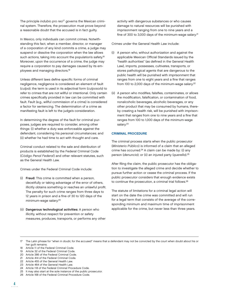The principle indubio pro reo<sup>17</sup> governs the Mexican criminal system. Therefore, the prosecution must prove beyond a reasonable doubt that the accused is in fact guilty.

In Mexico, only individuals can commit crimes. Notwithstanding this fact, when a member, director, or manager of a corporation of any kind commits a crime, a judge may suspend or dissolve the corporation when the law allows such actions, taking into account the population's safety.<sup>18</sup> Moreover, upon the occurrence of a crime, the judge may require a corporation to pay damages caused by its employees and managing directors.19

Unless different laws define specific forms of criminal negligence, negligence is considered an element of fault (culpa); the term is used in its adjectival form (culposo/a) to refer to crimes that are not willful or intentional. Only certain crimes specifically provided in law can be committed with fault. Fault (e.g., willful commission of a crime) is considered a factor for sentencing. The determination of a crime as manifesting fault is left to the judge's consideration.

In determining the degree of the fault for criminal purposes, judges are required to consider, among other things: (i) whether a duty was enforceable against the defendant, considering his personal circumstances; and (ii) whether he had time to act with thought and care.

Criminal conduct related to the sale and distribution of products is established by the Federal Criminal Code (Código Penal Federal) and other relevant statutes, such as the General Health Law.

Crimes under the Federal Criminal Code include:

- (i) Fraud: This crime is committed when a person, deceitfully or taking advantage of the error of others, illicitly obtains something or reaches an unlawful profit. The penalty for such crime ranges from three days to 12 years in prison and a fine of 30 to 120 days of the minimum-wage salary.20
- (ii) Dangerous technological activities: A person who illicitly, without respect for prevention or safety measures, produces, transports, or performs any other

activity with dangerous substances or who causes damage to natural resources will be punished with imprisonment ranging from one to nine years and a fine of 300 to 3,000 days of the minimum-wage salary.<sup>21</sup>

Crimes under the General Health Law include:

- (i) A person who, without authorization and against the applicable Mexican Official Standards issued by the "health authorities" (as defined in the General Health Law), imports, possesses, cultivates, transports, or stores pathological agents that are dangerous to the public health will be punished with imprisonment that ranges from one to eight years and a fine that ranges from 100 to 2,000 days of the minimum-wage salary.<sup>22</sup>
- (ii) A person who modifies, falsifies, contaminates, or allows the modification, falsification, or contamination of food, nonalcoholic beverages, alcoholic beverages, or any other product that may be consumed by humans, thereby creating a health risk, will be punished with imprisonment that ranges from one to nine years and a fine that ranges from 100 to 1,000 days of the minimum-wage salary.<sup>23</sup>

#### CRIMINAL PROCEDURE

The criminal process starts when the public prosecutor (Ministerio Público) is informed of a claim that an alleged crime has occurred.<sup>24</sup> A claim can be made by: (i) any person (denuncia); or (ii) an injured party (querella).<sup>25</sup>

After filing the claim, the public prosecutor has the obligation to investigate the alleged crime and decide whether to pursue further action or cease the criminal process. If the public prosecutor considers that enough evidence exists to continue the prosecution, a criminal trial follows.26

The statute of limitations for a criminal legal action will start on the date the crime was committed and will run for a legal term that consists of the average of the corresponding minimum and maximum time of imprisonment applicable for the crime, but never less than three years.

20 Article 386 of the Federal Criminal Code.

- 22 Article 455 of the General Health Law. 23 Article 464 of the General Health Law
- 24 Article 118 of the Federal Criminal Procedure Code.
- 25 It may also start at the sole instance of the public prosecutor.
- 26 Article 168 of the Federal Criminal Procedure Code.

<sup>17</sup> The Latin phrase for "when in doubt, for the accused" means that a defendant may not be convicted by the court when doubt about his or her guilt remains.

<sup>18</sup> Article 11 of the Federal Criminal Code.

<sup>19</sup> Article 32 of the Federal Criminal Code.

<sup>21</sup> Article 414 of the Federal Criminal Code.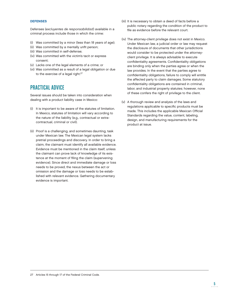## **DEFENSES**

Defenses (excluyentes de responsabilidad) available in a criminal process include those in which the crime:

- (i) Was committed by a minor (less than 18 years of age);
- (ii) Was committed by a mentally unfit person;
- (iii) Was committed in self-defense;
- (iv) Was committed with the victim's tacit or express consent;
- (v) Lacks one of the legal elements of a crime; or
- (vi) Was committed as a result of a legal obligation or due to the exercise of a legal right.<sup>27</sup>

# PRACTICAL ADVICE

Several issues should be taken into consideration when dealing with a product liability case in Mexico:

- (i) It is important to be aware of the statutes of limitation. In Mexico, statutes of limitation will vary according to the nature of the liability (e.g., contractual or extracontractual, criminal or civil).
- (ii) Proof is a challenging, and sometimes daunting, task under Mexican law. The Mexican legal system lacks pretrial proceedings and discovery. In order to bring a claim, the claimant must identify all available evidence. Evidence must be mentioned in the claim itself, unless the claimant can prove lack of knowledge of its existence at the moment of filing the claim (supervening evidence). Since direct and immediate damage or loss needs to be proved, the nexus between the act or omission and the damage or loss needs to be established with relevant evidence. Gathering documentary evidence is important.
- (iii) It is necessary to obtain a deed of facts before a public notary regarding the condition of the product to file as evidence before the relevant court.
- (iv) The attorney-client privilege does not exist in Mexico. Under Mexican law, a judicial order or law may request the disclosure of documents that other jurisdictions would consider to be protected under the attorneyclient privilege. It is always advisable to execute confidentiality agreements. Confidentiality obligations are binding only when the parties agree or when the law provides. In the event that the parties agree to confidentiality obligations, failure to comply will entitle the affected party to claim damages. Some statutory confidentiality obligations are contained in criminal, labor, and industrial property statutes; however, none of these confers the right of privilege to the client.
- (v) A thorough review and analysis of the laws and regulations applicable to specific products must be made. This includes the applicable Mexican Official Standards regarding the value, content, labeling, design, and manufacturing requirements for the product at issue.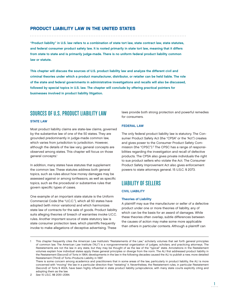## PRODUCT LIABILITY LAW IN THE UNITED STATES

"Product liability" in U.S. law refers to a combination of state tort law, state contract law, state statutes, and federal consumer product safety law. It is rooted primarily in state tort law, meaning that it differs from state to state and is primarily judge-made. There is no uniform federal product liability common law or statute.

This chapter will discuss the sources of U.S. product liability law and analyze the different civil and criminal theories under which a product manufacturer, distributor, or retailer can be held liable. The role of the state and federal governments in administrative investigations and recalls will also be discussed, followed by special topics in U.S. law. The chapter will conclude by offering practical pointers for businesses involved in product liability litigation.

## SOURCES OF U.S. PRODUCT LIABILITY LAW

## STATE LAW

Most product liability claims are state-law claims, governed by the substantive law of one of the 50 states. They are grounded predominantly in judge-made common law, which varies from jurisdiction to jurisdiction. However, although the details of the law vary, general concepts are observed among states. This chapter will focus on those general concepts.<sup>1</sup>

In addition, many states have statutes that supplement the common law. These statutes address both general topics, such as rules about how money damages may be assessed against or among tortfeasors, as well as specific topics, such as the procedural or substantive rules that govern specific types of cases.

One example of an important state statute is the Uniform Commercial Code (the "U.C.C."), which all 50 states have adopted (with minor variations) and which harmonizes state law of contracts for the sale of goods. Product liability suits alleging theories of breach of warranties invoke U.C.C. rules. Another important source of state statutory law is state consumer protection laws, which plaintiffs frequently invoke to make allegations of deceptive advertising. These

laws provide both strong protection and powerful remedies for consumers.

## FEDERAL LAW

The only federal product liability law is statutory. The Consumer Product Safety Act (the "CPSA" or the "Act") creates and gives power to the Consumer Product Safety Commission (the "CPSC").2 The CPSC has a range of responsibilities regarding the investigation and recall of defective products. The CPSA also gives private individuals the right to sue product sellers who violate the Act. The Consumer Product Safety Improvement Act also gives enforcement powers to state attorneys general. 15 U.S.C. § 2073.

# LIABILITY OF SELLERS

### CIVIL LIABILITY

#### Theories of Liability

A plaintiff may sue the manufacturer or seller of a defective product under one or more theories of liability, any of which can be the basis for an award of damages. While these theories often overlap, subtle differences between the causes of action may make some more applicable than others in particular contexts. Although a plaintiff can

<sup>1</sup> This chapter frequently cites the American Law Institute's "Restatements of the Law," scholarly volumes that set forth general principles of common law. The American Law Institute ("ALI") is a nongovernmental organization of judges, scholars, and practicing attorneys. The Restatements are not the law in any state, but they may be thought of as the law of the "typical" state. Annotations in the Restatement volumes explain how individual states apply these general principles or diverge from the norm. The ALI first addressed product liability in the Restatement (Second) of Torts in 1964; developments in the law in the following decades caused the ALI to publish a new, more detailed Restatement (Third) of Torts–Products Liability in 1997.

There is some concern among academics and practitioners that in some areas of the law, particularly in product liability, the ALI is more concerned with "moving" the law in a particular direction than "restating" it. Nevertheless, the Restatement rules, in particular Restatement (Second) of Torts § 402A, have been highly influential in state product liability jurisprudence, with many state courts explicitly citing and adopting them as the law.

<sup>2</sup> See 15 U.S.C. §§ 2051–2084.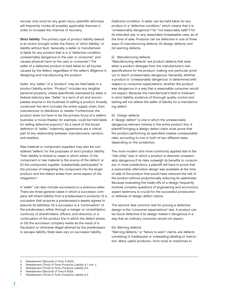recover only once for any given injury, plaintiffs' attorneys will frequently invoke all possibly applicable theories in order to increase the chances of recovery.

Strict liability. The primary type of product liability lawsuit is an action brought under the theory of "strict liability," or liability without fault. Generally, a seller or manufacturer is liable for any product that is in a "defective condition unreasonably dangerous to the user or consumer" and causes physical harm to the user or consumer.3 The seller of a defective product is held liable for all injuries caused by the defect, regardless of the seller's diligence in designing and manufacturing the product.

Seller. Any "seller" of a "product" may be held liable in a product liability action. "Product" includes any tangible personal property, unless specifically exempted by state or federal statutory law. "Seller" is a term of art and encompasses anyone in the business of selling a product, broadly construed: the term includes the entire supply chain, from manufacturer to distributor to retailer. Furthermore, the product does not have to be the primary focus of a seller's business; a movie theater, for example, could be held liable for selling defective popcorn.<sup>4</sup> As a result of this broad definition of "seller," indemnity agreements are a critical part of any relationship between manufacturers, vendors, and retailers.

Raw material or component suppliers may also be considered "sellers" for the purposes of strict product liability. Their liability is limited to cases in which either: (i) the component or raw material is the source of the defect; or (ii) the component supplier "substantially participates" in the process of integrating the component into the larger product, and the defect arises from some aspect of the integration.5

A "seller" can also include successors to a previous seller. There are three general cases in which a successor company will inherit liability from a predecessor's products: (i) a successor that acquires a predecessor's assets agrees to assume its liabilities; (ii) a successor is a "continuation" of the predecessor, either through a merger or consolidation, continuity of shareholders, officers, and directors, or a continuation of the product line in which the defect arises; or (iii) the successor company exists as the result of a fraudulent or otherwise illegal attempt by the predecessor to escape liability. State laws vary on successor liability.

Defective condition. A seller can be held liable for any product in a "defective condition," which means that it is "unreasonably dangerous"6 (or "not reasonably safe"7) for its intended use, or any reasonably foreseeable uses, as of the time of sale. Products can be defective in one of three ways: (i) manufacturing defects; (ii) design defects; and (iii) warning defects.

#### (i) Manufacturing defects

"Manufacturing defects" are product defects that exist when a product diverges from the manufacturer's own specifications for the product, making one particular product or batch unreasonably dangerous. Generally, whether a product is "unreasonably dangerous" is determined with respect to consumer expectations: whether the product was dangerous in a way that a reasonable consumer would not expect. Because the manufacturer's fault is irrelevant in strict liability, evidence of thorough quality control and testing will not relieve the seller of liability for a manufacturing defect.

#### (ii) Design defects

A "design defect" is one in which the unreasonably dangerous element inheres in the entire product line. A plaintiff bringing a design defect claim must prove that the product performing as specified creates unreasonable risks, according to one or both of two different tests, depending on the jurisdiction.

The more modern and more commonly applied test is the "risk-utility" test, in which a product is deemed unreasonably dangerous if its risks outweigh its benefits to consumers. In most jurisdictions, a plaintiff will have to prove that a reasonable alternative design was available at the time of sale of the product that would have reduced the risk of the product without proportionally reducing its usefulness. Because evaluating the trade-offs of a design frequently involves complex questions of engineering and economics, expert testimony is crucial for the successful prosecution or defense of design defect claims.

The second, less common test for proving a defective design is the "consumer expectations" test. A product can be found defective if its design makes it dangerous in a way that an ordinary consumer would not expect.

#### (iii) Warning defects

"Warning defects," or "failure to warn" claims, are defects consisting of inadequate or misleading labeling or instruction. Many useful products—from tools to medicines to

- Restatement (Third) of Torts–Products Liability, § 1 cmt. c.
- 5 Restatement (Third) of Torts–Products Liability § 5.
- 6 Restatement (Second) of Torts § 402A.
- Restatement (Third) of Torts-Products Liability § 2.

<sup>3</sup> Restatement (Second) of Torts, § 402A.<br>4 Restatement (Third) of Torts-Products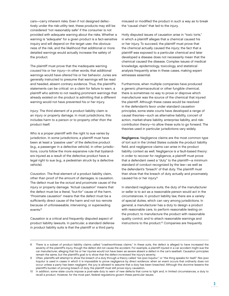cars—carry inherent risks. Even if not designed defectively under the risk-utility test, these products may still be considered "not reasonably safe" if the consumer is not provided with adequate warning about the risks. Whether a warning is "adequate" for a given product is a fact-sensitive inquiry and will depend on the target user, the obviousness of the risk, and the likelihood that additional or more detailed warnings would actually increase the safety of the product.

The plaintiff must prove that the inadequate warning caused his or her injury—in other words, that additional warnings would have altered his or her behavior. Juries are generally instructed to presume that warnings will be read and heeded, absent contrary evidence. Thus, the plaintiff's statements can be critical: on a claim for failure to warn, a plaintiff who admits to not reading prominent warnings that already existed on the product is admitting that a different warning would not have prevented his or her injury.

Injury. The third element of a product liability claim is an injury or property damage. In most jurisdictions, this includes harm to a person or to property other than the product itself.

Who is a proper plaintiff with the right to sue varies by jurisdiction. In some jurisdictions, a plaintiff must have been at least a "passive user" of the defective product (e.g., a passenger in a defective vehicle). In other jurisdictions, courts follow the more expansive rule that bystanders injured as a result of the defective product have a legal right to sue (e.g., a pedestrian struck by a defective vehicle).

Causation. The final element of a product liability claim, other than proof of the amount of damages, is causation. The defect must be the actual and proximate cause of the injury or property damage. "Actual causation" means that the defect must be a literal, "but-for" cause of the harm. "Proximate causation" means that the defect must be a sufficiently direct cause of the harm and not too remote because of unforeseeable, intervening, or superseding events.<sup>8</sup>

Causation is a critical and frequently disputed aspect of product liability lawsuits. In particular, a standard defense in product liability suits is that the plaintiff or a third party

misused or modified the product in such a way as to break the "causal chain" that led to the injury.

Hotly disputed issues of causation arise in "toxic torts," in which a plaintiff alleges that a chemical caused his or her injury. To succeed, the plaintiff must prove that the chemical actually caused the injury; the fact that a plaintiff was exposed to a particular chemical and later developed a disease does not necessarily mean that the chemical caused the disease. Complex issues of medical knowledge, epidemiology, toxicology, and statistical analysis frequently arise in these cases, making expert witnesses essential.

Furthermore, when multiple companies have produced a generic pharmaceutical or other fungible chemical, there is sometimes no way to prove or disprove which manufacturer was the source of the chemical that injured the plaintiff. Although these cases would be resolved in the defendant's favor under standard causation principles, some state courts have developed a range of causal theories—such as alternative liability, concert of action, market-share liability, enterprise liability, and riskcontribution theory—to allow these suits to go forward. The theories used in particular jurisdictions vary widely.

Negligence. Negligence claims are the most common type of tort suit in the United States outside the product liability field, and negligence claims can arise in the product liability context as well. Negligence is a fault-based theory: in order to recover for negligence, a plaintiff must prove that a defendant owed a "duty" to the plaintiff—a minimum standard of conduct recognized by the law—as well as the defendant's "breach" of that duty. The plaintiff must then show that the breach of duty actually and proximately caused his or her injury.<sup>9</sup>

In standard negligence suits, the duty of the manufacturer or seller is to act as a reasonable person would act in the circumstances. In product liability law, there are a variety of special duties, which can vary among jurisdictions. In general, a manufacturer has a duty to design a product with reasonable care, to perform reasonable testing on the product, to manufacture the product with reasonable quality control, and to attach reasonable warnings and instructions to the product.10 Companies are frequently

There is a subset of product liability claims called "crashworthiness claims." In these suits, the defect is alleged to have increased the severity of the plaintiff's injury, though the defect did not cause the accident. For example, a plaintiff injured in a car accident might sue the car manufacturer, alleging that his or her injuries would not have been as severe absent a defect in the car's seatbelt. Causation principles remain the same, but the plaintiff's goal is to show that the defect increased the injury's severity.

Often, plaintiffs will attempt to show the breach of a duty through a theory called "res ipsa loquitur," or "the thing speaks for itself." Res ipsa loquitur is used in cases in which it is impossible to prove negligence by direct evidence; when an event occurs that ordinarily does not occur unless a party has been negligent, the jury is allowed to assume that a duty has been breached. Although this doctrine lessens the plaintiff's burden of proving breach of duty, the plaintiff must still prove injury causation.

<sup>10</sup> In addition, some state courts impose a post-sale duty to warn of new defects that come to light and, in limited circumstances, a duty to recall a product. However, for the most part, federal regulations govern these particular issues.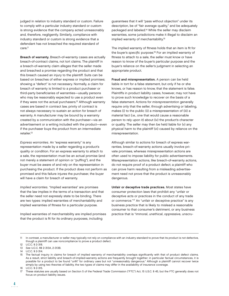judged in relation to industry standard or custom. Failure to comply with a particular industry standard or custom is strong evidence that the company acted unreasonably and, therefore, negligently. Similarly, compliance with industry standard or custom is strong evidence that a defendant has not breached the required standard of care.<sup>11</sup>

Breach of warranty. Breach-of-warranty cases are actually breach-of-contract claims, not tort claims. The plaintiff in a breach-of-warranty claim alleges that the seller made and breached a promise regarding the product and that this breach caused an injury to the plaintiff. Suits can be based on breaches of either express or implied promises; showing a "defect" is not necessary. Normally, a claim for breach of warranty is limited to a product purchaser or third-party beneficiaries of warranties—usually persons who may be reasonably expected to use a product even if they were not the actual purchasers.<sup>12</sup> Although warranty cases are based in contract law, privity of contract is not always necessary to sustain an action for breach of warranty. A manufacturer may be bound by a warranty created by a communication with the purchaser—via an advertisement or a writing included with the product—even if the purchaser buys the product from an intermediate retailer.13

Express warranties. An "express warranty" is any representation made by a seller regarding a product's quality or condition. For an express warranty to attach to a sale, the representation must be an actual promise (and not merely a statement of opinion or "puffing"), and the buyer must be aware of and rely on the representation in purchasing the product. If the product does not perform as promised and this failure injures the purchaser, the buyer will have a claim for breach of warranty.

Implied warranties. "Implied warranties" are promises that the law implies in the terms of a transaction and that the seller need not expressly state to be binding. There are two types: implied warranties of merchantability and implied warranties of fitness for a particular purpose.

Implied warranties of merchantability are implied promises that the product is fit for its ordinary purposes, including

guarantees that it will "pass without objection" under its description, be of "fair average quality," and be adequately packaged and labeled.14 While the seller may disclaim warranties, some jurisdictions make it illegal to disclaim an implied warranty of merchantability.<sup>15</sup>

The implied warranty of fitness holds that an item is fit for the buyer's specific purpose.<sup>16</sup> For an implied warranty of fitness to attach to a sale, the seller must know or have reason to know of the buyer's particular purpose and the buyer's reliance on the seller's judgment in selecting an appropriate product.

Fraud and misrepresentation. A person can be held liable in tort for a false statement, but only if he or she knows, or has reason to know, that the statement is false. Plaintiffs in product liability cases, however, may not have to prove such knowledge to recover on the basis of a false statement. Actions for misrepresentation generally require only that the seller, through advertising or labeling, makes (i) to the public (ii) a misrepresentation of (iii) a material fact (i.e., one that would cause a reasonable person to rely upon it) about (iv) the product's character or quality. The seller may then be held liable for (v) any physical harm to the plaintiff (vi) caused by reliance on the misrepresentation.

Although similar to actions for breach of express warranties, breach-of-warranty actions usually involve private promises, whereas misrepresentation actions are often used to impose liability for public advertisements. Misrepresentation actions, like breach-of-warranty actions, do not require proof of a product defect; a plaintiff who can prove harm resulting from a misleading advertisement need not prove that the product is unreasonably dangerous.

Unfair or deceptive trade practices. Most states have consumer protection laws that prohibit any "unfair or deceptive acts or practices in the conduct of any trade or commerce."<sup>17</sup> An "unfair or deceptive practice" is any business practice that is likely to mislead a reasonable consumer to that consumer's detriment, or any business practice that is "immoral, unethical, oppressive, unscru-

<sup>11</sup> In contrast, a manufacturer or seller may typically not rely on compliance with an industry standard to prove that its product is not defective, though a plaintiff can use noncompliance to prove a product defect.

<sup>12</sup> U.C.C. § 2-318.

<sup>13</sup> See U.C.C. §§ 2-313A, 2-313B.

<sup>14</sup> U.C.C. § 2-314.

<sup>15</sup> The factual inquiry in claims for breach of implied warranty of merchantability overlaps significantly with that of product defect claims. As a result, strict liability and breach-of-implied-warranty actions are frequently brought together; in particular factual circumstances, it is possible for a product to be found "unfit" for ordinary uses but not "unreasonably dangerous." Although a plaintiff cannot recover twice simply by using two theories of liability, the two types of claims may differ in the availability of insurance coverage.

<sup>16</sup> U.C.C. § 2-315.

<sup>17</sup> These statutes are usually based on Section 5 of the Federal Trade Commission ("FTC") Act, 15 U.S.C. § 45, but the FTC generally does not focus on product liability issues.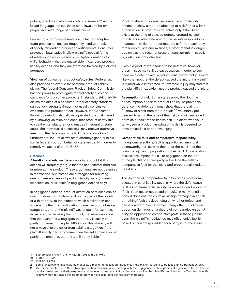pulous, or substantially injurious to consumers."18 As the broad language implies, these state laws can be employed in a wide range of circumstances.

Like actions for misrepresentation, unfair or deceptive trade practice actions are frequently used to attack allegedly misleading product advertisements. Consumer protection laws typically allow plaintiffs special forms of relief—such as increased or multiplied damages for willful behavior—that are unavailable in standard product liability actions, and they are therefore favored by plaintiffs' attorneys.

Violation of consumer product safety rules. Federal law also provides an avenue for personal product liability claims. The federal Consumer Product Safety Commission has the power to promulgate federal safety rules and standards for consumer products. In standard strict liability claims, violation of a consumer product safety standard can be very strong (although not usually conclusive) evidence of a product defect. However, the Consumer Product Safety Act also allows a private individual injured by a knowing violation of a consumer product safety rule to sue the manufacturer for damages in federal or state court. The individual, if successful, may recover attorneys' fees from the defendant, which U.S. law rarely allows.19 Furthermore, the Act allows state attorneys general to file suit in federal court on behalf of state residents in order to remedy violations of the CPSA.20

#### Defenses

Alteration and misuse. Defendants in product liability actions will frequently argue that the user altered, modified, or misused the product. These arguments are not defenses in themselves, but instead are strategies for rebutting one of three elements of product liability suits: (i) defect; (ii) causation; or (iii) fault (in negligence actions only).

In negligence actions, product alteration or misuse can be used to show contributory fault on the part of the plaintiff or a third party. To the extent to which a seller can convince a jury that the modification made the product more dangerous, or that the plaintiff was at fault (for example, intoxicated) while using the product, the seller can show that the plaintiff or a negligent third party is solely or partly to blame for the plaintiff's injury. This strategy will not always shield a seller from liability altogether; if the plaintiff is only partly to blame, then the seller may also be partly to blame and, therefore, still partly liable.<sup>21</sup>

Product alteration or misuse is used in strict liability actions to show either the absence of a defect or a lack of causation. A product is defective only if the defect exists at the time of sale, so defects created by user modification after sale are not the seller's responsibility. In addition, while a product must be safe for reasonably foreseeable uses and misuses, a product that is dangerous only as the result of gross or idiosyncratic misuse is, by definition, not defective.

Even if a product were found to be defective, however, gross misuse may still defeat causation. In order to succeed on a defect claim, a plaintiff must prove that it is more likely than not that the defect caused the injury. If a plaintiff is injured while intoxicated, for example, a jury may find that the plaintiff's intoxication, not the product, caused the injury.

Assumption of risk. Some states apply the doctrine of assumption of risk to product liability. To prove this defense, the defendant must show that the plaintiff: (i) knew of a risk from the product; (ii) voluntarily proceeded to act in the face of that risk; and (iii) sustained harm as a result of the known risk. A plaintiff who voluntarily used a product knowing of its risk is deemed to have caused his or her own injury.

#### Comparative fault and comparative responsibility.

In negligence actions, fault is apportioned among all blameworthy parties, who then bear the burden of the plaintiff's injuries in proportion to their fault. Any alteration, misuse, assumption of risk, or negligence on the part of the plaintiff or a third party will reduce the seller's comparative fault for the injury and proportionally reduce its liability.

The doctrine of comparative fault becomes more complicated in strict liability actions, where the defendant's fault is immaterial to its liability. How can a court apportion "fault" in an action not based on fault? In many jurisdictions, it does not; the court will assign damages in an "all or nothing" fashion, depending on whether defect and causation are proven. However, many other jurisdictions apportion damages on a theory of comparative responsibility, as opposed to comparative fault. In these jurisdictions, the plaintiff's negligence may offset strict liability based on how "responsible" each party is for the injury.<sup>22</sup>

<sup>18</sup> See Spiegel, Inc. v. FTC, 540 F.2d 287, 293 (7th Cir. 1976).

<sup>19 15</sup> U.S.C. § 2072.

<sup>20 15</sup> U.S.C. § 2073.

<sup>21</sup> Some jurisdictions have statutes that allow a plaintiff to collect damages only if the plaintiff is found to be less than 50 percent at fault.

<sup>22</sup> The difference between these two approaches may blur when dealing with the negligence of third parties. If a jury were to find both a product seller and a third party jointly liable, even some jurisdictions that do not allow the plaintiff's negligence to offset the plaintiff's recovery may still divide the judgment between the seller and the negligent third party.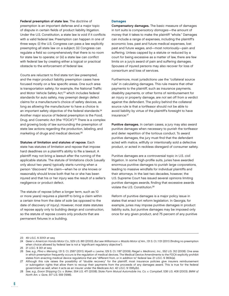Federal preemption of state law. The doctrine of preemption is an important defense and a major topic of dispute in certain fields of product liability litigation. Under the U.S. Constitution, a state law is void if it conflicts with a valid federal law. Preemption can happen in one of three ways: (i) the U.S. Congress can pass a law explicitly preempting all state law on a subject; (ii) Congress can regulate a field so comprehensively that there is no room for state law to operate; or (iii) a state law can conflict with federal law by creating either a logical or practical obstacle to the enforcement of federal law.

Courts are reluctant to find state tort law preempted. and the major product liability preemption cases have focused mostly on a few specific areas. One such area is transportation safety; for example, the National Traffic and Motor Vehicle Safety Act,<sup>23</sup> which includes federal standards for auto safety, may preempt design defect claims for a manufacturer's choice of safety devices, as long as allowing the manufacturer to have a choice is an important safety objective of the federal standards.<sup>24</sup> Another major source of federal preemption is the Food, Drug, and Cosmetic Act (the "FDCA").25 There is a complex and growing body of law surrounding the preemption of state law actions regarding the production, labeling, and marketing of drugs and medical devices.26

#### Statutes of limitation and statutes of repose. Each

state has statutes of limitation and repose that impose hard deadlines on a plaintiff's ability to file a lawsuit. A plaintiff may not bring a lawsuit after the running of the applicable statute. The statute of limitations clock (usually only about two years) typically starts running when a person "discovers" the claim—when he or she knows or reasonably should know both that he or she has been injured and that his or her injury was the result of a seller's negligence or product defect.

The statute of repose (often a longer term, such as 10 or more years) requires a plaintiff to bring a claim within a certain time from the date of sale (as opposed to the date of discovery of injury). However, most state statutes of repose apply only to building design and construction, so the statute of repose covers only products that are permanent fixtures in a building.

#### **Damages**

Compensatory damages. The basic measure of damages in tort suits is compensatory damages—the amount of money that it takes to make the plaintiff "whole." Damages can include a range of expenses, including the plaintiff's economic loss, past and future medical expenses, lost past and future wages, and—most notoriously—pain and suffering. Unless capped by a statute or reduced by a court for being excessive as a matter of law, there are few limits on a jury's award of pain and suffering damages. Spouses of injured persons may also recover for loss of consortium and loss of services.

Furthermore, most jurisdictions use the "collateral source rule" in calculating damages. This rule means that other payments to the plaintiff, such as insurance payments, disability payments, or other forms of reimbursement for an injury or property damage, are not set off from a verdict against the defendant. The policy behind the collateral source rule is that a tortfeasor should not be able to avoid liability by virtue of the plaintiff's foresight to have insurance.<sup>27</sup>

Punitive damages. In certain cases, a jury may also award punitive damages when necessary to punish the tortfeasor and deter repetition of the tortious conduct. To award punitive damages, the jury must find that the defendant acted with malice, willfully or intentionally sold a defective product, or acted in reckless disregard of consumer safety.

Punitive damages are a controversial topic in U.S. civil litigation. In some high-profile suits, juries have awarded enormous punitive damages to punish large corporations, leading to massive windfalls for individual plaintiffs and their attorneys. In the last two decades, however, the U.S. Supreme Court has issued several opinions limiting punitive damages awards, finding that excessive awards violate the U.S. Constitution.28

Reform of punitive damages is a major policy issue in states that enact tort reform legislation. In Georgia, for example, juries may impose punitive damages in product liability suits, but punitive damages may be imposed only once for any given product, and 75 percent of any punitive

<sup>23 49</sup> U.S.C. § 30101 et seq.

<sup>24</sup> Geier v. American Honda Motor Co., 529 U.S. 861 (2000). But see Williamson v. Mazda Motor of Am., 131 S. Ct. 1131 (2011) (finding no preemption when choice allowed by federal law is not a "significant regulatory objective").

<sup>25 21</sup> U.S.C. § 301 et seq.

<sup>26</sup> See, e.g., Pliva v. Mensing, 131 S. Ct. 2567 (2011); Wyeth v. Levine, 129 S. Ct. 1187 (2009); Riegel v. Medtronic, Inc., 552 U.S. 312 (2008). One area in which preemption frequently occurs is the regulation of medical devices. The Medical Device Amendments to the FDCA explicitly prohibit states from enacting medical device regulations that are "different from, or in addition to" federal law. 21 U.S.C. § 360k(a).

<sup>27</sup> Although this rule raises the possibility of "double recovery" for the plaintiff, most insurance policies give insurers reimbursement or subrogation rights that allow them to recoup their payments from the proceeds of any damages award. This is true for the federal government as well, when it acts as an insurer under the Medicare Act. 42 U.S.C. § 1395y(b).

<sup>28</sup> See, e.g., Exxon Shipping Co. v. Baker, 554 U.S. 471 (2008); State Farm Mutual Automobile Ins. Co. v. Campbell, 538 U.S. 408 (2003); BMW of North Am. v. Gore, 517 U.S. 559 (1996).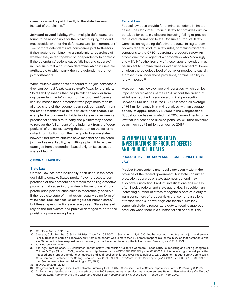damages award is paid directly to the state treasury instead of the plaintiff.29

Joint and several liability. When multiple defendants are found to be responsible for the plaintiff's injury, the court must decide whether the defendants are "joint tortfeasors." Two or more defendants are considered joint tortfeasors if their actions combine into a single injury, regardless of whether they acted together or independently. In contrast, if the defendants' actions cause "distinct and separate" injuries such that a court can determine which injuries are attributable to which party, then the defendants are not joint tortfeasors.

When multiple defendants are found to be joint tortfeasors, they can be held jointly and severally liable for the injury. "Joint liability" means that the plaintiff can recover from any defendant the full amount of the judgment. "Several liability" means that a defendant who pays more than its allotted share of the judgment can seek contribution from the other defendants or third parties for their shares. For example, if a jury were to divide liability evenly between a product seller and a third party, the plaintiff may choose to recover the full amount of the judgment from the "deep pockets" of the seller, leaving the burden on the seller to collect contribution from the third party. In some states, however, tort reform statutes have modified or eliminated joint and several liability, permitting a plaintiff to recover damages from a defendant based only on its assessed share of fault.30

#### CRIMINAL LIABILITY

#### State Law

Criminal law has not traditionally been used in the product liability context. States rarely, if ever, prosecute corporations or their officers or directors for selling defective products that cause injury or death. Prosecution of corporate principals for such sales is theoretically possible if the requisite state of mind exists (usually some form of willfulness, recklessness, or disregard for human safety), but these types of actions are rarely seen. States instead rely on the tort system and punitive damages to deter and punish corporate wrongdoers.

#### Federal Law

Federal law does provide for criminal sanctions in limited cases. The Consumer Product Safety Act provides criminal penalties for certain violations, including failing to provide requested information to the Consumer Product Safety Commission regarding defective products, failing to comply with federal product safety rules, or making misrepresentations to the CPSC regarding a product's safety. An officer, director, or agent of a corporation who "knowingly and willfully" authorizes any of these types of conduct may be subject to criminal fines or even imprisonment.<sup>31</sup> However, given the egregious level of behavior needed to sustain a prosecution under these provisions, criminal liability is rarely imposed.<sup>32</sup>

More common, however, are civil penalties, which can be imposed for violations of the CPSA without the finding of willfulness required to sustain a criminal prosecution.<sup>33</sup> Between 2001 and 2008, the CPSC assessed an average of \$4.9 million annually in civil penalties, with an average penalty of approximately \$470,000.34 The Congressional Budget Office has estimated that 2008 amendments to the law that increased the allowed penalties will raise revenues by as much as \$8 million per year by 2018.<sup>35</sup>

# GOVERNMENT ADMINISTRATIVE INVESTIGATIONS OF PRODUCT DEFECTS AND PRODUCT RECALLS

# PRODUCT INVESTIGATION AND RECALLS UNDER STATE LAW

Product investigations and recalls are usually within the province of the federal government, but state consumer protection agencies or state attorneys general may also have jurisdiction. Product investigations and recalls often involve federal and state authorities. In addition, an increasing number of states recognize a post-sale duty to warn consumers of product risks that come to a seller's attention when such warnings are feasible. Similarly, some jurisdictions recognize a duty to recall dangerous products when there is a substantial risk of harm. This

<sup>29</sup> Ga. Code Ann. § 51-12-5.1(e).

<sup>30</sup> See, e.g., Colo. Rev. Stat. § 13-21-111.5; Miss. Code Ann. § 85-5-7; Vt. Stat. Ann. tit. 12, § 1036. Another common modifi cation of joint and several liability rules is to permit full recovery only from a defendant who is more than 50 percent responsible for the injury, so that defendants who are 50 percent or less responsible for the injury cannot be forced to satisfy the full judgment. See, e.g., N.Y. C.P.L.R. 1601.

<sup>31 15</sup> U.S.C. §§ 2068, 2070.

<sup>32</sup> See, e.g., Press Release, U.S. Consumer Product Safety Commission, California Company Pleads Guilty To Importing and Selling Dangerous Children's Toys (Nov. 11, 2002), available at http://www.cpsc.gov/CPSCPUB/PREREL/prhtml03/03033.html (announcing criminal penalties imposed upon repeat offender that imported and sold recalled children's toys); Press Release, U.S. Consumer Product Safety Commission, Ohio Company Sentenced for Selling Recalled Toys (Sept. 29, 1999), available at http://www.cpsc.gov/CPSCPUB/PREREL/PRHTML99/99176. html (same) (web sites last visited August 23, 2012).

<sup>33 15</sup> U.S.C. §§ 2068–2069.

<sup>34</sup> Congressional Budget Office, Cost Estimate Summary for H.R. 4040 Consumer Product Safety Improvement Act of 2008 (Aug. 8, 2008).

<sup>35</sup> Id. For a more detailed analysis of the effect of the 2008 amendments on product manufacturers, see Peter J. Biersteker, Pass the Toy and Hold the Lead: Implementing the Consumer Product Safety Improvement Act of 2008, ABA Trends, Jan.–Feb. 2009.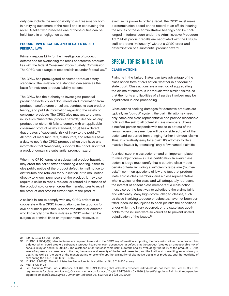duty can include the responsibility to act reasonably both in notifying customers of the recall and in conducting the recall. A seller who breaches one of these duties can be held liable in a negligence action.

# PRODUCT INVESTIGATION AND RECALLS UNDER FEDERAL LAW

Primary responsibility for the investigation of product defects and for overseeing the recall of defective products lies with the federal Consumer Product Safety Commission. The CPSC has a range of responsibilities under federal law.36

The CPSC has promulgated consumer product safety standards. The violation of a standard can serve as the basis for individual product liability actions.

The CPSC has the authority to investigate potential product defects, collect documents and information from product manufacturers or sellers, conduct its own product testing, and publish information regarding the safety of consumer products. The CPSC also may act to prevent injury from "substantial product hazards," defined as any product that either: (i) fails to comply with an applicable consumer product safety standard; or (ii) has a defect that creates a "substantial risk of injury to the public."37 All product manufacturers, distributors, and retailers have a duty to notify the CPSC promptly when they have any information that "reasonably supports the conclusion" that a product contains a substantial product hazard.

When the CPSC learns of a substantial product hazard, it may order the seller, after conducting a hearing, either to give public notice of the product defect, to mail notice to distributors and retailers for publication, or to mail notice directly to known purchasers of the product. It may also require a seller to repair, replace, or refund all instances of the product sold or even order the manufacturer to recall the product and prohibit further sale of the product.

A seller's failure to comply with any CPSC orders or to cooperate with a CPSC investigation can be grounds for civil or criminal penalties. A corporate officer or director who knowingly or willfully violates a CPSC order can be subject to criminal fines or imprisonment. However, to

exercise its power to order a recall, the CPSC must make a determination based on the record at an official hearing; the results of these administrative hearings can be challenged in federal court under the Administrative Procedure Act.38 Most product recalls are negotiated with the CPSC's staff and done "voluntarily" without a CPSC order and determination of a substantial product hazard.

# SPECIAL TOPICS IN U.S. LAW

# CLASS ACTIONS

Plaintiffs in the United States can take advantage of the class action form of civil action, whether in a federal or state court. Class actions are a method of aggregating the claims of numerous individuals with similar claims, so that the rights and liabilities of all parties involved may be adjudicated in one proceeding.

Class actions seeking damages for defective products are typically an "opt-out" system: the plaintiffs' attorney need only name one class representative and provide reasonable notice of the suit to all potential class members. Unless a notified person responds with notice to opt out of the lawsuit, every class member will be considered part of the action and be barred from bringing further individual claims. Thus, it is relatively easy for a plaintiff's attorney to file a massive lawsuit by "recruiting" only a few named plaintiffs.

A critical step in class actions—and an important place to raise objections-is class certification. In every class action, a judge must certify that a putative class meets certain criteria, including a sufficiently large size ("numerosity"), common questions of law and fact that predominate across class members, and a class representative who is typical of the class and will adequately represent the interest of absent class members.<sup>39</sup> A class action must also be the best way to adjudicate the claims fairly and efficiently. Many high-profile, alleged classes, such as those involving tobacco or asbestos, have not been certified, because the injuries to each plaintiff, the conditions under which the injury occurred, or the state laws applicable to the injuries were so varied as to prevent unified adjudication of the issues.40

<sup>36</sup> See 15 U.S.C. §§ 2051–2084.

<sup>37 15</sup> U.S.C. § 2064(a)(2). Manufacturers are required to report to the CPSC any information supporting the conclusion either that a product has a defect which could create a substantial product hazard or, even absent such a defect, that the product "creates an unreasonable risk of serious injury or death." § 2064(b). The existence of an "unreasonable risk" is determined by evaluating "the utility of the product . . . , the level of exposure of consumers to the risk, the nature and severity of the hazard presented, and the likelihood of resulting serious injury or death," as well as "the state of the manufacturing or scientific art, the availability of alternative designs or products, and the feasibility of eliminating the risk." 16 C.F.R. § 1115.6(b).

<sup>38 15</sup> U.S.C. § 2064(f). The Administrative Procedure Act is codified at 5 U.S.C. § 500 et seq.

<sup>39</sup> Fed. R. Civ. P. 23.

<sup>40</sup> See Amchem Prods., Inc. v. Windsor, 521 U.S. 591 (1997) (holding that asbestos-exposed individuals do not meet the Fed. R. Civ. P. 23 requirements for class certification); Castano v. American Tobacco Co., 84 F.3d 734 (5th Cir. 1996) (decertifying class of all nicotine-dependent cigarette smokers); McLaughlin v. American Tobacco Co., 522 F.3d 215 (2d Cir. 2008).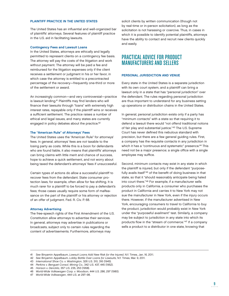# PLAINTIFF PRACTICE IN THE UNITED STATES

The United States has an influential and well-organized bar of plaintiffs' attorneys. Several features of plaintiff practice in the U.S. aid in facilitating lawsuits.

#### Contingency Fees and Lawsuit Loans

In the United States, attorneys are ethically and legally permitted to represent clients on a contingency fee basis. The attorney will pay the costs of the litigation and work without payment. The attorney will be paid a fee and reimbursed for the litigation expenses only if the client receives a settlement or judgment in his or her favor, in which case the attorney is entitled to a precontracted percentage of the recovery—frequently one-third or more of the settlement or award.

An increasingly common—and very controversial—practice is lawsuit lending.<sup>41</sup> Plaintiffs may find lenders who will finance their lawsuits through "loans" with extremely high interest rates, repayable only if the plaintiff wins or receives a sufficient settlement. The practice raises a number of ethical and legal issues, and many states are currently engaged in policy debates about the practice.<sup>42</sup>

#### The "American Rule" of Attorneys' Fees

The United States uses the "American Rule" for attorneys' fees. In general, attorneys' fees are not taxable to the losing party as costs. While this is a boon for defendants who are found liable, it also means that plaintiffs' attorneys can bring claims with little merit and chance of success, hope to achieve a quick settlement, and not worry about being taxed the defendant's attorneys' fees if unsuccessful.

Certain types of actions do allow a successful plaintiff to recover fees from the defendant. State consumer protection laws, for example, often allow for fee shifting. It is much rarer for a plaintiff to be forced to pay a defendant's fees; those cases usually require some form of malfeasance on the part of the plaintiff or his attorney or rejection of an offer of judgment. Fed. R. Civ. P. 68.

#### Attorney Advertising

The free-speech rights of the First Amendment of the U.S. Constitution allow attorneys to advertise their services. In general, attorneys may advertise in publications or broadcasts, subject only to certain rules regarding the content of advertisements. Furthermore, attorneys may

solicit clients by written communication (though not by real-time or in-person solicitation), as long as the solicitation is not harassing or coercive. Thus, in cases in which it is possible to identify potential plaintiffs, attorneys have the ability to contact and recruit new clients quickly and easily.

# PRACTICAL ADVICE FOR PRODUCT MANUFACTURERS AND SELLERS

#### PERSONAL JURISDICTION AND VENUE

Every state in the United States is a separate jurisdiction with its own court system, and a plaintiff can bring a lawsuit only in a state that has "personal jurisdiction" over the defendant. The rules regarding personal jurisdiction are thus important to understand for any business setting up operations or distribution chains in the United States.

In general, personal jurisdiction exists only if a party has "minimum contacts" with a state so that requiring it to defend a lawsuit there would "not offend traditional notions of fair play and substantial justice."43 The U.S. Supreme Court has never defined this nebulous standard with precision, but there are a few general guiding rules. First, a company has the requisite contacts in any jurisdiction in which it has a "continuous and systematic" presence.<sup>44</sup> This need not be a major presence; a single office with a single employee may suffice.

Second, minimum contacts may exist in any state in which the plaintiff is injured, but only if the defendant "purposefully avails itself"<sup>45</sup> of the benefit of doing business in that state, so that it "should reasonably anticipate being haled into court there."46 For example, if a manufacturer sells products only in California, a consumer who purchases the product in California and carries it to New York may not sue the manufacturer in New York, even if the injury occurs there. However, if the manufacturer advertised in New York, encouraging consumers to travel to California to buy the product, jurisdiction would probably exist in New York under the "purposeful availment" test. Similarly, a company may be subject to jurisdiction in any state into which its products flow in the "stream of commerce."47 If a company sells a product to a distributor in one state, knowing that

- 44 Perkins v. Benguet Consol. Mining Co., 342 U.S. 437, 445 (1952).
- 45 Hanson v. Denckla, 357 U.S. 235, 253 (1958).
- 46 World-Wide Volkswagen Corp. v. Woodson, 444 U.S. 286, 297 (1980).

<sup>41</sup> See Binyamin Appelbaum, Lawsuit Loans Add New Risk for the Injured, N.Y. Times, Jan. 16, 2011.

<sup>42</sup> See Binyamin Appelbaum, Lobby Battle Over Loans for Lawsuits, N.Y. Times, Mar. 9, 2011.

<sup>43</sup> International Shoe Co. v. Washington, 326 U.S. 310, 316 (1945).

<sup>47</sup> World-Wide Volkswagen, 444 U.S. at 297–98.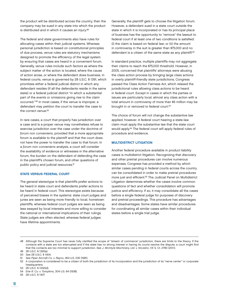the product will be distributed across the country, then the company may be sued in any state into which the product is distributed and in which it causes an injury.<sup>48</sup>

The federal and state governments also have rules for allocating cases within their judicial systems. Whereas personal jurisdiction is based on constitutional principles of due process, venue rules are statutory mechanisms designed to promote the efficiency of the legal system by ensuring that cases are heard in a convenient forum. Generally, venue rules include such factors as where the subject matter of the action is located, where the cause of action arose, or where the defendant does business. In federal courts, venue is governed by 28 U.S.C. § 1391, which prioritizes either a federal judicial district in which any defendant resides (if all the defendants reside in the same state) or a federal judicial district "in which a substantial part of the events or omissions giving rise to the claim occurred."49 In most cases, if the venue is improper, a defendant may petition the court to transfer the case to the correct venue.<sup>50</sup>

In rare cases, a court that properly has jurisdiction over a case and is a proper venue may nonetheless refuse to exercise jurisdiction over the case under the doctrine of forum non conveniens, provided that a more appropriate forum is available to the plaintiff and that the court does not have the power to transfer the case to that forum. In a forum non conveniens analysis, a court will consider the availability of evidence or witnesses in the alternative forum, the burden on the defendant of defending the case in the plaintiff's chosen forum, and other questions of public policy and judicial resources.<sup>51</sup>

#### STATE VERSUS FEDERAL COURT

The general stereotype is that plaintiffs prefer actions to be heard in state court and defendants prefer actions to be heard in federal court. This stereotype exists because of perceived biases in the systems: state court judges and juries are seen as being more friendly to local, hometown plaintiffs, whereas federal court judges are seen as being less swayed by local interests and more willing to consider the national or international implications of their rulings. State judges are often elected, whereas federal judges have lifetime appointments.

Generally, the plaintiff gets to choose the litigation forum. However, a defendant sued in a state court outside the state in which it is incorporated or has its principal place of business has the opportunity to "remove" the lawsuit to federal court if at least one of two conditions is satisfied: (i) the claim is based on federal law; or (ii) the amount in controversy in the suit is greater than \$75,000 and no defendant is a citizen of the same state as any plaintiff.<sup>52</sup>

In standard practice, multiple plaintiffs may not aggregate their claims to reach the \$75,000 threshold. However, in 2005, concerned that plaintiffs' attorneys were abusing the class action process by bringing large class actions in overly plaintiff-friendly state jurisdictions, Congress passed the Class Action Fairness Act, which relaxed the jurisdictional rules allowing class actions to be heard in federal court. Except in cases in which the parties or issues are particularly local, almost any class action with a total amount in controversy of more than \$5 million may be brought in or removed to federal court.<sup>53</sup>

The choice of forum will not change the substantive law applied, however. A federal court hearing a state-law claim must apply the substantive law that the state court would apply.54 The federal court will apply federal rules of procedure and evidence.

#### MULTIDISTRICT LITIGATION

Another federal procedure available in product liability cases is multidistrict litigation. Recognizing that discovery and other pretrial procedures can involve numerous expenses, Congress has provided a method by which similar cases pending in federal courts across the country can be consolidated in order to make pretrial procedures more just and efficient.<sup>55</sup> The Judicial Panel on Multidistrict Litigation determines whether the cases involve common questions of fact and whether consolidation will promote justice and efficiency. If so, it may consolidate all the cases before a single federal judge for purposes of discovery and pretrial proceedings. This procedure has advantages and disadvantages. Some states have similar procedures for coordinating all similar cases within their individual states before a single trial judge.

<sup>48</sup> Although the Supreme Court has never fully clarified the scope of "stream of commerce" jurisdiction, there are limits to the theory. If the contacts with a state are too attenuated and if the state has no strong interest in having its courts resolve the dispute, a court might find that the contacts are too minimal to support jurisdiction. See J. McIntyre Machinery, Ltd. v. Nicastro, 131 S. Ct. 2780 (2011).

<sup>49 28</sup> U.S.C. § 1391(a).

<sup>50</sup> See 28 U.S.C. § 1404.

<sup>51</sup> See Piper Aircraft Co. v. Reyno, 454 U.S. 235 (1981).

<sup>52</sup> A corporation is considered to be a citizen of both the jurisdiction of its incorporation and the jurisdiction of its "nerve center" or corporate headquarters.

<sup>53 28</sup> U.S.C. § 1332(d).

<sup>54</sup> Erie R. Co. v. Tompkins, 304 U.S. 64 (1938).

<sup>55 28</sup> U.S.C. § 1407.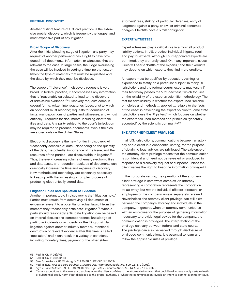## PRETRIAL DISCOVERY

Another distinct feature of U.S. civil practice is the extensive pretrial discovery, which is frequently the longest and most expensive part of any litigation.

#### Broad Scope of Discovery

After the initial pleading stage of litigation, any party may request of another party—and has a right to have produced—all documents, information, or witnesses that are relevant to the case. In large cases, the judge overseeing the case will be involved in setting a timeline that establishes the type of materials that must be requested and the dates by which they must be disclosed.

The scope of "relevance" in discovery requests is very broad. In federal practice, it encompasses any information that is "reasonably calculated to lead to the discovery of admissible evidence."56 Discovery requests come in several forms: written interrogatories (questions) to which an opponent must respond; requests for admission of facts; oral depositions of parties and witnesses; and—most critically—requests for documents, including electronic files and data. Any party subject to the court's jurisdiction may be required to produce documents, even if the files are stored outside the United States.

Electronic discovery is the new frontier in discovery. All "reasonably accessible" data—depending on the quantity of the data, the potential importance of the issue, and the resources of the parties—are discoverable in litigation.57 Thus, the ever-increasing volume of email, electronic files and databases, and redundant backups of documents can drastically increase the time and expense of discovery. New methods and technology are constantly necessary to keep up with the increasingly complex process of producing electronically stored data.

#### Litigation Holds and Spoliation of Evidence

Another important topic in discovery is the "litigation hold." Parties must refrain from destroying all documents or evidence relevant to a potential or actual lawsuit from the moment they "reasonably anticipate" litigation.<sup>58</sup> When a party should reasonably anticipate litigation can be based on internal discussions, correspondence, knowledge of particular incidents or accidents, or the filing of similar litigation against another industry member. Intentional destruction of relevant evidence after this time is called "spoliation," and it can result in a variety of sanctions, including monetary fines, payment of the other side's

attorneys' fees, striking of particular defenses, entry of judgment against a party, or civil or criminal contempt charges. Plaintiffs have a similar obligation.

#### EXPERT WITNESSES

Expert witnesses play a critical role in almost all product liability actions. In U.S. practice, individual litigants retain and pay for experts. Although court-appointed experts are permitted, they are rarely used. On many important issues, juries will hear a "battle of the experts," and their verdicts may depend on which experts they find more credible.

An expert must be qualified by education, training, or experience to testify on a particular subject. In many U.S. jurisdictions and the federal courts, experts may testify if their testimony passes the "Daubert test," which focuses on the reliability of the expert's scientific methodology. The test for admissibility is whether the expert used "reliable principles and methods … applied … reliably to the facts of the case" in developing the expert opinion.<sup>59</sup> Some state jurisdictions use the "Frye test," which focuses on whether the expert has used methods and principles "generally accepted" by the scientific community.<sup>60</sup>

#### THE ATTORNEY-CLIENT PRIVILEGE

In all U.S. jurisdictions, communications between an attorney and a client in a confidential setting, for the purpose of obtaining legal advice, are privileged. The existence of the attorney-client privilege means that the communication is confidential and need not be revealed or produced in response to a discovery request or subpoena unless the client waives the right to keep the information privileged.<sup>61</sup>

In the corporate setting, the operation of the attorneyclient privilege is somewhat complex. An attorney representing a corporation represents the corporation as an entity, but not the individual officers, directors, or employees of the company, unless separately retained. Nevertheless, the attorney-client privilege can still exist between the company's attorney and individuals in the company. In general, when an attorney communicates with an employee for the purpose of gathering information necessary to provide legal advice for the company, the communication is privileged. The interpretation of the privilege can vary between federal and state courts. The privilege can also be waived through disclosure of privileged communications. It is essential to learn and follow the applicable rules of privilege.

<sup>56</sup> Fed. R. Civ. P. 26(b)(1).

<sup>57</sup> Fed. R. Civ. P. 26(b)(2)(B).

<sup>58</sup> See Zubulake v. UBS Warburg LLC, 220 F.R.D. 212 (S.D.N.Y. 2003).

<sup>59</sup> Fed. R. Evid. 702; see also Daubert v. Merrell Dow Pharmaceuticals, Inc., 509 U.S. 579 (1993).

<sup>60</sup> Frye v. United States, 293 F. 1013 (1923). See, e.g., Betz v. Pneumo Abex LLC, 44 A.3d 27 (Pa. 2012).

<sup>61</sup> Certain exceptions to this rule exist, such as when the client confides to the attorney information that could lead to reasonably certain death or substantial bodily harm if not disclosed to the proper authority or when the communication reveals an intent to commit a crime or fraud.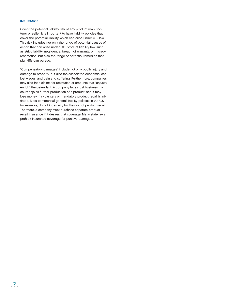### **INSURANCE**

Given the potential liability risk of any product manufacturer or seller, it is important to have liability policies that cover the potential liability which can arise under U.S. law. This risk includes not only the range of potential causes of action that can arise under U.S. product liability law, such as strict liability, negligence, breach of warranty, or misrepresentation, but also the range of potential remedies that plaintiffs can pursue.

"Compensatory damages" include not only bodily injury and damage to property, but also the associated economic loss, lost wages, and pain and suffering. Furthermore, companies may also face claims for restitution or amounts that "unjustly enrich" the defendant. A company faces lost business if a court enjoins further production of a product, and it may lose money if a voluntary or mandatory product recall is initiated. Most commercial general liability policies in the U.S., for example, do not indemnify for the cost of product recall. Therefore, a company must purchase separate product recall insurance if it desires that coverage. Many state laws prohibit insurance coverage for punitive damages.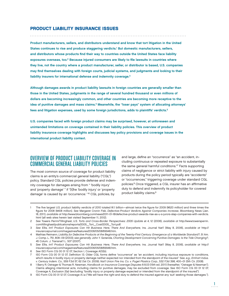# PRODUCT LIABILITY INSURANCE ISSUES

Product manufacturers, sellers, and distributors understand and know that tort litigation in the United States continues to rise and produce staggering verdicts.1 But domestic manufacturers, sellers, and distributors whose products find their way to countries outside the United States face liability exposures overseas, too.<sup>2</sup> Because injured consumers are likely to file lawsuits in countries where they live, not the country where a product manufacturer, seller, or distributor is based, U.S. companies may find themselves dealing with foreign courts, judicial systems, and judgments and looking to their liability insurers for international defense and indemnity coverage.<sup>3</sup>

Although damages awards in product liability lawsuits in foreign countries are generally smaller than those in the United States, judgments in the range of several hundred thousand or even millions of dollars are becoming increasingly common, and other countries are becoming more receptive to the idea of punitive damages and mass claims.<sup>4</sup> Meanwhile, the "loser pays" system of allocating attorneys' fees and litigation expenses, used by some foreign jurisdictions, adds to plaintiffs' verdicts.<sup>5</sup>

U.S. companies faced with foreign product claims may be surprised, however, at unforeseen and unintended limitations on coverage contained in their liability policies. This overview of product liability insurance coverage highlights and discusses key policy provisions and coverage issues in the international product liability context.

# OVERVIEW OF PRODUCT LIABILITY COVERAGE IN COMMERCIAL GENERAL LIABILITY POLICIES

The most common source of coverage for product liability claims is an entity's commercial general liability ("CGL") policy. Standard CGL policies provide defense and indemnity coverage for damages arising from " 'bodily injury' and 'property damage' " if "[t]he 'bodily injury' or 'property damage' is caused by an 'occurrence.' "6 CGL policies, by

and large, define an "occurrence" as "an accident, including continuous or repeated exposure to substantially the same general harmful conditions."7 Facts supporting claims of negligence or strict liability with injury caused by products during the policy period typically are "accidents" or "occurrences," triggering coverage under standard CGL policies.<sup>8</sup> Once triggered, a CGL insurer has an affirmative duty to defend and indemnify its policyholder for covered product liability claims.9

<sup>1</sup> The five largest U.S. product liability verdicts of 2010 totaled \$1.1 billion—almost twice the figure for 2009 (\$620 million) and three times the figure for 2008 (\$408 million). See Margaret Cronin Fisk, Defective-Product Verdicts Against Companies Increase, Bloomberg News (Jan. 18, 2011), available at http://www.bloomberg.com/news/2011-01-18/defective-product-awards-rise-as-u-s-jurors-slap-companies-with-verdicts. html (all web sites herein last visited September 11, 2012).

<sup>2</sup> See Towers Perrin/Tillinghast, U.S. Torts and Cross-Border Perspectives: 2005 Update at 4, 12 (2006), available at http://www.towersperrin. com/tillinghast/publications/reports/2005\_Tort\_Cost/2005\_Tort.pdf.

<sup>3</sup> See Ellis, Int'l Product Exposures Can Hit Business Here, There And Everywhere, Ins. Journal Nat'l (May 8, 2006), available at http:// insurancejournal.com/magazines/features/2006/05/08/69948.htm.

<sup>4</sup> Mathias Reimann, Liability for Defective Products at the Beginning of the Twenty-First Century: Emergence of a Worldwide Standard?, 51 Am. J. Comp. L. 751, 808–09 (2003); see generally John Y. Gotanda, Charting Development Concerning Punitive Damages: Is the Tide Changing?, 45 Colum. J. Transnat'l L. 507 (2007).

<sup>5</sup> See Ellis, Int'l Product Exposures Can Hit Business Here, There And Everywhere, Ins. Journal Nat'l (May 8, 2006), available at http:// insurancejournal.com/magazines/features/2006/05/08/69948.htm.

<sup>6</sup> See ISO Form CG 00 01 12 07, Section I, Coverage A(1)(b).

ISO Form CG 00 01 12 07, Definition 13. Older CGL forms define "occurrence" as "an accident, including injurious exposure to conditions, which results in bodily injury or property damage neither expected nor intended from the standpoint of the insured." See, e.g., Emhart Indus. v. Century Indem. Co., 559 F.3d 57, 62 (1st Cir. 2009); Nat'l Union Fire Ins. Co. v. Puget Plastics Corp., 532 F.3d 398, 400–01 (5th Cir. 2008).

<sup>8 1</sup> Barry R. Ostrager & Thomas R. Newman, Handbook on Insurance Coverage Disputes § 8.03 (15th ed. 2011) (hereafter, "Ostrager & Newman"). Claims alleging intentional acts, including claims for punitive damages, may be excluded from coverage. See ISO Form CG 00 01 12 07, Coverage A, Exclusion 2(a) (excluding "bodily injury or property damage expected or intended from the standpoint of the insured").

<sup>9</sup> ISO Form CG 00 01 12 07, Coverage A.1.a ("We will have the right and duty to defend the insured against any 'suit' seeking those damages.").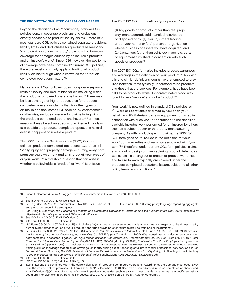# THE PRODUCTS-COMPLETED OPERATIONS HAZARD

Beyond the definition of an "occurrence," standard CGL policies contain coverage provisions and exclusions directly applicable to product liability claims. Before 1986, most standard CGL policies contained separate provisions, liability limits, and deductibles for "products hazards" and "completed operations hazards," drawing a line between coverage for damages caused by an insured's products and an insured's work.10 Since 1986, however, the two forms of coverage have been combined.11 Current CGL policies, therefore, most commonly apply to traditional product liability claims through what is known as the "productscompleted operations hazard."12

Many standard CGL policies today incorporate separate limits of liability and deductibles for claims falling within the products-completed operations hazard.<sup>13</sup> There may be less coverage or higher deductibles for productscompleted operations claims than for other types of claims. In addition, some CGL policies, by endorsement or otherwise, exclude coverage for claims falling within the products-completed operations hazard.<sup>14</sup> For these reasons, it may be advantageous to an insured if a claim falls outside the products-completed operations hazard, even if it happens to involve a product.

The 2007 Insurance Services Office ("ISO") CGL form defines "products-completed operations hazard" as "all 'bodily injury' and 'property damage' occurring away from premises you own or rent and arising out of 'your product' or 'your work.' "15 A threshold question that can arise is whether a policyholder's "product" or "work" is at issue.

The 2007 ISO CGL form defines "your product" as:

(1) Any goods or products, other than real property, manufactured, sold, handled, distributed or disposed of by: (a) You; (b) Others trading under your name; or (c) A person or organization whose business or assets you have acquired; and (2) Containers (other than vehicles), materials, parts or equipment furnished in connection with such goods or products.16

The 2007 ISO CGL form also includes product warranties and warnings in the definition of "your product."<sup>17</sup> Applying this and similar definitions, courts have attempted to draw lines between items typically understood to be products and those that are services. For example, hogs have been held to be products, while HIV-contaminated blood was found to be a "service" and not a "product."18

"Your work" is now defined in standard CGL policies as "(1) Work or operations performed by you or on your behalf; and (2) Materials, parts or equipment furnished in connection with such work or operations."<sup>19</sup> The definition explicitly includes work performed for an insured by others, such as a subcontractor or third-party manufacturing company. As with product-specific claims, the 2007 ISO CGL form goes on to include in the definition of "your work" both warranties and warnings associated with "your work."20 Therefore, under current CGL form policies, claims arising out of design or manufacturing product defects, as well as claims arising out of breach of product warranties and failure to warn, typically are covered under the products-completed operations hazard, subject to all other policy terms and conditions.<sup>21</sup>

- 10 Susan F. Charlton & Laura A. Foggan, Current Developments in Insurance Law 166 (PLI 2010).<br>11 Id.
- $\overline{d}$

2

- 12 See ISO Form CG 00 01 12 07, Definition 16.
- 13 See, e.g., Security Ins. Co. v. Lubrizol Corp., No. 1:06-CV-215, slip op. at 18 (E.D. Tex. June 4, 2007) (finding policy language regarding aggregate and per-occurrence limits ambiguous).
- 14 See Craig F. Stanovich, The Hazards of Products and Completed Operations: Understanding the Fundamentals (Oct. 2006), available at http://www.irmi.com/expert/articles/2006/stanovich10.aspx.
- 15 See ISO Form CG 00 01 12 07, Definition 16.
- ISO Form CG 00 01 12 07, Definition 21.
- 17 ISO Form CG 00 01 12 07, Definition 21(b) (including "[w]arranties or representations made at any time with respect to the fitness, quality, durability, performance or use of 'your product' " and "[t]he providing of or failure to provide warnings or instructions").
- 18 See Ott v. Crews, 830 F.2d 773, 776 (7th Cir. 1987); American Red Cross v. Travelers Indem. Co., 816 F. Supp. 755, 759–60 (D.D.C. 1993); see also Am. Institute of Intradermal Cosmetics, Inc. v. Md. Cas. Co., 207 F. App'x 417, 418 (5th Cir. 2006). What constitutes a product or service is often hotly contested in asbestos litigation. See, e.g., Frontier Insulation Contractors, Inc. v. Merchants Mut. Ins. Co., 690 N.E.2d 866, 870 (N.Y. 1997); Commercial Union Ins. Co. v. Porter Hayden Co., 698 A.2d 1167, 1208–09 (Md. App. Ct. 1997); Continental Cas. Co. v. Employers Ins. of Wausau, 871 N.Y.S.2d 48 (App. Div. 2008). CGL policies also often contain professional services exclusions specific to services requiring specialized training, skill, or knowledge that preclude coverage for liability arising out of "rendering or failure to render professional services." See Tarron Gartner & Steven Shattuck, The CGL Professional Services Exclusion versus the Professional Liability Policy, Int'l Risk Mgmt. Institute (May 4, 2004), available at https://plusweb.org/fi les/Events/Professional%20Liab%20BO%20%20PD%20Gaps.pdf.
- 19 ISO Form CG 00 01 12 07, Definition 22(a).
- 20 ISO Form CG 00 01 12 07, Definition 22(b)(1), (2).
- 21 Two limitations are contained within the current definition of "products-completed operations hazard." First, the damage must occur away from the insured entity's premises. ISO Form CG 00 01 12 07, Definition 16(a)(1). Second, an insured's work must be completed or abandoned. Id. at Definition 16(a)(2). In addition, manufacturers in particular industries, such as aviation, must consider whether market-specific exclusions could apply to claims of injury from their products. See, e.g., id. at Exclusion g ("Aircraft, Auto or Watercraft").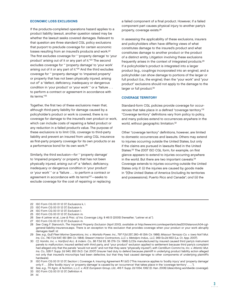#### ECONOMIC LOSS EXCLUSIONS

If the products-completed operations hazard applies to a product liability lawsuit, another question raised may be whether the lawsuit seeks covered damages. Relevant to that question are three standard CGL policy exclusions that purport to preclude coverage for certain economic losses resulting from an insured's products and work.<sup>22</sup> The first excludes coverage for " 'property damage' to 'your product' arising out of it or any part of it."23 The second excludes coverage for " 'property damage' to 'your work' arising out of it or any part of it."24 And the third excludes coverage for " 'property damage' to 'impaired property' or property that has not been physically injured, arising out of" a "defect, deficiency, inadequacy or dangerous condition in 'your product' or 'your work' " or a "failure . . . to perform a contract or agreement in accordance with its terms."25

Together, the first two of these exclusions mean that, although third-party liability for damage caused by a policyholder's product or work is covered, there is no coverage for damage to the insured's own product or work, which can include costs of repairing a failed product or any reduction in a failed product's value. The purpose of these exclusions is to limit CGL coverage to third-party liability and prevent an insured from using CGL insurance as first-party property coverage for its own products or as a performance bond for its own work.26

Similarly, the third exclusion—for " 'property damage' to 'impaired property' or property that has not been physically injured, arising out of" a "defect, deficiency, inadequacy or dangerous condition in 'your product' or 'your work' " or a "failure . . . to perform a contract or agreement in accordance with its terms"27—seeks to exclude coverage for the cost of repairing or replacing

a failed component of a final product. However, if a failed component part causes physical injury to another party's property, coverage exists.28

In assessing the applicability of these exclusions, insurers and policyholders often have differing views of what constitutes damage to the insured's product and what constitutes damage to another product or the product of a distinct entity. Litigation involving these exclusions frequently arises in the context of integrated products.29 If a policyholder's product is integrated into a larger product (e.g., couplings incorporated into an engine), and a policyholder can show damage to portions of the larger or full product (i.e., the engine), then the "your work" and "your product" exclusions should not apply to the damage to the larger or full product.<sup>30</sup>

#### COVERAGE TERRITORY

Standard-form CGL policies provide coverage for occurrences that take place in a defined "coverage territory."31 "Coverage territory" definitions vary from policy to policy, and many policies extend to occurrences anywhere in the world, without geographic limitation.32

Other "coverage territory" definitions, however, are limited to domestic occurrences and lawsuits. Others may extend to injuries occurring outside the United States, but only if the claims are pursued in lawsuits filed in the United States.<sup>33</sup> The 2007 ISO CGL form, for example, on first glance appears to extend to injuries occurring anywhere in the world. But there are two important caveats.34 Coverage extends to injuries occurring outside the United States only if: (i) the injuries are caused by goods made in "[t]he United States of America (including its territories and possessions), Puerto Rico and Canada"; and (ii) the

<sup>22</sup> ISO Form CG 00 01 12 07, Exclusions k, l.

<sup>23</sup> ISO Form CG 00 01 12 07, Exclusion k.

<sup>24</sup> ISO Form CG 00 01 12 07, Exclusion l.

<sup>25</sup> ISO Form CG 00 01 12 07, Exclusion m.

<sup>26</sup> See 4 Leitner et al., Law & Prac. of Ins. Coverage Litig. § 46:13 (2005) (hereafter, "Leitner et al.").

ISO Form CG 00 01 12 07, Exclusion m.

<sup>28</sup> See Craig F. Stanovich, The Impaired Property Exclusion (April 2010), available at http://www.irmi.com/expert/articles/2010/stanovich04-cglgeneral-liability-insurance.aspx. There is an exception to this exclusion that provides coverage when your product or your work abruptly damages itself. Id.

<sup>29</sup> See, e.g., Gulf Fleet Marine Operations, Inc. v. Wartsila Power, Inc., 797 F.2d 257, 260–61 (5th Cir. 1986); Missouri Terrazzo Co. v. Iowa Nat'l Mut. Ins. Co., 740 F.2d 647, 651 (8th Cir. 1984); Stewart Interior Contractors, LLC v. Metalpro Indus., LLC, 969 So.2d 653 (La. Ct. App. 2007).

<sup>30</sup> Cf. Hamlin, Inc. v. Hartford Acc. & Indem. Co., 86 F.3d 93, 95 (7th Cir. 1996) (LCDs manufactured by insured caused third party's instrument panels to malfunction; insured settled with third party, and "your product" exclusion applied to settlement because third party's complaint had alleged only that the panels "would not work" and not that they were "physically injured"), with Centillium Commc'ns, Inc. v. Atlantic Mut. Ins. Co., 528 F. Supp. 2d 940, 950 (N.D. Cal. 2007) (insurer had duty to defend because plaintiff in underlying product liability action alleged not only that insured's microchips had been defective, but that they had caused damage to other components of underlying plaintiff's hardware).

<sup>31</sup> ISO Form CG 00 01 12 07, Section I, Coverage A, Insuring Agreement ¶ 1.b(1) ("This insurance applies to 'bodily injury' and 'property damage' only if . . . [t]he 'bodily injury' or 'property damage' is caused by an 'occurrence' that takes place in the 'coverage territory' . . . .").

<sup>32</sup> See, e.g., TH Agric. & Nutrition, L.L.C. v. ACE European Group, Ltd., 416 F. Supp. 2d 1054, 1062 (D. Kan. 2006) (describing worldwide coverage). 33 ISO Form CG 00 01 12 07, Definition 4.

<sup>34</sup> Id.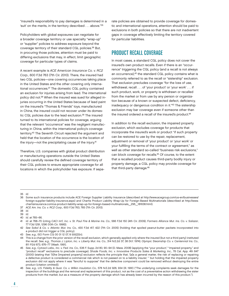"insured's responsibility to pay damages is determined in a 'suit' on the merits, in the territory described . . . above."35

Policyholders with global exposures can negotiate for a broader coverage territory or use specialty "wrap-up" or "supplier" policies to address exposure beyond the coverage territory of their standard CGL policies.36 But, in procuring those policies, attention must be paid to differing exclusions that may, in effect, limit geographic coverage for particular types of claims.

A recent example is ACE American Insurance Co. v. RC2 Corp., 600 F.3d 763 (7th Cir. 2010). There, the insured had two CGL policies—one covering occurrences taking place in the United States and the other covering only international occurrences.37 The domestic CGL policy contained an exclusion for injuries arising from lead. The international policy did not.38 When the insured was sued for alleged injuries occurring in the United States because of lead paint on the insured's "Thomas & Friends" toys, manufactured in China, the insured could not recover under its domestic CGL policies due to the lead exclusion.<sup>39</sup> The insured turned to its international policies for coverage, arguing that the relevant "occurrence" was the negligent manufacturing in China, within the international policy's coverage territory.40 The Seventh Circuit rejected the argument and held that the location of the occurrence is the location of the injury—not the precipitating cause of the injury.<sup>41</sup>

Therefore, U.S. companies with global product distribution or manufacturing operations outside the United States should carefully review the defined coverage territory of their CGL policies to ensure appropriate coverage for all locations in which the policyholder has exposure. If separate policies are obtained to provide coverage for domestic and international operations, attention should be paid to exclusions in both policies so that there are not inadvertent gaps in coverage effectively limiting the territory covered for particular liabilities.

# PRODUCT RECALL COVERAGE

In most cases, a standard CGL policy does not cover the insured's own product recalls. Even if there is an "occurrence" triggering the CGL policy (and a recall is not always an occurrence),42 the standard CGL policy contains what is commonly referred to as the recall or "sistership" exclusion. That exclusion precludes coverage "for the loss of use, withdrawal, recall . . . of 'your product' or 'your work' . . . if such product, work, or property is withdrawn or recalled from the market or from use by any person or organization because of a known or suspected defect, deficiency, inadequacy or dangerous condition in it."43 The sistership exclusion may bar coverage even if someone other than the insured ordered a recall of the insured's product.<sup>44</sup>

In addition to the recall exclusion, the impaired property exclusion, which excludes coverage for products that incorporate the insured's work or product "if such property can be restored to use by the repair, replacement, adjustment or removal of 'your product' or 'your work' or your fulfilling the terms of the contract or agreement," as well as other standard so-called "business risk exclusions," can block coverage for recalls.45 Of course, to the extent that a recalled product causes third-party bodily injury or property damage, a CGL policy may provide coverage for that third-party damage.46

35 Id.

- 36 Some such insurance products include ACE Foreign Supplier Liability Insurance (described at http://www.acegroup.com/us-en/businesses/ foreign-supplier-liability-insurance.aspx) and Chartis Product Liability Wrap-Up for Foreign-Based Multinationals (described at http://www. chartisinsurance.com/us-product-liability-wrap-up-for-foreign-based-multinationals\_295\_181638.html).
- 37 ACE Am. Ins. Co. v. RC2 Corp., 600 F.3d 763, 765 (7th Cir. 2010).

40 Id. at 765–66.

42 See Sokol & Co. v. Atlantic Mut. Ins. Co., 430 F.3d 417, 422 (7th Cir. 2005) (holding that spoiled peanut-butter packets incorporated into a product did not trigger a CGL policy).

<sup>38</sup> Id.

<sup>39</sup> Id.

<sup>41</sup> Id. at 768–70 (citing CACI Int'l, Inc. v. St. Paul Fire & Marine Ins. Co., 566 F.3d 150 (4th Cir. 2009); Farmers Alliance Mut. Ins. Co. v. Salazar, 77 F.3d 1291, 1296 (10th Cir. 1996)).

<sup>43</sup> See, e.g., ISO Form CG 00 01 12 07, § I(A)(2)(n).

<sup>44</sup> This is a change from the prior version of the recall exclusion, which generally applied only where the insured (but not a third party) instituted the recall. See, e.g., Thomas J. Lipton, Inc. v. Liberty Mut. Ins. Co., 314 N.E.2d 37, 38 (N.Y. 1974); Olympic Steamship Co. v. Centennial Ins. Co., 811 P.2d 673, 676–77 (Wash. 1991).

<sup>45</sup> See, e.g., Cytosol Labs., Inc. v. Fed. Ins. Co., 536 F. Supp. 2d 80, 90–94 (D. Mass. 2008) (applying the "your product," "impaired property," and "product recall" exclusions to preclude coverage); Shade Foods, Inc. v. Innovative Products Sales & Marketing, Inc., 78 Cal. App. 4th 847 (2000) (stating that "[t]he [impaired property] exclusion reflects the principle that, '[a]s a general matter, the risk of replacing or repairing a defective product is considered a commercial risk which is not passed on to a liability insurer,' " but holding that the impaired property exclusion did not apply where it was "fanciful to suppose" that the defective component could be removed without destroying the entire product (citation omitted)).

<sup>46</sup> See, e.g., U.S. Fidelity & Guar. Co. v. Wilkin Insulation Co., 578 N.E.2d 926, 934 (Ill. 1991) ("The underlying complaints seek damages for the inspection of the buildings and the removal and replacement of this product, not as the cost of a preventative action withdrawing the sister products from the market, but as a measure of the property damage which has already been incurred by the reason of this product.").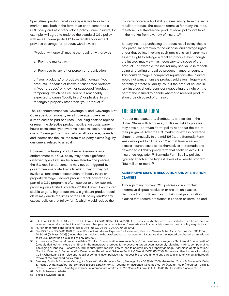Specialized product recall coverage is available in the marketplace, both in the form of an endorsement to a CGL policy and as a stand-alone policy. Some insurers, for example, will agree to endorse the standard CGL policy with recall coverage. An ISO form recall endorsement provides coverage for "product withdrawals":

"Product withdrawal" means the recall or withdrawal:

- a. From the market; or
- b. From use by any other person or organization;

of "your products," or products which contain "your products," because of known or suspected "defects" in "your product," or known or suspected "product tampering," which has caused or is reasonably expected to cause "bodily injury" or physical injury to tangible property other than "your product."47

The ISO endorsement has "Coverage A" and "Coverage B."48 Coverage A, or first-party recall coverage, covers an insured's costs as part of a recall, including costs to replace or repair the defective product, notification costs, warehouse costs, employee overtime, disposal costs, and other costs. Coverage B, or third-party recall coverage, defends and indemnifies the insured from third-party claims (e.g., by customers) related to a recall.

However, purchasing product recall insurance as an endorsement to a CGL policy may pose significant disadvantages. First, unlike some stand-alone policies, the ISO recall endorsements may not be triggered by government-mandated recalls, which may or may not involve a "reasonable expectation" of bodily injury or property damage. Second, product recall coverage as part of a CGL program is often subject to a low sublimit, providing very limited protection.<sup>49</sup> Third, even if an insured is able to get a higher sublimit, a significant product recall claim may erode the limits of the CGL policy (and/or any excess policies that follow form), which would reduce the

insured's coverage for liability claims arising from the same recalled product. The better alternative for many insureds, therefore, is a stand-alone product recall policy, available in the market from a variety of insurers.<sup>50</sup>

But any insured purchasing a product recall policy should pay particular attention to the disposal and salvage rights under that policy. Invoking such provisions, an insurer may assert a right to salvage a recalled product, even though the insured may view it as necessary to dispose of the product. For example, the insurer may see value in repackaging and selling a recalled product in another country. This could damage a company's reputation—the insured would not want an unsafe product sold even if legal—and potentially create a liability issue if the product causes injury. Insureds should consider negotiating the right on the part of the insured to decide whether a recalled product should be disposed of or resold.

# THE BERMUDA FORM

Product manufacturers, distributors, and sellers in the United States with high-level, multilayer liability policies may have a "Bermuda Form" policy at or near the top of their programs. After the U.S. market for excess coverage shrank dramatically in the mid-1980s, the Bermuda Form was developed to fill the void.<sup>51</sup> At that time, a series of excess insurers established themselves in Bermuda and developed a liability policy form that seeks to avoid U.S. insurance regulation.52 Bermuda Form liability policies typically attach at the highest levels of a liability program (\$50 million or more).53

# ALTERNATIVE DISPUTE RESOLUTION AND ARBITRATION CLAUSES

Although many primary CGL policies do not contain alternative dispute resolution or arbitration clauses, Bermuda Form policies may contain foreign arbitration clauses that require arbitration in London or Bermuda and

<sup>47</sup> ISO Form CG 00 66 12 04. See also ISO Forms CG 04 36 12 04, CG 04 36 10 01. One issue is whether an insured-initiated recall is covered or whether the recall must be initiated "by any other person or organization." Insureds should clarify this issue as part of policy negotiations.

<sup>48</sup> Id. For other forms and options, see ISO Forms CG 04 36 12 04, CG 04 36 10 01.

<sup>49</sup> See ISO Form CG 04 36 10 01 ("Limited Product Withdrawal Expense Endorsement"). See also Cytosol Labs., Inc. v. Fed. Ins. Co., 536 F. Supp. 2d 80, 87 (D. Mass. 2008) (noting that the products withdrawal and crisis management insurance that the insured purchased as an add-on to its CGL policy had a sublimit of only \$25,000).

<sup>50</sup> XL Insurance (Bermuda) has an available "Product Contamination Insurance Policy" that provides coverage for "Accidental Contamination" (broadly defined to include any "Error in the manufacture, production processing, preparation, assembly, blending, mixing, compounding, packaging or labeling . . . of any Insured Product," provided it is likely to lead to bodily injury or property damage), "Malicious Contamination," "Product Extortion," "Forced and/or Government Recall," and "Adverse Publicity." See XLIB-CPI (10/2010). Numerous other insurers, including Catlin, Chartis, and Starr, also offer recall or contamination policies. It is not possible to recommend any particular insurer without a thorough review of the proposed policy terms.

<sup>51</sup> See, e.g., Smith & Sylvester, Coming to Grips with the Bermuda Form, Strategic Risk 38 (Feb. 2006) (hereafter, "Smith & Sylvester"); Dolin & Posner, Understanding the Bermuda Excess Liability Form, 1 Journal of Insurance Coverage 69–70 (Autumn 1998) (hereafter, "Dolin & Posner"); Jacobs et al., Liability Insurance in International Arbitration: The Bermuda Form §§ 1.01–1.18 (2004) (hereafter "Jacobs et al.").

<sup>52</sup> Dolin & Posner at 69–70.

<sup>53</sup> Smith & Sylvester at 38.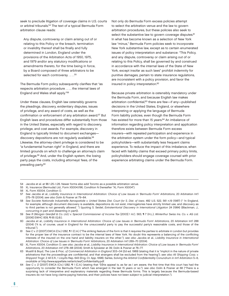seek to preclude litigation of coverage claims in U.S. courts or arbitral tribunals.54 The text of a typical Bermuda Form arbitration clause reads:

Any dispute, controversy or claim arising out of or relating to this Policy or the breach, termination or invalidity thereof shall be finally and fully determined in London, England under the provisions of the Arbitration Acts of 1950, 1975, and 1979 and/or any statutory modifications or amendments thereto, for the time being in force, by a Board composed of three arbitrators to be selected for each controversy . . . . 55

The Bermuda Form policy subsequently clarifies that "as respects arbitration procedure . . . , the internal laws of England and Wales shall apply."56

Under these clauses, English law ostensibly governs the pleadings, discovery, evidentiary disputes, issues of privilege, and any award of costs, as well as the confirmation or enforcement of any arbitration award.<sup>57</sup> But English laws and procedures differ substantially from those in the United States, especially with regard to discovery, privilege, and cost awards. For example, discovery in England is typically limited to document exchanges discovery depositions are not regularly available.<sup>58</sup> Likewise, the attorney-client privilege is considered to be "a fundamental human right" in England, and there are limited grounds on which to challenge an attorney's claim of privilege.59 And, under the English system, the losing party pays the costs, including attorneys' fees, of the prevailing party.<sup>60</sup>

Not only do Bermuda Form excess policies attempt to select the arbitration venue and the law to govern arbitration procedures, but these policies also seek to select the substantive law to govern coverage disputes.<sup>61</sup> In what has become known as a selection of New York law "minus," Bermuda Form policies seek to incorporate New York substantive law, except as to certain enumerated issues of policy interpretation and substance: "This Policy, and any dispute, controversy or claim arising out of or relating to this Policy, shall be governed by and construed in accordance with the internal laws of the State of New York, except insofar as such laws" prohibit indemnity for punitive damages, pertain to state insurance regulations, are inconsistent with a policy provision, and favor the insured in policy interpretation.62

Because private arbitration is ostensibly mandatory under the Bermuda Form, and because English law makes arbitration confidential,<sup>63</sup> there are few-if any-published decisions in the United States, England, or elsewhere interpreting or applying the language of Bermuda Form liability policies, even though the Bermuda Form has existed for more than 15 years.<sup>64</sup> An imbalance of information regarding policy interpretation and application therefore exists between Bermuda Form excess insurers—with repeated participation and experience in the arbitration system under the form policy—and typical policyholders—with substantially less frequent claims experience. To reduce the impact of this imbalance, when faced with liability claims that exceed primary policy limits, policyholders should engage coverage counsel with prior experience arbitrating claims under the Bermuda Form.

- 54 Jacobs et al. at §§ 1.25–1.26. Newer forms also add Toronto as a possible arbitration venue.
- 55 XL Insurance (Bermuda) Ltd., Form XS004.1/96, Condition N (hereafter "XL Form XS004").

58 See Societe Nationale Industrielle Aerospatiale v. United States Dist. Court for S. Dist. of Iowa, 482 U.S. 522, 561 n.19 (1987) (" 'In England, for example, although document discovery is available, depositions do not exist, interrogatories have strictly limited use, and discovery as to third parties is not generally allowed.' ") (quoting S. Seidel, Extraterritorial Discovery in International Litigation 24 (1984) (Blackman, J., concurring in part and dissenting in part)).

<sup>56</sup> XL Form XS004, Condition O.

<sup>57</sup> See Jacobs et al., Liability Insurance in International Arbitration: Choice of Law Issues in 'Bermuda Form' Arbitrations, 20 Arbitration Int'l 275–76 (2004); see also Dolin & Posner at 79–84.

<sup>59</sup> See R (Morgan Grenfell & Co. Ltd.) v. Special Commissioner of Income Tax [2003] 1 A.C. 563, ¶ 7 (H.L.); Winterthur Swiss Ins. Co. v. AG Ltd. [2006] EWHC 839, ¶ 65 (Q.B.).

<sup>60</sup> Jacobs et al., Liability Insurance in International Arbitration: Choice of Law Issues in 'Bermuda Form' Arbitrations, 20 Arbitration Int'l 288 (2004) ("It is, of course, usual in England for the unsuccessful party to pay the successful party's reasonable costs, and those of the tribunal.").

<sup>61</sup> See C v. D [2007] EWCA (Civ.) 1282, ¶ 1 (C.A.) ("The striking feature of the form is that it requires the parties to arbitrate in London but provides for the proper law of the insurance contract to be the internal laws of New York. No doubt this represents a balancing of the conflicting interests of the insured on the one hand and liability insurers on the other."); see also Jacobs et al., Liability Insurance in International Arbitration: Choice of Law Issues in 'Bermuda Form' Arbitrations, 20 Arbitration Int'l 269–70 (2004).

<sup>62</sup> XL Form XS004, Condition O; see also Jacobs et al., Liability Insurance in International Arbitration: Choice of Law Issues in 'Bermuda Form' Arbitrations, 20 Arbitration Int'l 278–88 (2004); Smith & Sylvester at 39; Dolin & Posner at 76–77.

<sup>63</sup> Mustill & Boyd, The Law & Prac. of Commercial Arbitration in England 303–04 (2d ed. 1989) (stating that it is "implicit in the nature of private arbitrations that the proceedings are confidential, and that strangers shall be excluded from the hearing"); see also Ali Shipping Corp. v. Shipyard Trogir, 2 All E.R., 1 Lloyd's Rep. 643 (Eng. Ct. App. 1998); Sarles, Solving the Arbitral Confidentiality Conundrum in Int'l Arbitration 5–6, available at http://www.appellate.net/articles/Confidentiality.pdf.

<sup>64</sup> See C v. D [2007] EWCA (Civ.) 1282, 11 (C.A.) (stating that "[t]his appeal is, as far as I am aware, the first time that this court has had the opportunity to consider the Bermuda Form which has emerged in the last 15 years or so."); see also Dolin & Posner at 68 ("There is a surprising lack of interpretive and explanatory materials regarding these Bermuda forms. This is largely because the Bermuda-based insurers do not have long claims-paying histories, and their policies have not been subject to judicial interpretation.").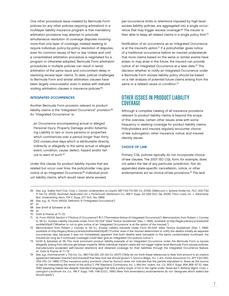One other procedural issue created by Bermuda Form policies (or any other policies requiring arbitration) in a multilayer liability insurance program is that mandatory arbitration provisions may attempt to preclude simultaneous resolution of coverage disputes involving more than one layer of coverage, instead seeking to require individual, policy-by-policy resolution of disputes, even for common issues of fact or law. Unless and until a consolidated arbitration procedure is negotiated for a program or otherwise adopted, Bermuda Form arbitration procedures in multiple policies can result in serial arbitration of the same issue and concomitant delay in resolving excess layer claims. To date, judicial challenges to Bermuda Form and similar arbitration clauses have been largely unsuccessful, even in states with statutes voiding arbitration clauses in insurance policies.<sup>65</sup>

#### INTEGRATED OCCURRENCES

Another Bermuda Form provision relevant to product liability claims is the "Integrated Occurrence" provision.<sup>66</sup> An "Integrated Occurrence" is:

an Occurrence encompassing actual or alleged Personal Injury, Property Damage and/or Advertising Liability to two or more persons or properties which commences over a period longer than thirty (30) consecutive days which is attributable directly, indirectly or allegedly to the same actual or alleged event, condition, cause, defect, hazard and/or failure to warn of such.<sup>67</sup>

Under this clause, for product liability injuries that are related but occur over time, the policyholder may give notice of an Integrated Occurrence.68 Individual product liability claims, which would never alone exceed

per-occurrence limits or retentions imposed by high-level excess liability policies, are aggregated into a single occurrence that may trigger excess coverage.<sup>69</sup> The insurer is then able to keep all related claims in a single policy limit.<sup>70</sup>

Notification of an occurrence as an Integrated Occurrence is at the insured's option.<sup> $71$ </sup> If a policyholder gives notice of a traditional occurrence before an insured understands that more claims based on the same or similar events have arisen or may arise in the future, the insured can provide notice of an Integrated Occurrence at a later date.72 The decision whether to notify an Integrated Occurrence under a Bermuda Form excess liability policy should be based on a risk analysis of potential future claims arising from the same or a related cause or condition.<sup>73</sup>

# OTHER ISSUES IN PRODUCT LIABILITY COVERAGE

Although a complete catalog of all insurance provisions relevant to product liability claims is beyond the scope of this overview, certain other issues arise with some frequency in seeking coverage for product liability claims. Policyholders and insurers regularly encounter choiceof-law, subrogation, other insurance, notice, and insured identity issues.

#### CHOICE OF LAW

Primary CGL policies typically do not incorporate choiceof-law clauses. The 2007 ISO CGL form, for example, does not select the law of any particular jurisdiction. Nor do appended state-specific cancellation, notice, or other endorsements act as choice-of-law provisions.74 The lack

<sup>65</sup> See, e.g., Safety Nat'l Cas. Corp. v. Certain Underwriters at Lloyd's, 587 F.3d 714 (5th Cir. 2009); DiMercurio v. Sphere Drake Ins., PLC, 202 F.3d 71 (1st Cir. 2000); Goshawk Dedicated Ltd. v. Portsmouth Settlement Co., 466 F. Supp. 2d 1293 (N.D. Ga. 2006); Triton Lines, Inc. v. Steamship Mut. Underwriting Ass'n, 707 F. Supp. 277 (S.D. Tex. 1989).

<sup>66</sup> See, e.g., XL Form XS004, Definition R ("Integrated Occurrence").

<sup>67</sup> Id.

<sup>68</sup> See Smith & Sylvester at 39.

<sup>69</sup> Id.

<sup>70</sup> Dolin & Posner at 71–72.

<sup>71</sup> XL Form XS004, Section V ("Notice of Occurrence") ¶ C ("Permissive Notice of Integrated Occurrence"); Memorandum from Robert J. Cooney to "All X.L. Excess Liability Insureds Under Form XS-004" titled "Notice Guidelines" (Dec. 1, 1995), available at http://legacy.library.ucsf.edu/tid/ rev44a00/pdf ("Whether or not to give notice of an 'Integrated Occurrence' is at the option of the Insured.").

<sup>72</sup> Memorandum from Robert J. Cooney to "All X.L. Excess Liability Insureds Under Form XS-004" titled "Notice Guidelines" (Dec. 1, 1995), available at http://legacy.library.ucsf.edu/tid/rev44a00/pdf) ("Further, even if the Insured determined to notify the deaths initially as separate occurrences (say, because it was not immediately apparent that both deaths were traceable to the same contaminated truckload), the Insured (so long as it continued coverage) could later give an Integrated Occurrence notice.").

<sup>73</sup> Smith & Sylvester at 39. The most prominent product liability example of an Integrated Occurrence under the Bermuda Form is injuries allegedly arising from silicone gel breast implants. While individual implant cases did not trigger higher-level Bermuda Form excess policies, manufacturers exceeded self-insured retentions and obtained coverage for their liabilities through the Integrated Occurrence feature. Id.; Dolin & Posner at 71–72.

<sup>74</sup> See, e.g., Hammersmith v. TIG Ins. Co., 480 F.3d 220, 231 (3d Cir. 2007) ("[W]e do not think these references to New York amount to an implicit agreement between [insurer] and [insured] that New York law should govern."); Sonoco Bldgs., Inc. v. Am. Home Assurance Co., 877 F.2d 1350, 1352 (7th Cir. 1989) ("[T]he insurance policy provision cited by Sonoco does not indicate that the parties stipulated to Texas as the source of law for interpreting the terms of the policy."); PW Stephens Contractors, Inc. v. Mid Am. Indem. Ins. Co., 805 F. Supp. 854, 856–57 (D. Haw. 1992) (applying Hawaii law despite "standard language that tells a policy buyer of his or her rights under Texas law"); Beltway Mgmt. Corp. v. Lexington-Landmark Ins. Co., 746 F. Supp. 1145, 1148 (D.D.C. 1990) (New York amendatory endorsements do not "designate which state's law should apply").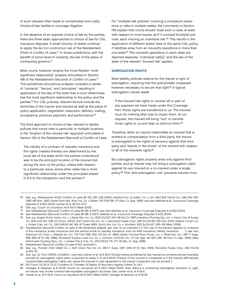of such clauses often leads to complicated and costly choice-of-law battles in coverage litigation.

In the absence of an express choice of law by the parties, there are three basic approaches to choice of law for CGL insurance disputes. A small minority of states continue to apply the lex loci contractus rule of the Restatement (First) of Conflict of Laws.<sup>75</sup> In those jurisdictions, with the benefit of some level of certainty, the law of the place of contracting governs.76

Most courts, however, employ the more flexible "most significant relationship" analysis articulated in Section 188 of the Restatement (Second) of Conflict of Laws.<sup>77</sup> This sometimes amorphous analysis considers a series of "contacts," "factors," and "principles," resulting in application of the law of the state that a court determines has the most significant relationship to the policy and the parties.78 For CGL policies, relevant factors include the domiciles of the insurer and insured as well as the place of policy application, negotiation, execution, delivery, mailing, acceptance, premium payment, and performance.79

The third approach to choice of law, relevant to liability policies that insure risks in particular or multiple locations, is the "location of the insured risk" approach articulated in Section 193 of the Restatement (Second) of Conflict of Laws:

The validity of a contract of casualty insurance and the rights created thereby are determined by the local law of the state which the parties understood was to be the principal location of the insured risk during the term of the policy, unless with respect to a particular issue, some other state has a more significant relationship under the principles stated in § 6 to the transaction and the parties.<sup>80</sup>

For "multiple-risk policies" covering a company's operations or risks in multiple states, the comments to Section 193 explain that courts should "treat such a case, at least with respect to most issues, as if it involved [multiple] policies, each insuring an individual risk."81 This results in the application of different states' laws to the same CGL policy, if liabilities arise from an insured's operations in more than one state.82 The insured's operations in each state are deemed separate, "individual risk[s]," and the law of the state of the relevant "insured risk" applies.

#### SUBROGATION RIGHTS

Most liability policies reserve for the insurer a right of subrogation, requiring that the policyholder cooperate however necessary to secure that right.<sup>83</sup> A typical subrogation clause reads:

If the insured has rights to recover all or part of any payment we have made under this Coverage Part, those rights are transferred to us. The insured must do nothing after loss to impair them. At our request, the insured will bring "suit" or transfer those rights to us and help us enforce them.<sup>84</sup>

Therefore, when an insurer indemnifies an insured that is entitled to compensation from a third party, the insurer is subrogated to the rights of recovery against that third party and "stands in the shoes" of the insured with respect to all of the insured's rights.<sup>85</sup>

But subrogation rights properly arise only against third parties, and an insurer may not bring a subrogation claim against its own insured or a co-insured under a single policy.86 This "anti-subrogation rule" prevents insurers from

- 75 See, e.g., Restatement (First) Conflict of Laws §§ 318, 332, 338 (1934); Hartford Acc. & Indem. Co. v. Am. Red Ball Transit Co., 938 P.2d 1281, 1285–86 (Kan. 1997); State Farm Mut. Auto. Ins. Co. v. Baker, 797 P.2d 168, 171 (Kan. Ct. App. 1990); see also Mathias et al., Insurance Coverage Disputes § 4.01[1] (2010); Leitner et al. §§ 9:3–9:13.
- 76 See, e.g., Couch on Insurance 3d § 24:10 (West 2005).
- 77 See Restatement (Second) Conflict of Laws §§ 188, 6 (1971); see also Mathias et al., Insurance Coverage Disputes § 4.01[2] (2010).
- 78 See Restatement (Second) Conflict of Laws §§ 188, 6 (1971); Mathias et al., Insurance Coverage Disputes § 4.02 (2010).

81 Restatement (Second) Conflict of Laws § 193, comment f.

84 ISO Form CG 00 01 12 07, Condition 8 ("Transfer Of Rights Of Recovery Against Others To Us").

85 Ostrager & Newman at § 22.06; Couch on Insurance 3d § 223:1 (West 2005). Even without a contractual subrogation provision or right, an insurer may invoke common-law equitable subrogation doctrines. See Leitner et al. at § 42:4.

<sup>79</sup> See, e.g., Eagle-Picher Indus., Inc. v. Liberty Mut. Ins. Co., 829 F.2d 227, 247–48 (1st Cir. 1987); Interface Flooring Sys., Inc. v. Aetna Cas. & Surety Co., 804 A.2d 201, 206–07 (Conn. 2002); Nat'l Union Fire Ins. Co. v. Standard Fusee Corp., 940 N.E.2d 810, 815 (Ind. 2010); Gabe's Constr. Co. v. United Cap. Ins. Co., 539 N.W.2d 144, 146–47 (Iowa 1995); Zurich Am. Ins. Co. v. Goodwin, 920 So.2d 427, 435–36 (Miss. 2006).

<sup>80</sup> Restatement (Second) Conflict of Laws § 193 (emphasis added); see also id. at comment a ("The rule of this Section applies to contracts of fire insurance, surety insurance and the various kinds of casualty insurance, such as theft insurance, liability insurance . . . ."); see also Diamond Int'l Corp. v. Allstate Ins. Co., 712 F.2d 1498, 1501–02 (1st Cir. 1983); Gates Formed Fibre Prods., Inc. v. Plasti-Vac, Inc., 687 F. Supp. 688, 689–91 (D. Me. 1988); Stonewall Surplus Lines Ins. Co. v. Johnson Controls, Inc., 14 Cal. App. 4th 637, 645–48 (Cal. Ct. App. 1993); Atlas Intermodal Trucking Serv., Inc. v. United Fire & Cas. Co., 973 S.W.2d 174, 177–78 (Mo. Ct. App. 1998).

<sup>82</sup> See, e.g., Pioneer Chlor Alkali Co. v. Nat'l Union Fire Ins. Co., 863 F. Supp. 1237, 1240–41 (D. Nev. 1994); Standard Fusee Corp., 940 N.E.2d at 815–16.

<sup>83</sup> See, e.g., XL Form XS004, Condition I; see also Leitner et al. at § 42:6 ("Except where prohibited by law, insurance contracts almost invariably provide for subrogation rights when a payment is made."); id. at § 42:42 ("Failure of the insured to cooperate or if the insured affirmatively compromises subrogation rights can cause the insured to owe repayment to the insurer if prejudice can be proved.").

<sup>86</sup> Leitner et al. at § 42:6; Couch on Insurance 3d § 224:1 (West 2005); Ostrager & Newman at § 22.06.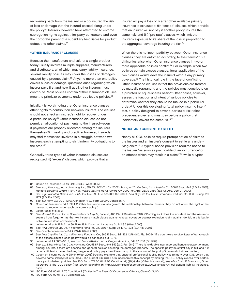recovering back from the insured or a co-insured the risk of loss or damage that the insured passed along under the policy.87 Insurers, however, have attempted to enforce subrogation rights against third-party contractors and even the corporate parent of a subsidiary held liable for product defect and other claims.<sup>88</sup>

#### "OTHER INSURANCE" CLAUSES

Because the manufacture and sale of a single product today usually involves multiple suppliers, manufacturers, and distributors, all of which may carry liability insurance, several liability policies may cover the losses or damages caused by a product claim.<sup>89</sup> Anytime more than one policy covers a loss or damage, questions arise regarding which insurer pays first and how, if at all, other insurers must contribute. Most policies contain "Other Insurance" clauses meant to prioritize payments under applicable policies.<sup>90</sup>

Initially, it is worth noting that Other Insurance clauses affect rights to contribution between insurers. The clauses should not affect an insured's right to recover under a particular policy.<sup>91</sup> Other Insurance clauses do not permit an allocation of payments to the insured—even if payments are properly allocated among the insurers themselves.92 In reality and practice, however, insureds may find themselves involved in a struggle between two insurers, each attempting to shift indemnity obligations to the other.<sup>93</sup>

Generally, three types of Other Insurance clauses are recognized: (i) "excess" clauses, which provide that an insurer will pay a loss only after other available primary insurance is exhausted; (ii) "escape" clauses, which provide that an insurer will not pay if another policy insures the same risk; and (iii) "pro rata" clauses, which limit the insurer's exposure to its share of the loss in proportion to the aggregate coverage insuring the risk.<sup>94</sup>

When there is no incompatibility between Other Insurance clauses, they are enforced according to their terms.<sup>95</sup> But difficulties arise when Other Insurance clauses in two or more applicable policies conflict.<sup>96</sup> For example, when two policies contain excess clauses, literal application of the two clauses would leave the insured without any primary coverage.<sup>97</sup> The historical rule in the face of conflicting Other Insurance clauses is that the provisions are treated as mutually repugnant, and the policies must contribute on a prorated or equal-shares basis.<sup>98</sup> Other cases, however, assess the function and intent of various policies to determine whether they should be ranked in a particular order.99 Under this developing "total policy insuring intent" test, a policy designed to cover a particular risk takes precedence over and must pay before a policy that incidentally covers the same risk.100

# NOTICE AND CONSENT TO SETTLE

Nearly all CGL policies require prompt notice of claim to the insurer and an insurer's consent to settle any underlying claim.<sup>101</sup> A typical notice provision requires notice to the insurer "as soon as practicable of an 'occurrence' or an offense which may result in a claim,"<sup>102</sup> while a typical

- 87 Couch on Insurance 3d §§ 224:3, 224:5 (West 2005).
- 88 See, e.g., Jinwoong, Inc. v. Jinwoong, Inc., 310 F.3d 962 (7th Cir. 2002); Transport Trailer Serv., Inc. v. Upjohn Co., 506 F. Supp. 442 (E.D. Pa. 1981); Munters Euroform GMBH v. Am. Nat'l Power, Inc., No. 03-05-00493-CV, 2009 Tex. App. LEXIS 9860 (Tex. Ct. App. Dec. 31, 2009).
- 89 See, e.g., Wal-Mart Stores, Inc. v. RLI Ins. Co., 292 F.3d 583 (8th Cir. 2002); Twin City Fire Ins. Co. v. Fireman's Fund Ins. Co., 386 F. Supp. 2d 1272 (S.D. Fla. 2005).
- 90 See ISO Form CG 00 01 12 07, Condition 4; XL Form XS004, Condition H.
- 91 Couch on Insurance 3d § 219:1 (" 'Other Insurance' clauses govern the relationship between insurers, they do not affect the right of the insured to recover under each concurrent policy.").

- 93 See Marwell Constr., Inc. v. Underwriters at Lloyd's, London, 465 P.2d 298 (Alaska 1970) ("Coming as it does the accident and the assureds seem all but forgotten as the two insurers match clause against clause, coverage against exclusion, claim against denial, in this battle between fortuitous adversaries.").
- 94 Leitner et al. at § 38:5; id. at §§ 38:6–38:8; Couch on Insurance 3d § 219:5 (West 2005).
- 95 See Twin City Fire Ins. Co. v. Fireman's Fund Ins. Co., 386 F. Supp. 2d 1272, 1278 (S.D. Fla. 2005).
- 96 See Couch on Insurance 3d § 219:44 (West 2005).
- 97 See Twin City Fire Ins. Co. v. Fireman's Fund Ins. Co., 386 F. Supp. 2d 1272, 1278 (S.D. Fla. 2005) ("If a court were to give literal effect to each of the excess clauses, each policy would be cancelled out . . . .").
- 98 Leitner et al. §§ 38:11–38:12; see also Lamb-Weston, Inc. v. Oregon Auto. Ins., 341 P.2d 110 (Or. 1959).
- 99 See, e.g., Liberty Mut. Ins. Co. v. Home Ins. Co., 583 F. Supp. 849, 852 (W.D. Pa. 1984) ("There is no double insurance, and hence no apportionment among insurers, if there are specific and general policies covering the damaged property. The specific policy must first pay in full, and if it is not sufficient to cover the loss, the general policy pays the difference up to the amount of the policy.") (internal citations omitted).
- 100 Couch on Insurance 3d § 219:44 (West 2005) (reciting example that pastoral professional liability policy was primary over CGL policy that covered same liability); id. at § 219:49. The current ISO CGL Form incorporates this concept by making the CGL policy excess over certain more particularized policies. See ISO Form CG 00 01 12 07, Condition 4(b)(1)(a), (b) ("Other Insurance"); see also Craig F. Stanovich, Other Insurance & the CGL Policy (Apr. 2009), available at http://www.irmi.com/expert/articles/2009/stanovich04-cgl-general-liability-insurance. aspx.

102 ISO Form CG 00 01 12 07 Condition 2 a.

<sup>92</sup> Leitner et al. at § 38:3.

<sup>101</sup> ISO Form CG 00 01 12 07, Condition 2 ("Duties In The Event Of Occurrence, Offense, Claim Or Suit").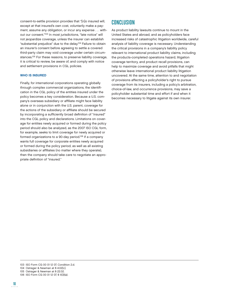consent-to-settle provision provides that "[n]o insured will, except at that insured's own cost, voluntarily make a payment, assume any obligation, or incur any expense . . . without our consent."103 In most jurisdictions, "late notice" will not jeopardize coverage, unless the insurer can establish "substantial prejudice" due to the delay.104 Failure to obtain an insurer's consent before agreeing to settle a covered third-party claim may void coverage under certain circumstances.<sup>105</sup> For these reasons, to preserve liability coverage, it is critical to review, be aware of, and comply with notice and settlement provisions in CGL policies.

### WHO IS INSURED

Finally, for international corporations operating globally through complex commercial organizations, the identification in the CGL policy of the entities insured under the policy becomes a key consideration. Because a U.S. company's overseas subsidiary or affiliate might face liability alone or in conjunction with the U.S. parent, coverage for the actions of the subsidiary or affiliate should be secured by incorporating a sufficiently broad definition of "insured" into the CGL policy and declarations. Limitations on coverage for entities newly acquired or formed during the policy period should also be analyzed, as the 2007 ISO CGL form, for example, seeks to limit coverage for newly acquired or formed organizations to a 90-day period.106 If a company wants full coverage for corporate entities newly acquired or formed during the policy period, as well as all existing subsidiaries or affiliates (no matter where they operate), then the company should take care to negotiate an appropriate definition of "insured."

# CONCLUSION

As product liability lawsuits continue to mount in the United States and abroad, and as policyholders face increased risks of catastrophic litigation worldwide, careful analysis of liability coverage is necessary. Understanding the critical provisions in a company's liability policy relevant to international product liability claims, including the products-completed operations hazard, litigation coverage territory, and product recall provisions, can help to maximize coverage and avoid pitfalls that might otherwise leave international product liability litigation uncovered. At the same time, attention to and negotiation of provisions affecting a policyholder's right to pursue coverage from its insurers, including a policy's arbitration, choice-of-law, and occurrence provisions, may save a policyholder substantial time and effort if and when it becomes necessary to litigate against its own insurer.

<sup>103</sup> ISO Form CG 00 01 12 07, Condition 2.d.

<sup>104</sup> Ostrager & Newman at § 4.02[c].

<sup>105</sup> Ostrager & Newman at § 22.02.

<sup>106</sup> ISO Form CG 00 01 12 07, § II(3)(a).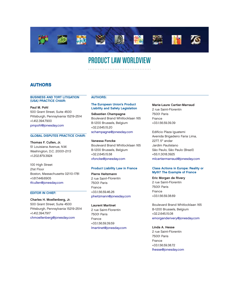

# PRODUCT LAW WORLDVIEW

# AUTHORS

#### BUSINESS AND TORT LITIGATION (USA) PRACTICE CHAIR:

Paul M. Pohl 500 Grant Street, Suite 4500 Pittsburgh, Pennsylvania 15219-2514 +1.412.394.7900 [pmpohl@jonesday.com](mailto:pmpohl@jonesday.com)

# GLOBAL DISPUTES PRACTICE CHAIR:

Thomas F. Cullen, Jr. 51 Louisiana Avenue, N.W. Washington, D.C. 20001-2113 +1.202.879.3924

100 High Street 21st Floor Boston, Massachusetts 02110-1781 +1.617.449.6905 [tfcullen@jonesday.com](mailto:tfcullen@jonesday.com)

#### EDITOR IN CHIEF:

Charles H. Moellenberg, Jr. 500 Grant Street, Suite 4500 Pittsburgh, Pennsylvania 15219-2514 +1.412.394.7917 [chmoellenberg@jonesday.com](mailto:chmoellenberg@jonesday.com)

# AUTHORS:

## The European Union's Product Liability and Safety Legislation

Sébastien Champagne Boulevard Brand Whitlocklaan 165 B-1200 Brussels, Belgium +32.2.645.15.20 [schampagne@jonesday.com](mailto:schampagne@jonesday.com)

Vanessa Foncke Boulevard Brand Whitlocklaan 165 B-1200 Brussels, Belgium +32.2.645.15.58 [vfoncke@jonesday.com](mailto:vfoncke@jonesday.com)

#### Product Liability Law in France

Pierre Heitzmann 2 rue Saint-Florentin 75001 Paris France +33.1.56.59.46.26 [pheitzmann@jonesday.com](mailto:pheitzmann@jonesday.com)

Laurent Martinet 2 rue Saint-Florentin 75001 Paris France +33.1.56.59.39.59 [lmartinet@jonesday.com](mailto:lmartinet@jonesday.com)

Marie-Laure Cartier-Marraud 2 rue Saint-Florentin 75001 Paris France +33.1.56.59.39.39

Edifício Plaza Iguatemi Avenida Brigadeiro Faria Lima, 2277,  $5^\circ$  andar Jardim Paulistano São Paulo, São Paulo (Brazil) +55.11.3018.3925 [mlcartiermarraud@jonesday.com](mailto:mlcartiermarraud@jonesday.com)

#### Class Actions in Europe: Reality or Myth? The Example of France

Eric Morgan de Rivery 2 rue Saint-Florentin 75001 Paris France +33.1.56.59.38.69

Boulevard Brand Whitlocklaan 165 B-1200 Brussels, Belgium +32.2.645.15.08 [emorganderivery@jonesday.com](mailto:emorganderivery@jonesday.com)

Linda A. Hesse

2 rue Saint-Florentin 75001 Paris France +33.1.56.59.38.72 [lhesse@jonesday.com](mailto:lhesse@jonesday.com)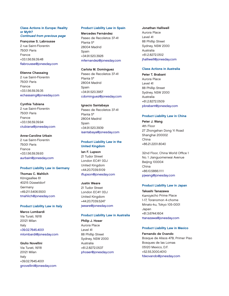#### Class Actions in Europe: Reality or Myth? Continued from previous page

# Françoise S. Labrousse

2 rue Saint-Florentin 75001 Paris France +33.1.56.59.39.48 flabrousse@jonesday.com

#### Etienne Chassaing

2 rue Saint-Florentin 75001 Paris France +33.1.56.59.39.35 [echassaing@jonesday.com](mailto:echassaing@jonesday.com)

#### Cynthia Tubiana

2 rue Saint-Florentin 75001 Paris France +33.1.56.59.39.94 [ctubiana@jonesday.com](mailto:ctubiana@jonesday.com)

# Anne-Caroline Urbain

2 rue Saint-Florentin 75001 Paris France +33.1.56.59.39.93 [aurbain@jonesday.com](mailto:aurbain@jonesday.com)

#### Product Liability Law in Germany

Thomas C. Mahlich Königsallee 61 40215 Düsseldorf **Germany** +49.211.5406.5500 [tmahlich@jonesday.com](mailto:tmahlich@jonesday.com)

#### Product Liability Law in Italy

Marco Lombardi Via Turati, 16/18 20121 Milan Italy +39.02.7645.4001 [mlombardi@jonesday.com](mailto:mlombardi@jonesday.com)

## Giulio Novellini

Via Turati, 16/18 20121 Milan Italy +39.02.7645.4001 [gnovellini@jonesday.com](mailto:gnovellini@jonesday.com)

#### Product Liability Law in Spain

#### Mercedes Fernández

Paseo de Recoletos 37-41 Planta 5a 28004 Madrid Spain +34.91.520.3926 [mfernandez@jonesday.com](mailto:mfernandez@jonesday.com)

#### Carlota M. Domínguez

Paseo de Recoletos 37-41 Planta 5a 28004 Madrid Spain +34.91.520.3957 [cdominguez@jonesday.com](mailto:cdominguez@jonesday.com)

#### Ignacio Santabaya

Paseo de Recoletos 37-41 Planta 5<sup>a</sup> 28004 Madrid Spain +34.91.520.3939 [isantabaya@jonesday.com](mailto:isantabaya@jonesday.com)

# Product Liability Law in the United Kingdom

Ian F. Lupson 21 Tudor Street London EC4Y 0DJ United Kingdom +44.20.7039.5109 iflupson@jonesday.com

## Justin Weare

21 Tudor Street London EC4Y 0DJ United Kingdom +44.20.7039.5247 [jweare@jonesday.com](mailto:jweare@jonesday.com)

#### Product Liability Law in Australia

Philip J. Hoser Aurora Place Level 41 88 Phillip Street Sydney, NSW 2000 Australia +61.2.8272.0537 [phoser@jonesday.com](mailto:phoser@jonesday.com)

#### Jonathan Halliwell

Aurora Place Level 41 88 Phillip Street Sydney, NSW 2000 Australia +61.2.8272.0512 [jhalliwell@jonesday.com](mailto:jhalliwell@jonesday.com)

#### Class Actions in Australia

Peter T. Brabant Aurora Place Level 41 88 Phillip Street Sydney, NSW 2000 Australia +61.2.8272.0509 [pbrabant@jonesday.com](mailto:pbrabant@jonesday.com)

#### Product Liability Law in China

Peter J. Wang 4th Floor 27 Zhongshan Dong Yi Road Shanghai 200002 China +86.21.2201.8040

32nd Floor, China World Office 1 No. 1 Jianguomenwai Avenue Beijing 100004 China +86.10.5866.1111 [pjwang@jonesday.com](mailto:pjwang@jonesday.com)

#### Product Liability Law in Japan

Takashi Tanazawa Kamiyacho Prime Place 1-17, Toranomon 4-chome Minato-ku, Tokyo 105-0001 Japan +81.3.6744.1604 [ttanazawa@jonesday.com](mailto:ttanazawa@jonesday.com)

### Product Liability Law in Mexico

Fernando de Ovando Bosque de Alisos 47B, Primer Piso Bosques de las Lomas 05120 Mexico, D.F. +52.55.3000.4010 [fdeovando@jonesday.com](mailto:fdeovando@jonesday.com)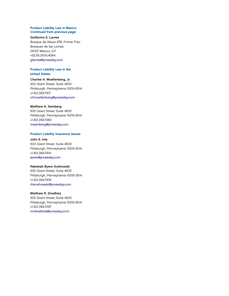#### Product Liability Law in Mexico Continued from previous page

#### Guillermo E. Larrea

Bosque de Alisos 47B, Primer Piso Bosques de las Lomas 05120 Mexico, D.F. +52.55.3000.4064 [glarrea@jonesday.com](mailto:glarrea@jonesday.com)

### Product Liability Law in the United States

Charles H. Moellenberg, Jr. 500 Grant Street, Suite 4500 Pittsburgh, Pennsylvania 15219-2514 +1.412.394.7917 [chmoellenberg@jonesday.com](mailto:chmoellenberg@jonesday.com)

#### Matthew A. Samberg

500 Grant Street, Suite 4500 Pittsburgh, Pennsylvania 15219-2514 +1.412.394.7260 [msamberg@jonesday.com](mailto:msamberg@jonesday.com)

#### Product Liability Insurance Issues

John E. Iole 500 Grant Street, Suite 4500 Pittsburgh, Pennsylvania 15219-2514 +1.412.394.7914 [jeiole@jonesday.com](mailto:jeiole@jonesday.com)

# Rebekah Byers Kcehowski

500 Grant Street, Suite 4500 Pittsburgh, Pennsylvania 15219-2514 +1.412.394.7935 [rbkcehowski@jonesday.com](mailto:rbkcehowski@jonesday.com)

#### Matthew R. Divelbiss

500 Grant Street, Suite 4500 Pittsburgh, Pennsylvania 15219-2514 +1.412.394.7297 [mrdivelbiss@jonesday.com](mailto:mrdivelbiss@jonesday.com)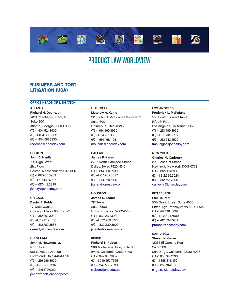

# PRODUCT LAW WORLDVIEW

# BUSINESS AND TORT LITIGATION (USA)

### OFFICE HEADS OF LITIGATION

ATLANTA Richard H. Deane, Jr. 1420 Peachtree Street, N.E. Suite 800 Atlanta, Georgia 30309-3053 (T) +1.404.521.3939 (D) +1.404.581.8502 (F) +1.404.581.8330 [rhdeane@jonesday.com](mailto:rhdeane@jonesday.com)

#### **BOSTON**

John D. Hanify 100 High Street 21st Floor Boston, Massachusetts 02110-1781 (T) +1.617.960.3939 (D) +1.617.449.6906 (F) +1.617.449.6999 [jhanify@jonesday.com](mailto:jhanify@jonesday.com)

**CHICAGO** Daniel E. Reidy 77 West Wacker Chicago, Illinois 60601-1692 (T) +1.312.782.3939 (D) +1.312.269.4140 (F) +1.312.782.8585 [dereidy@jonesday.com](mailto:dereidy@jonesday.com)

CLEVELAND John M. Newman, Jr. North Point 901 Lakeside Avenue Cleveland, Ohio 44114-1190 (T) +1.216.586.3939 (D) +1.216.586.7207 (F) +1.216.579.0212 [jmnewman@jonesday.com](mailto:jmnewman@jonesday.com)

**COLUMBUS** Matthew A. Kairis 325 John H. McConnell Boulevard Suite 600 Columbus, Ohio 43215 (T) +1.614.469.3939 (D) +1.614.281.3605 (F) +1.614.461.4198 [makairis@jonesday.com](mailto:makairis@jonesday.com)

DALLAS James P. Karen 2727 North Harwood Street Dallas, Texas 75201-1515 (T) +1.214.220.3939 (D) +1.214.969.5027 (F) +1.214.969.5100 [jkaren@jonesday.com](mailto:jkaren@jonesday.com)

**HOUSTON** James S. Teater 717 Texas Suite 3300 Houston, Texas 77002-2712 (T) +1.832.239.3939 (D) +1.832.239.3777 (F) +1.832.239.3600 [jsteater@jonesday.com](mailto:jsteater@jonesday.com)

IRVINE Richard S. Ruben 3161 Michelson Drive, Suite 800 Irvine, California 92612-4408 (T) +1.949.851.3939 (D) +1.949.553.7565 (F) +1.949.553.7539 [rruben@jonesday.com](mailto:rruben@jonesday.com)

LOS ANGELES Frederick L. McKnight 555 South Flower Street Fiftieth Floor Los Angeles, California 90071 (T) +1.213.489.3939 (D) +1.213.243.2777 (F) +1.213.243.2539 [fmcknight@jonesday.com](mailto:fmcknight@jonesday.com)

#### NEW YORK

Charles M. Carberry 222 East 41st Street New York, New York 10017-6702 (T) +1.212.326.3939 (D) +1.212.326.3920 (F) +1.212.755.7306 [carberry@jonesday.com](mailto:carberry@jonesday.com)

**PITTSBURGH** 

Paul M. Pohl 500 Grant Street, Suite 4500 Pittsburgh, Pennsylvania 15219-2514 (T) +1.412.391.3939 (D) +1.412.394.7900 (F) +1.412.394.7959 [pmpohl@jonesday.com](mailto:pmpohl@jonesday.com)

# SAN DIEGO

Steven N. Geise 12265 El Camino Real Suite 200 San Diego, California 92130-4096 (T) +1.858.314.1200 (D) +1.858.314.1170 (F) +1.858.314.1150 [sngeise@jonesday.com](mailto:sngeise@jonesday.com)